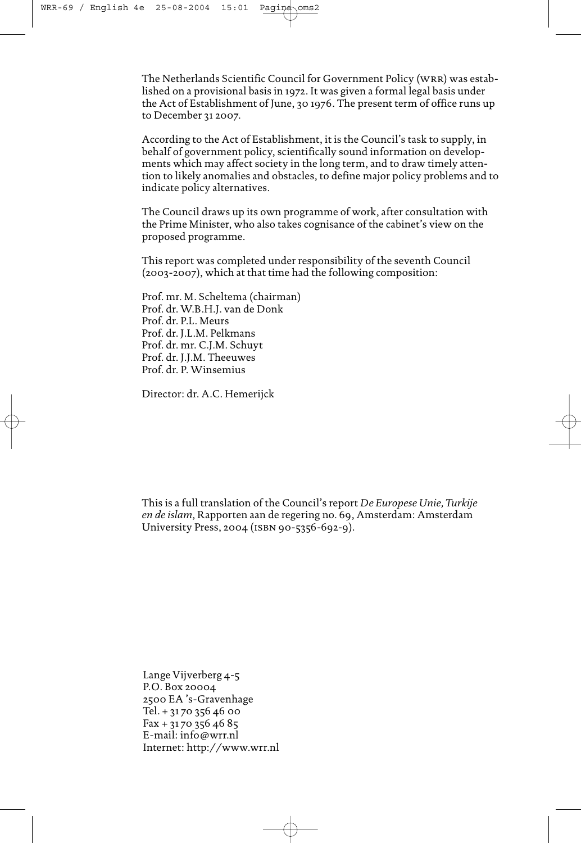The Netherlands Scientific Council for Government Policy (WRR) was established on a provisional basis in 1972. It was given a formal legal basis under the Act of Establishment of June, 30 1976. The present term of office runs up to December 31 2007.

According to the Act of Establishment, it is the Council's task to supply, in behalf of government policy, scientifically sound information on developments which may affect society in the long term, and to draw timely attention to likely anomalies and obstacles, to define major policy problems and to indicate policy alternatives.

The Council draws up its own programme of work, after consultation with the Prime Minister, who also takes cognisance of the cabinet's view on the proposed programme.

This report was completed under responsibility of the seventh Council (2003-2007), which at that time had the following composition:

Prof. mr. M. Scheltema (chairman) Prof. dr. W.B.H.J. van de Donk Prof. dr. P.L. Meurs Prof. dr. J.L.M. Pelkmans Prof. dr. mr. C.J.M. Schuyt Prof. dr. J.J.M. Theeuwes Prof. dr. P. Winsemius

Director: dr. A.C. Hemerijck

This is a full translation of the Council's report *De Europese Unie, Turkije en de islam*, Rapporten aan de regering no. 69, Amsterdam: Amsterdam University Press, 2004 (isbn 90-5356-692-9).

Lange Vijverberg 4-5 P.O. Box 20004 2500 EA 's-Gravenhage Tel. + 31 70 356 46 00 Fax + 31 70 356 46 85 E-mail: info@wrr.nl Internet: http://www.wrr.nl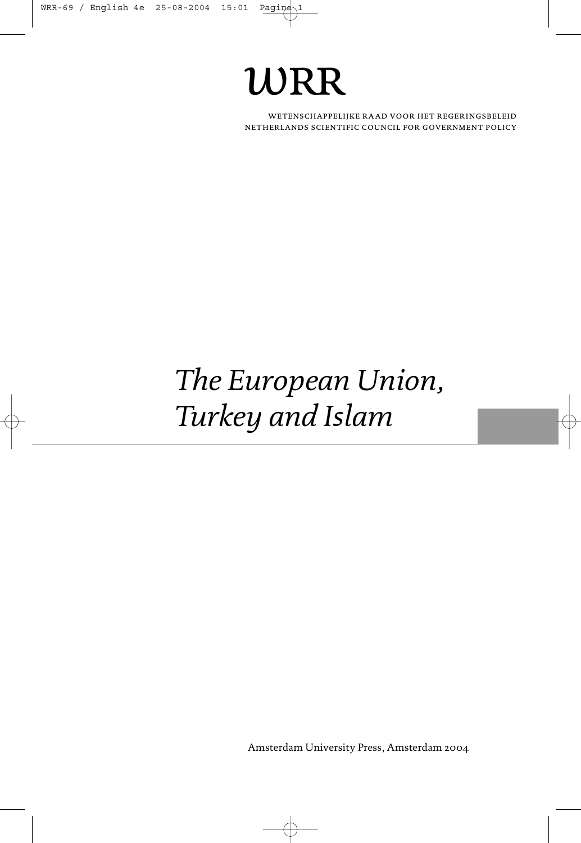

WETENSCHAPPELIJKE RAAD VOOR HET REGERINGSBELEID NETHERLANDS SCIENTIFIC COUNCIL FOR GOVERNMENT POLICY

# *The European Union, Turkey and Islam*

Amsterdam University Press, Amsterdam 2004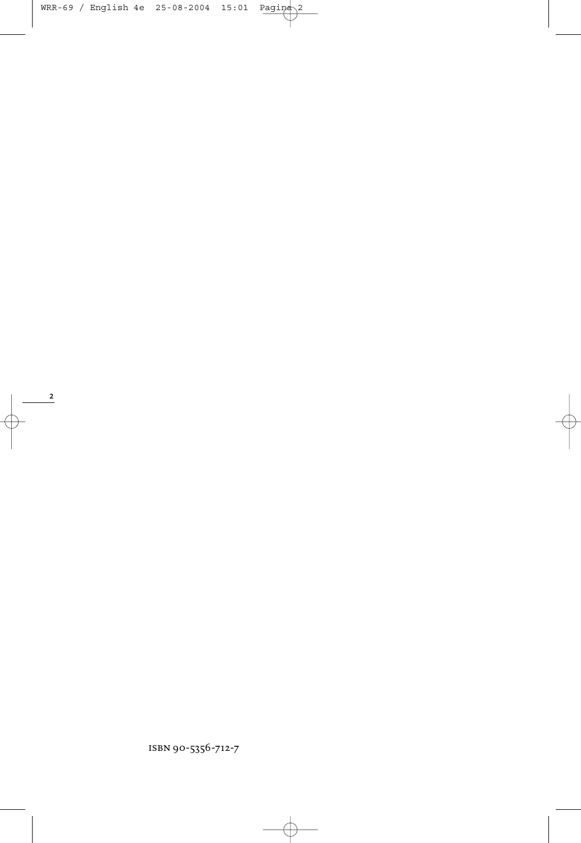$\overline{2}$ 

isbn 90-5356-712-7

Æ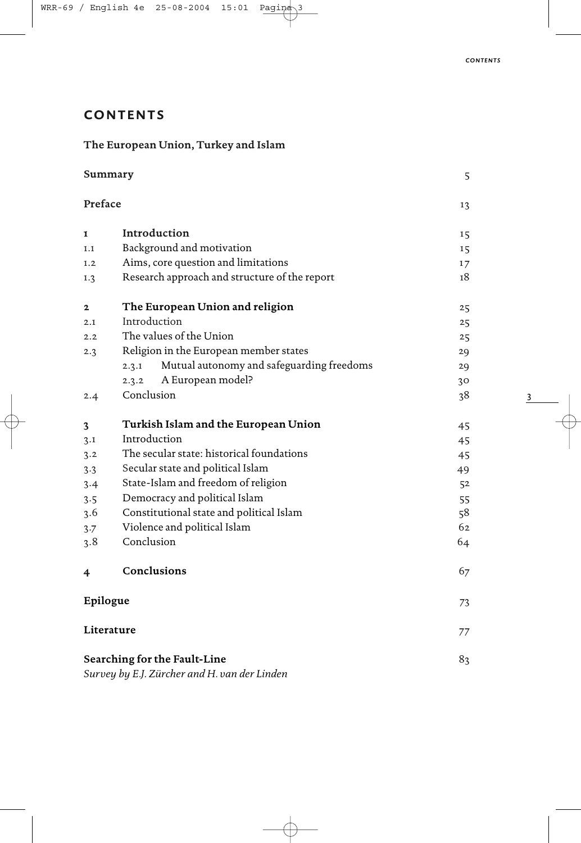$\frac{3}{2}$ 

# **CONTENTS**

### **The European Union, Turkey and Islam**

WRR-69 / English 4e 25-08-2004 15:01 Pagin

| Summary                      |                                                    | 5               |
|------------------------------|----------------------------------------------------|-----------------|
| Preface                      |                                                    | 13              |
| 1                            | Introduction                                       | 15              |
| 1.1                          | Background and motivation                          | 15              |
| 1.2                          | Aims, core question and limitations                | 17              |
| 1.3                          | Research approach and structure of the report      | 18              |
| $\mathbf{2}$                 | The European Union and religion                    | 25              |
| 2.1                          | Introduction                                       | 25              |
| 2.2                          | The values of the Union                            | 25              |
| 2.3                          | Religion in the European member states             | 29              |
|                              | Mutual autonomy and safeguarding freedoms<br>2.3.1 | 29              |
|                              | A European model?<br>2.3.2                         | 30 <sup>°</sup> |
| 2.4                          | Conclusion                                         | 38              |
| 3                            | Turkish Islam and the European Union               | 45              |
| 3.1                          | Introduction                                       | 45              |
| 3.2                          | The secular state: historical foundations          | 45              |
| 3.3                          | Secular state and political Islam                  | 49              |
| 3.4                          | State-Islam and freedom of religion                | 52              |
| 3.5                          | Democracy and political Islam                      | 55              |
| 3.6                          | Constitutional state and political Islam           | 58              |
| 3.7                          | Violence and political Islam                       | 62              |
| 3.8                          | Conclusion                                         | 64              |
| $\overline{\mathbf{4}}$      | Conclusions                                        | 67              |
| Epilogue                     |                                                    | 73              |
| Literature                   |                                                    | 77              |
| Searching for the Fault-Line |                                                    | 83              |

*Survey by E.J. Zürcher and H. van der Linden*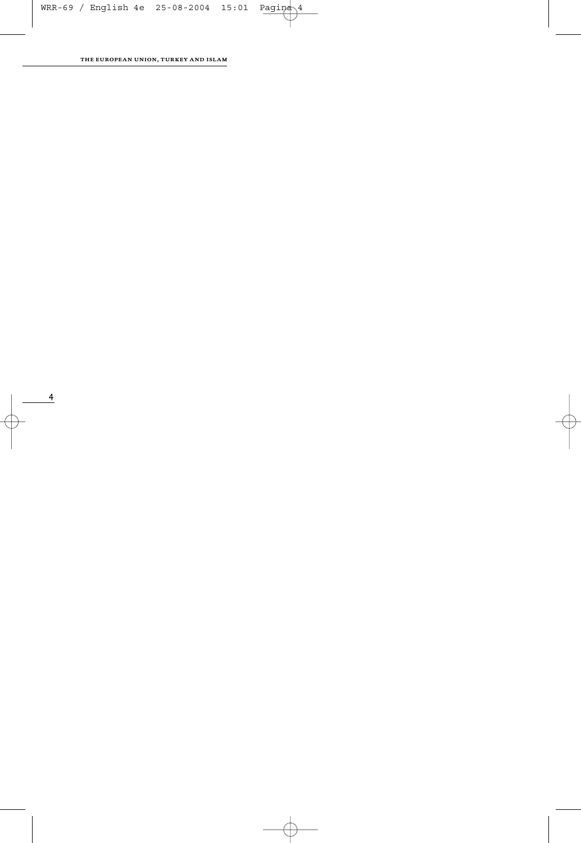€

 $\overline{4}$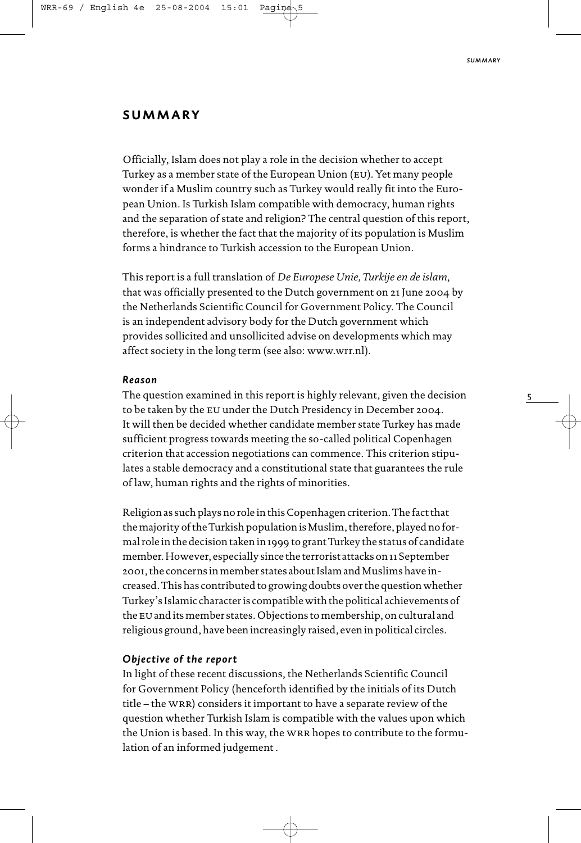### **SUMMARY**

Officially, Islam does not play a role in the decision whether to accept Turkey as a member state of the European Union (eu). Yet many people wonder if a Muslim country such as Turkey would really fit into the European Union. Is Turkish Islam compatible with democracy, human rights and the separation of state and religion? The central question of this report, therefore, is whether the fact that the majority of its population is Muslim forms a hindrance to Turkish accession to the European Union.

This report is a full translation of *De Europese Unie, Turkije en de islam*, that was officially presented to the Dutch government on 21 June 2004 by the Netherlands Scientific Council for Government Policy. The Council is an independent advisory body for the Dutch government which provides sollicited and unsollicited advise on developments which may affect society in the long term (see also: www.wrr.nl).

#### *Reason*

The question examined in this report is highly relevant, given the decision to be taken by the eu under the Dutch Presidency in December 2004. It will then be decided whether candidate member state Turkey has made sufficient progress towards meeting the so-called political Copenhagen criterion that accession negotiations can commence. This criterion stipulates a stable democracy and a constitutional state that guarantees the rule of law, human rights and the rights of minorities.

Religion as such plays no role in this Copenhagen criterion. The fact that the majority of the Turkish population is Muslim, therefore, played no formal role in the decision taken in 1999 to grant Turkey the status of candidate member. However, especially since the terrorist attacks on 11 September 2001, the concerns in member states about Islam and Muslims have increased. This has contributed to growing doubts over the question whether Turkey's Islamic character is compatible with the political achievements of the EU and its member states. Objections to membership, on cultural and religious ground, have been increasingly raised, even in political circles.

### *Objective of the report*

In light of these recent discussions, the Netherlands Scientific Council for Government Policy (henceforth identified by the initials of its Dutch title – the WRR) considers it important to have a separate review of the question whether Turkish Islam is compatible with the values upon which the Union is based. In this way, the wrr hopes to contribute to the formulation of an informed judgement .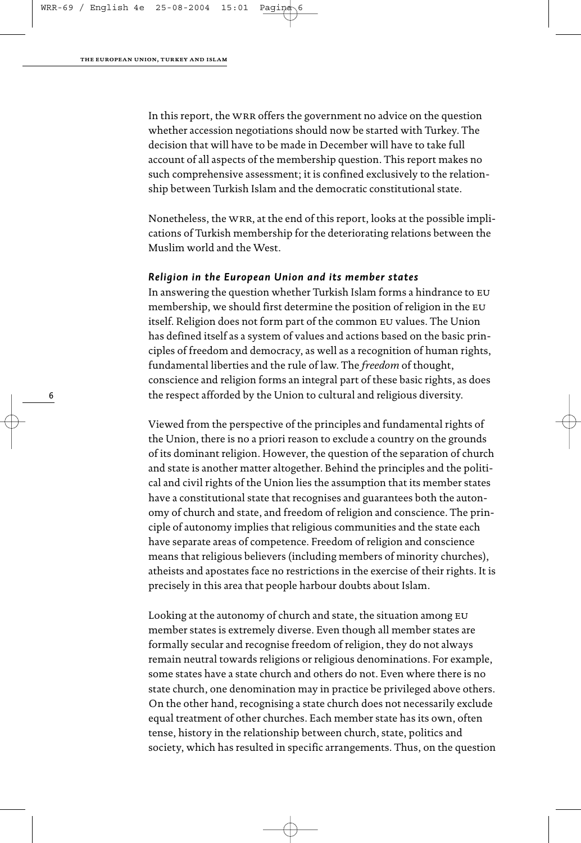6

In this report, the WRR offers the government no advice on the question whether accession negotiations should now be started with Turkey. The decision that will have to be made in December will have to take full account of all aspects of the membership question. This report makes no such comprehensive assessment; it is confined exclusively to the relationship between Turkish Islam and the democratic constitutional state.

Nonetheless, the wrr, at the end of this report, looks at the possible implications of Turkish membership for the deteriorating relations between the Muslim world and the West.

### *Religion in the European Union and its member states*

In answering the question whether Turkish Islam forms a hindrance to eu membership, we should first determine the position of religion in the eu itself. Religion does not form part of the common eu values. The Union has defined itself as a system of values and actions based on the basic principles of freedom and democracy, as well as a recognition of human rights, fundamental liberties and the rule of law. The *freedom* of thought, conscience and religion forms an integral part of these basic rights, as does the respect afforded by the Union to cultural and religious diversity.

Viewed from the perspective of the principles and fundamental rights of the Union, there is no a priori reason to exclude a country on the grounds of its dominant religion. However, the question of the separation of church and state is another matter altogether. Behind the principles and the political and civil rights of the Union lies the assumption that its member states have a constitutional state that recognises and guarantees both the autonomy of church and state, and freedom of religion and conscience. The principle of autonomy implies that religious communities and the state each have separate areas of competence. Freedom of religion and conscience means that religious believers (including members of minority churches), atheists and apostates face no restrictions in the exercise of their rights. It is precisely in this area that people harbour doubts about Islam.

Looking at the autonomy of church and state, the situation among EU member states is extremely diverse. Even though all member states are formally secular and recognise freedom of religion, they do not always remain neutral towards religions or religious denominations. For example, some states have a state church and others do not. Even where there is no state church, one denomination may in practice be privileged above others. On the other hand, recognising a state church does not necessarily exclude equal treatment of other churches. Each member state has its own, often tense, history in the relationship between church, state, politics and society, which has resulted in specific arrangements. Thus, on the question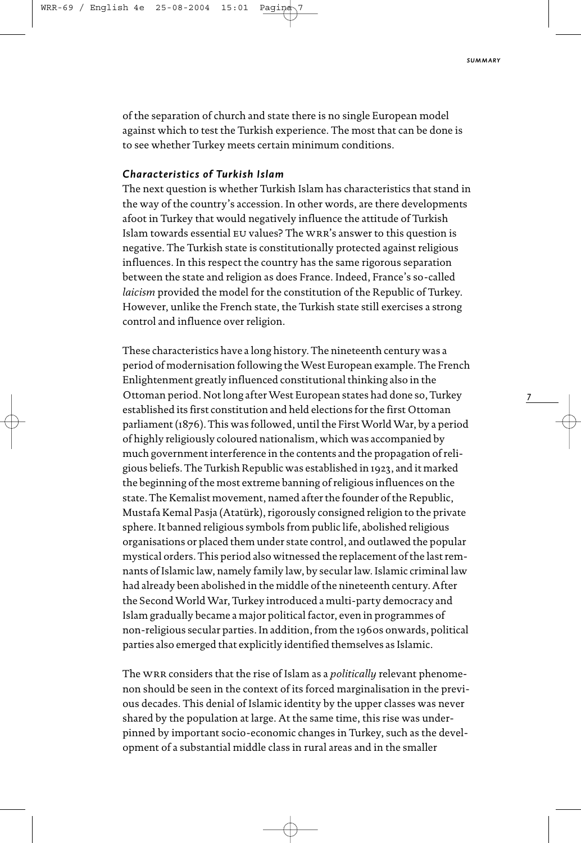*summary*

7

of the separation of church and state there is no single European model against which to test the Turkish experience. The most that can be done is to see whether Turkey meets certain minimum conditions.

### *Characteristics of Turkish Islam*

The next question is whether Turkish Islam has characteristics that stand in the way of the country's accession. In other words, are there developments afoot in Turkey that would negatively influence the attitude of Turkish Islam towards essential eu values? The wrr's answer to this question is negative. The Turkish state is constitutionally protected against religious influences. In this respect the country has the same rigorous separation between the state and religion as does France. Indeed, France's so-called *laicism* provided the model for the constitution of the Republic of Turkey. However, unlike the French state, the Turkish state still exercises a strong control and influence over religion.

These characteristics have a long history. The nineteenth century was a period of modernisation following the West European example. The French Enlightenment greatly influenced constitutional thinking also in the Ottoman period. Not long after West European states had done so, Turkey established its first constitution and held elections for the first Ottoman parliament (1876). This was followed, until the First World War, by a period of highly religiously coloured nationalism, which was accompanied by much government interference in the contents and the propagation of religious beliefs. The Turkish Republic was established in 1923, and it marked the beginning of the most extreme banning of religious influences on the state. The Kemalist movement, named after the founder of the Republic, Mustafa Kemal Pasja (Atatürk), rigorously consigned religion to the private sphere. It banned religious symbols from public life, abolished religious organisations or placed them under state control, and outlawed the popular mystical orders. This period also witnessed the replacement of the last remnants of Islamic law, namely family law, by secular law. Islamic criminal law had already been abolished in the middle of the nineteenth century. After the Second World War, Turkey introduced a multi-party democracy and Islam gradually became a major political factor, even in programmes of non-religious secular parties. In addition, from the 1960s onwards, political parties also emerged that explicitly identified themselves as Islamic.

The WRR considers that the rise of Islam as a *politically* relevant phenomenon should be seen in the context of its forced marginalisation in the previous decades. This denial of Islamic identity by the upper classes was never shared by the population at large. At the same time, this rise was underpinned by important socio-economic changes in Turkey, such as the development of a substantial middle class in rural areas and in the smaller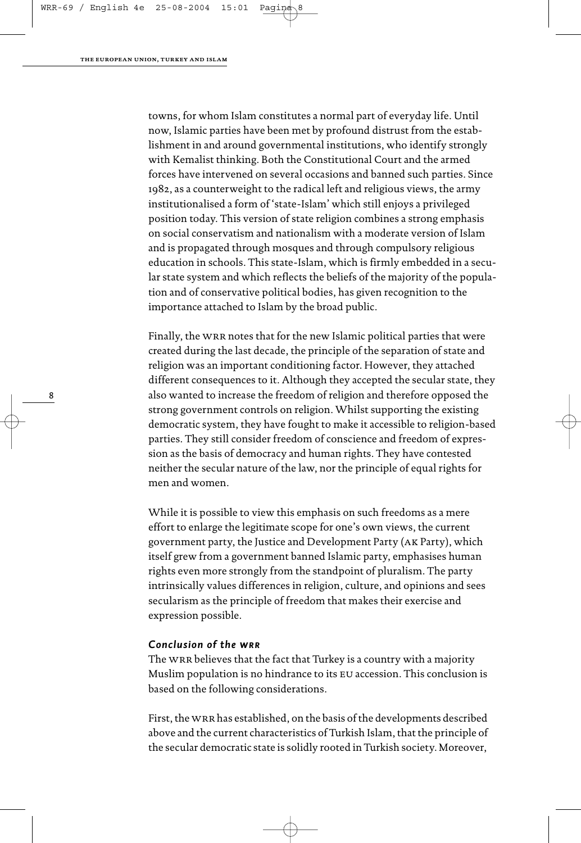8

towns, for whom Islam constitutes a normal part of everyday life. Until now, Islamic parties have been met by profound distrust from the establishment in and around governmental institutions, who identify strongly with Kemalist thinking. Both the Constitutional Court and the armed forces have intervened on several occasions and banned such parties. Since 1982, as a counterweight to the radical left and religious views, the army institutionalised a form of 'state-Islam' which still enjoys a privileged position today. This version of state religion combines a strong emphasis on social conservatism and nationalism with a moderate version of Islam and is propagated through mosques and through compulsory religious education in schools. This state-Islam, which is firmly embedded in a secular state system and which reflects the beliefs of the majority of the population and of conservative political bodies, has given recognition to the importance attached to Islam by the broad public.

Finally, the WRR notes that for the new Islamic political parties that were created during the last decade, the principle of the separation of state and religion was an important conditioning factor. However, they attached different consequences to it. Although they accepted the secular state, they also wanted to increase the freedom of religion and therefore opposed the strong government controls on religion. Whilst supporting the existing democratic system, they have fought to make it accessible to religion-based parties. They still consider freedom of conscience and freedom of expression as the basis of democracy and human rights. They have contested neither the secular nature of the law, nor the principle of equal rights for men and women.

While it is possible to view this emphasis on such freedoms as a mere effort to enlarge the legitimate scope for one's own views, the current government party, the Justice and Development Party (ak Party), which itself grew from a government banned Islamic party, emphasises human rights even more strongly from the standpoint of pluralism. The party intrinsically values differences in religion, culture, and opinions and sees secularism as the principle of freedom that makes their exercise and expression possible.

### *Conclusion of the wrr*

The WRR believes that the fact that Turkey is a country with a majority Muslim population is no hindrance to its EU accession. This conclusion is based on the following considerations.

First, the WRR has established, on the basis of the developments described above and the current characteristics of Turkish Islam, that the principle of the secular democratic state is solidly rooted in Turkish society. Moreover,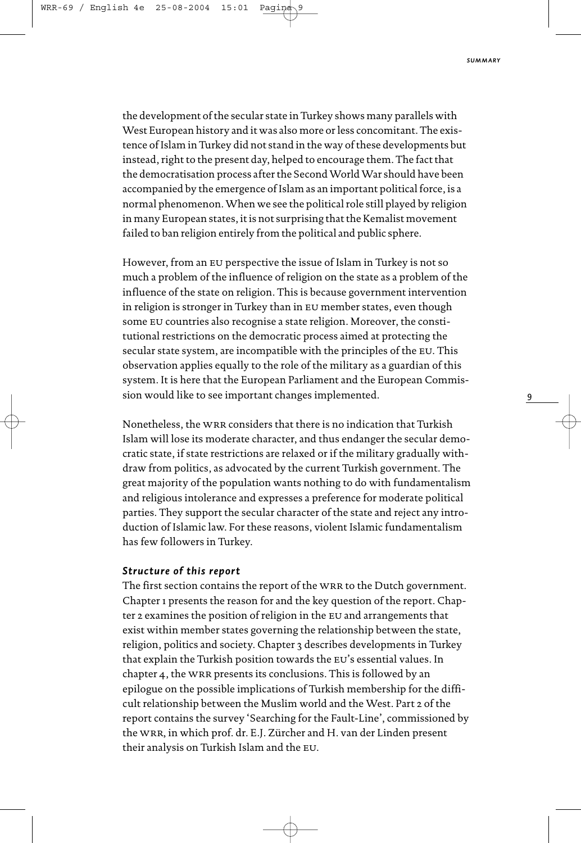*summary*

9

the development of the secular state in Turkey shows many parallels with West European history and it was also more or less concomitant. The existence of Islam in Turkey did not stand in the way of these developments but instead, right to the present day, helped to encourage them. The fact that the democratisation process after the Second World War should have been accompanied by the emergence of Islam as an important political force, is a normal phenomenon. When we see the political role still played by religion in many European states, it is not surprising that the Kemalist movement failed to ban religion entirely from the political and public sphere.

However, from an eu perspective the issue of Islam in Turkey is not so much a problem of the influence of religion on the state as a problem of the influence of the state on religion. This is because government intervention in religion is stronger in Turkey than in EU member states, even though some EU countries also recognise a state religion. Moreover, the constitutional restrictions on the democratic process aimed at protecting the secular state system, are incompatible with the principles of the eu. This observation applies equally to the role of the military as a guardian of this system. It is here that the European Parliament and the European Commission would like to see important changes implemented.

Nonetheless, the WRR considers that there is no indication that Turkish Islam will lose its moderate character, and thus endanger the secular democratic state, if state restrictions are relaxed or if the military gradually withdraw from politics, as advocated by the current Turkish government. The great majority of the population wants nothing to do with fundamentalism and religious intolerance and expresses a preference for moderate political parties. They support the secular character of the state and reject any introduction of Islamic law. For these reasons, violent Islamic fundamentalism has few followers in Turkey.

### *Structure of this report*

The first section contains the report of the WRR to the Dutch government. Chapter 1 presents the reason for and the key question of the report. Chapter 2 examines the position of religion in the EU and arrangements that exist within member states governing the relationship between the state, religion, politics and society. Chapter 3 describes developments in Turkey that explain the Turkish position towards the EU's essential values. In chapter 4, the WRR presents its conclusions. This is followed by an epilogue on the possible implications of Turkish membership for the difficult relationship between the Muslim world and the West. Part 2 of the report contains the survey 'Searching for the Fault-Line', commissioned by the WRR, in which prof. dr. E.J. Zürcher and H. van der Linden present their analysis on Turkish Islam and the eu.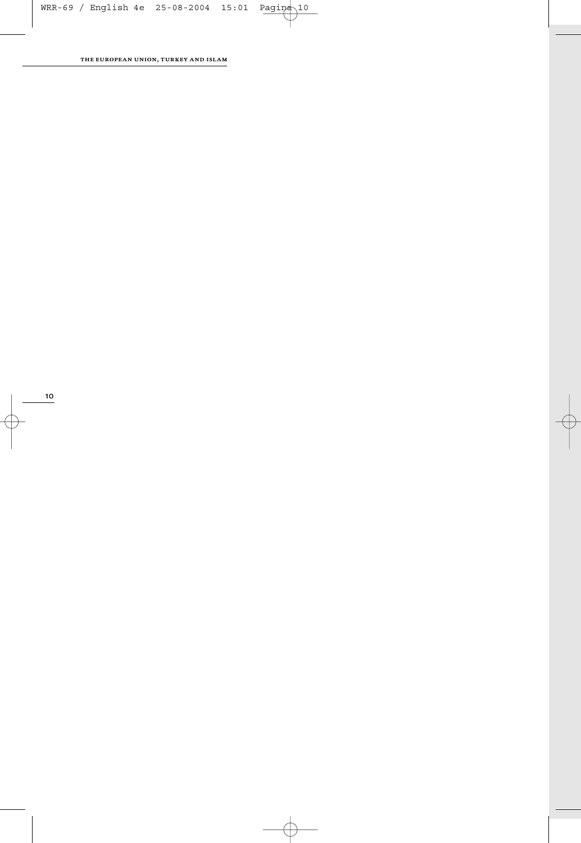Œ

10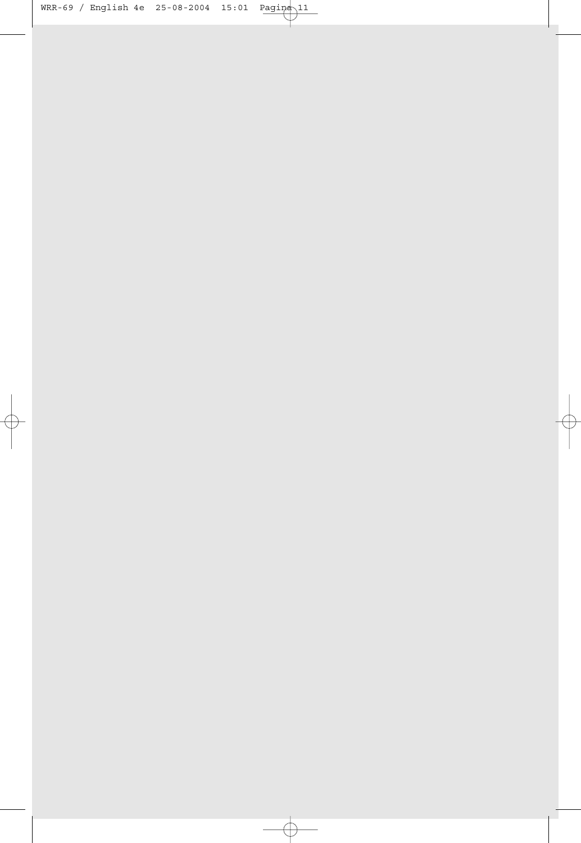$\overline{\varphi}$ 

€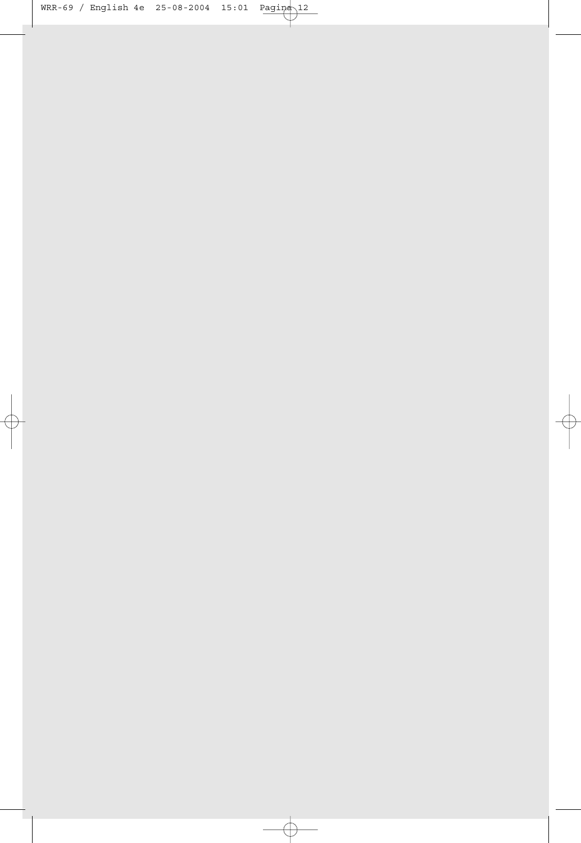$\overline{\varphi}$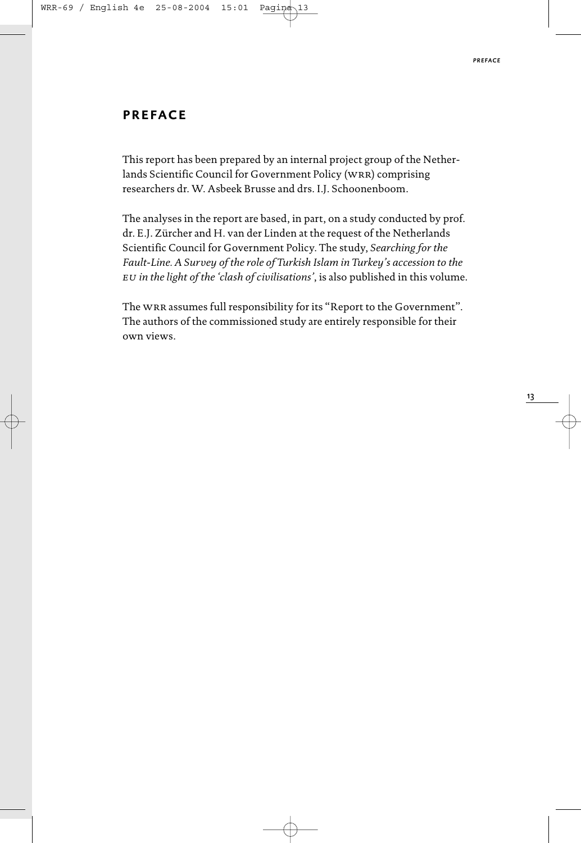### preface

This report has been prepared by an internal project group of the Netherlands Scientific Council for Government Policy (WRR) comprising researchers dr. W. Asbeek Brusse and drs. I.J. Schoonenboom.

The analyses in the report are based, in part, on a study conducted by prof. dr. E.J. Zürcher and H. van der Linden at the request of the Netherlands Scientific Council for Government Policy. The study, *Searching for the Fault-Line. A Survey of the role of Turkish Islam in Turkey's accession to the eu in the light of the 'clash of civilisations'*, is also published in this volume.

The WRR assumes full responsibility for its "Report to the Government". The authors of the commissioned study are entirely responsible for their own views.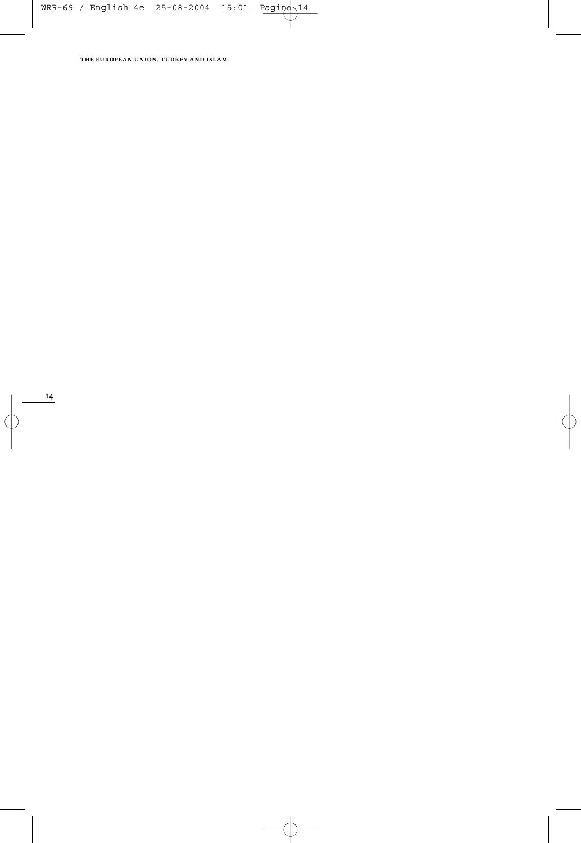€

**the european union, turkey and islam**

14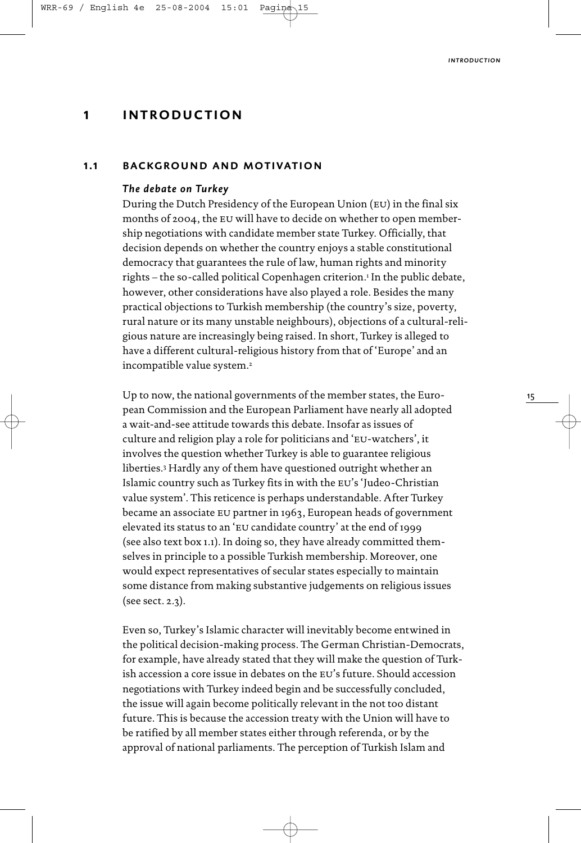### 1 introduction

### 1.1 background and motivation

### *The debate on Turkey*

During the Dutch Presidency of the European Union (eu) in the final six months of 2004, the eu will have to decide on whether to open membership negotiations with candidate member state Turkey. Officially, that decision depends on whether the country enjoys a stable constitutional democracy that guarantees the rule of law, human rights and minority rights – the so-called political Copenhagen criterion.<sup>1</sup> In the public debate, however, other considerations have also played a role. Besides the many practical objections to Turkish membership (the country's size, poverty, rural nature or its many unstable neighbours), objections of a cultural-religious nature are increasingly being raised. In short, Turkey is alleged to have a different cultural-religious history from that of 'Europe' and an incompatible value system.<sup>2</sup>

Up to now, the national governments of the member states, the European Commission and the European Parliament have nearly all adopted a wait-and-see attitude towards this debate. Insofar as issues of culture and religion play a role for politicians and 'eu-watchers', it involves the question whether Turkey is able to guarantee religious liberties.3 Hardly any of them have questioned outright whether an Islamic country such as Turkey fits in with the EU's 'Judeo-Christian value system'. This reticence is perhaps understandable. After Turkey became an associate EU partner in 1963, European heads of government elevated its status to an 'eu candidate country' at the end of 1999 (see also text box 1.1). In doing so, they have already committed themselves in principle to a possible Turkish membership. Moreover, one would expect representatives of secular states especially to maintain some distance from making substantive judgements on religious issues (see sect. 2.3).

Even so, Turkey's Islamic character will inevitably become entwined in the political decision-making process. The German Christian-Democrats, for example, have already stated that they will make the question of Turkish accession a core issue in debates on the eu's future. Should accession negotiations with Turkey indeed begin and be successfully concluded, the issue will again become politically relevant in the not too distant future. This is because the accession treaty with the Union will have to be ratified by all member states either through referenda, or by the approval of national parliaments. The perception of Turkish Islam and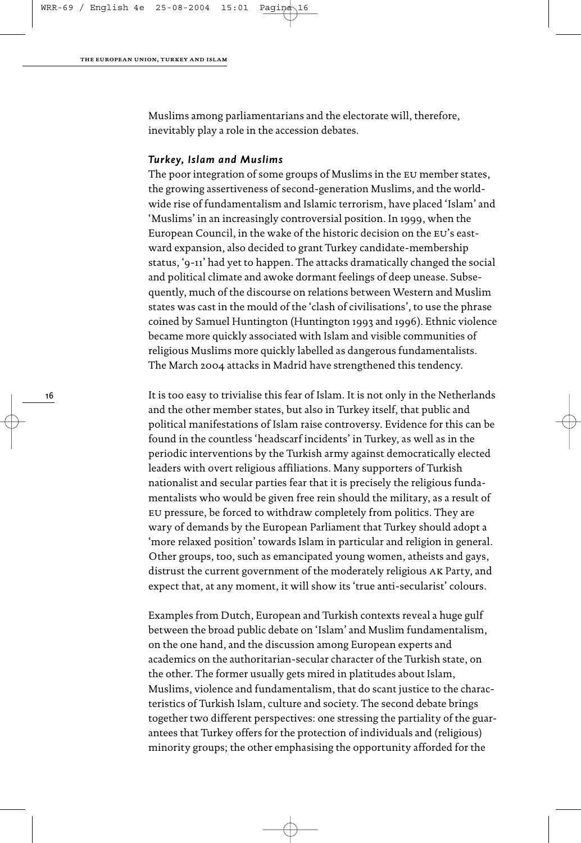WRR-69 / English 4e 25-08-2004 15:01 Pagina 16

**the european union, turkey and islam**

16

Muslims among parliamentarians and the electorate will, therefore, inevitably play a role in the accession debates.

### *Turkey, Islam and Muslims*

The poor integration of some groups of Muslims in the EU member states, the growing assertiveness of second-generation Muslims, and the worldwide rise of fundamentalism and Islamic terrorism, have placed 'Islam' and 'Muslims' in an increasingly controversial position. In 1999, when the European Council, in the wake of the historic decision on the EU's eastward expansion, also decided to grant Turkey candidate-membership status, '9-11' had yet to happen. The attacks dramatically changed the social and political climate and awoke dormant feelings of deep unease. Subsequently, much of the discourse on relations between Western and Muslim states was cast in the mould of the 'clash of civilisations', to use the phrase coined by Samuel Huntington (Huntington 1993 and 1996). Ethnic violence became more quickly associated with Islam and visible communities of religious Muslims more quickly labelled as dangerous fundamentalists. The March 2004 attacks in Madrid have strengthened this tendency.

It is too easy to trivialise this fear of Islam. It is not only in the Netherlands and the other member states, but also in Turkey itself, that public and political manifestations of Islam raise controversy. Evidence for this can be found in the countless 'headscarf incidents' in Turkey, as well as in the periodic interventions by the Turkish army against democratically elected leaders with overt religious affiliations. Many supporters of Turkish nationalist and secular parties fear that it is precisely the religious fundamentalists who would be given free rein should the military, as a result of eu pressure, be forced to withdraw completely from politics. They are wary of demands by the European Parliament that Turkey should adopt a 'more relaxed position' towards Islam in particular and religion in general. Other groups, too, such as emancipated young women, atheists and gays, distrust the current government of the moderately religious ak Party, and expect that, at any moment, it will show its 'true anti-secularist' colours.

Examples from Dutch, European and Turkish contexts reveal a huge gulf between the broad public debate on 'Islam' and Muslim fundamentalism, on the one hand, and the discussion among European experts and academics on the authoritarian-secular character of the Turkish state, on the other. The former usually gets mired in platitudes about Islam, Muslims, violence and fundamentalism, that do scant justice to the characteristics of Turkish Islam, culture and society. The second debate brings together two different perspectives: one stressing the partiality of the guarantees that Turkey offers for the protection of individuals and (religious) minority groups; the other emphasising the opportunity afforded for the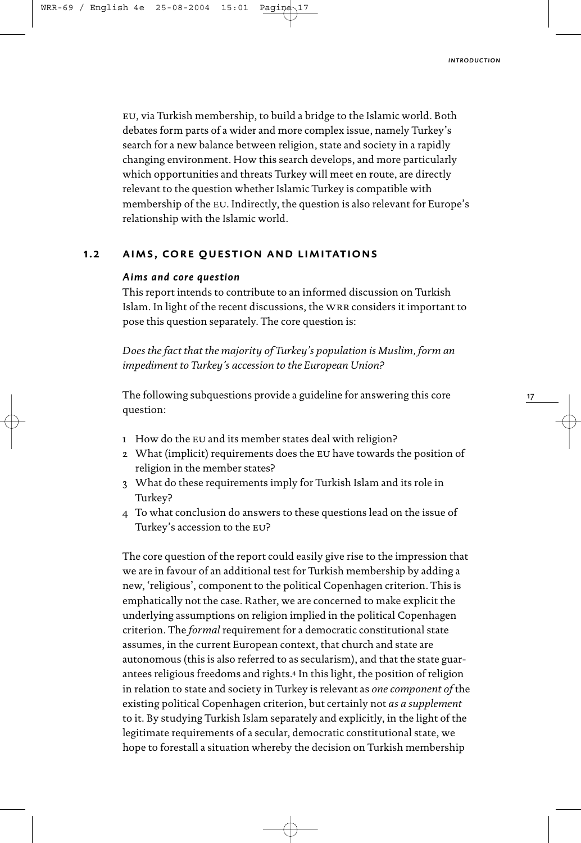*introduction*

17

eu, via Turkish membership, to build a bridge to the Islamic world. Both debates form parts of a wider and more complex issue, namely Turkey's search for a new balance between religion, state and society in a rapidly changing environment. How this search develops, and more particularly which opportunities and threats Turkey will meet en route, are directly relevant to the question whether Islamic Turkey is compatible with membership of the eu. Indirectly, the question is also relevant for Europe's relationship with the Islamic world.

### 1.2 aims, core question and limitations

### *Aims and core question*

This report intends to contribute to an informed discussion on Turkish Islam. In light of the recent discussions, the wrr considers it important to pose this question separately. The core question is:

*Does the fact that the majority of Turkey's population is Muslim, form an impediment to Turkey's accession to the European Union?*

The following subquestions provide a guideline for answering this core question:

- 1 How do the EU and its member states deal with religion?
- 2 What (implicit) requirements does the eu have towards the position of religion in the member states?
- 3 What do these requirements imply for Turkish Islam and its role in Turkey?
- 4 To what conclusion do answers to these questions lead on the issue of Turkey's accession to the eu?

The core question of the report could easily give rise to the impression that we are in favour of an additional test for Turkish membership by adding a new, 'religious', component to the political Copenhagen criterion. This is emphatically not the case. Rather, we are concerned to make explicit the underlying assumptions on religion implied in the political Copenhagen criterion. The *formal* requirement for a democratic constitutional state assumes, in the current European context, that church and state are autonomous (this is also referred to as secularism), and that the state guarantees religious freedoms and rights.4 In this light, the position of religion in relation to state and society in Turkey is relevant as *one component of* the existing political Copenhagen criterion, but certainly not *as a supplement* to it. By studying Turkish Islam separately and explicitly, in the light of the legitimate requirements of a secular, democratic constitutional state, we hope to forestall a situation whereby the decision on Turkish membership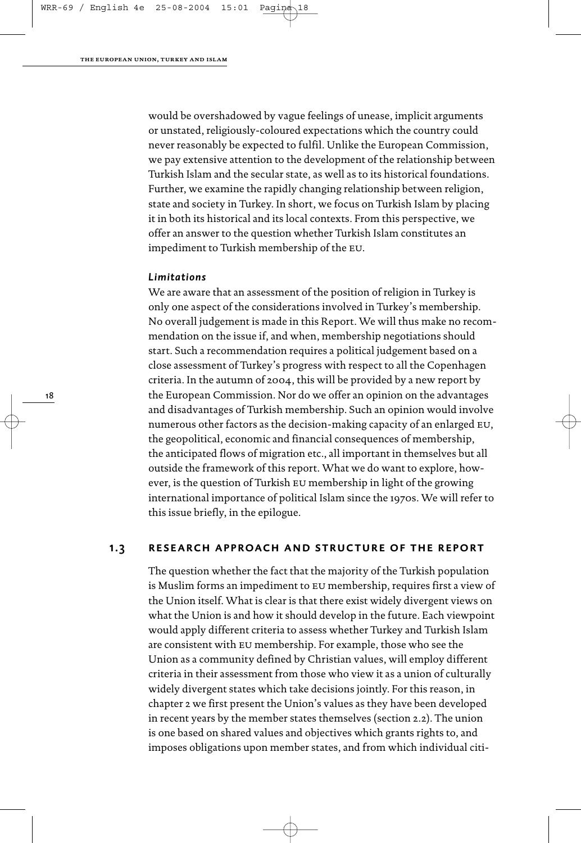would be overshadowed by vague feelings of unease, implicit arguments or unstated, religiously-coloured expectations which the country could never reasonably be expected to fulfil. Unlike the European Commission, we pay extensive attention to the development of the relationship between Turkish Islam and the secular state, as well as to its historical foundations. Further, we examine the rapidly changing relationship between religion, state and society in Turkey. In short, we focus on Turkish Islam by placing it in both its historical and its local contexts. From this perspective, we offer an answer to the question whether Turkish Islam constitutes an impediment to Turkish membership of the eu.

### *Limitations*

18

We are aware that an assessment of the position of religion in Turkey is only one aspect of the considerations involved in Turkey's membership. No overall judgement is made in this Report. We will thus make no recommendation on the issue if, and when, membership negotiations should start. Such a recommendation requires a political judgement based on a close assessment of Turkey's progress with respect to all the Copenhagen criteria. In the autumn of 2004, this will be provided by a new report by the European Commission. Nor do we offer an opinion on the advantages and disadvantages of Turkish membership. Such an opinion would involve numerous other factors as the decision-making capacity of an enlarged eu, the geopolitical, economic and financial consequences of membership, the anticipated flows of migration etc., all important in themselves but all outside the framework of this report. What we do want to explore, however, is the question of Turkish eu membership in light of the growing international importance of political Islam since the 1970s. We will refer to this issue briefly, in the epilogue.

## 1.3 research approach and structure of the report

The question whether the fact that the majority of the Turkish population is Muslim forms an impediment to eu membership, requires first a view of the Union itself. What is clear is that there exist widely divergent views on what the Union is and how it should develop in the future. Each viewpoint would apply different criteria to assess whether Turkey and Turkish Islam are consistent with eu membership. For example, those who see the Union as a community defined by Christian values, will employ different criteria in their assessment from those who view it as a union of culturally widely divergent states which take decisions jointly. For this reason, in chapter 2 we first present the Union's values as they have been developed in recent years by the member states themselves (section 2.2). The union is one based on shared values and objectives which grants rights to, and imposes obligations upon member states, and from which individual citi-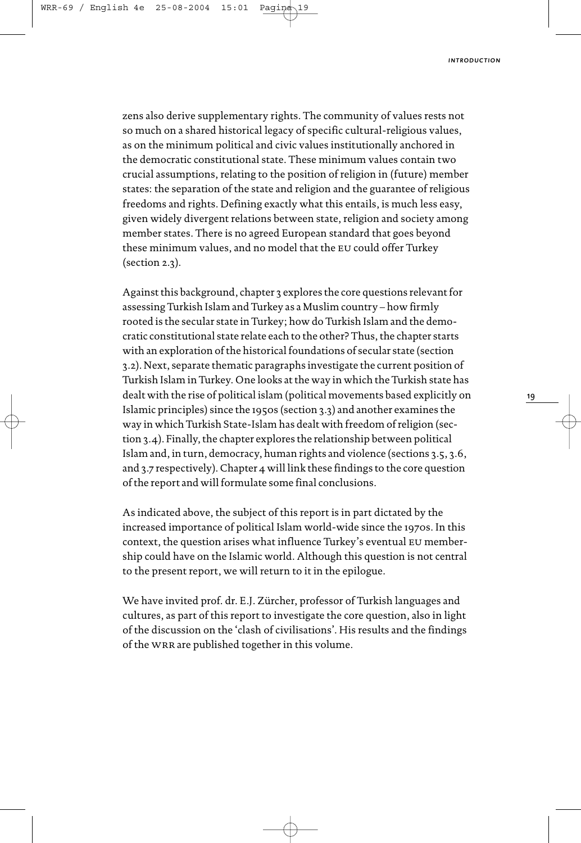zens also derive supplementary rights. The community of values rests not so much on a shared historical legacy of specific cultural-religious values, as on the minimum political and civic values institutionally anchored in the democratic constitutional state. These minimum values contain two crucial assumptions, relating to the position of religion in (future) member states: the separation of the state and religion and the guarantee of religious freedoms and rights. Defining exactly what this entails, is much less easy, given widely divergent relations between state, religion and society among member states. There is no agreed European standard that goes beyond these minimum values, and no model that the EU could offer Turkey (section 2.3).

Against this background, chapter 3 explores the core questions relevant for assessing Turkish Islam and Turkey as a Muslim country – how firmly rooted is the secular state in Turkey; how do Turkish Islam and the democratic constitutional state relate each to the other? Thus, the chapter starts with an exploration of the historical foundations of secular state (section 3.2). Next, separate thematic paragraphs investigate the current position of Turkish Islam in Turkey. One looks at the way in which the Turkish state has dealt with the rise of political islam (political movements based explicitly on Islamic principles) since the 1950s (section 3.3) and another examines the way in which Turkish State-Islam has dealt with freedom of religion (section 3.4). Finally, the chapter explores the relationship between political Islam and, in turn, democracy, human rights and violence (sections 3.5, 3.6, and 3.7 respectively). Chapter 4 will link these findings to the core question of the report and will formulate some final conclusions.

As indicated above, the subject of this report is in part dictated by the increased importance of political Islam world-wide since the 1970s. In this context, the question arises what influence Turkey's eventual eu membership could have on the Islamic world. Although this question is not central to the present report, we will return to it in the epilogue.

We have invited prof. dr. E.J. Zürcher, professor of Turkish languages and cultures, as part of this report to investigate the core question, also in light of the discussion on the 'clash of civilisations'. His results and the findings of the WRR are published together in this volume.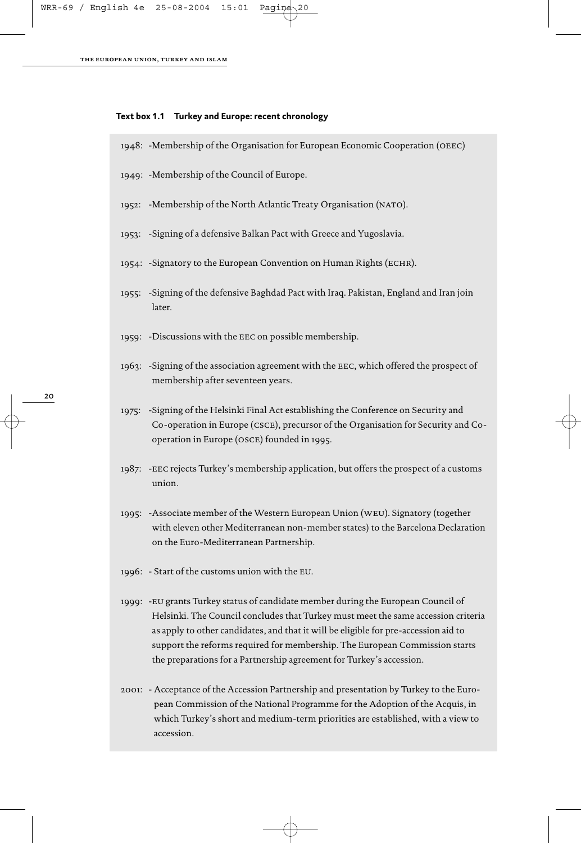WRR-69 / English 4e 25-08-2004

#### **the european union, turkey and islam**

20

### **Text box 1.1 Turkey and Europe: recent chronology**

1948: -Membership of the Organisation for European Economic Cooperation (oeec)

- 1949: -Membership of the Council of Europe.
- 1952: -Membership of the North Atlantic Treaty Organisation (nato).
- 1953: -Signing of a defensive Balkan Pact with Greece and Yugoslavia.
- 1954: -Signatory to the European Convention on Human Rights (echr).
- 1955: -Signing of the defensive Baghdad Pact with Iraq. Pakistan, England and Iran join later.
- 1959: -Discussions with the eec on possible membership.
- 1963: -Signing of the association agreement with the eec, which offered the prospect of membership after seventeen years.
- 1975: -Signing of the Helsinki Final Act establishing the Conference on Security and Co-operation in Europe (csce), precursor of the Organisation for Security and Cooperation in Europe (osce) founded in 1995.
- 1987: EEC rejects Turkey's membership application, but offers the prospect of a customs union.
- 1995: -Associate member of the Western European Union (weu). Signatory (together with eleven other Mediterranean non-member states) to the Barcelona Declaration on the Euro-Mediterranean Partnership.
- 1996: Start of the customs union with the eu.
- 1999: -eu grants Turkey status of candidate member during the European Council of Helsinki. The Council concludes that Turkey must meet the same accession criteria as apply to other candidates, and that it will be eligible for pre-accession aid to support the reforms required for membership. The European Commission starts the preparations for a Partnership agreement for Turkey's accession.
- 2001: Acceptance of the Accession Partnership and presentation by Turkey to the European Commission of the National Programme for the Adoption of the Acquis, in which Turkey's short and medium-term priorities are established, with a view to accession.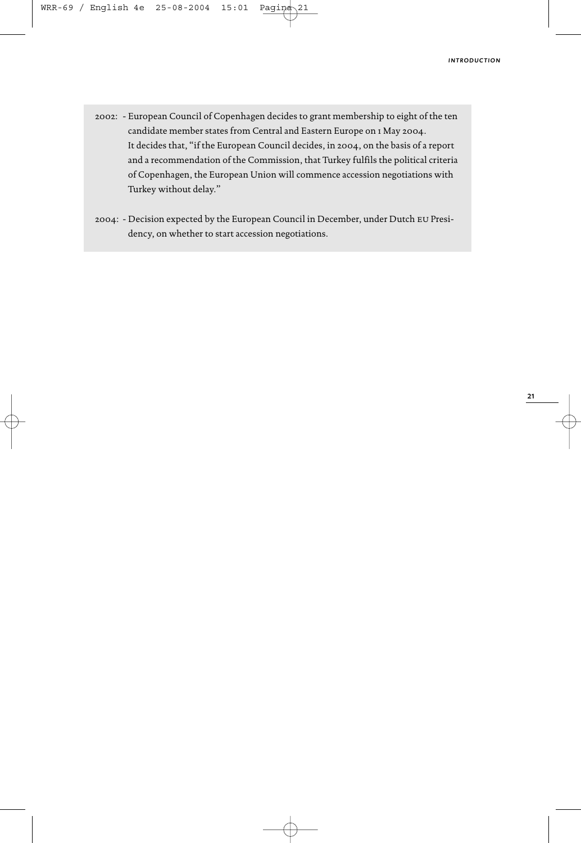#### *introduction*

21

- 2002: European Council of Copenhagen decides to grant membership to eight of the ten candidate member states from Central and Eastern Europe on 1 May 2004. It decides that, "if the European Council decides, in 2004, on the basis of a report and a recommendation of the Commission, that Turkey fulfils the political criteria of Copenhagen, the European Union will commence accession negotiations with Turkey without delay."
- 2004: Decision expected by the European Council in December, under Dutch eu Presidency, on whether to start accession negotiations.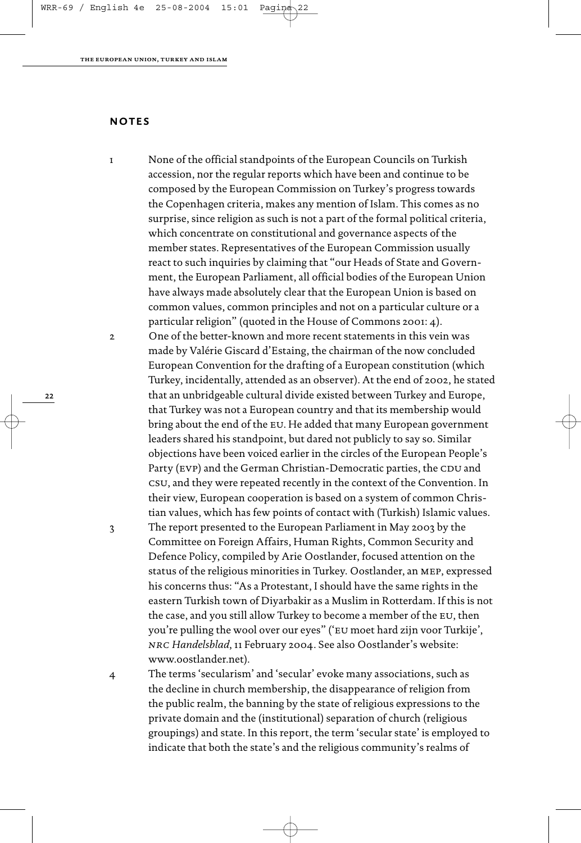### notes

22

1 None of the official standpoints of the European Councils on Turkish accession, nor the regular reports which have been and continue to be composed by the European Commission on Turkey's progress towards the Copenhagen criteria, makes any mention of Islam. This comes as no surprise, since religion as such is not a part of the formal political criteria, which concentrate on constitutional and governance aspects of the member states. Representatives of the European Commission usually react to such inquiries by claiming that "our Heads of State and Government, the European Parliament, all official bodies of the European Union have always made absolutely clear that the European Union is based on common values, common principles and not on a particular culture or a particular religion" (quoted in the House of Commons 2001: 4).

2 One of the better-known and more recent statements in this vein was made by Valérie Giscard d'Estaing, the chairman of the now concluded European Convention for the drafting of a European constitution (which Turkey, incidentally, attended as an observer). At the end of 2002, he stated that an unbridgeable cultural divide existed between Turkey and Europe, that Turkey was not a European country and that its membership would bring about the end of the eu. He added that many European government leaders shared his standpoint, but dared not publicly to say so. Similar objections have been voiced earlier in the circles of the European People's Party (EVP) and the German Christian-Democratic parties, the CDU and csu, and they were repeated recently in the context of the Convention. In their view, European cooperation is based on a system of common Christian values, which has few points of contact with (Turkish) Islamic values.

3 The report presented to the European Parliament in May 2003 by the Committee on Foreign Affairs, Human Rights, Common Security and Defence Policy, compiled by Arie Oostlander, focused attention on the status of the religious minorities in Turkey. Oostlander, an mep, expressed his concerns thus: "As a Protestant, I should have the same rights in the eastern Turkish town of Diyarbakir as a Muslim in Rotterdam. If this is not the case, and you still allow Turkey to become a member of the EU, then you're pulling the wool over our eyes" ('eu moet hard zijn voor Turkije', *nrc Handelsblad*, 11 February 2004. See also Oostlander's website: www.oostlander.net).

4 The terms 'secularism' and 'secular' evoke many associations, such as the decline in church membership, the disappearance of religion from the public realm, the banning by the state of religious expressions to the private domain and the (institutional) separation of church (religious groupings) and state. In this report, the term 'secular state' is employed to indicate that both the state's and the religious community's realms of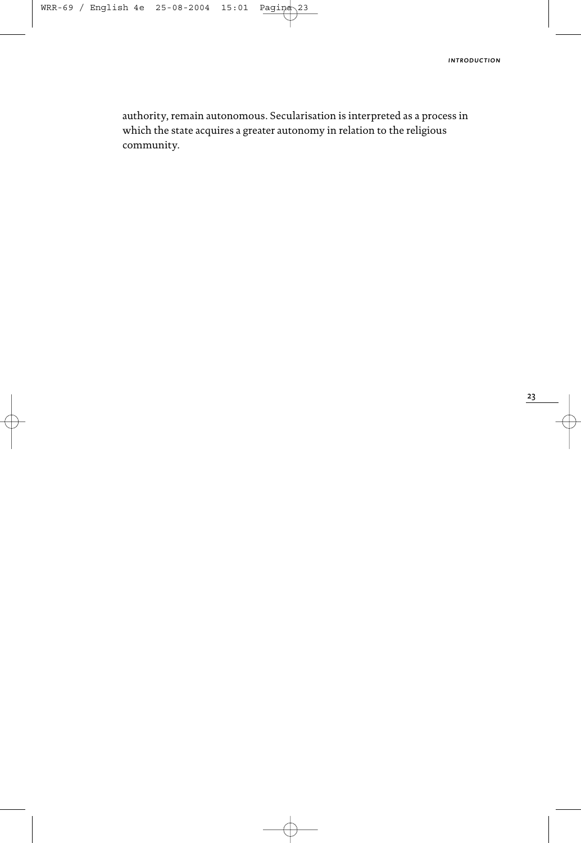authority, remain autonomous. Secularisation is interpreted as a process in which the state acquires a greater autonomy in relation to the religious community.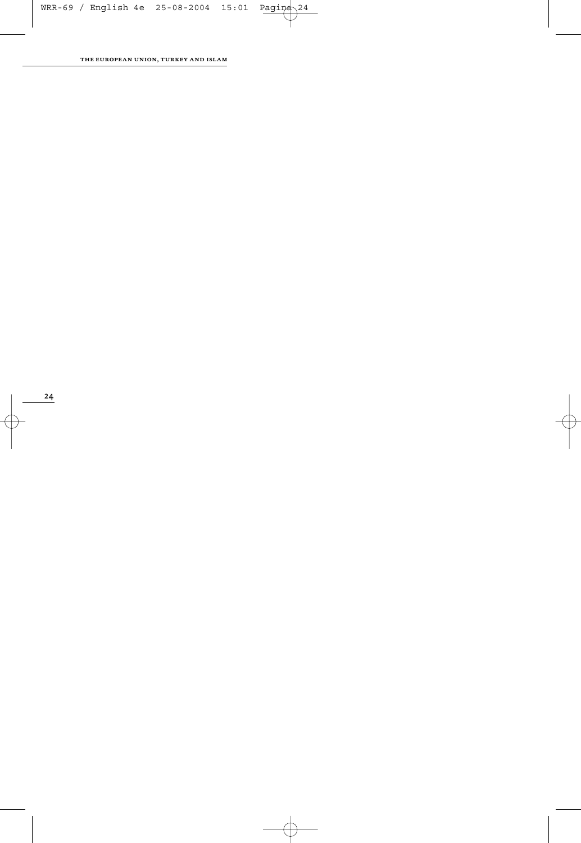€

24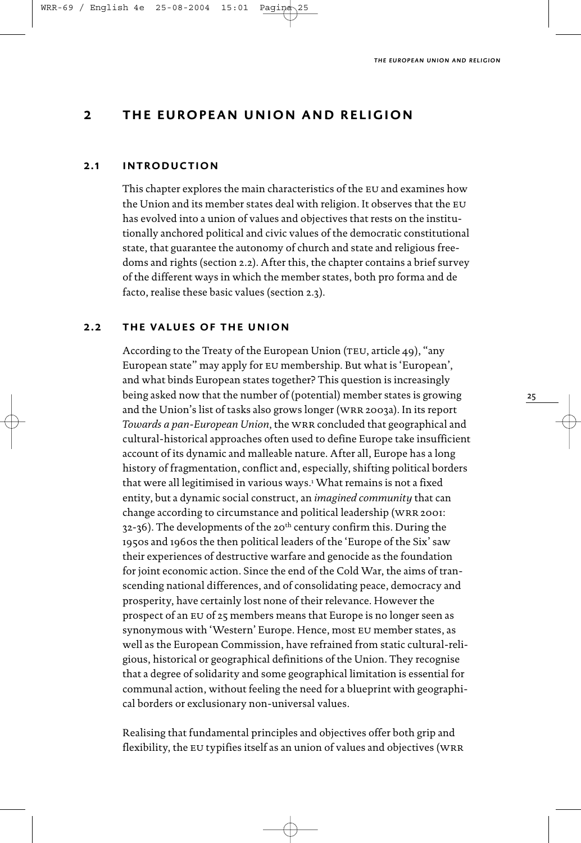### 2 the european union and religion

### 2.1 introduction

This chapter explores the main characteristics of the EU and examines how the Union and its member states deal with religion. It observes that the EU has evolved into a union of values and objectives that rests on the institutionally anchored political and civic values of the democratic constitutional state, that guarantee the autonomy of church and state and religious freedoms and rights (section 2.2). After this, the chapter contains a brief survey of the different ways in which the member states, both pro forma and de facto, realise these basic values (section 2.3).

### 2.2 the values of the union

According to the Treaty of the European Union (TEU, article 49), "any European state" may apply for eu membership. But what is 'European', and what binds European states together? This question is increasingly being asked now that the number of (potential) member states is growing and the Union's list of tasks also grows longer (WRR 2003a). In its report Towards a pan-European Union, the WRR concluded that geographical and cultural-historical approaches often used to define Europe take insufficient account of its dynamic and malleable nature. After all, Europe has a long history of fragmentation, conflict and, especially, shifting political borders that were all legitimised in various ways.<sup>1</sup> What remains is not a fixed entity, but a dynamic social construct, an *imagined community* that can change according to circumstance and political leadership (WRR 2001:  $32-36$ ). The developments of the 20<sup>th</sup> century confirm this. During the 1950s and 1960s the then political leaders of the 'Europe of the Six' saw their experiences of destructive warfare and genocide as the foundation for joint economic action. Since the end of the Cold War, the aims of transcending national differences, and of consolidating peace, democracy and prosperity, have certainly lost none of their relevance. However the prospect of an eu of 25 members means that Europe is no longer seen as synonymous with 'Western' Europe. Hence, most eu member states, as well as the European Commission, have refrained from static cultural-religious, historical or geographical definitions of the Union. They recognise that a degree of solidarity and some geographical limitation is essential for communal action, without feeling the need for a blueprint with geographical borders or exclusionary non-universal values.

Realising that fundamental principles and objectives offer both grip and flexibility, the EU typifies itself as an union of values and objectives (WRR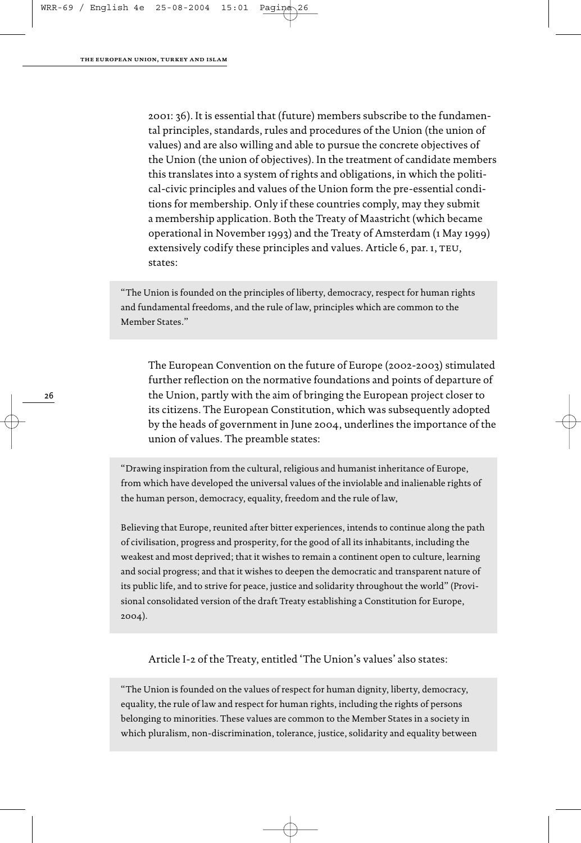26

2001: 36). It is essential that (future) members subscribe to the fundamental principles, standards, rules and procedures of the Union (the union of values) and are also willing and able to pursue the concrete objectives of the Union (the union of objectives). In the treatment of candidate members this translates into a system of rights and obligations, in which the political-civic principles and values of the Union form the pre-essential conditions for membership. Only if these countries comply, may they submit a membership application. Both the Treaty of Maastricht (which became operational in November 1993) and the Treaty of Amsterdam (1 May 1999) extensively codify these principles and values. Article 6, par. 1, TEU, states:

"The Union is founded on the principles of liberty, democracy, respect for human rights and fundamental freedoms, and the rule of law, principles which are common to the Member States."

The European Convention on the future of Europe (2002-2003) stimulated further reflection on the normative foundations and points of departure of the Union, partly with the aim of bringing the European project closer to its citizens. The European Constitution, which was subsequently adopted by the heads of government in June 2004, underlines the importance of the union of values. The preamble states:

"Drawing inspiration from the cultural, religious and humanist inheritance of Europe, from which have developed the universal values of the inviolable and inalienable rights of the human person, democracy, equality, freedom and the rule of law,

Believing that Europe, reunited after bitter experiences, intends to continue along the path of civilisation, progress and prosperity, for the good of all its inhabitants, including the weakest and most deprived; that it wishes to remain a continent open to culture, learning and social progress; and that it wishes to deepen the democratic and transparent nature of its public life, and to strive for peace, justice and solidarity throughout the world" (Provisional consolidated version of the draft Treaty establishing a Constitution for Europe, 2004).

Article I-2 of the Treaty, entitled 'The Union's values' also states:

"The Union is founded on the values of respect for human dignity, liberty, democracy, equality, the rule of law and respect for human rights, including the rights of persons belonging to minorities. These values are common to the Member States in a society in which pluralism, non-discrimination, tolerance, justice, solidarity and equality between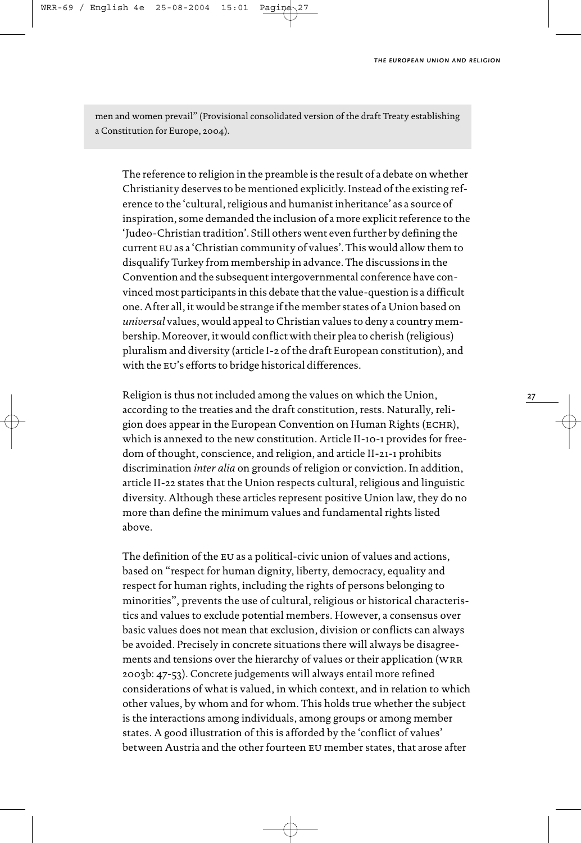men and women prevail" (Provisional consolidated version of the draft Treaty establishing a Constitution for Europe, 2004).

The reference to religion in the preamble is the result of a debate on whether Christianity deserves to be mentioned explicitly. Instead of the existing reference to the 'cultural, religious and humanist inheritance' as a source of inspiration, some demanded the inclusion of a more explicit reference to the 'Judeo-Christian tradition'. Still others went even further by defining the current eu as a 'Christian community of values'. This would allow them to disqualify Turkey from membership in advance. The discussions in the Convention and the subsequent intergovernmental conference have convinced most participants in this debate that the value-question is a difficult one. After all, it would be strange if the member states of a Union based on *universal* values, would appeal to Christian values to deny a country membership. Moreover, it would conflict with their plea to cherish (religious) pluralism and diversity (article I-2 of the draft European constitution), and with the EU's efforts to bridge historical differences.

Religion is thus not included among the values on which the Union, according to the treaties and the draft constitution, rests. Naturally, religion does appear in the European Convention on Human Rights (ECHR), which is annexed to the new constitution. Article II-10-1 provides for freedom of thought, conscience, and religion, and article II-21-1 prohibits discrimination *inter alia* on grounds of religion or conviction. In addition, article II-22 states that the Union respects cultural, religious and linguistic diversity. Although these articles represent positive Union law, they do no more than define the minimum values and fundamental rights listed above.

The definition of the EU as a political-civic union of values and actions, based on "respect for human dignity, liberty, democracy, equality and respect for human rights, including the rights of persons belonging to minorities", prevents the use of cultural, religious or historical characteristics and values to exclude potential members. However, a consensus over basic values does not mean that exclusion, division or conflicts can always be avoided. Precisely in concrete situations there will always be disagreements and tensions over the hierarchy of values or their application (WRR 2003b: 47-53). Concrete judgements will always entail more refined considerations of what is valued, in which context, and in relation to which other values, by whom and for whom. This holds true whether the subject is the interactions among individuals, among groups or among member states. A good illustration of this is afforded by the 'conflict of values' between Austria and the other fourteen eu member states, that arose after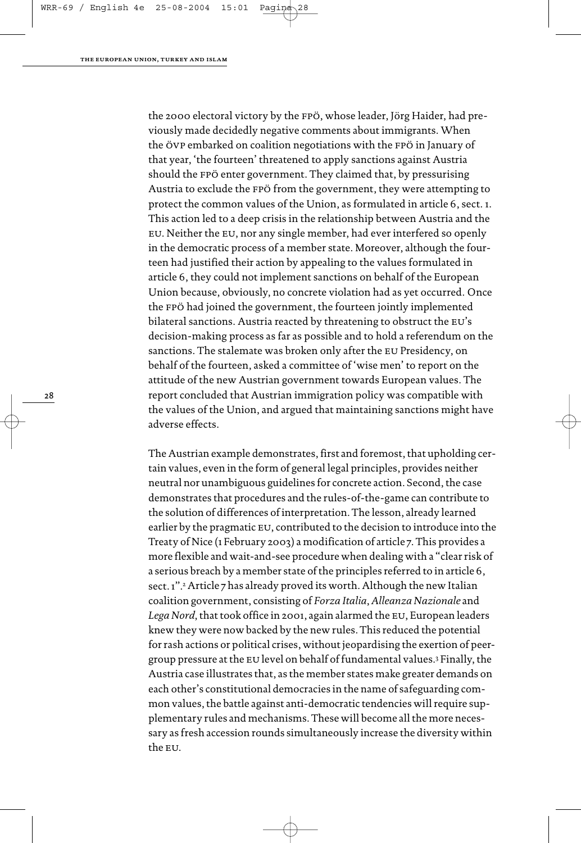28

the 2000 electoral victory by the fpö, whose leader, Jörg Haider, had previously made decidedly negative comments about immigrants. When the övp embarked on coalition negotiations with the fpö in January of that year, 'the fourteen' threatened to apply sanctions against Austria should the fpö enter government. They claimed that, by pressurising Austria to exclude the fpö from the government, they were attempting to protect the common values of the Union, as formulated in article 6, sect. 1. This action led to a deep crisis in the relationship between Austria and the eu. Neither the eu, nor any single member, had ever interfered so openly in the democratic process of a member state. Moreover, although the fourteen had justified their action by appealing to the values formulated in article 6, they could not implement sanctions on behalf of the European Union because, obviously, no concrete violation had as yet occurred. Once the fpö had joined the government, the fourteen jointly implemented bilateral sanctions. Austria reacted by threatening to obstruct the EU's decision-making process as far as possible and to hold a referendum on the sanctions. The stalemate was broken only after the EU Presidency, on behalf of the fourteen, asked a committee of 'wise men' to report on the attitude of the new Austrian government towards European values. The report concluded that Austrian immigration policy was compatible with the values of the Union, and argued that maintaining sanctions might have adverse effects.

The Austrian example demonstrates, first and foremost, that upholding certain values, even in the form of general legal principles, provides neither neutral nor unambiguous guidelines for concrete action. Second, the case demonstrates that procedures and the rules-of-the-game can contribute to the solution of differences of interpretation. The lesson, already learned earlier by the pragmatic EU, contributed to the decision to introduce into the Treaty of Nice (1 February 2003) a modification of article 7. This provides a more flexible and wait-and-see procedure when dealing with a "clear risk of a serious breach by a member state of the principles referred to in article 6, sect. 1".<sup>2</sup> Article 7 has already proved its worth. Although the new Italian coalition government, consisting of *Forza Italia*, *Alleanza Nazionale* and Lega Nord, that took office in 2001, again alarmed the EU, European leaders knew they were now backed by the new rules. This reduced the potential for rash actions or political crises, without jeopardising the exertion of peergroup pressure at the eu level on behalf of fundamental values.3 Finally, the Austria case illustrates that, as the member states make greater demands on each other's constitutional democracies in the name of safeguarding common values, the battle against anti-democratic tendencies will require supplementary rules and mechanisms. These will become all the more necessary as fresh accession rounds simultaneously increase the diversity within the eu.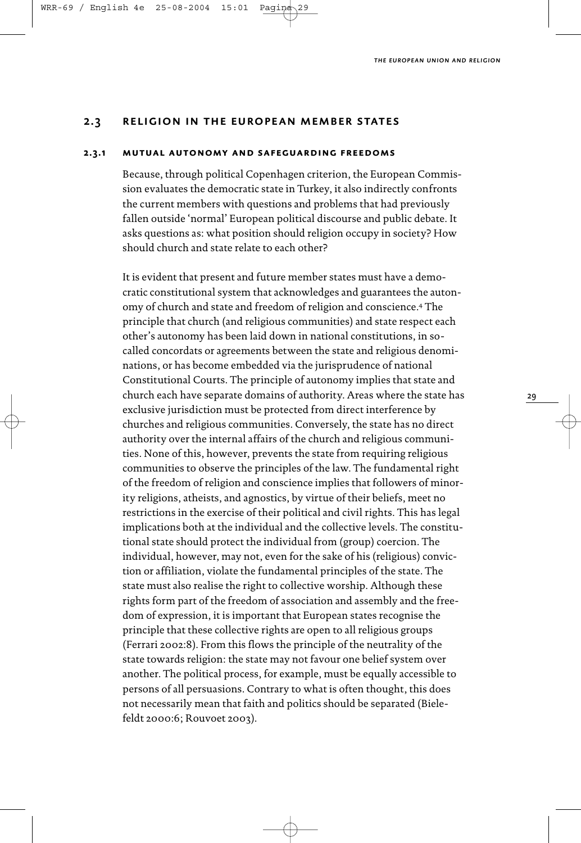# 2.3 religion in the european member states

### **2.3.1 mutual autonomy and safeguarding freedoms**

Because, through political Copenhagen criterion, the European Commission evaluates the democratic state in Turkey, it also indirectly confronts the current members with questions and problems that had previously fallen outside 'normal' European political discourse and public debate. It asks questions as: what position should religion occupy in society? How should church and state relate to each other?

It is evident that present and future member states must have a democratic constitutional system that acknowledges and guarantees the autonomy of church and state and freedom of religion and conscience.4 The principle that church (and religious communities) and state respect each other's autonomy has been laid down in national constitutions, in socalled concordats or agreements between the state and religious denominations, or has become embedded via the jurisprudence of national Constitutional Courts. The principle of autonomy implies that state and church each have separate domains of authority. Areas where the state has exclusive jurisdiction must be protected from direct interference by churches and religious communities. Conversely, the state has no direct authority over the internal affairs of the church and religious communities. None of this, however, prevents the state from requiring religious communities to observe the principles of the law. The fundamental right of the freedom of religion and conscience implies that followers of minority religions, atheists, and agnostics, by virtue of their beliefs, meet no restrictions in the exercise of their political and civil rights. This has legal implications both at the individual and the collective levels. The constitutional state should protect the individual from (group) coercion. The individual, however, may not, even for the sake of his (religious) conviction or affiliation, violate the fundamental principles of the state. The state must also realise the right to collective worship. Although these rights form part of the freedom of association and assembly and the freedom of expression, it is important that European states recognise the principle that these collective rights are open to all religious groups (Ferrari 2002:8). From this flows the principle of the neutrality of the state towards religion: the state may not favour one belief system over another. The political process, for example, must be equally accessible to persons of all persuasions. Contrary to what is often thought, this does not necessarily mean that faith and politics should be separated (Bielefeldt 2000:6; Rouvoet 2003).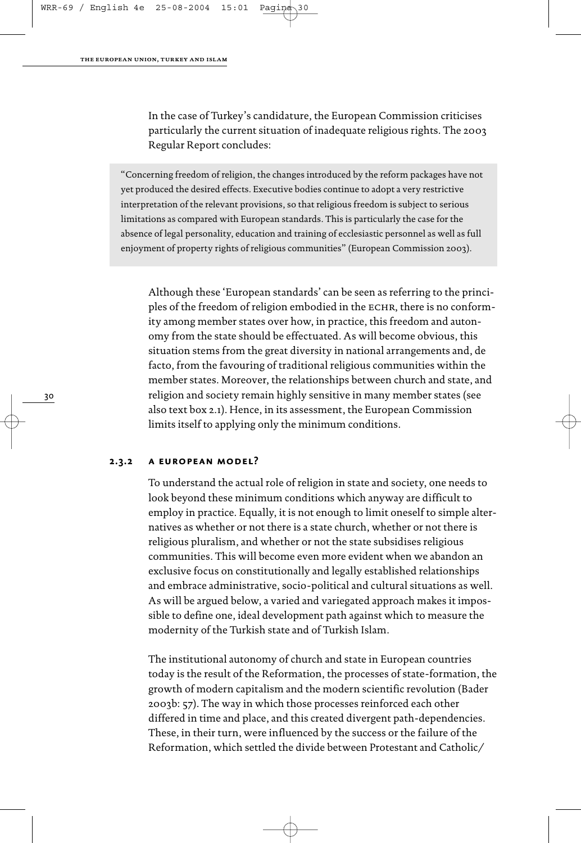In the case of Turkey's candidature, the European Commission criticises particularly the current situation of inadequate religious rights. The 2003 Regular Report concludes:

"Concerning freedom of religion, the changes introduced by the reform packages have not yet produced the desired effects. Executive bodies continue to adopt a very restrictive interpretation of the relevant provisions, so that religious freedom is subject to serious limitations as compared with European standards. This is particularly the case for the absence of legal personality, education and training of ecclesiastic personnel as well as full enjoyment of property rights of religious communities" (European Commission 2003).

Although these 'European standards' can be seen as referring to the principles of the freedom of religion embodied in the ECHR, there is no conformity among member states over how, in practice, this freedom and autonomy from the state should be effectuated. As will become obvious, this situation stems from the great diversity in national arrangements and, de facto, from the favouring of traditional religious communities within the member states. Moreover, the relationships between church and state, and religion and society remain highly sensitive in many member states (see also text box 2.1). Hence, in its assessment, the European Commission limits itself to applying only the minimum conditions.

### **2.3.2 a european model?**

30

To understand the actual role of religion in state and society, one needs to look beyond these minimum conditions which anyway are difficult to employ in practice. Equally, it is not enough to limit oneself to simple alternatives as whether or not there is a state church, whether or not there is religious pluralism, and whether or not the state subsidises religious communities. This will become even more evident when we abandon an exclusive focus on constitutionally and legally established relationships and embrace administrative, socio-political and cultural situations as well. As will be argued below, a varied and variegated approach makes it impossible to define one, ideal development path against which to measure the modernity of the Turkish state and of Turkish Islam.

The institutional autonomy of church and state in European countries today is the result of the Reformation, the processes of state-formation, the growth of modern capitalism and the modern scientific revolution (Bader 2003b: 57). The way in which those processes reinforced each other differed in time and place, and this created divergent path-dependencies. These, in their turn, were influenced by the success or the failure of the Reformation, which settled the divide between Protestant and Catholic/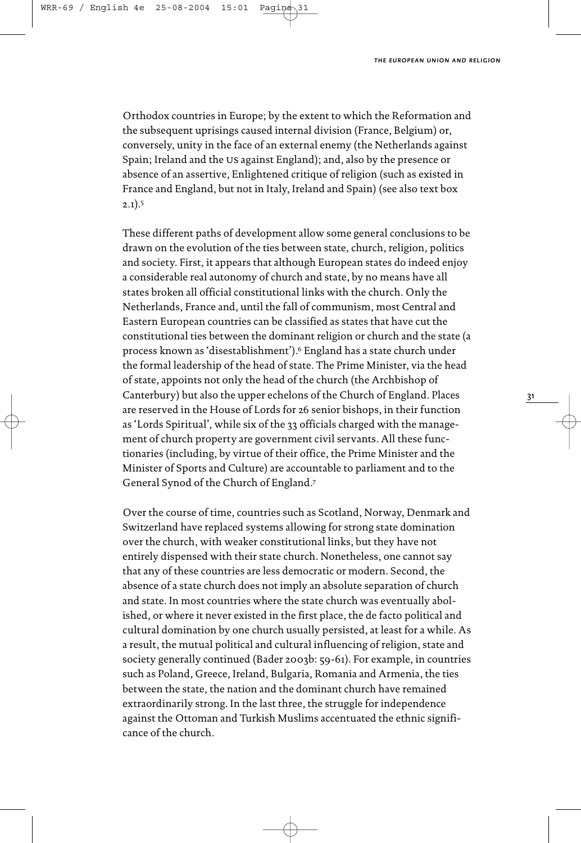Orthodox countries in Europe; by the extent to which the Reformation and the subsequent uprisings caused internal division (France, Belgium) or, conversely, unity in the face of an external enemy (the Netherlands against Spain; Ireland and the us against England); and, also by the presence or absence of an assertive, Enlightened critique of religion (such as existed in France and England, but not in Italy, Ireland and Spain) (see also text box  $2.1$ ).<sup>5</sup>

These different paths of development allow some general conclusions to be drawn on the evolution of the ties between state, church, religion, politics and society. First, it appears that although European states do indeed enjoy a considerable real autonomy of church and state, by no means have all states broken all official constitutional links with the church. Only the Netherlands, France and, until the fall of communism, most Central and Eastern European countries can be classified as states that have cut the constitutional ties between the dominant religion or church and the state (a process known as 'disestablishment').<sup>6</sup> England has a state church under the formal leadership of the head of state. The Prime Minister, via the head of state, appoints not only the head of the church (the Archbishop of Canterbury) but also the upper echelons of the Church of England. Places are reserved in the House of Lords for 26 senior bishops, in their function as 'Lords Spiritual', while six of the 33 officials charged with the management of church property are government civil servants. All these functionaries (including, by virtue of their office, the Prime Minister and the Minister of Sports and Culture) are accountable to parliament and to the General Synod of the Church of England.7

Over the course of time, countries such as Scotland, Norway, Denmark and Switzerland have replaced systems allowing for strong state domination over the church, with weaker constitutional links, but they have not entirely dispensed with their state church. Nonetheless, one cannot say that any of these countries are less democratic or modern. Second, the absence of a state church does not imply an absolute separation of church and state. In most countries where the state church was eventually abolished, or where it never existed in the first place, the de facto political and cultural domination by one church usually persisted, at least for a while. As a result, the mutual political and cultural influencing of religion, state and society generally continued (Bader 2003b: 59-61). For example, in countries such as Poland, Greece, Ireland, Bulgaria, Romania and Armenia, the ties between the state, the nation and the dominant church have remained extraordinarily strong. In the last three, the struggle for independence against the Ottoman and Turkish Muslims accentuated the ethnic significance of the church.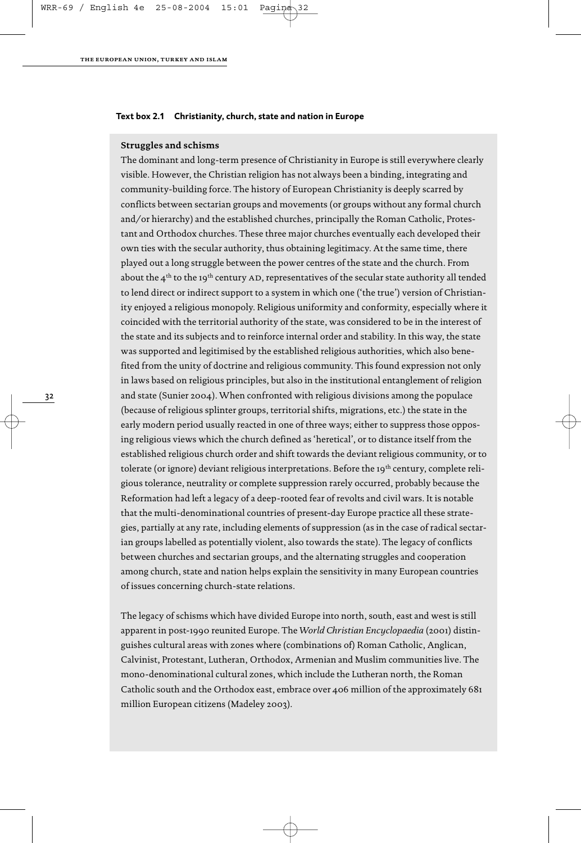

#### **Text box 2.1 Christianity, church, state and nation in Europe**

#### **Struggles and schisms**

32

The dominant and long-term presence of Christianity in Europe is still everywhere clearly visible. However, the Christian religion has not always been a binding, integrating and community-building force. The history of European Christianity is deeply scarred by conflicts between sectarian groups and movements (or groups without any formal church and/or hierarchy) and the established churches, principally the Roman Catholic, Protestant and Orthodox churches. These three major churches eventually each developed their own ties with the secular authority, thus obtaining legitimacy. At the same time, there played out a long struggle between the power centres of the state and the church. From about the  $4<sup>th</sup>$  to the 19<sup>th</sup> century AD, representatives of the secular state authority all tended to lend direct or indirect support to a system in which one ('the true') version of Christianity enjoyed a religious monopoly. Religious uniformity and conformity, especially where it coincided with the territorial authority of the state, was considered to be in the interest of the state and its subjects and to reinforce internal order and stability. In this way, the state was supported and legitimised by the established religious authorities, which also benefited from the unity of doctrine and religious community. This found expression not only in laws based on religious principles, but also in the institutional entanglement of religion and state (Sunier 2004). When confronted with religious divisions among the populace (because of religious splinter groups, territorial shifts, migrations, etc.) the state in the early modern period usually reacted in one of three ways; either to suppress those opposing religious views which the church defined as 'heretical', or to distance itself from the established religious church order and shift towards the deviant religious community, or to tolerate (or ignore) deviant religious interpretations. Before the 19<sup>th</sup> century, complete religious tolerance, neutrality or complete suppression rarely occurred, probably because the Reformation had left a legacy of a deep-rooted fear of revolts and civil wars. It is notable that the multi-denominational countries of present-day Europe practice all these strategies, partially at any rate, including elements of suppression (as in the case of radical sectarian groups labelled as potentially violent, also towards the state). The legacy of conflicts between churches and sectarian groups, and the alternating struggles and cooperation among church, state and nation helps explain the sensitivity in many European countries of issues concerning church-state relations.

The legacy of schisms which have divided Europe into north, south, east and west is still apparent in post-1990 reunited Europe. The *World Christian Encyclopaedia* (2001) distinguishes cultural areas with zones where (combinations of) Roman Catholic, Anglican, Calvinist, Protestant, Lutheran, Orthodox, Armenian and Muslim communities live. The mono-denominational cultural zones, which include the Lutheran north, the Roman Catholic south and the Orthodox east, embrace over 406 million of the approximately 681 million European citizens (Madeley 2003).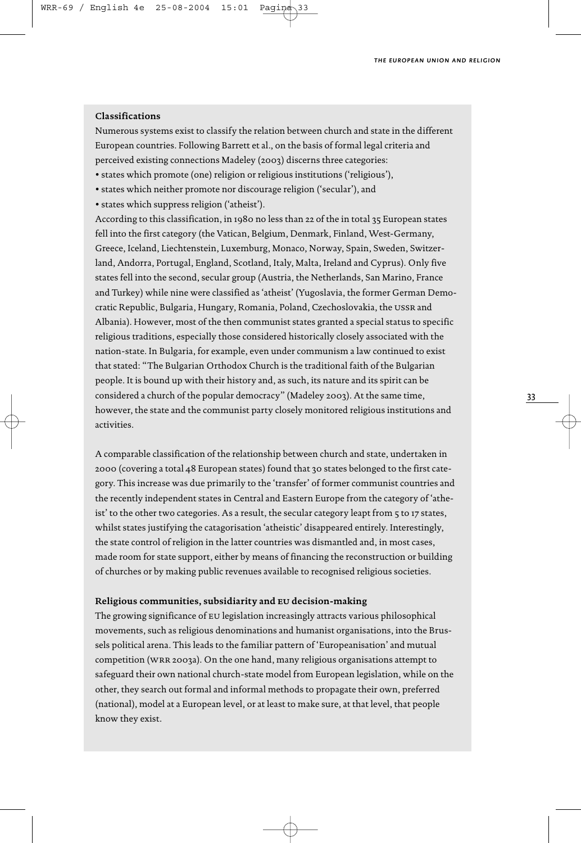#### **Classifications**

Numerous systems exist to classify the relation between church and state in the different European countries. Following Barrett et al., on the basis of formal legal criteria and perceived existing connections Madeley (2003) discerns three categories:

- states which promote (one) religion or religious institutions ('religious'),
- states which neither promote nor discourage religion ('secular'), and
- states which suppress religion ('atheist').

According to this classification, in 1980 no less than 22 of the in total 35 European states fell into the first category (the Vatican, Belgium, Denmark, Finland, West-Germany, Greece, Iceland, Liechtenstein, Luxemburg, Monaco, Norway, Spain, Sweden, Switzerland, Andorra, Portugal, England, Scotland, Italy, Malta, Ireland and Cyprus). Only five states fell into the second, secular group (Austria, the Netherlands, San Marino, France and Turkey) while nine were classified as 'atheist' (Yugoslavia, the former German Democratic Republic, Bulgaria, Hungary, Romania, Poland, Czechoslovakia, the ussr and Albania). However, most of the then communist states granted a special status to specific religious traditions, especially those considered historically closely associated with the nation-state. In Bulgaria, for example, even under communism a law continued to exist that stated: "The Bulgarian Orthodox Church is the traditional faith of the Bulgarian people. It is bound up with their history and, as such, its nature and its spirit can be considered a church of the popular democracy" (Madeley 2003). At the same time, however, the state and the communist party closely monitored religious institutions and activities.

A comparable classification of the relationship between church and state, undertaken in 2000 (covering a total 48 European states) found that 30 states belonged to the first category. This increase was due primarily to the 'transfer' of former communist countries and the recently independent states in Central and Eastern Europe from the category of 'atheist' to the other two categories. As a result, the secular category leapt from 5 to 17 states, whilst states justifying the catagorisation 'atheistic' disappeared entirely. Interestingly, the state control of religion in the latter countries was dismantled and, in most cases, made room for state support, either by means of financing the reconstruction or building of churches or by making public revenues available to recognised religious societies.

#### **Religious communities, subsidiarity and eu decision-making**

The growing significance of eu legislation increasingly attracts various philosophical movements, such as religious denominations and humanist organisations, into the Brussels political arena. This leads to the familiar pattern of 'Europeanisation' and mutual competition (wrr 2003a). On the one hand, many religious organisations attempt to safeguard their own national church-state model from European legislation, while on the other, they search out formal and informal methods to propagate their own, preferred (national), model at a European level, or at least to make sure, at that level, that people know they exist.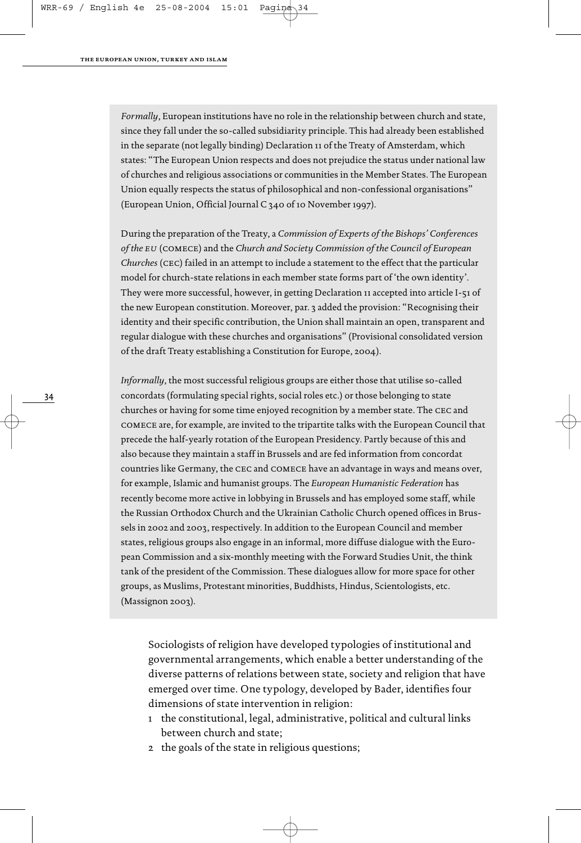34

*Formally*, European institutions have no role in the relationship between church and state, since they fall under the so-called subsidiarity principle. This had already been established in the separate (not legally binding) Declaration 11 of the Treaty of Amsterdam, which states: "The European Union respects and does not prejudice the status under national law of churches and religious associations or communities in the Member States. The European Union equally respects the status of philosophical and non-confessional organisations" (European Union, Official Journal C 340 of 10 November 1997).

During the preparation of the Treaty, a *Commission of Experts of the Bishops' Conferences of the eu* (comece) and the *Church and Society Commission of the Council of European Churches* (cec) failed in an attempt to include a statement to the effect that the particular model for church-state relations in each member state forms part of 'the own identity'. They were more successful, however, in getting Declaration 11 accepted into article I-51 of the new European constitution. Moreover, par. 3 added the provision: "Recognising their identity and their specific contribution, the Union shall maintain an open, transparent and regular dialogue with these churches and organisations" (Provisional consolidated version of the draft Treaty establishing a Constitution for Europe, 2004).

*Informally*, the most successful religious groups are either those that utilise so-called concordats (formulating special rights, social roles etc.) or those belonging to state churches or having for some time enjoyed recognition by a member state. The cec and comece are, for example, are invited to the tripartite talks with the European Council that precede the half-yearly rotation of the European Presidency. Partly because of this and also because they maintain a staff in Brussels and are fed information from concordat countries like Germany, the cec and comece have an advantage in ways and means over, for example, Islamic and humanist groups. The *European Humanistic Federation* has recently become more active in lobbying in Brussels and has employed some staff, while the Russian Orthodox Church and the Ukrainian Catholic Church opened offices in Brussels in 2002 and 2003, respectively. In addition to the European Council and member states, religious groups also engage in an informal, more diffuse dialogue with the European Commission and a six-monthly meeting with the Forward Studies Unit, the think tank of the president of the Commission. These dialogues allow for more space for other groups, as Muslims, Protestant minorities, Buddhists, Hindus, Scientologists, etc. (Massignon 2003).

Sociologists of religion have developed typologies of institutional and governmental arrangements, which enable a better understanding of the diverse patterns of relations between state, society and religion that have emerged over time. One typology, developed by Bader, identifies four dimensions of state intervention in religion:

- 1 the constitutional, legal, administrative, political and cultural links between church and state;
- 2 the goals of the state in religious questions;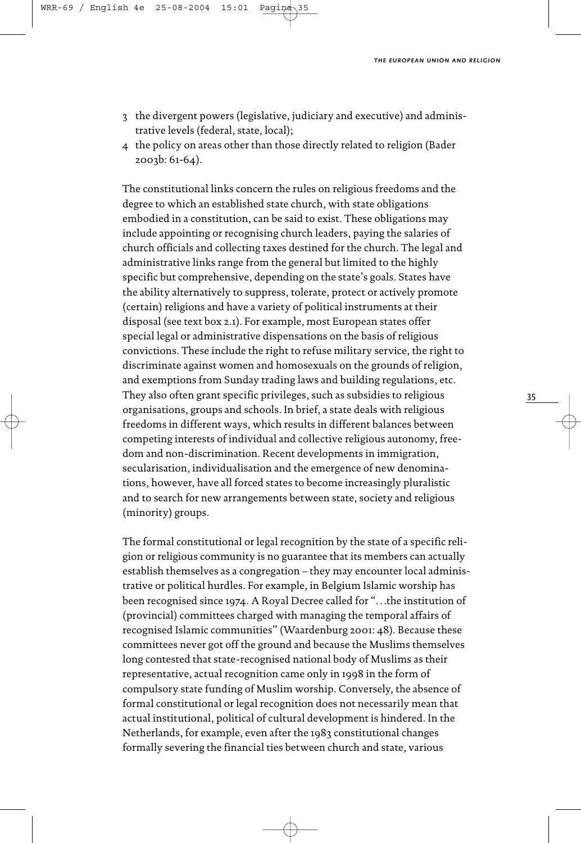- 3 the divergent powers (legislative, judiciary and executive) and administrative levels (federal, state, local);
- 4 the policy on areas other than those directly related to religion (Bader 2003b: 61-64).

The constitutional links concern the rules on religious freedoms and the degree to which an established state church, with state obligations embodied in a constitution, can be said to exist. These obligations may include appointing or recognising church leaders, paying the salaries of church officials and collecting taxes destined for the church. The legal and administrative links range from the general but limited to the highly specific but comprehensive, depending on the state's goals. States have the ability alternatively to suppress, tolerate, protect or actively promote (certain) religions and have a variety of political instruments at their disposal (see text box 2.1). For example, most European states offer special legal or administrative dispensations on the basis of religious convictions. These include the right to refuse military service, the right to discriminate against women and homosexuals on the grounds of religion, and exemptions from Sunday trading laws and building regulations, etc. They also often grant specific privileges, such as subsidies to religious organisations, groups and schools. In brief, a state deals with religious freedoms in different ways, which results in different balances between competing interests of individual and collective religious autonomy, freedom and non-discrimination. Recent developments in immigration, secularisation, individualisation and the emergence of new denominations, however, have all forced states to become increasingly pluralistic and to search for new arrangements between state, society and religious (minority) groups.

The formal constitutional or legal recognition by the state of a specific religion or religious community is no guarantee that its members can actually establish themselves as a congregation – they may encounter local administrative or political hurdles. For example, in Belgium Islamic worship has been recognised since 1974. A Royal Decree called for "…the institution of (provincial) committees charged with managing the temporal affairs of recognised Islamic communities" (Waardenburg 2001: 48). Because these committees never got off the ground and because the Muslims themselves long contested that state-recognised national body of Muslims as their representative, actual recognition came only in 1998 in the form of compulsory state funding of Muslim worship. Conversely, the absence of formal constitutional or legal recognition does not necessarily mean that actual institutional, political of cultural development is hindered. In the Netherlands, for example, even after the 1983 constitutional changes formally severing the financial ties between church and state, various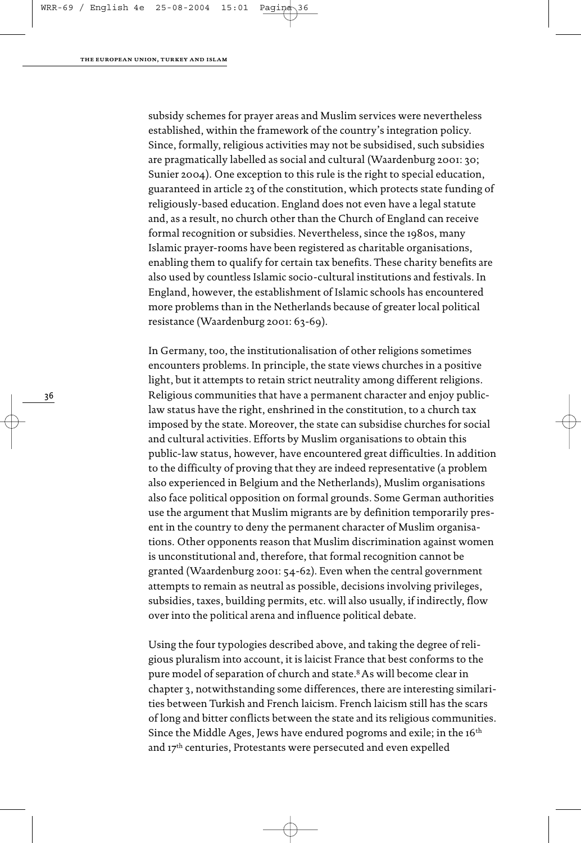36

subsidy schemes for prayer areas and Muslim services were nevertheless established, within the framework of the country's integration policy. Since, formally, religious activities may not be subsidised, such subsidies are pragmatically labelled as social and cultural (Waardenburg 2001: 30; Sunier 2004). One exception to this rule is the right to special education, guaranteed in article 23 of the constitution, which protects state funding of religiously-based education. England does not even have a legal statute and, as a result, no church other than the Church of England can receive formal recognition or subsidies. Nevertheless, since the 1980s, many Islamic prayer-rooms have been registered as charitable organisations, enabling them to qualify for certain tax benefits. These charity benefits are also used by countless Islamic socio-cultural institutions and festivals. In England, however, the establishment of Islamic schools has encountered more problems than in the Netherlands because of greater local political resistance (Waardenburg 2001: 63-69).

In Germany, too, the institutionalisation of other religions sometimes encounters problems. In principle, the state views churches in a positive light, but it attempts to retain strict neutrality among different religions. Religious communities that have a permanent character and enjoy publiclaw status have the right, enshrined in the constitution, to a church tax imposed by the state. Moreover, the state can subsidise churches for social and cultural activities. Efforts by Muslim organisations to obtain this public-law status, however, have encountered great difficulties. In addition to the difficulty of proving that they are indeed representative (a problem also experienced in Belgium and the Netherlands), Muslim organisations also face political opposition on formal grounds. Some German authorities use the argument that Muslim migrants are by definition temporarily present in the country to deny the permanent character of Muslim organisations. Other opponents reason that Muslim discrimination against women is unconstitutional and, therefore, that formal recognition cannot be granted (Waardenburg 2001: 54-62). Even when the central government attempts to remain as neutral as possible, decisions involving privileges, subsidies, taxes, building permits, etc. will also usually, if indirectly, flow over into the political arena and influence political debate.

Using the four typologies described above, and taking the degree of religious pluralism into account, it is laicist France that best conforms to the pure model of separation of church and state.8 As will become clear in chapter 3, notwithstanding some differences, there are interesting similarities between Turkish and French laicism. French laicism still has the scars of long and bitter conflicts between the state and its religious communities. Since the Middle Ages, Jews have endured pogroms and exile; in the  $16<sup>th</sup>$ and 17th centuries, Protestants were persecuted and even expelled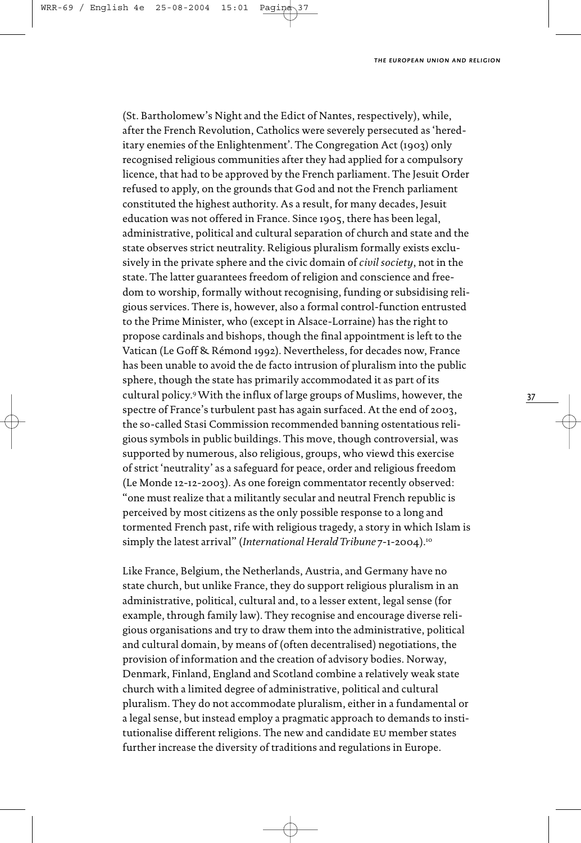WRR-69 / English 4e 25-08-2004 15:01 Pagina 37

(St. Bartholomew's Night and the Edict of Nantes, respectively), while, after the French Revolution, Catholics were severely persecuted as 'hereditary enemies of the Enlightenment'. The Congregation Act (1903) only recognised religious communities after they had applied for a compulsory licence, that had to be approved by the French parliament. The Jesuit Order refused to apply, on the grounds that God and not the French parliament constituted the highest authority. As a result, for many decades, Jesuit education was not offered in France. Since 1905, there has been legal, administrative, political and cultural separation of church and state and the state observes strict neutrality. Religious pluralism formally exists exclusively in the private sphere and the civic domain of *civil society*, not in the state. The latter guarantees freedom of religion and conscience and freedom to worship, formally without recognising, funding or subsidising religious services. There is, however, also a formal control-function entrusted to the Prime Minister, who (except in Alsace-Lorraine) has the right to propose cardinals and bishops, though the final appointment is left to the Vatican (Le Goff & Rémond 1992). Nevertheless, for decades now, France has been unable to avoid the de facto intrusion of pluralism into the public sphere, though the state has primarily accommodated it as part of its cultural policy.9 With the influx of large groups of Muslims, however, the spectre of France's turbulent past has again surfaced. At the end of 2003, the so-called Stasi Commission recommended banning ostentatious religious symbols in public buildings. This move, though controversial, was supported by numerous, also religious, groups, who viewd this exercise of strict 'neutrality' as a safeguard for peace, order and religious freedom (Le Monde 12-12-2003). As one foreign commentator recently observed: "one must realize that a militantly secular and neutral French republic is perceived by most citizens as the only possible response to a long and tormented French past, rife with religious tragedy, a story in which Islam is simply the latest arrival" (*International Herald Tribune* 7-1-2004).10

Like France, Belgium, the Netherlands, Austria, and Germany have no state church, but unlike France, they do support religious pluralism in an administrative, political, cultural and, to a lesser extent, legal sense (for example, through family law). They recognise and encourage diverse religious organisations and try to draw them into the administrative, political and cultural domain, by means of (often decentralised) negotiations, the provision of information and the creation of advisory bodies. Norway, Denmark, Finland, England and Scotland combine a relatively weak state church with a limited degree of administrative, political and cultural pluralism. They do not accommodate pluralism, either in a fundamental or a legal sense, but instead employ a pragmatic approach to demands to institutionalise different religions. The new and candidate EU member states further increase the diversity of traditions and regulations in Europe.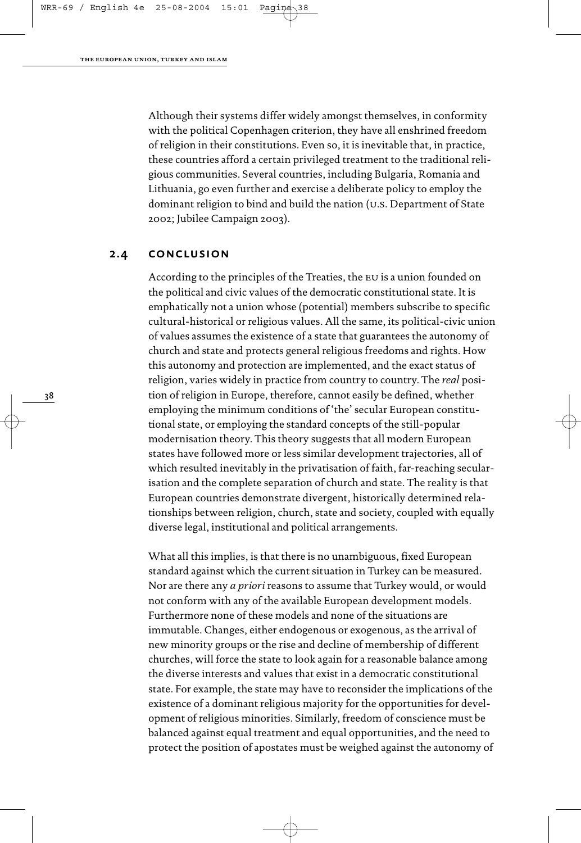Although their systems differ widely amongst themselves, in conformity with the political Copenhagen criterion, they have all enshrined freedom of religion in their constitutions. Even so, it is inevitable that, in practice, these countries afford a certain privileged treatment to the traditional religious communities. Several countries, including Bulgaria, Romania and Lithuania, go even further and exercise a deliberate policy to employ the dominant religion to bind and build the nation (U.S. Department of State 2002; Jubilee Campaign 2003).

### 2.4 conclusion

38

According to the principles of the Treaties, the EU is a union founded on the political and civic values of the democratic constitutional state. It is emphatically not a union whose (potential) members subscribe to specific cultural-historical or religious values. All the same, its political-civic union of values assumes the existence of a state that guarantees the autonomy of church and state and protects general religious freedoms and rights. How this autonomy and protection are implemented, and the exact status of religion, varies widely in practice from country to country. The *real* position of religion in Europe, therefore, cannot easily be defined, whether employing the minimum conditions of 'the' secular European constitutional state, or employing the standard concepts of the still-popular modernisation theory. This theory suggests that all modern European states have followed more or less similar development trajectories, all of which resulted inevitably in the privatisation of faith, far-reaching secularisation and the complete separation of church and state. The reality is that European countries demonstrate divergent, historically determined relationships between religion, church, state and society, coupled with equally diverse legal, institutional and political arrangements.

What all this implies, is that there is no unambiguous, fixed European standard against which the current situation in Turkey can be measured. Nor are there any *a priori* reasons to assume that Turkey would, or would not conform with any of the available European development models. Furthermore none of these models and none of the situations are immutable. Changes, either endogenous or exogenous, as the arrival of new minority groups or the rise and decline of membership of different churches, will force the state to look again for a reasonable balance among the diverse interests and values that exist in a democratic constitutional state. For example, the state may have to reconsider the implications of the existence of a dominant religious majority for the opportunities for development of religious minorities. Similarly, freedom of conscience must be balanced against equal treatment and equal opportunities, and the need to protect the position of apostates must be weighed against the autonomy of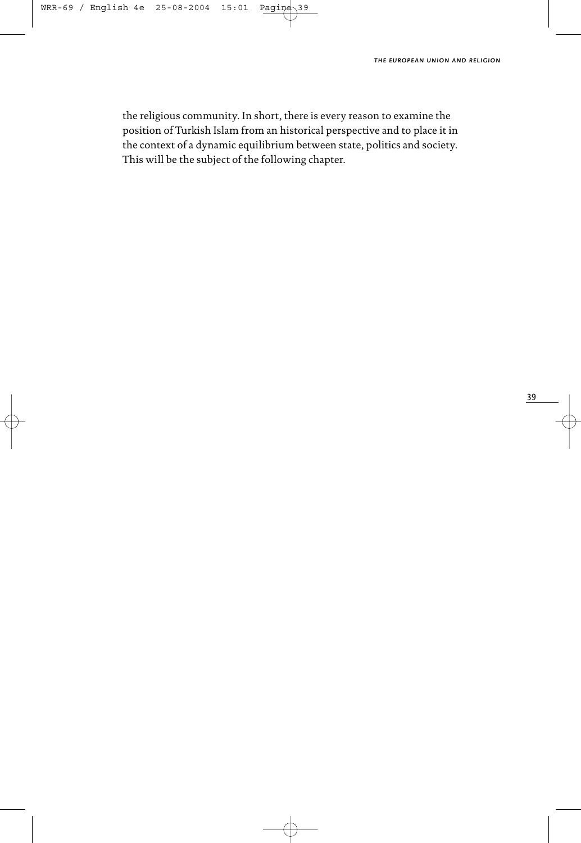the religious community. In short, there is every reason to examine the position of Turkish Islam from an historical perspective and to place it in the context of a dynamic equilibrium between state, politics and society. This will be the subject of the following chapter.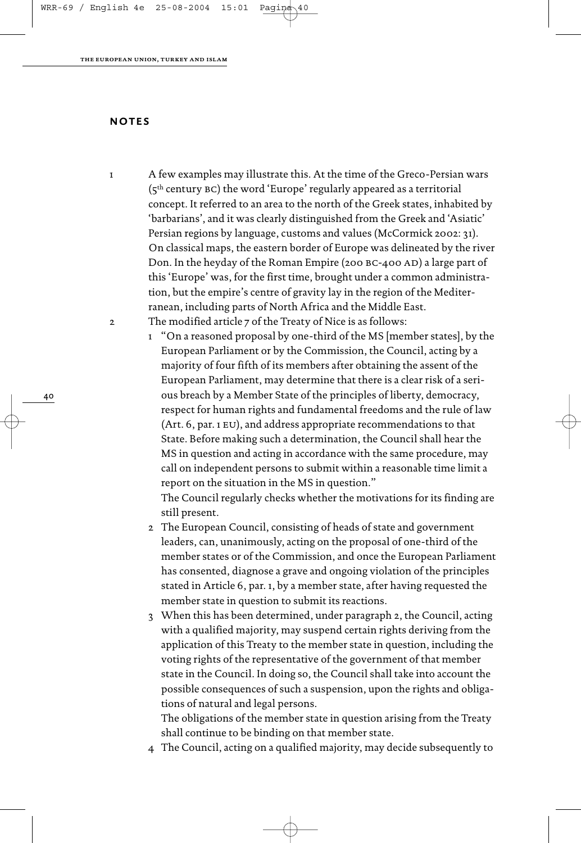## notes

40

- 1 A few examples may illustrate this. At the time of the Greco-Persian wars (5th century bc) the word 'Europe' regularly appeared as a territorial concept. It referred to an area to the north of the Greek states, inhabited by 'barbarians', and it was clearly distinguished from the Greek and 'Asiatic' Persian regions by language, customs and values (McCormick 2002: 31). On classical maps, the eastern border of Europe was delineated by the river Don. In the heyday of the Roman Empire (200 BC-400 AD) a large part of this 'Europe' was, for the first time, brought under a common administration, but the empire's centre of gravity lay in the region of the Mediterranean, including parts of North Africa and the Middle East.
- 2 The modified article 7 of the Treaty of Nice is as follows:
	- 1 "On a reasoned proposal by one-third of the MS [member states], by the European Parliament or by the Commission, the Council, acting by a majority of four fifth of its members after obtaining the assent of the European Parliament, may determine that there is a clear risk of a serious breach by a Member State of the principles of liberty, democracy, respect for human rights and fundamental freedoms and the rule of law (Art. 6, par. 1 EU), and address appropriate recommendations to that State. Before making such a determination, the Council shall hear the MS in question and acting in accordance with the same procedure, may call on independent persons to submit within a reasonable time limit a report on the situation in the MS in question."

The Council regularly checks whether the motivations for its finding are still present.

- 2 The European Council, consisting of heads of state and government leaders, can, unanimously, acting on the proposal of one-third of the member states or of the Commission, and once the European Parliament has consented, diagnose a grave and ongoing violation of the principles stated in Article 6, par. 1, by a member state, after having requested the member state in question to submit its reactions.
- 3 When this has been determined, under paragraph 2, the Council, acting with a qualified majority, may suspend certain rights deriving from the application of this Treaty to the member state in question, including the voting rights of the representative of the government of that member state in the Council. In doing so, the Council shall take into account the possible consequences of such a suspension, upon the rights and obligations of natural and legal persons.

The obligations of the member state in question arising from the Treaty shall continue to be binding on that member state.

4 The Council, acting on a qualified majority, may decide subsequently to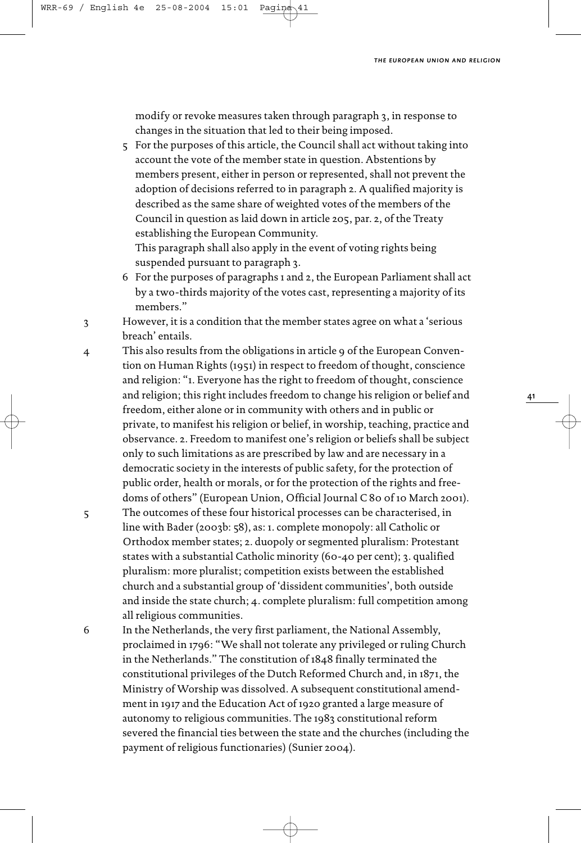WRR-69 / English 4e 25-08-2004 15:01 Pagina 41

modify or revoke measures taken through paragraph 3, in response to changes in the situation that led to their being imposed.

5 For the purposes of this article, the Council shall act without taking into account the vote of the member state in question. Abstentions by members present, either in person or represented, shall not prevent the adoption of decisions referred to in paragraph 2. A qualified majority is described as the same share of weighted votes of the members of the Council in question as laid down in article 205, par. 2, of the Treaty establishing the European Community.

This paragraph shall also apply in the event of voting rights being suspended pursuant to paragraph 3.

- 6 For the purposes of paragraphs 1 and 2, the European Parliament shall act by a two-thirds majority of the votes cast, representing a majority of its members."
- 3 However, it is a condition that the member states agree on what a 'serious breach' entails.
- 4 This also results from the obligations in article 9 of the European Convention on Human Rights (1951) in respect to freedom of thought, conscience and religion: "1. Everyone has the right to freedom of thought, conscience and religion; this right includes freedom to change his religion or belief and freedom, either alone or in community with others and in public or private, to manifest his religion or belief, in worship, teaching, practice and observance. 2. Freedom to manifest one's religion or beliefs shall be subject only to such limitations as are prescribed by law and are necessary in a democratic society in the interests of public safety, for the protection of public order, health or morals, or for the protection of the rights and freedoms of others" (European Union, Official Journal C 80 of 10 March 2001).
- 5 The outcomes of these four historical processes can be characterised, in line with Bader (2003b: 58), as: 1. complete monopoly: all Catholic or Orthodox member states; 2. duopoly or segmented pluralism: Protestant states with a substantial Catholic minority (60-40 per cent); 3. qualified pluralism: more pluralist; competition exists between the established church and a substantial group of 'dissident communities', both outside and inside the state church; 4. complete pluralism: full competition among all religious communities.
- 6 In the Netherlands, the very first parliament, the National Assembly, proclaimed in 1796: "We shall not tolerate any privileged or ruling Church in the Netherlands." The constitution of 1848 finally terminated the constitutional privileges of the Dutch Reformed Church and, in 1871, the Ministry of Worship was dissolved. A subsequent constitutional amendment in 1917 and the Education Act of 1920 granted a large measure of autonomy to religious communities. The 1983 constitutional reform severed the financial ties between the state and the churches (including the payment of religious functionaries) (Sunier 2004).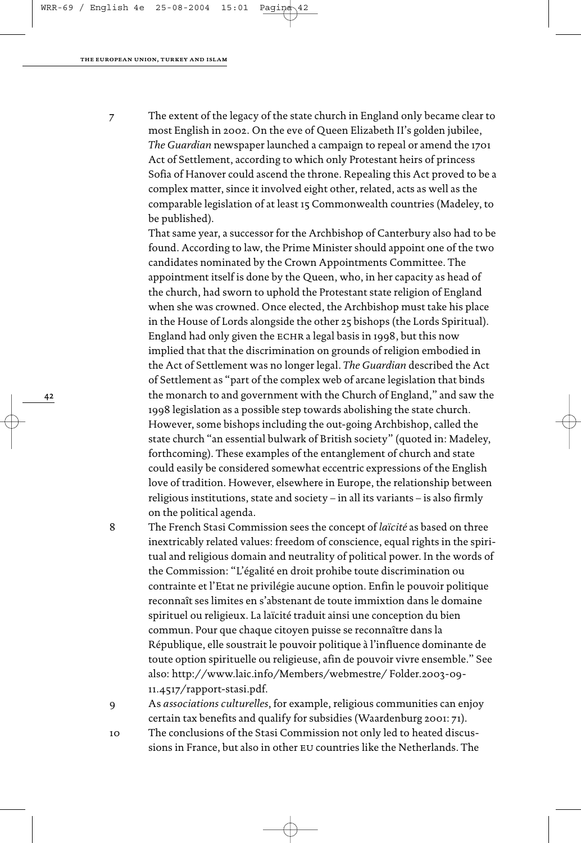WRR-69 / English 4e 25-08-2004 15:01 Pagina 42

**the european union, turkey and islam**

7 The extent of the legacy of the state church in England only became clear to most English in 2002. On the eve of Queen Elizabeth II's golden jubilee, *The Guardian* newspaper launched a campaign to repeal or amend the 1701 Act of Settlement, according to which only Protestant heirs of princess Sofia of Hanover could ascend the throne. Repealing this Act proved to be a complex matter, since it involved eight other, related, acts as well as the comparable legislation of at least 15 Commonwealth countries (Madeley, to be published).

> That same year, a successor for the Archbishop of Canterbury also had to be found. According to law, the Prime Minister should appoint one of the two candidates nominated by the Crown Appointments Committee. The appointment itself is done by the Queen, who, in her capacity as head of the church, had sworn to uphold the Protestant state religion of England when she was crowned. Once elected, the Archbishop must take his place in the House of Lords alongside the other 25 bishops (the Lords Spiritual). England had only given the ECHR a legal basis in 1998, but this now implied that that the discrimination on grounds of religion embodied in the Act of Settlement was no longer legal. *The Guardian* described the Act of Settlement as "part of the complex web of arcane legislation that binds the monarch to and government with the Church of England," and saw the 1998 legislation as a possible step towards abolishing the state church. However, some bishops including the out-going Archbishop, called the state church "an essential bulwark of British society" (quoted in: Madeley, forthcoming). These examples of the entanglement of church and state could easily be considered somewhat eccentric expressions of the English love of tradition. However, elsewhere in Europe, the relationship between religious institutions, state and society – in all its variants – is also firmly on the political agenda.

42

8 The French Stasi Commission sees the concept of *laïcité* as based on three inextricably related values: freedom of conscience, equal rights in the spiritual and religious domain and neutrality of political power. In the words of the Commission: "L'égalité en droit prohibe toute discrimination ou contrainte et l'Etat ne privilégie aucune option. Enfin le pouvoir politique reconnaît ses limites en s'abstenant de toute immixtion dans le domaine spirituel ou religieux. La laïcité traduit ainsi une conception du bien commun. Pour que chaque citoyen puisse se reconnaître dans la République, elle soustrait le pouvoir politique à l'influence dominante de toute option spirituelle ou religieuse, afin de pouvoir vivre ensemble." See also: http://www.laic.info/Members/webmestre/ Folder.2003-09- 11.4517/rapport-stasi.pdf.

9 As *associations culturelles*, for example, religious communities can enjoy certain tax benefits and qualify for subsidies (Waardenburg 2001: 71).

10 The conclusions of the Stasi Commission not only led to heated discussions in France, but also in other eu countries like the Netherlands. The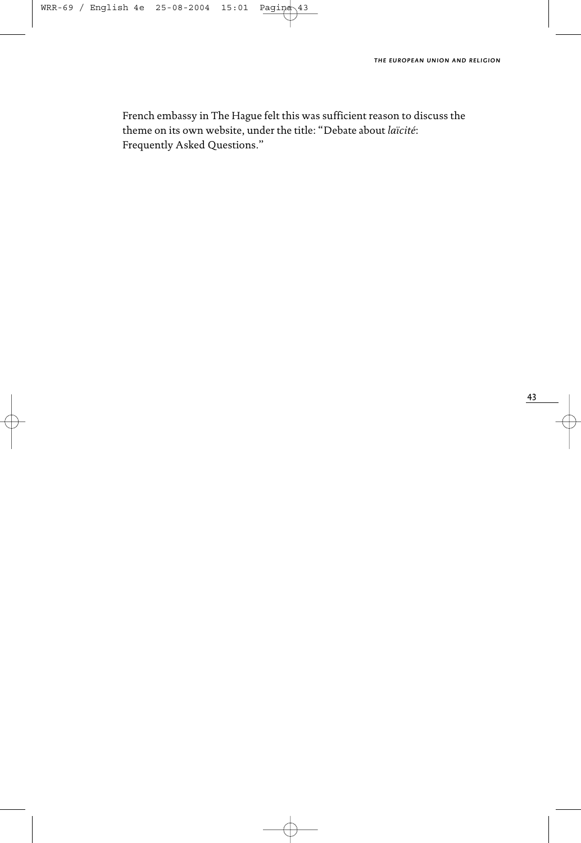French embassy in The Hague felt this was sufficient reason to discuss the theme on its own website, under the title: "Debate about *laïcité*: Frequently Asked Questions."

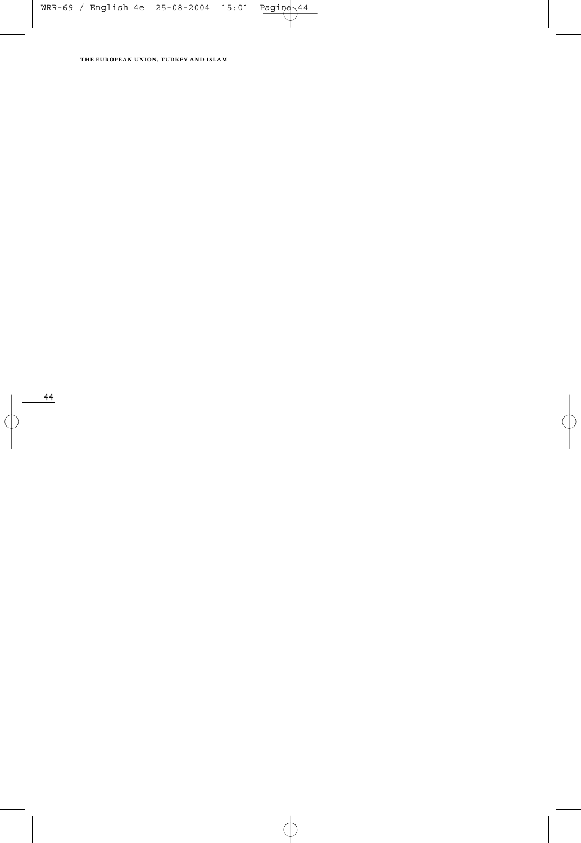€

**the european union, turkey and islam**

44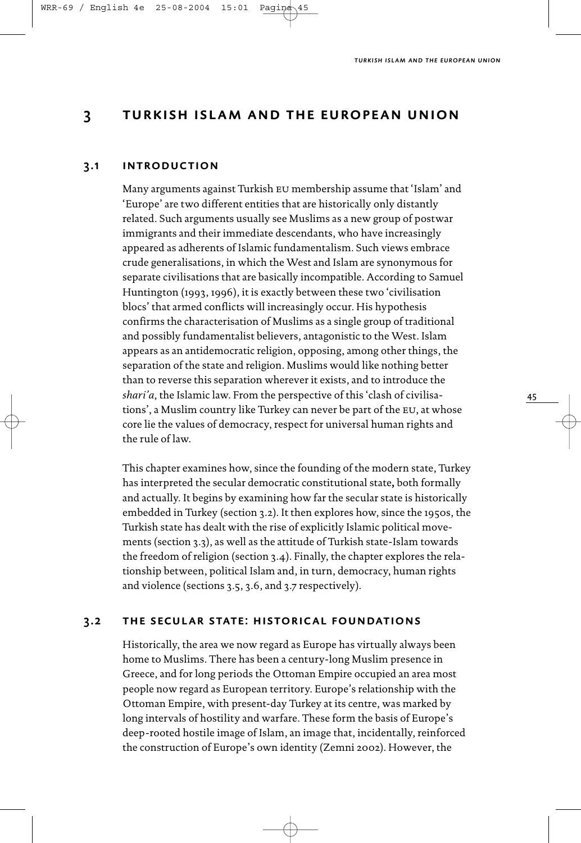### 3 turkish islam and the european union

## 3.1 introduction

Many arguments against Turkish eu membership assume that 'Islam' and 'Europe' are two different entities that are historically only distantly related. Such arguments usually see Muslims as a new group of postwar immigrants and their immediate descendants, who have increasingly appeared as adherents of Islamic fundamentalism. Such views embrace crude generalisations, in which the West and Islam are synonymous for separate civilisations that are basically incompatible. According to Samuel Huntington (1993, 1996), it is exactly between these two 'civilisation blocs' that armed conflicts will increasingly occur. His hypothesis confirms the characterisation of Muslims as a single group of traditional and possibly fundamentalist believers, antagonistic to the West. Islam appears as an antidemocratic religion, opposing, among other things, the separation of the state and religion. Muslims would like nothing better than to reverse this separation wherever it exists, and to introduce the *shari'a*, the Islamic law. From the perspective of this 'clash of civilisations', a Muslim country like Turkey can never be part of the EU, at whose core lie the values of democracy, respect for universal human rights and the rule of law.

This chapter examines how, since the founding of the modern state, Turkey has interpreted the secular democratic constitutional state**,** both formally and actually. It begins by examining how far the secular state is historically embedded in Turkey (section 3.2). It then explores how, since the 1950s, the Turkish state has dealt with the rise of explicitly Islamic political movements (section 3.3), as well as the attitude of Turkish state-Islam towards the freedom of religion (section 3.4). Finally, the chapter explores the relationship between, political Islam and, in turn, democracy, human rights and violence (sections 3.5, 3.6, and 3.7 respectively).

## 3.2 the secular state: historical foundations

Historically, the area we now regard as Europe has virtually always been home to Muslims. There has been a century-long Muslim presence in Greece, and for long periods the Ottoman Empire occupied an area most people now regard as European territory. Europe's relationship with the Ottoman Empire, with present-day Turkey at its centre, was marked by long intervals of hostility and warfare. These form the basis of Europe's deep-rooted hostile image of Islam, an image that, incidentally, reinforced the construction of Europe's own identity (Zemni 2002). However, the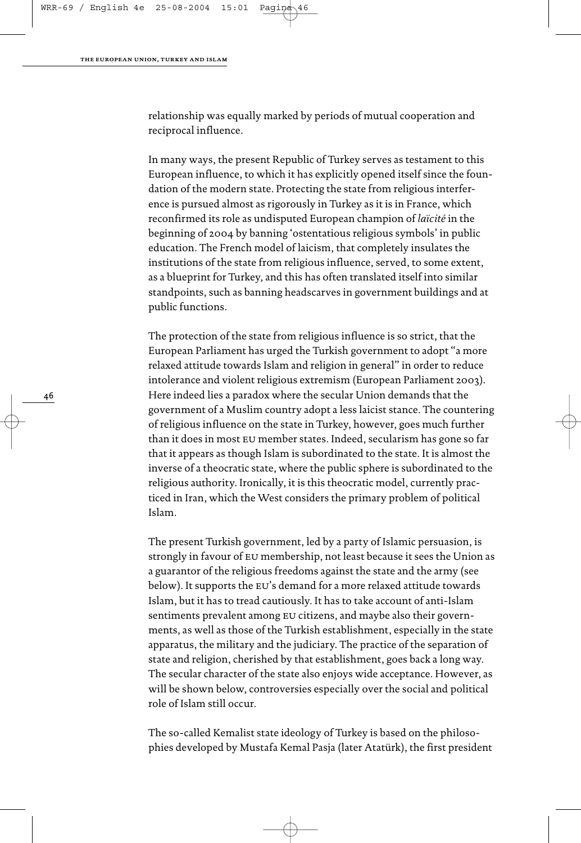46

relationship was equally marked by periods of mutual cooperation and reciprocal influence.

In many ways, the present Republic of Turkey serves as testament to this European influence, to which it has explicitly opened itself since the foundation of the modern state. Protecting the state from religious interference is pursued almost as rigorously in Turkey as it is in France, which reconfirmed its role as undisputed European champion of *laïcité* in the beginning of 2004 by banning 'ostentatious religious symbols' in public education. The French model of laicism, that completely insulates the institutions of the state from religious influence, served, to some extent, as a blueprint for Turkey, and this has often translated itself into similar standpoints, such as banning headscarves in government buildings and at public functions.

The protection of the state from religious influence is so strict, that the European Parliament has urged the Turkish government to adopt "a more relaxed attitude towards Islam and religion in general" in order to reduce intolerance and violent religious extremism (European Parliament 2003). Here indeed lies a paradox where the secular Union demands that the government of a Muslim country adopt a less laicist stance. The countering of religious influence on the state in Turkey, however, goes much further than it does in most eu member states. Indeed, secularism has gone so far that it appears as though Islam is subordinated to the state. It is almost the inverse of a theocratic state, where the public sphere is subordinated to the religious authority. Ironically, it is this theocratic model, currently practiced in Iran, which the West considers the primary problem of political Islam.

The present Turkish government, led by a party of Islamic persuasion, is strongly in favour of eu membership, not least because it sees the Union as a guarantor of the religious freedoms against the state and the army (see below). It supports the EU's demand for a more relaxed attitude towards Islam, but it has to tread cautiously. It has to take account of anti-Islam sentiments prevalent among EU citizens, and maybe also their governments, as well as those of the Turkish establishment, especially in the state apparatus, the military and the judiciary. The practice of the separation of state and religion, cherished by that establishment, goes back a long way. The secular character of the state also enjoys wide acceptance. However, as will be shown below, controversies especially over the social and political role of Islam still occur.

The so-called Kemalist state ideology of Turkey is based on the philosophies developed by Mustafa Kemal Pasja (later Atatürk), the first president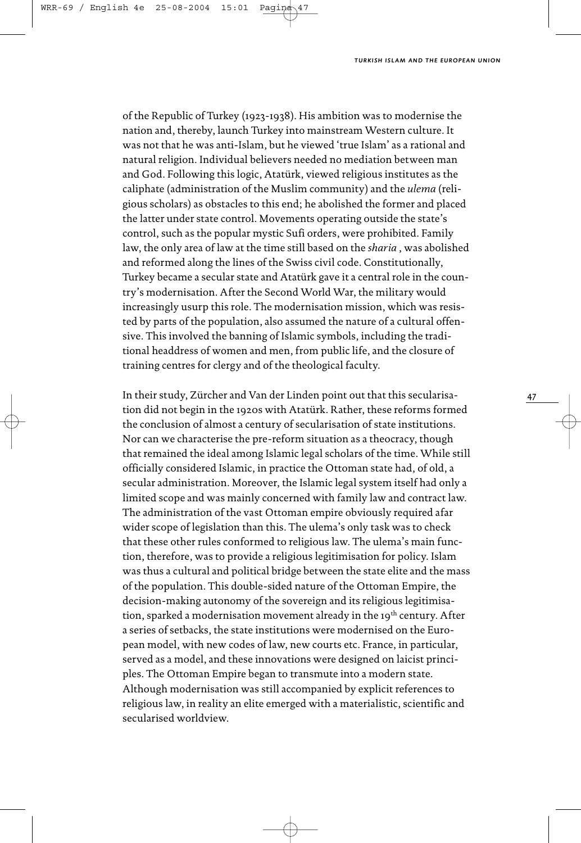of the Republic of Turkey (1923-1938). His ambition was to modernise the nation and, thereby, launch Turkey into mainstream Western culture. It was not that he was anti-Islam, but he viewed 'true Islam' as a rational and natural religion. Individual believers needed no mediation between man and God. Following this logic, Atatürk, viewed religious institutes as the caliphate (administration of the Muslim community) and the *ulema* (religious scholars) as obstacles to this end; he abolished the former and placed the latter under state control. Movements operating outside the state's control, such as the popular mystic Sufi orders, were prohibited. Family law, the only area of law at the time still based on the *sharia* , was abolished and reformed along the lines of the Swiss civil code. Constitutionally, Turkey became a secular state and Atatürk gave it a central role in the country's modernisation. After the Second World War, the military would increasingly usurp this role. The modernisation mission, which was resisted by parts of the population, also assumed the nature of a cultural offensive. This involved the banning of Islamic symbols, including the traditional headdress of women and men, from public life, and the closure of training centres for clergy and of the theological faculty.

In their study, Zürcher and Van der Linden point out that this secularisation did not begin in the 1920s with Atatürk. Rather, these reforms formed the conclusion of almost a century of secularisation of state institutions. Nor can we characterise the pre-reform situation as a theocracy, though that remained the ideal among Islamic legal scholars of the time. While still officially considered Islamic, in practice the Ottoman state had, of old, a secular administration. Moreover, the Islamic legal system itself had only a limited scope and was mainly concerned with family law and contract law. The administration of the vast Ottoman empire obviously required afar wider scope of legislation than this. The ulema's only task was to check that these other rules conformed to religious law. The ulema's main function, therefore, was to provide a religious legitimisation for policy. Islam was thus a cultural and political bridge between the state elite and the mass of the population. This double-sided nature of the Ottoman Empire, the decision-making autonomy of the sovereign and its religious legitimisation, sparked a modernisation movement already in the 19<sup>th</sup> century. After a series of setbacks, the state institutions were modernised on the European model, with new codes of law, new courts etc. France, in particular, served as a model, and these innovations were designed on laicist principles. The Ottoman Empire began to transmute into a modern state. Although modernisation was still accompanied by explicit references to religious law, in reality an elite emerged with a materialistic, scientific and secularised worldview.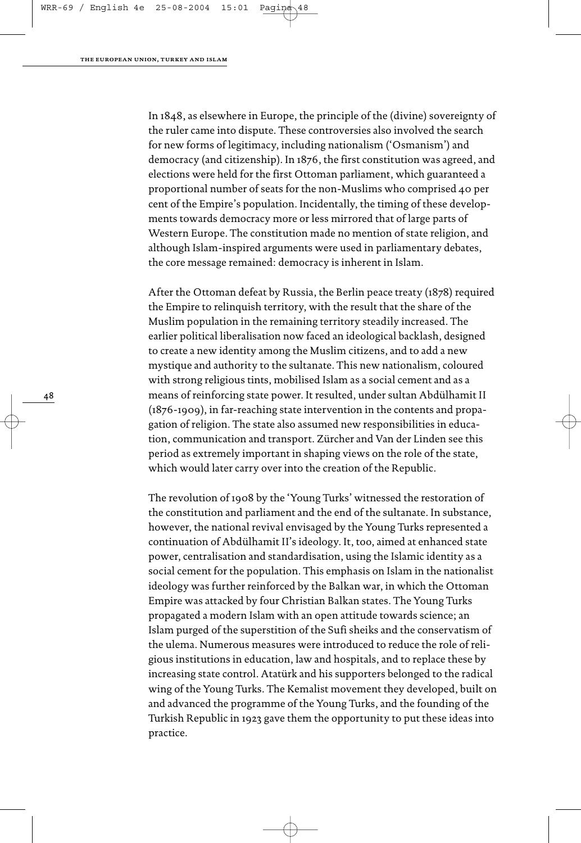48

In 1848, as elsewhere in Europe, the principle of the (divine) sovereignty of the ruler came into dispute. These controversies also involved the search for new forms of legitimacy, including nationalism ('Osmanism') and democracy (and citizenship). In 1876, the first constitution was agreed, and elections were held for the first Ottoman parliament, which guaranteed a proportional number of seats for the non-Muslims who comprised 40 per cent of the Empire's population. Incidentally, the timing of these developments towards democracy more or less mirrored that of large parts of Western Europe. The constitution made no mention of state religion, and although Islam-inspired arguments were used in parliamentary debates, the core message remained: democracy is inherent in Islam.

After the Ottoman defeat by Russia, the Berlin peace treaty (1878) required the Empire to relinquish territory, with the result that the share of the Muslim population in the remaining territory steadily increased. The earlier political liberalisation now faced an ideological backlash, designed to create a new identity among the Muslim citizens, and to add a new mystique and authority to the sultanate. This new nationalism, coloured with strong religious tints, mobilised Islam as a social cement and as a means of reinforcing state power. It resulted, under sultan Abdülhamit II (1876-1909), in far-reaching state intervention in the contents and propagation of religion. The state also assumed new responsibilities in education, communication and transport. Zürcher and Van der Linden see this period as extremely important in shaping views on the role of the state, which would later carry over into the creation of the Republic.

The revolution of 1908 by the 'Young Turks' witnessed the restoration of the constitution and parliament and the end of the sultanate. In substance, however, the national revival envisaged by the Young Turks represented a continuation of Abdülhamit II's ideology. It, too, aimed at enhanced state power, centralisation and standardisation, using the Islamic identity as a social cement for the population. This emphasis on Islam in the nationalist ideology was further reinforced by the Balkan war, in which the Ottoman Empire was attacked by four Christian Balkan states. The Young Turks propagated a modern Islam with an open attitude towards science; an Islam purged of the superstition of the Sufi sheiks and the conservatism of the ulema. Numerous measures were introduced to reduce the role of religious institutions in education, law and hospitals, and to replace these by increasing state control. Atatürk and his supporters belonged to the radical wing of the Young Turks. The Kemalist movement they developed, built on and advanced the programme of the Young Turks, and the founding of the Turkish Republic in 1923 gave them the opportunity to put these ideas into practice.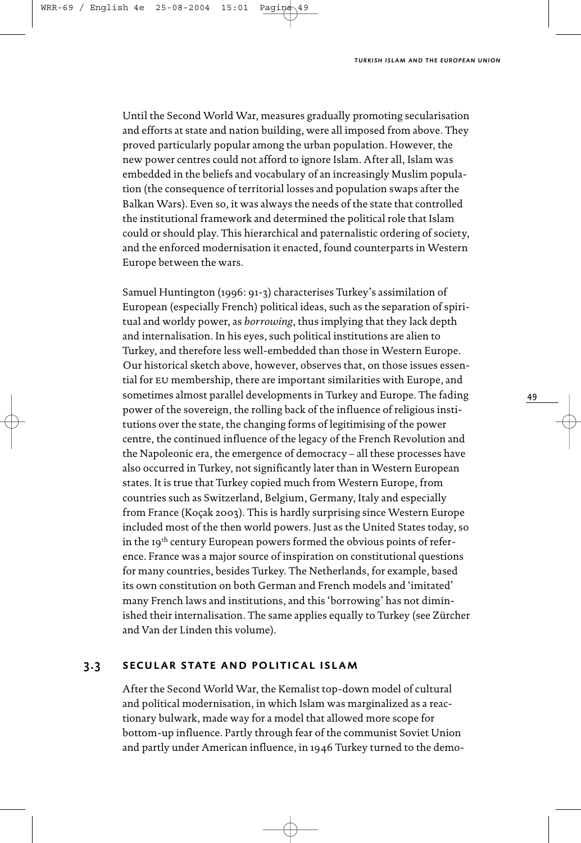Until the Second World War, measures gradually promoting secularisation and efforts at state and nation building, were all imposed from above. They proved particularly popular among the urban population. However, the new power centres could not afford to ignore Islam. After all, Islam was embedded in the beliefs and vocabulary of an increasingly Muslim population (the consequence of territorial losses and population swaps after the Balkan Wars). Even so, it was always the needs of the state that controlled the institutional framework and determined the political role that Islam could or should play. This hierarchical and paternalistic ordering of society, and the enforced modernisation it enacted, found counterparts in Western Europe between the wars.

Samuel Huntington (1996: 91-3) characterises Turkey's assimilation of European (especially French) political ideas, such as the separation of spiritual and worldy power, as *borrowing*, thus implying that they lack depth and internalisation. In his eyes, such political institutions are alien to Turkey, and therefore less well-embedded than those in Western Europe. Our historical sketch above, however, observes that, on those issues essential for eu membership, there are important similarities with Europe, and sometimes almost parallel developments in Turkey and Europe. The fading power of the sovereign, the rolling back of the influence of religious institutions over the state, the changing forms of legitimising of the power centre, the continued influence of the legacy of the French Revolution and the Napoleonic era, the emergence of democracy – all these processes have also occurred in Turkey, not significantly later than in Western European states. It is true that Turkey copied much from Western Europe, from countries such as Switzerland, Belgium, Germany, Italy and especially from France (Koçak 2003). This is hardly surprising since Western Europe included most of the then world powers. Just as the United States today, so in the 19<sup>th</sup> century European powers formed the obvious points of reference. France was a major source of inspiration on constitutional questions for many countries, besides Turkey. The Netherlands, for example, based its own constitution on both German and French models and 'imitated' many French laws and institutions, and this 'borrowing' has not diminished their internalisation. The same applies equally to Turkey (see Zürcher and Van der Linden this volume).

#### 3.3 secular state and political islam

After the Second World War, the Kemalist top-down model of cultural and political modernisation, in which Islam was marginalized as a reactionary bulwark, made way for a model that allowed more scope for bottom-up influence. Partly through fear of the communist Soviet Union and partly under American influence, in 1946 Turkey turned to the demo-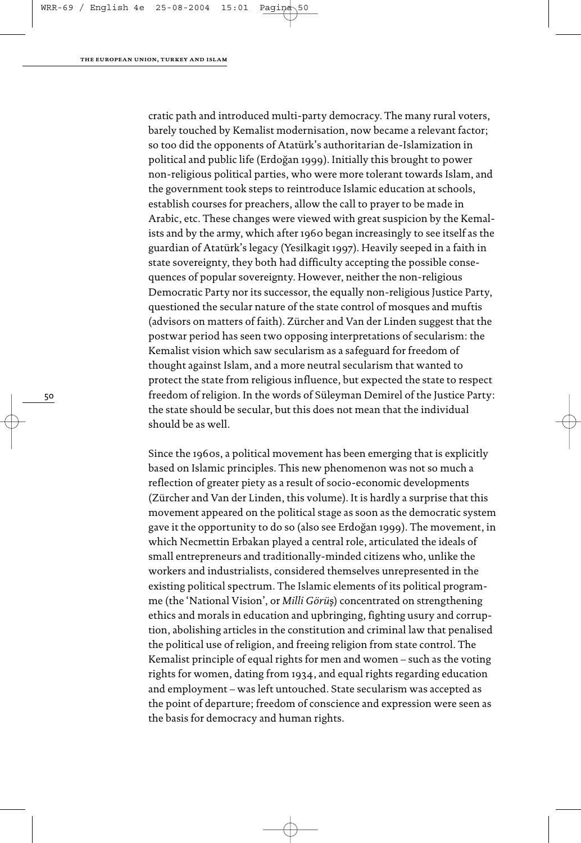50

cratic path and introduced multi-party democracy. The many rural voters, barely touched by Kemalist modernisation, now became a relevant factor; so too did the opponents of Atatürk's authoritarian de-Islamization in political and public life (Erdoğan 1999). Initially this brought to power non-religious political parties, who were more tolerant towards Islam, and the government took steps to reintroduce Islamic education at schools, establish courses for preachers, allow the call to prayer to be made in Arabic, etc. These changes were viewed with great suspicion by the Kemalists and by the army, which after 1960 began increasingly to see itself as the guardian of Atatürk's legacy (Yesilkagit 1997). Heavily seeped in a faith in state sovereignty, they both had difficulty accepting the possible consequences of popular sovereignty. However, neither the non-religious Democratic Party nor its successor, the equally non-religious Justice Party, questioned the secular nature of the state control of mosques and muftis (advisors on matters of faith). Zürcher and Van der Linden suggest that the postwar period has seen two opposing interpretations of secularism: the Kemalist vision which saw secularism as a safeguard for freedom of thought against Islam, and a more neutral secularism that wanted to protect the state from religious influence, but expected the state to respect freedom of religion. In the words of Süleyman Demirel of the Justice Party: the state should be secular, but this does not mean that the individual should be as well.

Since the 1960s, a political movement has been emerging that is explicitly based on Islamic principles. This new phenomenon was not so much a reflection of greater piety as a result of socio-economic developments (Zürcher and Van der Linden, this volume). It is hardly a surprise that this movement appeared on the political stage as soon as the democratic system gave it the opportunity to do so (also see Erdoğan 1999). The movement, in which Necmettin Erbakan played a central role, articulated the ideals of small entrepreneurs and traditionally-minded citizens who, unlike the workers and industrialists, considered themselves unrepresented in the existing political spectrum. The Islamic elements of its political programme (the 'National Vision', or *Milli Görü¸*s) concentrated on strengthening ethics and morals in education and upbringing, fighting usury and corruption, abolishing articles in the constitution and criminal law that penalised the political use of religion, and freeing religion from state control. The Kemalist principle of equal rights for men and women – such as the voting rights for women, dating from 1934, and equal rights regarding education and employment – was left untouched. State secularism was accepted as the point of departure; freedom of conscience and expression were seen as the basis for democracy and human rights.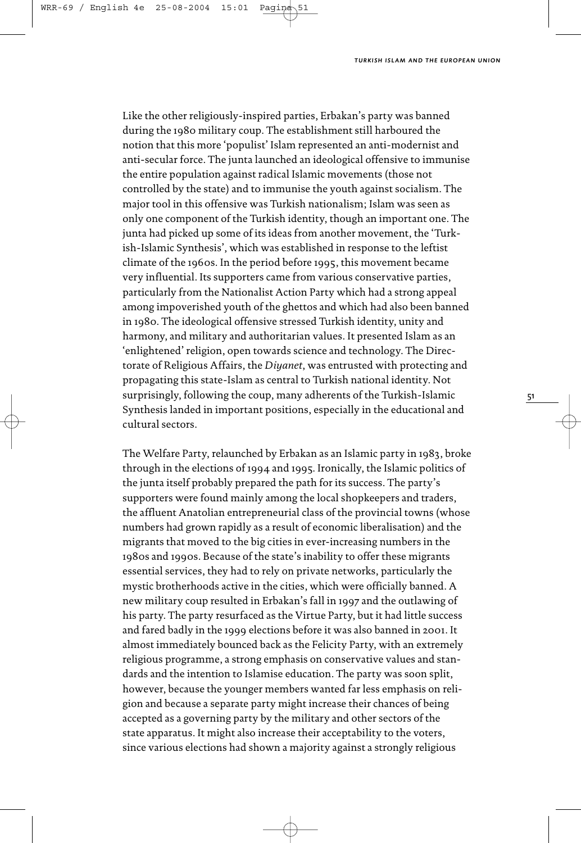*turkish islam and the european union*

51

Like the other religiously-inspired parties, Erbakan's party was banned during the 1980 military coup. The establishment still harboured the notion that this more 'populist' Islam represented an anti-modernist and anti-secular force. The junta launched an ideological offensive to immunise the entire population against radical Islamic movements (those not controlled by the state) and to immunise the youth against socialism. The major tool in this offensive was Turkish nationalism; Islam was seen as only one component of the Turkish identity, though an important one. The junta had picked up some of its ideas from another movement, the 'Turkish-Islamic Synthesis', which was established in response to the leftist climate of the 1960s. In the period before 1995, this movement became very influential. Its supporters came from various conservative parties, particularly from the Nationalist Action Party which had a strong appeal among impoverished youth of the ghettos and which had also been banned in 1980. The ideological offensive stressed Turkish identity, unity and harmony, and military and authoritarian values. It presented Islam as an 'enlightened' religion, open towards science and technology. The Directorate of Religious Affairs, the *Diyanet*, was entrusted with protecting and propagating this state-Islam as central to Turkish national identity. Not surprisingly, following the coup, many adherents of the Turkish-Islamic Synthesis landed in important positions, especially in the educational and cultural sectors.

The Welfare Party, relaunched by Erbakan as an Islamic party in 1983, broke through in the elections of 1994 and 1995. Ironically, the Islamic politics of the junta itself probably prepared the path for its success. The party's supporters were found mainly among the local shopkeepers and traders, the affluent Anatolian entrepreneurial class of the provincial towns (whose numbers had grown rapidly as a result of economic liberalisation) and the migrants that moved to the big cities in ever-increasing numbers in the 1980s and 1990s. Because of the state's inability to offer these migrants essential services, they had to rely on private networks, particularly the mystic brotherhoods active in the cities, which were officially banned. A new military coup resulted in Erbakan's fall in 1997 and the outlawing of his party. The party resurfaced as the Virtue Party, but it had little success and fared badly in the 1999 elections before it was also banned in 2001. It almost immediately bounced back as the Felicity Party, with an extremely religious programme, a strong emphasis on conservative values and standards and the intention to Islamise education. The party was soon split, however, because the younger members wanted far less emphasis on religion and because a separate party might increase their chances of being accepted as a governing party by the military and other sectors of the state apparatus. It might also increase their acceptability to the voters, since various elections had shown a majority against a strongly religious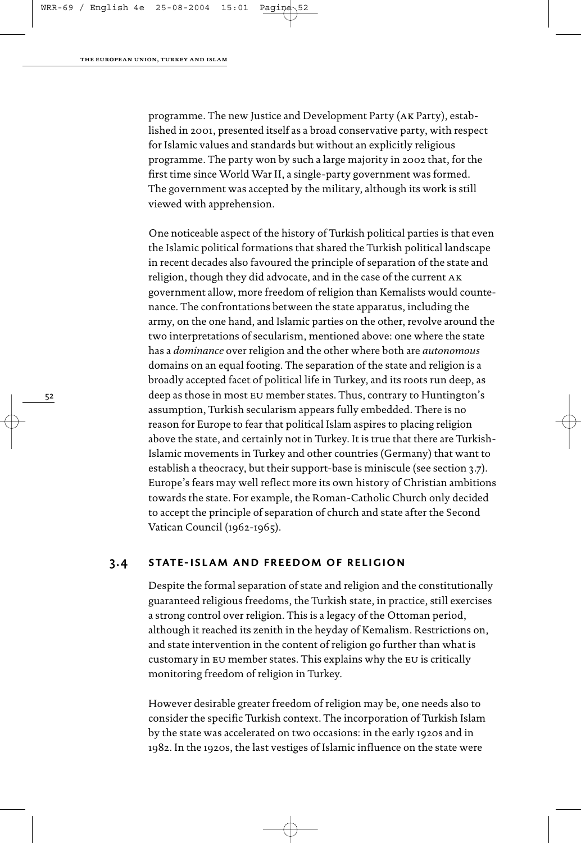52

programme. The new Justice and Development Party (ak Party), established in 2001, presented itself as a broad conservative party, with respect for Islamic values and standards but without an explicitly religious programme. The party won by such a large majority in 2002 that, for the first time since World War II, a single-party government was formed. The government was accepted by the military, although its work is still viewed with apprehension.

One noticeable aspect of the history of Turkish political parties is that even the Islamic political formations that shared the Turkish political landscape in recent decades also favoured the principle of separation of the state and religion, though they did advocate, and in the case of the current ak government allow, more freedom of religion than Kemalists would countenance. The confrontations between the state apparatus, including the army, on the one hand, and Islamic parties on the other, revolve around the two interpretations of secularism, mentioned above: one where the state has a *dominance* over religion and the other where both are *autonomous* domains on an equal footing. The separation of the state and religion is a broadly accepted facet of political life in Turkey, and its roots run deep, as deep as those in most eu member states. Thus, contrary to Huntington's assumption, Turkish secularism appears fully embedded. There is no reason for Europe to fear that political Islam aspires to placing religion above the state, and certainly not in Turkey. It is true that there are Turkish-Islamic movements in Turkey and other countries (Germany) that want to establish a theocracy, but their support-base is miniscule (see section 3.7). Europe's fears may well reflect more its own history of Christian ambitions towards the state. For example, the Roman-Catholic Church only decided to accept the principle of separation of church and state after the Second Vatican Council (1962-1965).

#### 3.4 state-islam and freedom of religion

Despite the formal separation of state and religion and the constitutionally guaranteed religious freedoms, the Turkish state, in practice, still exercises a strong control over religion. This is a legacy of the Ottoman period, although it reached its zenith in the heyday of Kemalism. Restrictions on, and state intervention in the content of religion go further than what is customary in EU member states. This explains why the EU is critically monitoring freedom of religion in Turkey.

However desirable greater freedom of religion may be, one needs also to consider the specific Turkish context. The incorporation of Turkish Islam by the state was accelerated on two occasions: in the early 1920s and in 1982. In the 1920s, the last vestiges of Islamic influence on the state were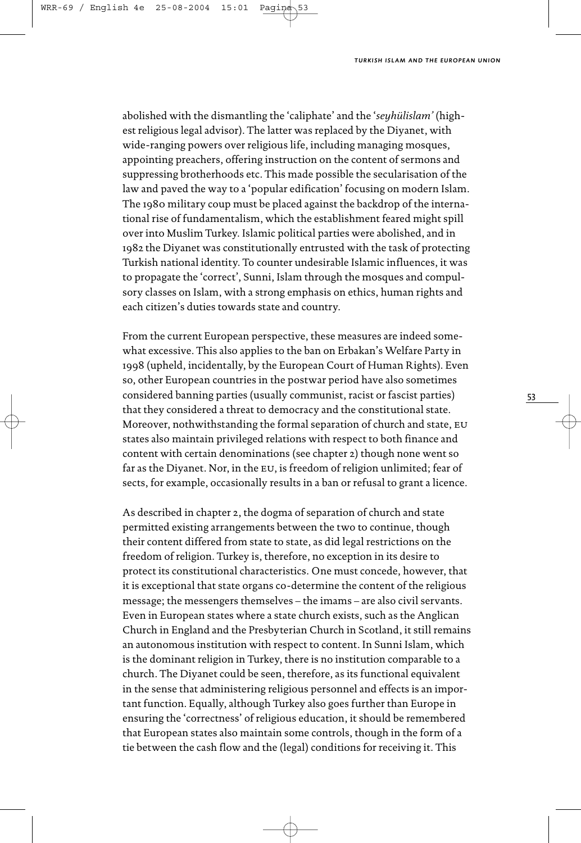abolished with the dismantling the 'caliphate' and the '*seyhülislam'* (highest religious legal advisor). The latter was replaced by the Diyanet, with wide-ranging powers over religious life, including managing mosques, appointing preachers, offering instruction on the content of sermons and suppressing brotherhoods etc. This made possible the secularisation of the law and paved the way to a 'popular edification' focusing on modern Islam. The 1980 military coup must be placed against the backdrop of the international rise of fundamentalism, which the establishment feared might spill over into Muslim Turkey. Islamic political parties were abolished, and in 1982 the Diyanet was constitutionally entrusted with the task of protecting Turkish national identity. To counter undesirable Islamic influences, it was to propagate the 'correct', Sunni, Islam through the mosques and compulsory classes on Islam, with a strong emphasis on ethics, human rights and each citizen's duties towards state and country.

From the current European perspective, these measures are indeed somewhat excessive. This also applies to the ban on Erbakan's Welfare Party in 1998 (upheld, incidentally, by the European Court of Human Rights). Even so, other European countries in the postwar period have also sometimes considered banning parties (usually communist, racist or fascist parties) that they considered a threat to democracy and the constitutional state. Moreover, nothwithstanding the formal separation of church and state, eu states also maintain privileged relations with respect to both finance and content with certain denominations (see chapter 2) though none went so far as the Diyanet. Nor, in the EU, is freedom of religion unlimited; fear of sects, for example, occasionally results in a ban or refusal to grant a licence.

As described in chapter 2, the dogma of separation of church and state permitted existing arrangements between the two to continue, though their content differed from state to state, as did legal restrictions on the freedom of religion. Turkey is, therefore, no exception in its desire to protect its constitutional characteristics. One must concede, however, that it is exceptional that state organs co-determine the content of the religious message; the messengers themselves – the imams – are also civil servants. Even in European states where a state church exists, such as the Anglican Church in England and the Presbyterian Church in Scotland, it still remains an autonomous institution with respect to content. In Sunni Islam, which is the dominant religion in Turkey, there is no institution comparable to a church. The Diyanet could be seen, therefore, as its functional equivalent in the sense that administering religious personnel and effects is an important function. Equally, although Turkey also goes further than Europe in ensuring the 'correctness' of religious education, it should be remembered that European states also maintain some controls, though in the form of a tie between the cash flow and the (legal) conditions for receiving it. This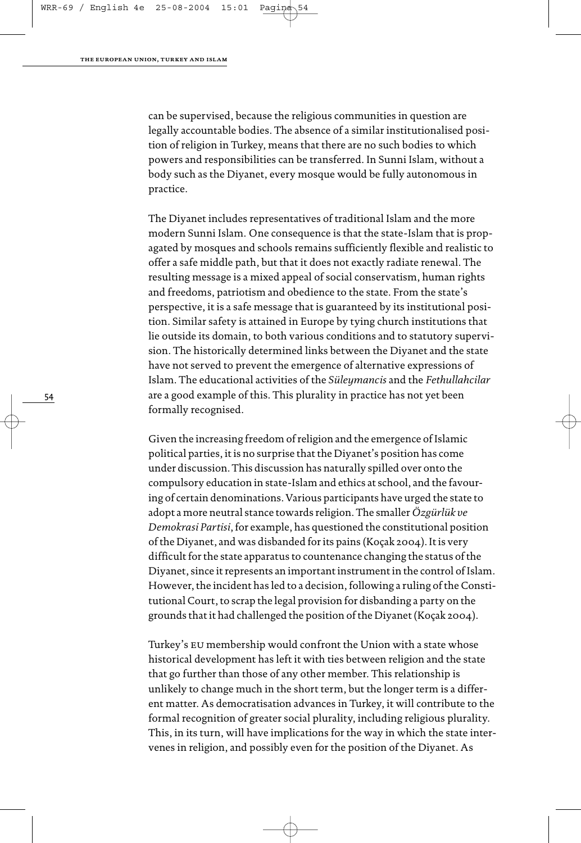54

can be supervised, because the religious communities in question are legally accountable bodies. The absence of a similar institutionalised position of religion in Turkey, means that there are no such bodies to which powers and responsibilities can be transferred. In Sunni Islam, without a body such as the Diyanet, every mosque would be fully autonomous in practice.

The Diyanet includes representatives of traditional Islam and the more modern Sunni Islam. One consequence is that the state-Islam that is propagated by mosques and schools remains sufficiently flexible and realistic to offer a safe middle path, but that it does not exactly radiate renewal. The resulting message is a mixed appeal of social conservatism, human rights and freedoms, patriotism and obedience to the state. From the state's perspective, it is a safe message that is guaranteed by its institutional position. Similar safety is attained in Europe by tying church institutions that lie outside its domain, to both various conditions and to statutory supervision. The historically determined links between the Diyanet and the state have not served to prevent the emergence of alternative expressions of Islam. The educational activities of the *Süleymancis* and the *Fethullahcilar* are a good example of this. This plurality in practice has not yet been formally recognised.

Given the increasing freedom of religion and the emergence of Islamic political parties, it is no surprise that the Diyanet's position has come under discussion. This discussion has naturally spilled over onto the compulsory education in state-Islam and ethics at school, and the favouring of certain denominations. Various participants have urged the state to adopt a more neutral stance towards religion. The smaller *Özgürlük ve Demokrasi Partisi*, for example, has questioned the constitutional position of the Diyanet, and was disbanded for its pains (Koçak 2004). It is very difficult for the state apparatus to countenance changing the status of the Diyanet, since it represents an important instrument in the control of Islam. However, the incident has led to a decision, following a ruling of the Constitutional Court, to scrap the legal provision for disbanding a party on the grounds that it had challenged the position of the Diyanet (Koçak 2004).

Turkey's EU membership would confront the Union with a state whose historical development has left it with ties between religion and the state that go further than those of any other member. This relationship is unlikely to change much in the short term, but the longer term is a different matter. As democratisation advances in Turkey, it will contribute to the formal recognition of greater social plurality, including religious plurality. This, in its turn, will have implications for the way in which the state intervenes in religion, and possibly even for the position of the Diyanet. As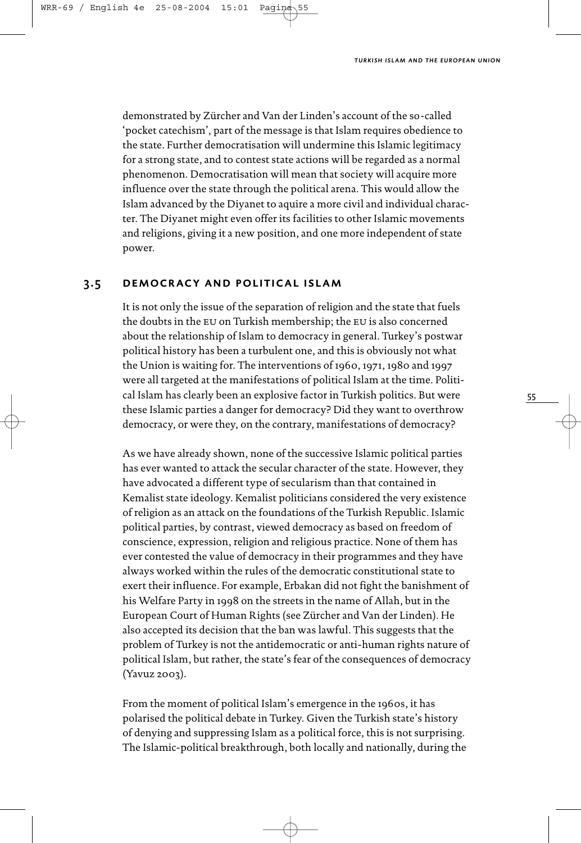WRR-69 / English 4e 25-08-2004 15:01 Pagina 55

demonstrated by Zürcher and Van der Linden's account of the so-called 'pocket catechism', part of the message is that Islam requires obedience to the state. Further democratisation will undermine this Islamic legitimacy for a strong state, and to contest state actions will be regarded as a normal phenomenon. Democratisation will mean that society will acquire more influence over the state through the political arena. This would allow the Islam advanced by the Diyanet to aquire a more civil and individual character. The Diyanet might even offer its facilities to other Islamic movements and religions, giving it a new position, and one more independent of state power.

# 3.5 democracy and political islam

It is not only the issue of the separation of religion and the state that fuels the doubts in the EU on Turkish membership; the EU is also concerned about the relationship of Islam to democracy in general. Turkey's postwar political history has been a turbulent one, and this is obviously not what the Union is waiting for. The interventions of 1960, 1971, 1980 and 1997 were all targeted at the manifestations of political Islam at the time. Political Islam has clearly been an explosive factor in Turkish politics. But were these Islamic parties a danger for democracy? Did they want to overthrow democracy, or were they, on the contrary, manifestations of democracy?

As we have already shown, none of the successive Islamic political parties has ever wanted to attack the secular character of the state. However, they have advocated a different type of secularism than that contained in Kemalist state ideology. Kemalist politicians considered the very existence of religion as an attack on the foundations of the Turkish Republic. Islamic political parties, by contrast, viewed democracy as based on freedom of conscience, expression, religion and religious practice. None of them has ever contested the value of democracy in their programmes and they have always worked within the rules of the democratic constitutional state to exert their influence. For example, Erbakan did not fight the banishment of his Welfare Party in 1998 on the streets in the name of Allah, but in the European Court of Human Rights (see Zürcher and Van der Linden). He also accepted its decision that the ban was lawful. This suggests that the problem of Turkey is not the antidemocratic or anti-human rights nature of political Islam, but rather, the state's fear of the consequences of democracy (Yavuz 2003).

From the moment of political Islam's emergence in the 1960s, it has polarised the political debate in Turkey. Given the Turkish state's history of denying and suppressing Islam as a political force, this is not surprising. The Islamic-political breakthrough, both locally and nationally, during the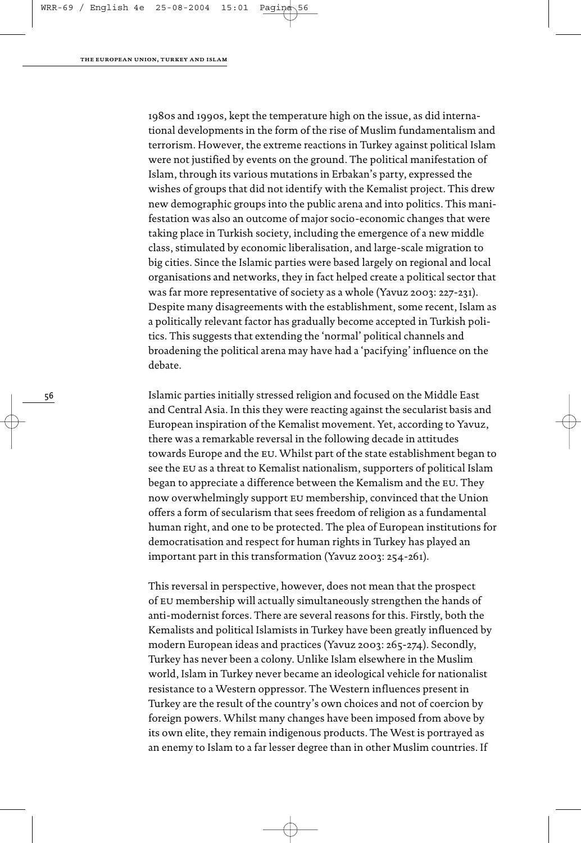56

1980s and 1990s, kept the temperature high on the issue, as did international developments in the form of the rise of Muslim fundamentalism and terrorism. However, the extreme reactions in Turkey against political Islam were not justified by events on the ground. The political manifestation of Islam, through its various mutations in Erbakan's party, expressed the wishes of groups that did not identify with the Kemalist project. This drew new demographic groups into the public arena and into politics. This manifestation was also an outcome of major socio-economic changes that were taking place in Turkish society, including the emergence of a new middle class, stimulated by economic liberalisation, and large-scale migration to big cities. Since the Islamic parties were based largely on regional and local organisations and networks, they in fact helped create a political sector that was far more representative of society as a whole (Yavuz 2003: 227-231). Despite many disagreements with the establishment, some recent, Islam as a politically relevant factor has gradually become accepted in Turkish politics. This suggests that extending the 'normal' political channels and broadening the political arena may have had a 'pacifying' influence on the debate.

Islamic parties initially stressed religion and focused on the Middle East and Central Asia. In this they were reacting against the secularist basis and European inspiration of the Kemalist movement. Yet, according to Yavuz, there was a remarkable reversal in the following decade in attitudes towards Europe and the eu. Whilst part of the state establishment began to see the EU as a threat to Kemalist nationalism, supporters of political Islam began to appreciate a difference between the Kemalism and the eu. They now overwhelmingly support eu membership, convinced that the Union offers a form of secularism that sees freedom of religion as a fundamental human right, and one to be protected. The plea of European institutions for democratisation and respect for human rights in Turkey has played an important part in this transformation (Yavuz 2003: 254-261).

This reversal in perspective, however, does not mean that the prospect of eu membership will actually simultaneously strengthen the hands of anti-modernist forces. There are several reasons for this. Firstly, both the Kemalists and political Islamists in Turkey have been greatly influenced by modern European ideas and practices (Yavuz 2003: 265-274). Secondly, Turkey has never been a colony. Unlike Islam elsewhere in the Muslim world, Islam in Turkey never became an ideological vehicle for nationalist resistance to a Western oppressor. The Western influences present in Turkey are the result of the country's own choices and not of coercion by foreign powers. Whilst many changes have been imposed from above by its own elite, they remain indigenous products. The West is portrayed as an enemy to Islam to a far lesser degree than in other Muslim countries. If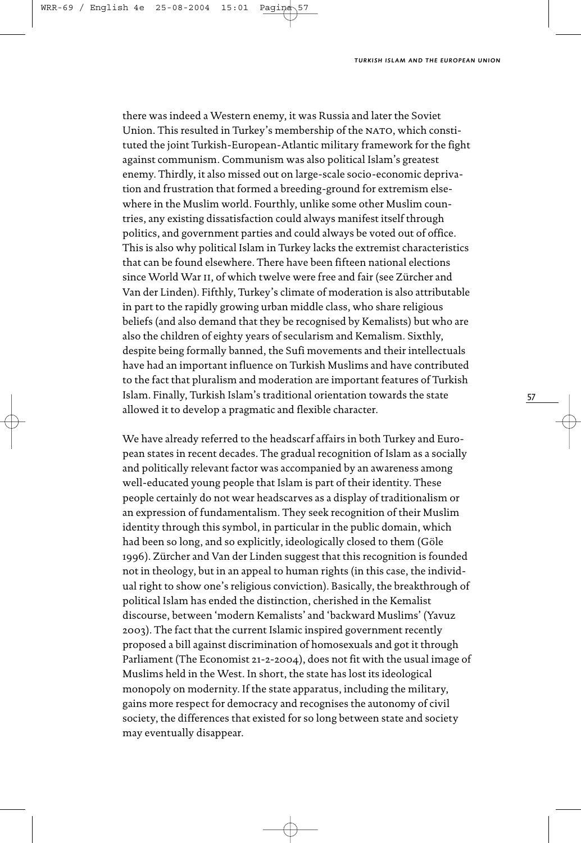*turkish islam and the european union*

57

there was indeed a Western enemy, it was Russia and later the Soviet Union. This resulted in Turkey's membership of the NATO, which constituted the joint Turkish-European-Atlantic military framework for the fight against communism. Communism was also political Islam's greatest enemy. Thirdly, it also missed out on large-scale socio-economic deprivation and frustration that formed a breeding-ground for extremism elsewhere in the Muslim world. Fourthly, unlike some other Muslim countries, any existing dissatisfaction could always manifest itself through politics, and government parties and could always be voted out of office. This is also why political Islam in Turkey lacks the extremist characteristics that can be found elsewhere. There have been fifteen national elections since World War ii, of which twelve were free and fair (see Zürcher and Van der Linden). Fifthly, Turkey's climate of moderation is also attributable in part to the rapidly growing urban middle class, who share religious beliefs (and also demand that they be recognised by Kemalists) but who are also the children of eighty years of secularism and Kemalism. Sixthly, despite being formally banned, the Sufi movements and their intellectuals have had an important influence on Turkish Muslims and have contributed to the fact that pluralism and moderation are important features of Turkish Islam. Finally, Turkish Islam's traditional orientation towards the state allowed it to develop a pragmatic and flexible character.

We have already referred to the headscarf affairs in both Turkey and European states in recent decades. The gradual recognition of Islam as a socially and politically relevant factor was accompanied by an awareness among well-educated young people that Islam is part of their identity. These people certainly do not wear headscarves as a display of traditionalism or an expression of fundamentalism. They seek recognition of their Muslim identity through this symbol, in particular in the public domain, which had been so long, and so explicitly, ideologically closed to them (Göle 1996). Zürcher and Van der Linden suggest that this recognition is founded not in theology, but in an appeal to human rights (in this case, the individual right to show one's religious conviction). Basically, the breakthrough of political Islam has ended the distinction, cherished in the Kemalist discourse, between 'modern Kemalists' and 'backward Muslims' (Yavuz 2003). The fact that the current Islamic inspired government recently proposed a bill against discrimination of homosexuals and got it through Parliament (The Economist 21-2-2004), does not fit with the usual image of Muslims held in the West. In short, the state has lost its ideological monopoly on modernity. If the state apparatus, including the military, gains more respect for democracy and recognises the autonomy of civil society, the differences that existed for so long between state and society may eventually disappear.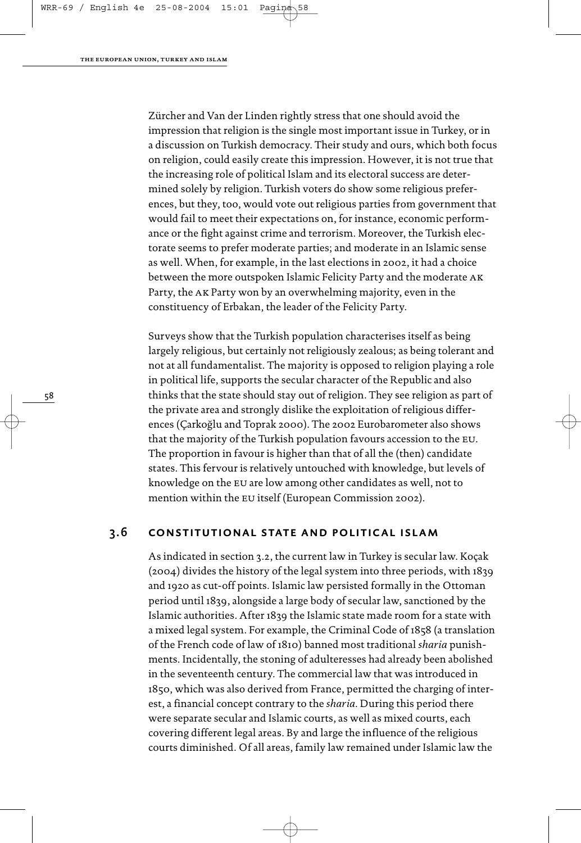58

Zürcher and Van der Linden rightly stress that one should avoid the impression that religion is the single most important issue in Turkey, or in a discussion on Turkish democracy. Their study and ours, which both focus on religion, could easily create this impression. However, it is not true that the increasing role of political Islam and its electoral success are determined solely by religion. Turkish voters do show some religious preferences, but they, too, would vote out religious parties from government that would fail to meet their expectations on, for instance, economic performance or the fight against crime and terrorism. Moreover, the Turkish electorate seems to prefer moderate parties; and moderate in an Islamic sense as well. When, for example, in the last elections in 2002, it had a choice between the more outspoken Islamic Felicity Party and the moderate ak Party, the ak Party won by an overwhelming majority, even in the constituency of Erbakan, the leader of the Felicity Party.

Surveys show that the Turkish population characterises itself as being largely religious, but certainly not religiously zealous; as being tolerant and not at all fundamentalist. The majority is opposed to religion playing a role in political life, supports the secular character of the Republic and also thinks that the state should stay out of religion. They see religion as part of the private area and strongly dislike the exploitation of religious differences (Çarkoğlu and Toprak 2000). The 2002 Eurobarometer also shows that the majority of the Turkish population favours accession to the eu. The proportion in favour is higher than that of all the (then) candidate states. This fervour is relatively untouched with knowledge, but levels of knowledge on the EU are low among other candidates as well, not to mention within the EU itself (European Commission 2002).

### 3.6 constitutional state and political islam

As indicated in section 3.2, the current law in Turkey is secular law. Koçak (2004) divides the history of the legal system into three periods, with 1839 and 1920 as cut-off points. Islamic law persisted formally in the Ottoman period until 1839, alongside a large body of secular law, sanctioned by the Islamic authorities. After 1839 the Islamic state made room for a state with a mixed legal system. For example, the Criminal Code of 1858 (a translation of the French code of law of 1810) banned most traditional *sharia* punishments. Incidentally, the stoning of adulteresses had already been abolished in the seventeenth century. The commercial law that was introduced in 1850, which was also derived from France, permitted the charging of interest, a financial concept contrary to the *sharia*. During this period there were separate secular and Islamic courts, as well as mixed courts, each covering different legal areas. By and large the influence of the religious courts diminished. Of all areas, family law remained under Islamic law the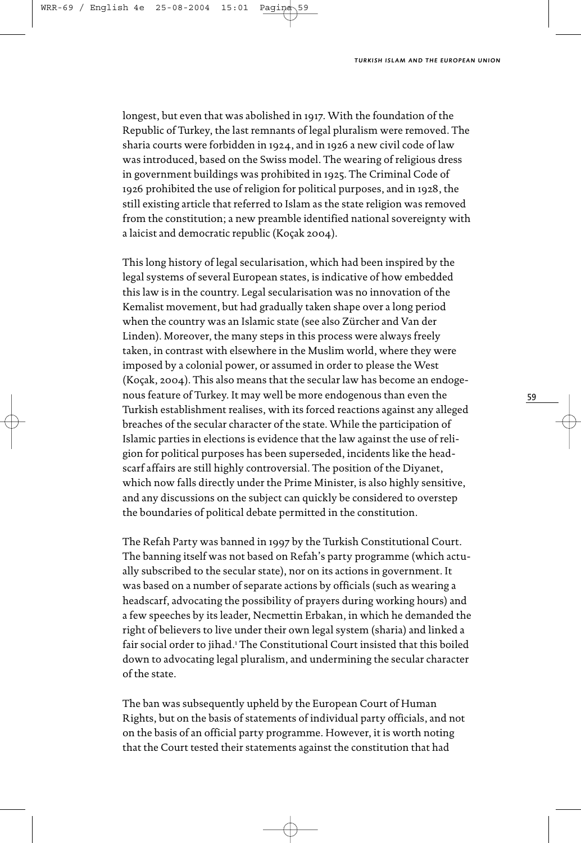longest, but even that was abolished in 1917. With the foundation of the Republic of Turkey, the last remnants of legal pluralism were removed. The sharia courts were forbidden in 1924, and in 1926 a new civil code of law was introduced, based on the Swiss model. The wearing of religious dress in government buildings was prohibited in 1925. The Criminal Code of 1926 prohibited the use of religion for political purposes, and in 1928, the still existing article that referred to Islam as the state religion was removed from the constitution; a new preamble identified national sovereignty with a laicist and democratic republic (Koçak 2004).

This long history of legal secularisation, which had been inspired by the legal systems of several European states, is indicative of how embedded this law is in the country. Legal secularisation was no innovation of the Kemalist movement, but had gradually taken shape over a long period when the country was an Islamic state (see also Zürcher and Van der Linden). Moreover, the many steps in this process were always freely taken, in contrast with elsewhere in the Muslim world, where they were imposed by a colonial power, or assumed in order to please the West (Koçak, 2004). This also means that the secular law has become an endogenous feature of Turkey. It may well be more endogenous than even the Turkish establishment realises, with its forced reactions against any alleged breaches of the secular character of the state. While the participation of Islamic parties in elections is evidence that the law against the use of religion for political purposes has been superseded, incidents like the headscarf affairs are still highly controversial. The position of the Diyanet, which now falls directly under the Prime Minister, is also highly sensitive, and any discussions on the subject can quickly be considered to overstep the boundaries of political debate permitted in the constitution.

The Refah Party was banned in 1997 by the Turkish Constitutional Court. The banning itself was not based on Refah's party programme (which actually subscribed to the secular state), nor on its actions in government. It was based on a number of separate actions by officials (such as wearing a headscarf, advocating the possibility of prayers during working hours) and a few speeches by its leader, Necmettin Erbakan, in which he demanded the right of believers to live under their own legal system (sharia) and linked a fair social order to jihad.<sup>1</sup> The Constitutional Court insisted that this boiled down to advocating legal pluralism, and undermining the secular character of the state.

The ban was subsequently upheld by the European Court of Human Rights, but on the basis of statements of individual party officials, and not on the basis of an official party programme. However, it is worth noting that the Court tested their statements against the constitution that had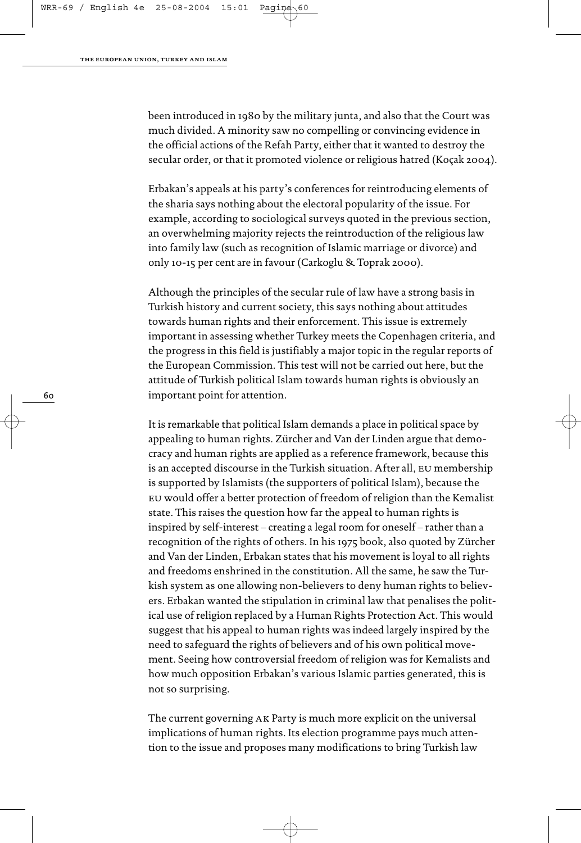60

been introduced in 1980 by the military junta, and also that the Court was much divided. A minority saw no compelling or convincing evidence in the official actions of the Refah Party, either that it wanted to destroy the secular order, or that it promoted violence or religious hatred (Koçak 2004).

Erbakan's appeals at his party's conferences for reintroducing elements of the sharia says nothing about the electoral popularity of the issue. For example, according to sociological surveys quoted in the previous section, an overwhelming majority rejects the reintroduction of the religious law into family law (such as recognition of Islamic marriage or divorce) and only 10-15 per cent are in favour (Carkoglu & Toprak 2000).

Although the principles of the secular rule of law have a strong basis in Turkish history and current society, this says nothing about attitudes towards human rights and their enforcement. This issue is extremely important in assessing whether Turkey meets the Copenhagen criteria, and the progress in this field is justifiably a major topic in the regular reports of the European Commission. This test will not be carried out here, but the attitude of Turkish political Islam towards human rights is obviously an important point for attention.

It is remarkable that political Islam demands a place in political space by appealing to human rights. Zürcher and Van der Linden argue that democracy and human rights are applied as a reference framework, because this is an accepted discourse in the Turkish situation. After all, EU membership is supported by Islamists (the supporters of political Islam), because the eu would offer a better protection of freedom of religion than the Kemalist state. This raises the question how far the appeal to human rights is inspired by self-interest – creating a legal room for oneself – rather than a recognition of the rights of others. In his 1975 book, also quoted by Zürcher and Van der Linden, Erbakan states that his movement is loyal to all rights and freedoms enshrined in the constitution. All the same, he saw the Turkish system as one allowing non-believers to deny human rights to believers. Erbakan wanted the stipulation in criminal law that penalises the political use of religion replaced by a Human Rights Protection Act. This would suggest that his appeal to human rights was indeed largely inspired by the need to safeguard the rights of believers and of his own political movement. Seeing how controversial freedom of religion was for Kemalists and how much opposition Erbakan's various Islamic parties generated, this is not so surprising.

The current governing ak Party is much more explicit on the universal implications of human rights. Its election programme pays much attention to the issue and proposes many modifications to bring Turkish law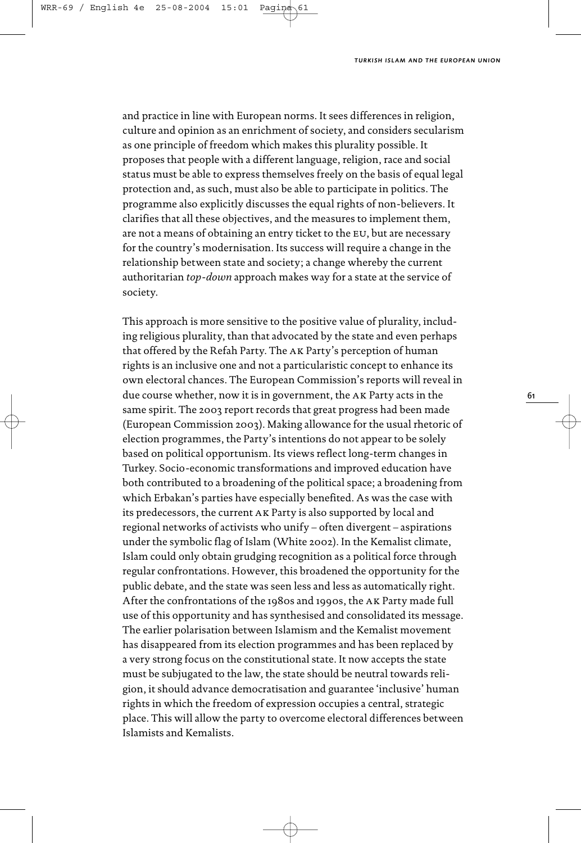WRR-69 / English 4e 25-08-2004 15:01 Pagina 61

and practice in line with European norms. It sees differences in religion, culture and opinion as an enrichment of society, and considers secularism as one principle of freedom which makes this plurality possible. It proposes that people with a different language, religion, race and social status must be able to express themselves freely on the basis of equal legal protection and, as such, must also be able to participate in politics. The programme also explicitly discusses the equal rights of non-believers. It clarifies that all these objectives, and the measures to implement them, are not a means of obtaining an entry ticket to the EU, but are necessary for the country's modernisation. Its success will require a change in the relationship between state and society; a change whereby the current authoritarian *top-down* approach makes way for a state at the service of society.

This approach is more sensitive to the positive value of plurality, including religious plurality, than that advocated by the state and even perhaps that offered by the Refah Party. The ak Party's perception of human rights is an inclusive one and not a particularistic concept to enhance its own electoral chances. The European Commission's reports will reveal in due course whether, now it is in government, the ak Party acts in the same spirit. The 2003 report records that great progress had been made (European Commission 2003). Making allowance for the usual rhetoric of election programmes, the Party's intentions do not appear to be solely based on political opportunism. Its views reflect long-term changes in Turkey. Socio-economic transformations and improved education have both contributed to a broadening of the political space; a broadening from which Erbakan's parties have especially benefited. As was the case with its predecessors, the current ak Party is also supported by local and regional networks of activists who unify – often divergent – aspirations under the symbolic flag of Islam (White 2002). In the Kemalist climate, Islam could only obtain grudging recognition as a political force through regular confrontations. However, this broadened the opportunity for the public debate, and the state was seen less and less as automatically right. After the confrontations of the 1980s and 1990s, the ak Party made full use of this opportunity and has synthesised and consolidated its message. The earlier polarisation between Islamism and the Kemalist movement has disappeared from its election programmes and has been replaced by a very strong focus on the constitutional state. It now accepts the state must be subjugated to the law, the state should be neutral towards religion, it should advance democratisation and guarantee 'inclusive' human rights in which the freedom of expression occupies a central, strategic place. This will allow the party to overcome electoral differences between Islamists and Kemalists.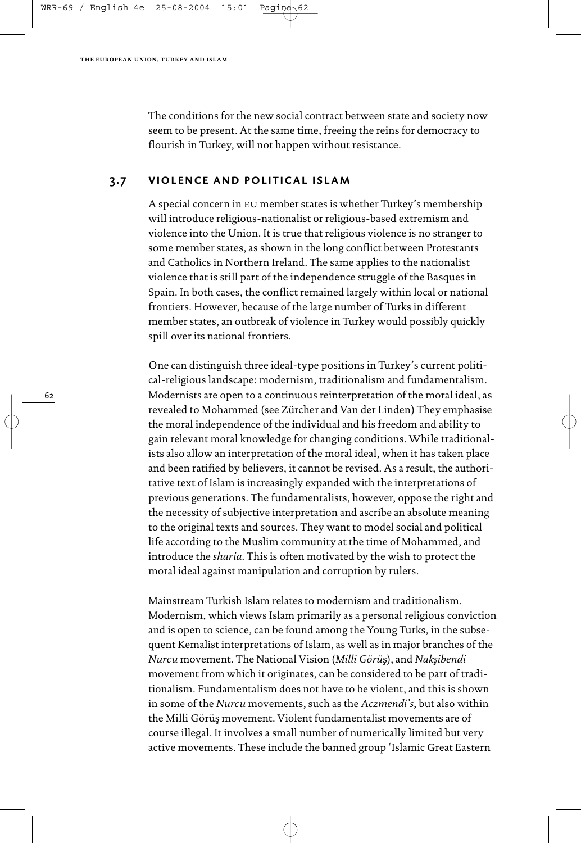62

The conditions for the new social contract between state and society now seem to be present. At the same time, freeing the reins for democracy to flourish in Turkey, will not happen without resistance.

### 3.7 violence and political islam

A special concern in eu member states is whether Turkey's membership will introduce religious-nationalist or religious-based extremism and violence into the Union. It is true that religious violence is no stranger to some member states, as shown in the long conflict between Protestants and Catholics in Northern Ireland. The same applies to the nationalist violence that is still part of the independence struggle of the Basques in Spain. In both cases, the conflict remained largely within local or national frontiers. However, because of the large number of Turks in different member states, an outbreak of violence in Turkey would possibly quickly spill over its national frontiers.

One can distinguish three ideal-type positions in Turkey's current political-religious landscape: modernism, traditionalism and fundamentalism. Modernists are open to a continuous reinterpretation of the moral ideal, as revealed to Mohammed (see Zürcher and Van der Linden) They emphasise the moral independence of the individual and his freedom and ability to gain relevant moral knowledge for changing conditions. While traditionalists also allow an interpretation of the moral ideal, when it has taken place and been ratified by believers, it cannot be revised. As a result, the authoritative text of Islam is increasingly expanded with the interpretations of previous generations. The fundamentalists, however, oppose the right and the necessity of subjective interpretation and ascribe an absolute meaning to the original texts and sources. They want to model social and political life according to the Muslim community at the time of Mohammed, and introduce the *sharia*. This is often motivated by the wish to protect the moral ideal against manipulation and corruption by rulers.

Mainstream Turkish Islam relates to modernism and traditionalism. Modernism, which views Islam primarily as a personal religious conviction and is open to science, can be found among the Young Turks, in the subsequent Kemalist interpretations of Islam, as well as in major branches of the *Nurcu* movement. The National Vision (*Milli Görü¸*s), and *Naks¸ibendi* movement from which it originates, can be considered to be part of traditionalism. Fundamentalism does not have to be violent, and this is shown in some of the *Nurcu* movements, such as the *Aczmendi's*, but also within the Milli Görüs¸ movement. Violent fundamentalist movements are of course illegal. It involves a small number of numerically limited but very active movements. These include the banned group 'Islamic Great Eastern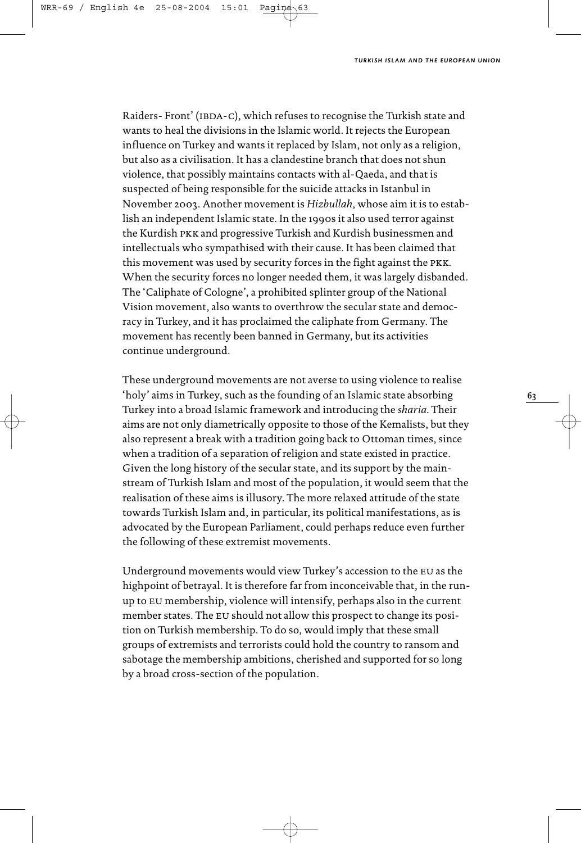Raiders- Front' (IBDA-C), which refuses to recognise the Turkish state and wants to heal the divisions in the Islamic world. It rejects the European influence on Turkey and wants it replaced by Islam, not only as a religion, but also as a civilisation. It has a clandestine branch that does not shun violence, that possibly maintains contacts with al-Qaeda, and that is suspected of being responsible for the suicide attacks in Istanbul in November 2003. Another movement is *Hizbullah*, whose aim it is to establish an independent Islamic state. In the 1990s it also used terror against the Kurdish pkk and progressive Turkish and Kurdish businessmen and intellectuals who sympathised with their cause. It has been claimed that this movement was used by security forces in the fight against the pkk. When the security forces no longer needed them, it was largely disbanded. The 'Caliphate of Cologne', a prohibited splinter group of the National Vision movement, also wants to overthrow the secular state and democracy in Turkey, and it has proclaimed the caliphate from Germany. The movement has recently been banned in Germany, but its activities continue underground.

These underground movements are not averse to using violence to realise 'holy' aims in Turkey, such as the founding of an Islamic state absorbing Turkey into a broad Islamic framework and introducing the *sharia*. Their aims are not only diametrically opposite to those of the Kemalists, but they also represent a break with a tradition going back to Ottoman times, since when a tradition of a separation of religion and state existed in practice. Given the long history of the secular state, and its support by the mainstream of Turkish Islam and most of the population, it would seem that the realisation of these aims is illusory. The more relaxed attitude of the state towards Turkish Islam and, in particular, its political manifestations, as is advocated by the European Parliament, could perhaps reduce even further the following of these extremist movements.

Underground movements would view Turkey's accession to the EU as the highpoint of betrayal. It is therefore far from inconceivable that, in the runup to eu membership, violence will intensify, perhaps also in the current member states. The eu should not allow this prospect to change its position on Turkish membership. To do so, would imply that these small groups of extremists and terrorists could hold the country to ransom and sabotage the membership ambitions, cherished and supported for so long by a broad cross-section of the population.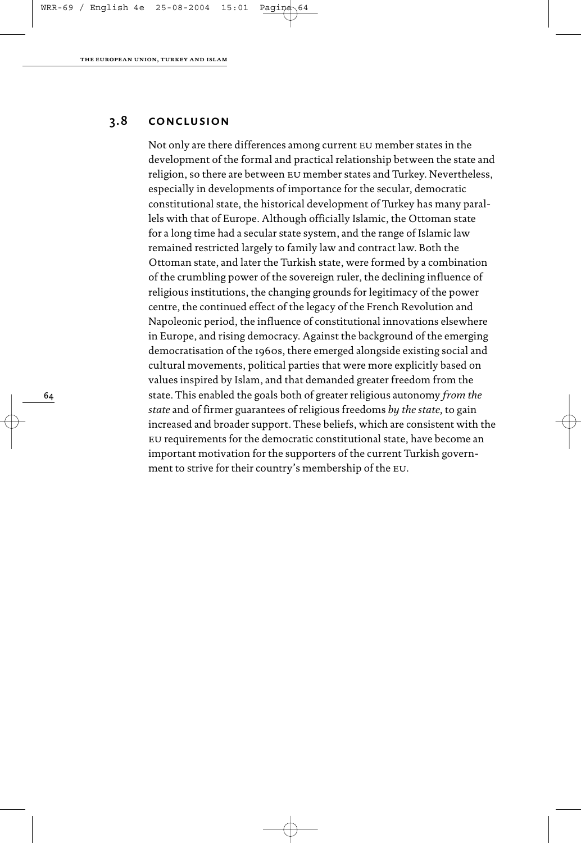64

# 3.8 conclusion

WRR-69 / English 4e 25-08-2004 15:01 Pagina 64

Not only are there differences among current eu member states in the development of the formal and practical relationship between the state and religion, so there are between eu member states and Turkey. Nevertheless, especially in developments of importance for the secular, democratic constitutional state, the historical development of Turkey has many parallels with that of Europe. Although officially Islamic, the Ottoman state for a long time had a secular state system, and the range of Islamic law remained restricted largely to family law and contract law. Both the Ottoman state, and later the Turkish state, were formed by a combination of the crumbling power of the sovereign ruler, the declining influence of religious institutions, the changing grounds for legitimacy of the power centre, the continued effect of the legacy of the French Revolution and Napoleonic period, the influence of constitutional innovations elsewhere in Europe, and rising democracy. Against the background of the emerging democratisation of the 1960s, there emerged alongside existing social and cultural movements, political parties that were more explicitly based on values inspired by Islam, and that demanded greater freedom from the state. This enabled the goals both of greater religious autonomy *from the state* and of firmer guarantees of religious freedoms *by the state*, to gain increased and broader support. These beliefs, which are consistent with the eu requirements for the democratic constitutional state, have become an important motivation for the supporters of the current Turkish government to strive for their country's membership of the eu.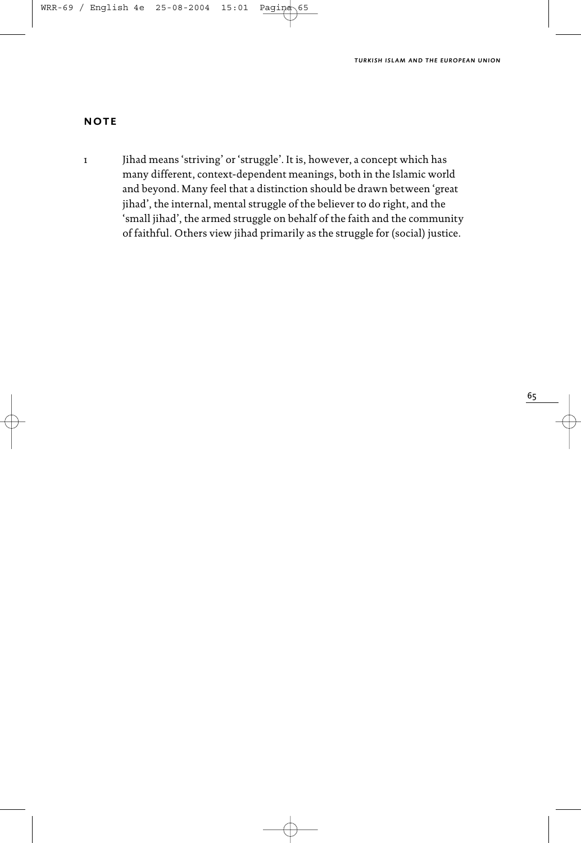## note

1 Jihad means 'striving' or 'struggle'. It is, however, a concept which has many different, context-dependent meanings, both in the Islamic world and beyond. Many feel that a distinction should be drawn between 'great jihad', the internal, mental struggle of the believer to do right, and the 'small jihad', the armed struggle on behalf of the faith and the community of faithful. Others view jihad primarily as the struggle for (social) justice.

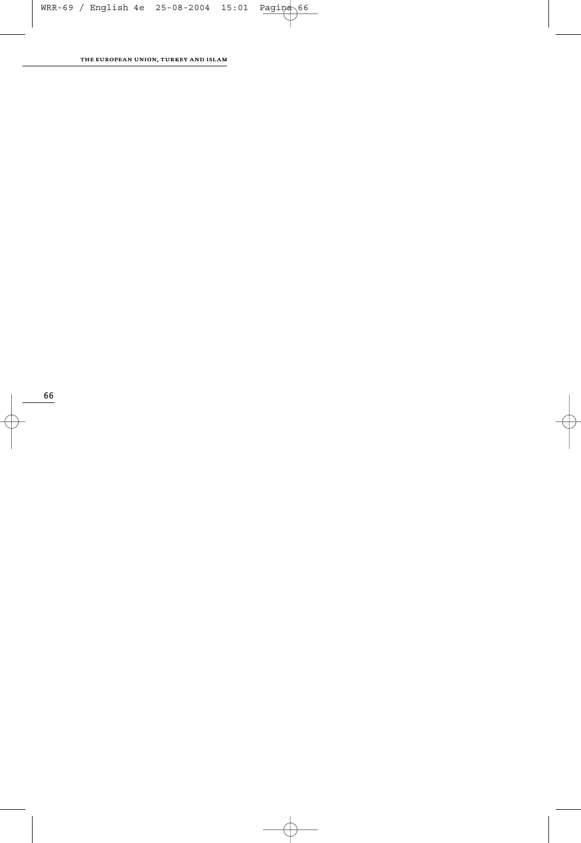Æ

**the european union, turkey and islam**

66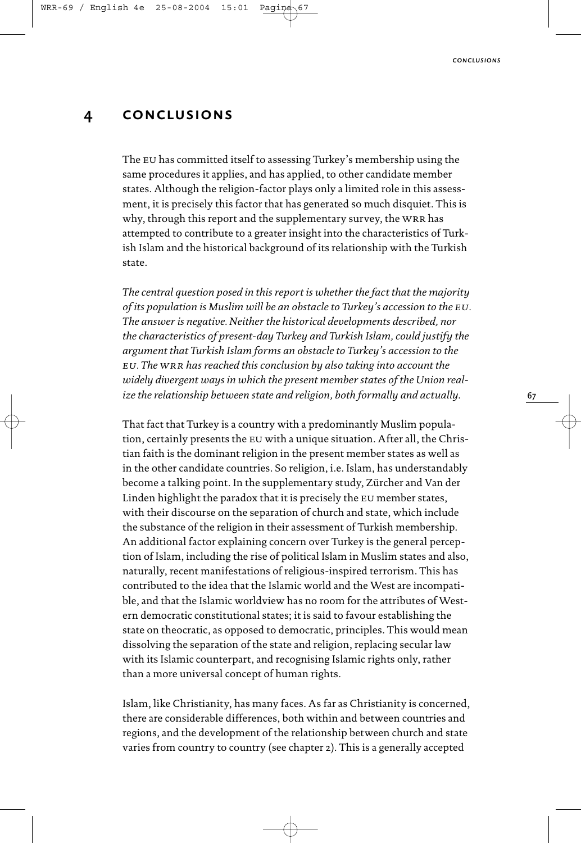*conclusions*

67

### 4 conclusions

The eu has committed itself to assessing Turkey's membership using the same procedures it applies, and has applied, to other candidate member states. Although the religion-factor plays only a limited role in this assessment, it is precisely this factor that has generated so much disquiet. This is why, through this report and the supplementary survey, the WRR has attempted to contribute to a greater insight into the characteristics of Turkish Islam and the historical background of its relationship with the Turkish state.

*The central question posed in this report is whether the fact that the majority of its population is Muslim will be an obstacle to Turkey's accession to the eu. The answer is negative. Neither the historical developments described, nor the characteristics of present-day Turkey and Turkish Islam, could justify the argument that Turkish Islam forms an obstacle to Turkey's accession to the eu. The wrr has reached this conclusion by also taking into account the widely divergent ways in which the present member states of the Union realize the relationship between state and religion, both formally and actually*.

That fact that Turkey is a country with a predominantly Muslim population, certainly presents the eu with a unique situation. After all, the Christian faith is the dominant religion in the present member states as well as in the other candidate countries. So religion, i.e. Islam, has understandably become a talking point. In the supplementary study, Zürcher and Van der Linden highlight the paradox that it is precisely the EU member states, with their discourse on the separation of church and state, which include the substance of the religion in their assessment of Turkish membership. An additional factor explaining concern over Turkey is the general perception of Islam, including the rise of political Islam in Muslim states and also, naturally, recent manifestations of religious-inspired terrorism. This has contributed to the idea that the Islamic world and the West are incompatible, and that the Islamic worldview has no room for the attributes of Western democratic constitutional states; it is said to favour establishing the state on theocratic, as opposed to democratic, principles. This would mean dissolving the separation of the state and religion, replacing secular law with its Islamic counterpart, and recognising Islamic rights only, rather than a more universal concept of human rights.

Islam, like Christianity, has many faces. As far as Christianity is concerned, there are considerable differences, both within and between countries and regions, and the development of the relationship between church and state varies from country to country (see chapter 2). This is a generally accepted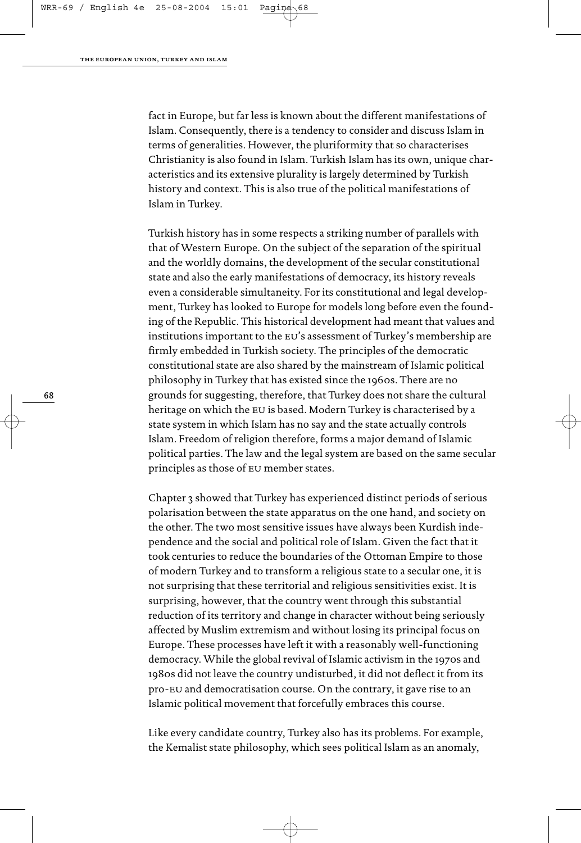68

fact in Europe, but far less is known about the different manifestations of Islam. Consequently, there is a tendency to consider and discuss Islam in terms of generalities. However, the pluriformity that so characterises Christianity is also found in Islam. Turkish Islam has its own, unique characteristics and its extensive plurality is largely determined by Turkish history and context. This is also true of the political manifestations of Islam in Turkey.

Turkish history has in some respects a striking number of parallels with that of Western Europe. On the subject of the separation of the spiritual and the worldly domains, the development of the secular constitutional state and also the early manifestations of democracy, its history reveals even a considerable simultaneity. For its constitutional and legal development, Turkey has looked to Europe for models long before even the founding of the Republic. This historical development had meant that values and institutions important to the eu's assessment of Turkey's membership are firmly embedded in Turkish society. The principles of the democratic constitutional state are also shared by the mainstream of Islamic political philosophy in Turkey that has existed since the 1960s. There are no grounds for suggesting, therefore, that Turkey does not share the cultural heritage on which the EU is based. Modern Turkey is characterised by a state system in which Islam has no say and the state actually controls Islam. Freedom of religion therefore, forms a major demand of Islamic political parties. The law and the legal system are based on the same secular principles as those of eu member states.

Chapter 3 showed that Turkey has experienced distinct periods of serious polarisation between the state apparatus on the one hand, and society on the other. The two most sensitive issues have always been Kurdish independence and the social and political role of Islam. Given the fact that it took centuries to reduce the boundaries of the Ottoman Empire to those of modern Turkey and to transform a religious state to a secular one, it is not surprising that these territorial and religious sensitivities exist. It is surprising, however, that the country went through this substantial reduction of its territory and change in character without being seriously affected by Muslim extremism and without losing its principal focus on Europe. These processes have left it with a reasonably well-functioning democracy. While the global revival of Islamic activism in the 1970s and 1980s did not leave the country undisturbed, it did not deflect it from its pro-eu and democratisation course. On the contrary, it gave rise to an Islamic political movement that forcefully embraces this course.

Like every candidate country, Turkey also has its problems. For example, the Kemalist state philosophy, which sees political Islam as an anomaly,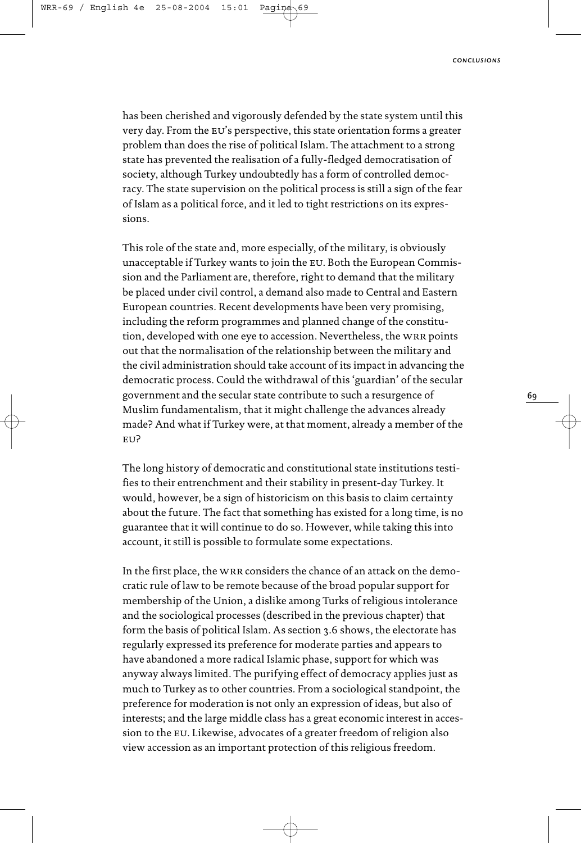*conclusions*

69

has been cherished and vigorously defended by the state system until this very day. From the eu's perspective, this state orientation forms a greater problem than does the rise of political Islam. The attachment to a strong state has prevented the realisation of a fully-fledged democratisation of society, although Turkey undoubtedly has a form of controlled democracy. The state supervision on the political process is still a sign of the fear of Islam as a political force, and it led to tight restrictions on its expressions.

This role of the state and, more especially, of the military, is obviously unacceptable if Turkey wants to join the EU. Both the European Commission and the Parliament are, therefore, right to demand that the military be placed under civil control, a demand also made to Central and Eastern European countries. Recent developments have been very promising, including the reform programmes and planned change of the constitution, developed with one eye to accession. Nevertheless, the WRR points out that the normalisation of the relationship between the military and the civil administration should take account of its impact in advancing the democratic process. Could the withdrawal of this 'guardian' of the secular government and the secular state contribute to such a resurgence of Muslim fundamentalism, that it might challenge the advances already made? And what if Turkey were, at that moment, already a member of the eu?

The long history of democratic and constitutional state institutions testifies to their entrenchment and their stability in present-day Turkey. It would, however, be a sign of historicism on this basis to claim certainty about the future. The fact that something has existed for a long time, is no guarantee that it will continue to do so. However, while taking this into account, it still is possible to formulate some expectations.

In the first place, the wrr considers the chance of an attack on the democratic rule of law to be remote because of the broad popular support for membership of the Union, a dislike among Turks of religious intolerance and the sociological processes (described in the previous chapter) that form the basis of political Islam. As section 3.6 shows, the electorate has regularly expressed its preference for moderate parties and appears to have abandoned a more radical Islamic phase, support for which was anyway always limited. The purifying effect of democracy applies just as much to Turkey as to other countries. From a sociological standpoint, the preference for moderation is not only an expression of ideas, but also of interests; and the large middle class has a great economic interest in accession to the eu. Likewise, advocates of a greater freedom of religion also view accession as an important protection of this religious freedom.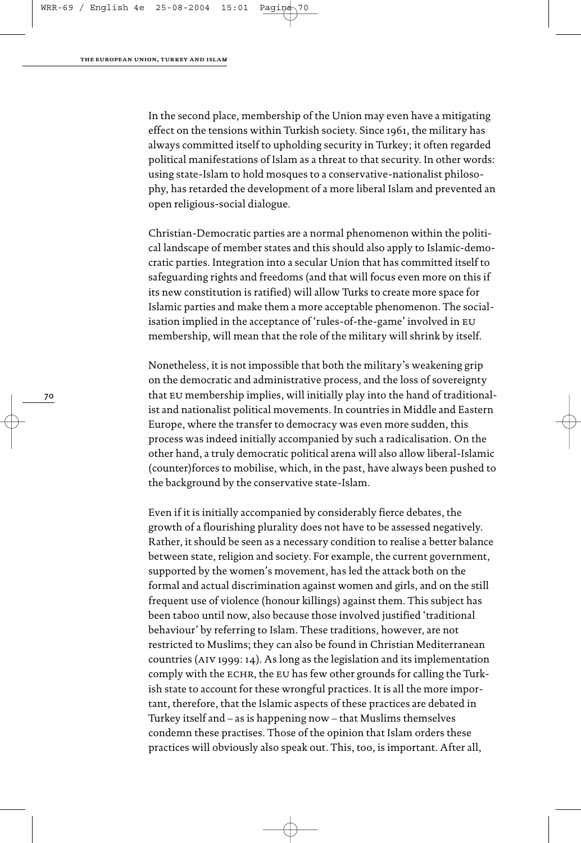70

In the second place, membership of the Union may even have a mitigating effect on the tensions within Turkish society. Since 1961, the military has always committed itself to upholding security in Turkey; it often regarded political manifestations of Islam as a threat to that security. In other words: using state-Islam to hold mosques to a conservative-nationalist philosophy, has retarded the development of a more liberal Islam and prevented an open religious-social dialogue.

Christian-Democratic parties are a normal phenomenon within the political landscape of member states and this should also apply to Islamic-democratic parties. Integration into a secular Union that has committed itself to safeguarding rights and freedoms (and that will focus even more on this if its new constitution is ratified) will allow Turks to create more space for Islamic parties and make them a more acceptable phenomenon. The socialisation implied in the acceptance of 'rules-of-the-game' involved in eu membership, will mean that the role of the military will shrink by itself.

Nonetheless, it is not impossible that both the military's weakening grip on the democratic and administrative process, and the loss of sovereignty that eu membership implies, will initially play into the hand of traditionalist and nationalist political movements. In countries in Middle and Eastern Europe, where the transfer to democracy was even more sudden, this process was indeed initially accompanied by such a radicalisation. On the other hand, a truly democratic political arena will also allow liberal-Islamic (counter)forces to mobilise, which, in the past, have always been pushed to the background by the conservative state-Islam.

Even if it is initially accompanied by considerably fierce debates, the growth of a flourishing plurality does not have to be assessed negatively. Rather, it should be seen as a necessary condition to realise a better balance between state, religion and society. For example, the current government, supported by the women's movement, has led the attack both on the formal and actual discrimination against women and girls, and on the still frequent use of violence (honour killings) against them. This subject has been taboo until now, also because those involved justified 'traditional behaviour' by referring to Islam. These traditions, however, are not restricted to Muslims; they can also be found in Christian Mediterranean countries (aiv 1999: 14). As long as the legislation and its implementation comply with the ECHR, the EU has few other grounds for calling the Turkish state to account for these wrongful practices. It is all the more important, therefore, that the Islamic aspects of these practices are debated in Turkey itself and – as is happening now – that Muslims themselves condemn these practises. Those of the opinion that Islam orders these practices will obviously also speak out. This, too, is important. After all,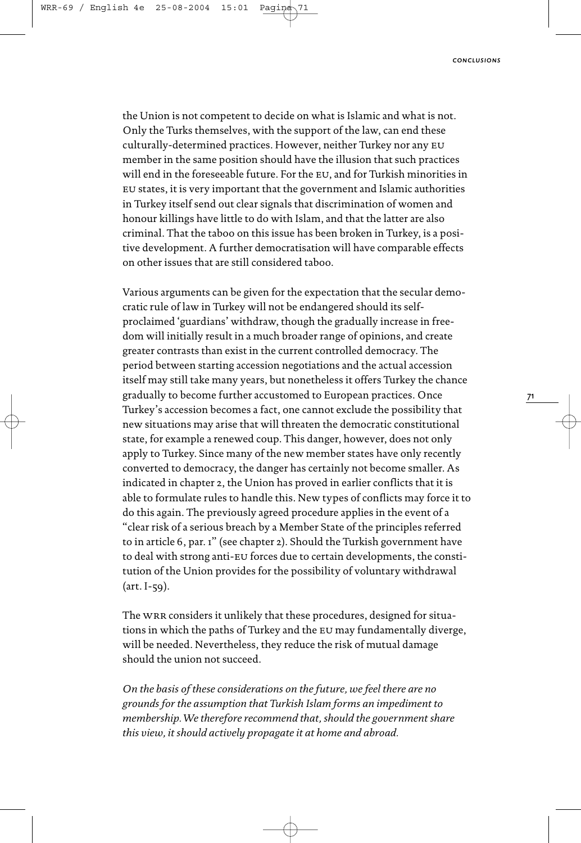the Union is not competent to decide on what is Islamic and what is not. Only the Turks themselves, with the support of the law, can end these culturally-determined practices. However, neither Turkey nor any eu member in the same position should have the illusion that such practices will end in the foreseeable future. For the EU, and for Turkish minorities in eu states, it is very important that the government and Islamic authorities in Turkey itself send out clear signals that discrimination of women and honour killings have little to do with Islam, and that the latter are also criminal. That the taboo on this issue has been broken in Turkey, is a positive development. A further democratisation will have comparable effects on other issues that are still considered taboo.

Various arguments can be given for the expectation that the secular democratic rule of law in Turkey will not be endangered should its selfproclaimed 'guardians' withdraw, though the gradually increase in freedom will initially result in a much broader range of opinions, and create greater contrasts than exist in the current controlled democracy. The period between starting accession negotiations and the actual accession itself may still take many years, but nonetheless it offers Turkey the chance gradually to become further accustomed to European practices. Once Turkey's accession becomes a fact, one cannot exclude the possibility that new situations may arise that will threaten the democratic constitutional state, for example a renewed coup. This danger, however, does not only apply to Turkey. Since many of the new member states have only recently converted to democracy, the danger has certainly not become smaller. As indicated in chapter 2, the Union has proved in earlier conflicts that it is able to formulate rules to handle this. New types of conflicts may force it to do this again. The previously agreed procedure applies in the event of a "clear risk of a serious breach by a Member State of the principles referred to in article 6, par. 1" (see chapter 2). Should the Turkish government have to deal with strong anti-eu forces due to certain developments, the constitution of the Union provides for the possibility of voluntary withdrawal (art. I-59).

The WRR considers it unlikely that these procedures, designed for situations in which the paths of Turkey and the eu may fundamentally diverge, will be needed. Nevertheless, they reduce the risk of mutual damage should the union not succeed.

*On the basis of these considerations on the future, we feel there are no grounds for the assumption that Turkish Islam forms an impediment to membership. We therefore recommend that, should the government share this view, it should actively propagate it at home and abroad.*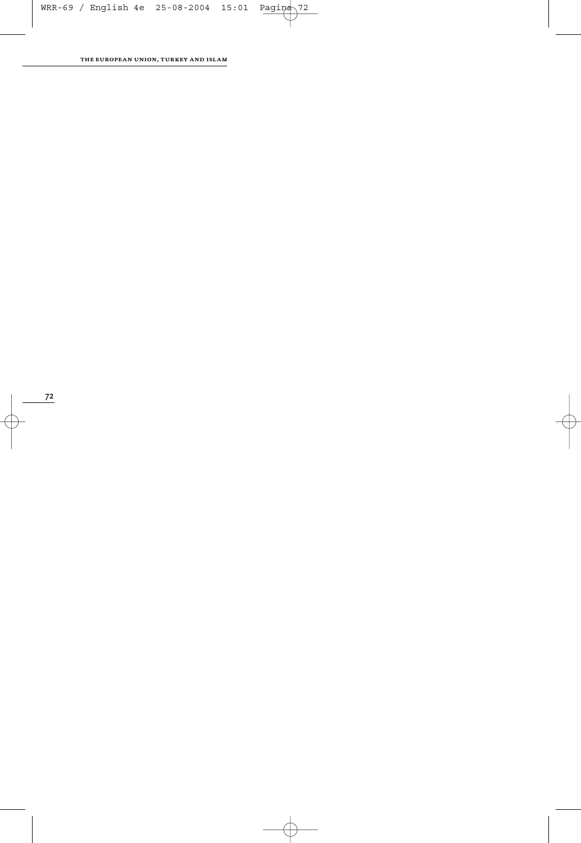$\oplus$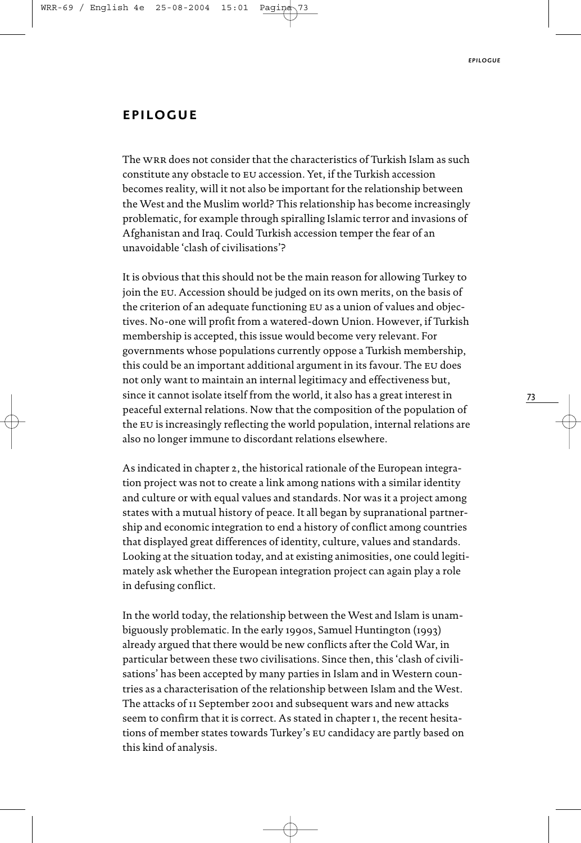*epilogue* 

73

#### epilogue

The wrr does not consider that the characteristics of Turkish Islam as such constitute any obstacle to eu accession. Yet, if the Turkish accession becomes reality, will it not also be important for the relationship between the West and the Muslim world? This relationship has become increasingly problematic, for example through spiralling Islamic terror and invasions of Afghanistan and Iraq. Could Turkish accession temper the fear of an unavoidable 'clash of civilisations'?

It is obvious that this should not be the main reason for allowing Turkey to join the eu. Accession should be judged on its own merits, on the basis of the criterion of an adequate functioning EU as a union of values and objectives. No-one will profit from a watered-down Union. However, if Turkish membership is accepted, this issue would become very relevant. For governments whose populations currently oppose a Turkish membership, this could be an important additional argument in its favour. The EU does not only want to maintain an internal legitimacy and effectiveness but, since it cannot isolate itself from the world, it also has a great interest in peaceful external relations. Now that the composition of the population of the eu is increasingly reflecting the world population, internal relations are also no longer immune to discordant relations elsewhere.

As indicated in chapter 2, the historical rationale of the European integration project was not to create a link among nations with a similar identity and culture or with equal values and standards. Nor was it a project among states with a mutual history of peace. It all began by supranational partnership and economic integration to end a history of conflict among countries that displayed great differences of identity, culture, values and standards. Looking at the situation today, and at existing animosities, one could legitimately ask whether the European integration project can again play a role in defusing conflict.

In the world today, the relationship between the West and Islam is unambiguously problematic. In the early 1990s, Samuel Huntington (1993) already argued that there would be new conflicts after the Cold War, in particular between these two civilisations. Since then, this 'clash of civilisations' has been accepted by many parties in Islam and in Western countries as a characterisation of the relationship between Islam and the West. The attacks of 11 September 2001 and subsequent wars and new attacks seem to confirm that it is correct. As stated in chapter 1, the recent hesitations of member states towards Turkey's eu candidacy are partly based on this kind of analysis.

WRR-69 / English 4e 25-08-2004 15:01 Pagina 73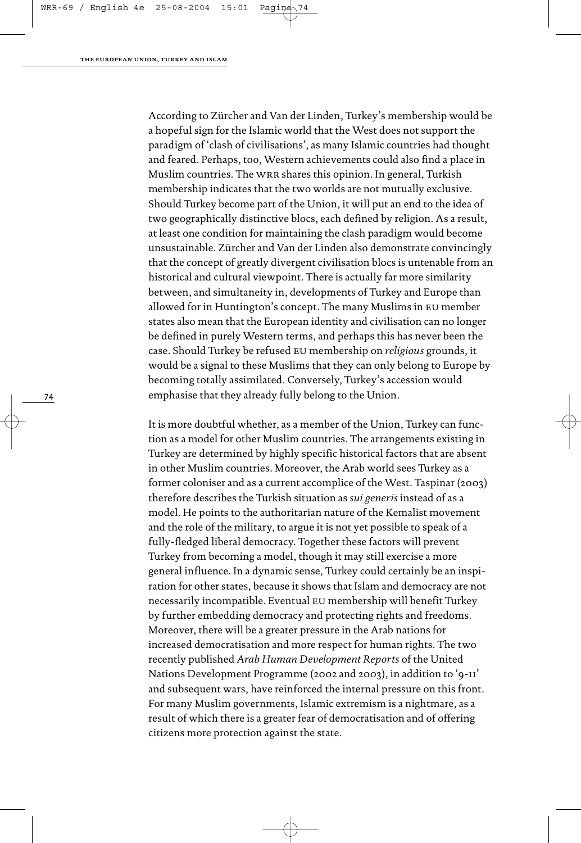74

According to Zürcher and Van der Linden, Turkey's membership would be a hopeful sign for the Islamic world that the West does not support the paradigm of 'clash of civilisations', as many Islamic countries had thought and feared. Perhaps, too, Western achievements could also find a place in Muslim countries. The wrr shares this opinion. In general, Turkish membership indicates that the two worlds are not mutually exclusive. Should Turkey become part of the Union, it will put an end to the idea of two geographically distinctive blocs, each defined by religion. As a result, at least one condition for maintaining the clash paradigm would become unsustainable. Zürcher and Van der Linden also demonstrate convincingly that the concept of greatly divergent civilisation blocs is untenable from an historical and cultural viewpoint. There is actually far more similarity between, and simultaneity in, developments of Turkey and Europe than allowed for in Huntington's concept. The many Muslims in EU member states also mean that the European identity and civilisation can no longer be defined in purely Western terms, and perhaps this has never been the case. Should Turkey be refused eu membership on *religious* grounds, it would be a signal to these Muslims that they can only belong to Europe by becoming totally assimilated. Conversely, Turkey's accession would emphasise that they already fully belong to the Union.

It is more doubtful whether, as a member of the Union, Turkey can function as a model for other Muslim countries. The arrangements existing in Turkey are determined by highly specific historical factors that are absent in other Muslim countries. Moreover, the Arab world sees Turkey as a former coloniser and as a current accomplice of the West. Taspinar (2003) therefore describes the Turkish situation as *sui generis* instead of as a model. He points to the authoritarian nature of the Kemalist movement and the role of the military, to argue it is not yet possible to speak of a fully-fledged liberal democracy. Together these factors will prevent Turkey from becoming a model, though it may still exercise a more general influence. In a dynamic sense, Turkey could certainly be an inspiration for other states, because it shows that Islam and democracy are not necessarily incompatible. Eventual eu membership will benefit Turkey by further embedding democracy and protecting rights and freedoms. Moreover, there will be a greater pressure in the Arab nations for increased democratisation and more respect for human rights. The two recently published *Arab Human Development Reports* of the United Nations Development Programme (2002 and 2003), in addition to '9-11' and subsequent wars, have reinforced the internal pressure on this front. For many Muslim governments, Islamic extremism is a nightmare, as a result of which there is a greater fear of democratisation and of offering citizens more protection against the state.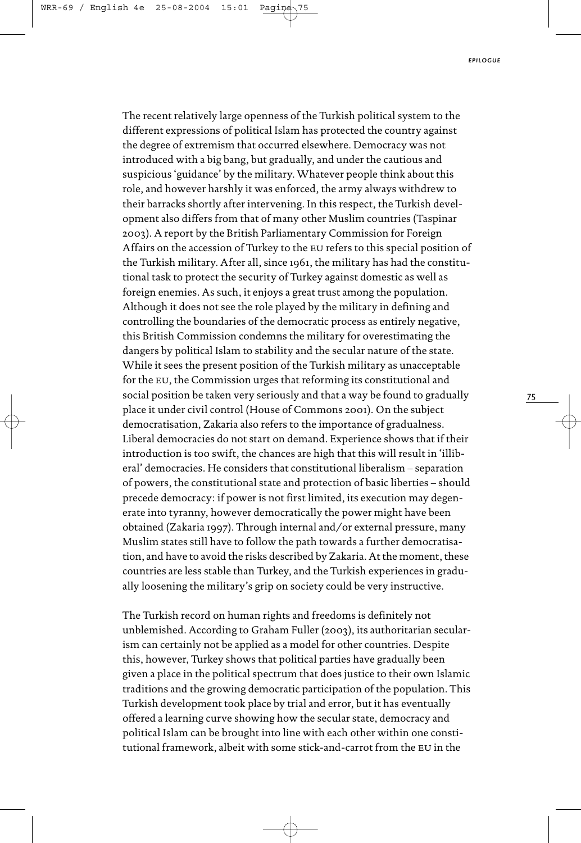*epilogue* 

75

The recent relatively large openness of the Turkish political system to the different expressions of political Islam has protected the country against the degree of extremism that occurred elsewhere. Democracy was not introduced with a big bang, but gradually, and under the cautious and suspicious 'guidance' by the military. Whatever people think about this role, and however harshly it was enforced, the army always withdrew to their barracks shortly after intervening. In this respect, the Turkish development also differs from that of many other Muslim countries (Taspinar 2003). A report by the British Parliamentary Commission for Foreign Affairs on the accession of Turkey to the eu refers to this special position of the Turkish military. After all, since 1961, the military has had the constitutional task to protect the security of Turkey against domestic as well as foreign enemies. As such, it enjoys a great trust among the population. Although it does not see the role played by the military in defining and controlling the boundaries of the democratic process as entirely negative, this British Commission condemns the military for overestimating the dangers by political Islam to stability and the secular nature of the state. While it sees the present position of the Turkish military as unacceptable for the eu, the Commission urges that reforming its constitutional and social position be taken very seriously and that a way be found to gradually place it under civil control (House of Commons 2001). On the subject democratisation, Zakaria also refers to the importance of gradualness. Liberal democracies do not start on demand. Experience shows that if their introduction is too swift, the chances are high that this will result in 'illiberal' democracies. He considers that constitutional liberalism – separation of powers, the constitutional state and protection of basic liberties – should precede democracy: if power is not first limited, its execution may degenerate into tyranny, however democratically the power might have been obtained (Zakaria 1997). Through internal and/or external pressure, many Muslim states still have to follow the path towards a further democratisation, and have to avoid the risks described by Zakaria. At the moment, these countries are less stable than Turkey, and the Turkish experiences in gradually loosening the military's grip on society could be very instructive.

The Turkish record on human rights and freedoms is definitely not unblemished. According to Graham Fuller (2003), its authoritarian secularism can certainly not be applied as a model for other countries. Despite this, however, Turkey shows that political parties have gradually been given a place in the political spectrum that does justice to their own Islamic traditions and the growing democratic participation of the population. This Turkish development took place by trial and error, but it has eventually offered a learning curve showing how the secular state, democracy and political Islam can be brought into line with each other within one constitutional framework, albeit with some stick-and-carrot from the EU in the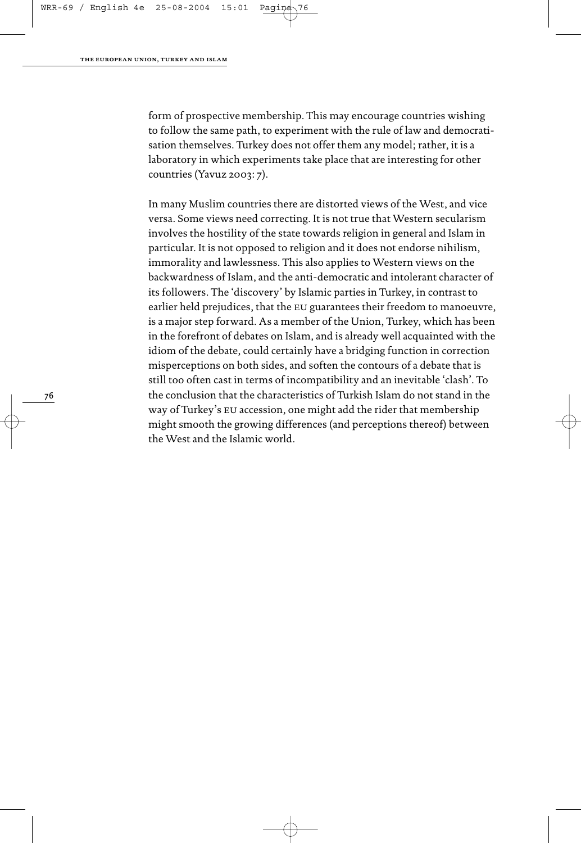76

form of prospective membership. This may encourage countries wishing to follow the same path, to experiment with the rule of law and democratisation themselves. Turkey does not offer them any model; rather, it is a laboratory in which experiments take place that are interesting for other countries (Yavuz 2003: 7).

In many Muslim countries there are distorted views of the West, and vice versa. Some views need correcting. It is not true that Western secularism involves the hostility of the state towards religion in general and Islam in particular. It is not opposed to religion and it does not endorse nihilism, immorality and lawlessness. This also applies to Western views on the backwardness of Islam, and the anti-democratic and intolerant character of its followers. The 'discovery' by Islamic parties in Turkey, in contrast to earlier held prejudices, that the EU guarantees their freedom to manoeuvre, is a major step forward. As a member of the Union, Turkey, which has been in the forefront of debates on Islam, and is already well acquainted with the idiom of the debate, could certainly have a bridging function in correction misperceptions on both sides, and soften the contours of a debate that is still too often cast in terms of incompatibility and an inevitable 'clash'. To the conclusion that the characteristics of Turkish Islam do not stand in the way of Turkey's eu accession, one might add the rider that membership might smooth the growing differences (and perceptions thereof) between the West and the Islamic world.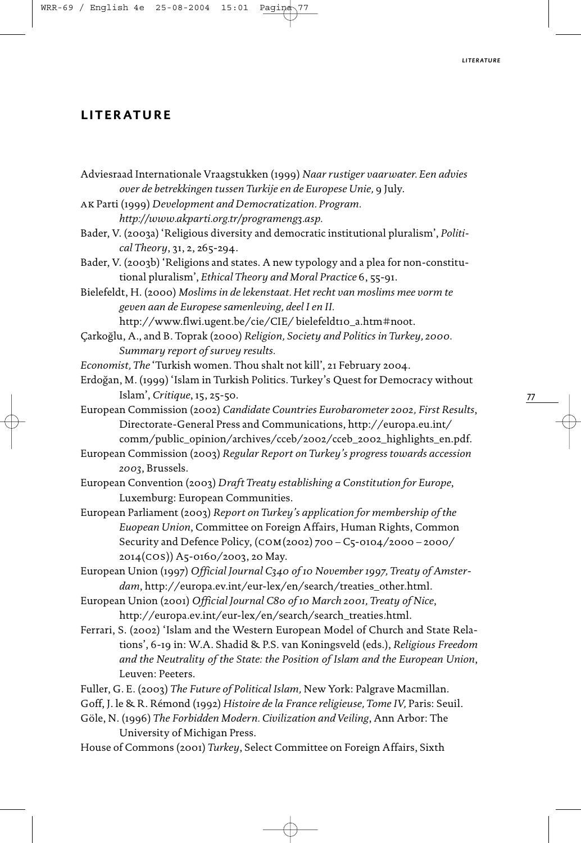# literature

WRR-69 / English 4e 25-08-2004 15:01 Pagina 77

| Adviesraad Internationale Vraagstukken (1999) Naar rustiger vaarwater. Een advies       |
|-----------------------------------------------------------------------------------------|
| over de betrekkingen tussen Turkije en de Europese Unie, 9 July.                        |
| AK Parti (1999) Development and Democratization. Program.                               |
| http://www.akparti.org.tr/programeng3.asp.                                              |
| Bader, V. (2003a) 'Religious diversity and democratic institutional pluralism', Politi- |
| cal Theory, 31, 2, 265-294.                                                             |
| Bader, V. (2003b) 'Religions and states. A new typology and a plea for non-constitu-    |
| tional pluralism', Ethical Theory and Moral Practice 6, 55-91.                          |
| Bielefeldt, H. (2000) Moslims in de lekenstaat. Het recht van moslims mee vorm te       |
| geven aan de Europese samenleving, deel I en II.                                        |
| http://www.flwi.ugent.be/cie/CIE/bielefeldt10_a.htm#noot.                               |
| Çarkoğlu, A., and B. Toprak (2000) Religion, Society and Politics in Turkey, 2000.      |
| Summary report of survey results.                                                       |
| Economist, The 'Turkish women. Thou shalt not kill', 21 February 2004.                  |
| Erdoğan, M. (1999) 'Islam in Turkish Politics. Turkey's Quest for Democracy without     |
| Islam', Critique, 15, 25-50.                                                            |
| European Commission (2002) Candidate Countries Eurobarometer 2002, First Results,       |
| Directorate-General Press and Communications, http://europa.eu.int/                     |
| comm/public_opinion/archives/cceb/2002/cceb_2002_highlights_en.pdf.                     |
| European Commission (2003) Regular Report on Turkey's progress towards accession        |
| 2003, Brussels.                                                                         |
| European Convention (2003) Draft Treaty establishing a Constitution for Europe,         |
| Luxemburg: European Communities.                                                        |
| European Parliament (2003) Report on Turkey's application for membership of the         |
| Euopean Union, Committee on Foreign Affairs, Human Rights, Common                       |
| Security and Defence Policy, (COM(2002) 700 - C5-0104/2000 - 2000/                      |
| 2014(COS)) A5-0160/2003, 20 May.                                                        |
| European Union (1997) Official Journal C340 of 10 November 1997, Treaty of Amster-      |
| dam, http://europa.ev.int/eur-lex/en/search/treaties_other.html.                        |
| European Union (2001) Official Journal C80 of 10 March 2001, Treaty of Nice,            |
| http://europa.ev.int/eur-lex/en/search/search_treaties.html.                            |
| Ferrari, S. (2002) 'Islam and the Western European Model of Church and State Rela-      |
| tions', 6-19 in: W.A. Shadid & P.S. van Koningsveld (eds.), Religious Freedom           |
| and the Neutrality of the State: the Position of Islam and the European Union,          |
| Leuven: Peeters.                                                                        |
| Fuller, G. E. (2003) The Future of Political Islam, New York: Palgrave Macmillan.       |
| Goff, J. le & R. Rémond (1992) Histoire de la France religieuse, Tome IV, Paris: Seuil. |
| Göle, N. (1996) The Forbidden Modern. Civilization and Veiling, Ann Arbor: The          |
| University of Michigan Press.                                                           |
| House of Commons (2001) Turkey, Select Committee on Foreign Affairs, Sixth              |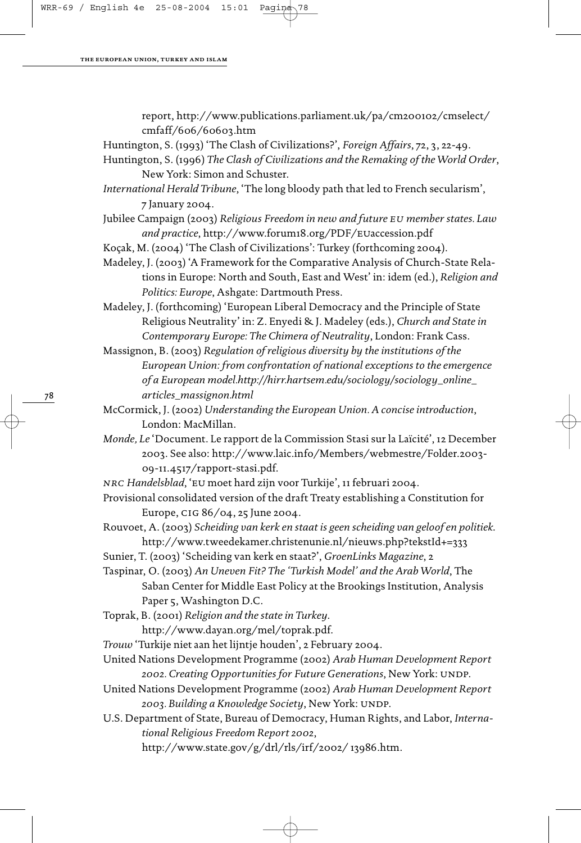78

report, http://www.publications.parliament.uk/pa/cm200102/cmselect/ cmfaff/606/60603.htm

- Huntington, S. (1993) 'The Clash of Civilizations?', *Foreign Affairs*, 72, 3, 22-49.
- Huntington, S. (1996) *The Clash of Civilizations and the Remaking of the World Order*, New York: Simon and Schuster.
- *International Herald Tribune*, 'The long bloody path that led to French secularism', 7 January 2004.
- Jubilee Campaign (2003) *Religious Freedom in new and future eu member states. Law and practice*, http://www.forum18.org/PDF/euaccession.pdf
- Koçak, M. (2004) 'The Clash of Civilizations': Turkey (forthcoming 2004).
- Madeley, J. (2003) 'A Framework for the Comparative Analysis of Church-State Relations in Europe: North and South, East and West' in: idem (ed.), *Religion and Politics: Europe*, Ashgate: Dartmouth Press.
- Madeley, J. (forthcoming) 'European Liberal Democracy and the Principle of State Religious Neutrality' in: Z. Enyedi & J. Madeley (eds.), *Church and State in Contemporary Europe: The Chimera of Neutrality*, London: Frank Cass.
- Massignon, B. (2003) *Regulation of religious diversity by the institutions of the European Union: from confrontation of national exceptions to the emergence of a European model.http://hirr.hartsem.edu/sociology/sociology\_online\_ articles\_massignon.html*
- McCormick, J. (2002) *Understanding the European Union. A concise introduction*, London: MacMillan.
- *Monde, Le* 'Document. Le rapport de la Commission Stasi sur la Laïcité', 12 December 2003. See also: http://www.laic.info/Members/webmestre/Folder.2003- 09-11.4517/rapport-stasi.pdf.
- *nrc Handelsblad*, 'eu moet hard zijn voor Turkije', 11 februari 2004.
- Provisional consolidated version of the draft Treaty establishing a Constitution for Europe, cig 86/04, 25 June 2004.
- Rouvoet, A. (2003) *Scheiding van kerk en staat is geen scheiding van geloof en politiek*. http://www.tweedekamer.christenunie.nl/nieuws.php?tekstId+=333
- Sunier, T. (2003) 'Scheiding van kerk en staat?', *GroenLinks Magazine*, 2
- Taspinar, O. (2003) *An Uneven Fit? The 'Turkish Model' and the Arab World*, The Saban Center for Middle East Policy at the Brookings Institution, Analysis Paper 5, Washington D.C.

Toprak, B. (2001) *Religion and the state in Turkey*.

http://www.dayan.org/mel/toprak.pdf.

*Trouw* 'Turkije niet aan het lijntje houden', 2 February 2004.

- United Nations Development Programme (2002) *Arab Human Development Report* 2002. Creating Opportunities for Future Generations, New York: UNDP.
- United Nations Development Programme (2002) *Arab Human Development Report* 2003. Building a Knowledge Society, New York: UNDP.
- U.S. Department of State, Bureau of Democracy, Human Rights, and Labor, *International Religious Freedom Report 2002*,

http://www.state.gov/g/drl/rls/irf/2002/ 13986.htm.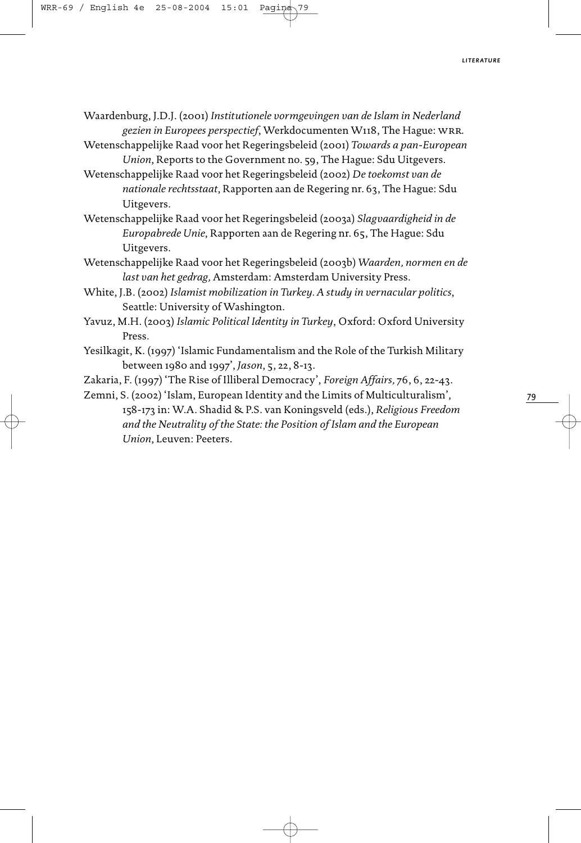*literature*

79

- Waardenburg, J.D.J. (2001) *Institutionele vormgevingen van de Islam in Nederland gezien in Europees perspectief*, Werkdocumenten W118, The Hague: wrr.
- Wetenschappelijke Raad voor het Regeringsbeleid (2001) *Towards a pan-European Union*, Reports to the Government no. 59, The Hague: Sdu Uitgevers.
- Wetenschappelijke Raad voor het Regeringsbeleid (2002) *De toekomst van de nationale rechtsstaat*, Rapporten aan de Regering nr. 63, The Hague: Sdu Uitgevers.
- Wetenschappelijke Raad voor het Regeringsbeleid (2003a) *Slagvaardigheid in de Europabrede Unie*, Rapporten aan de Regering nr. 65, The Hague: Sdu Uitgevers.
- Wetenschappelijke Raad voor het Regeringsbeleid (2003b) *Waarden, normen en de last van het gedrag,* Amsterdam: Amsterdam University Press.
- White, J.B. (2002) *Islamist mobilization in Turkey. A study in vernacular politics*, Seattle: University of Washington.
- Yavuz, M.H. (2003) *Islamic Political Identity in Turkey*, Oxford: Oxford University Press.
- Yesilkagit, K. (1997) 'Islamic Fundamentalism and the Role of the Turkish Military between 1980 and 1997', *Jason*, 5, 22, 8-13.

Zakaria, F. (1997) 'The Rise of Illiberal Democracy', *Foreign Affairs,* 76, 6, 22-43.

Zemni, S. (2002) 'Islam, European Identity and the Limits of Multiculturalism', 158-173 in: W.A. Shadid & P.S. van Koningsveld (eds.), *Religious Freedom and the Neutrality of the State: the Position of Islam and the European Union*, Leuven: Peeters.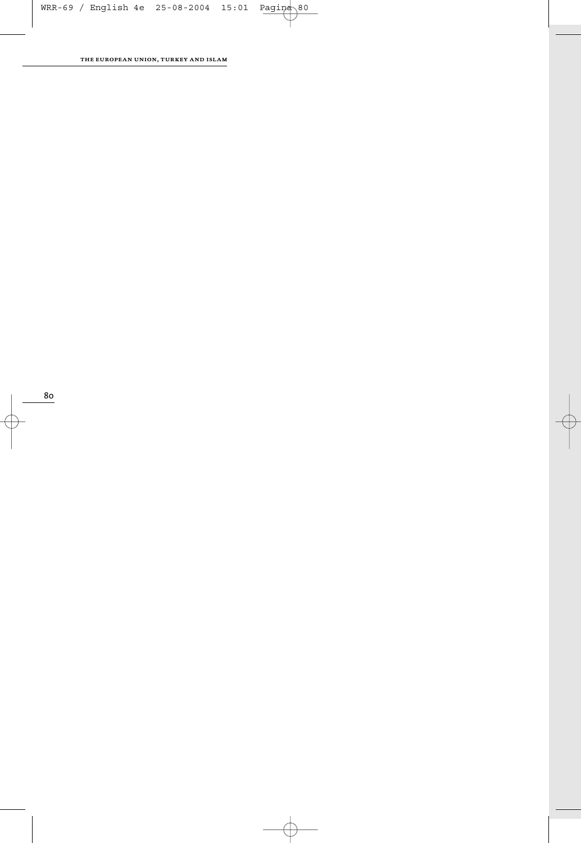Œ

**the european union, turkey and islam**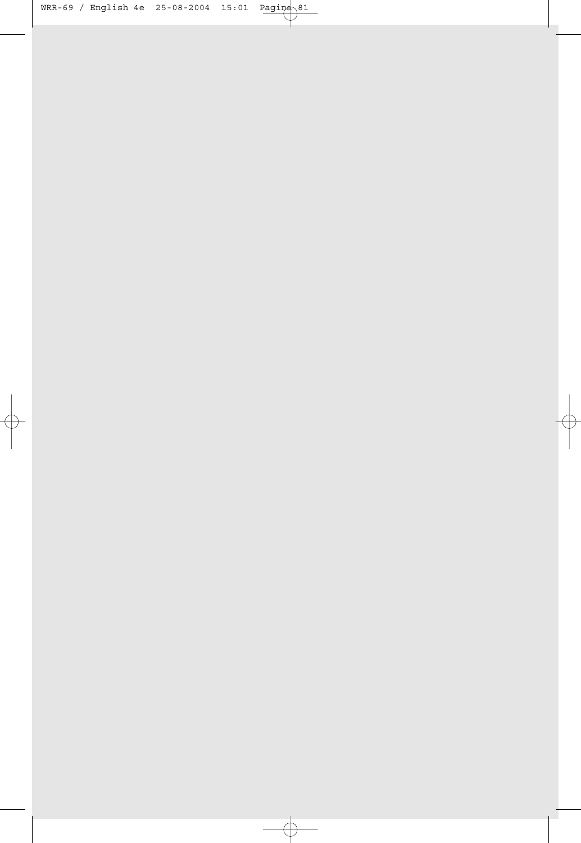$\overline{\varphi}$ 

€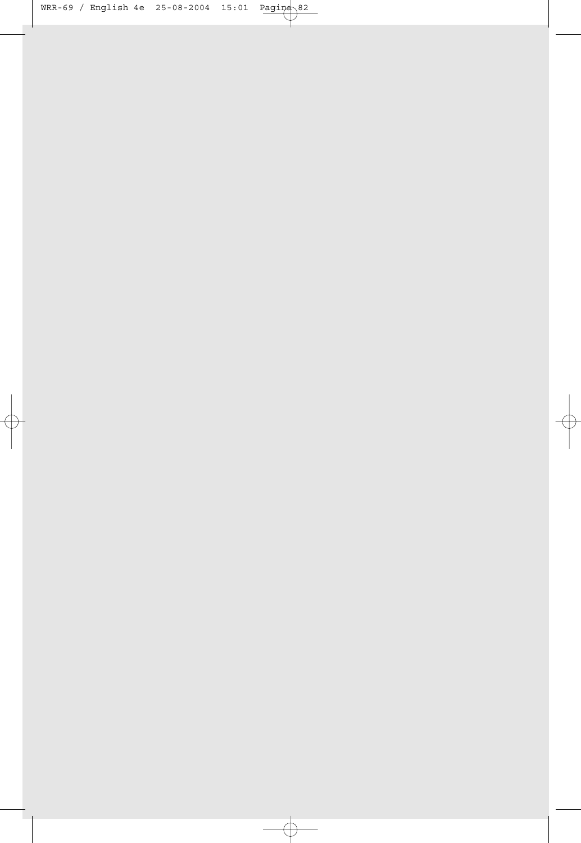$\overline{\varphi}$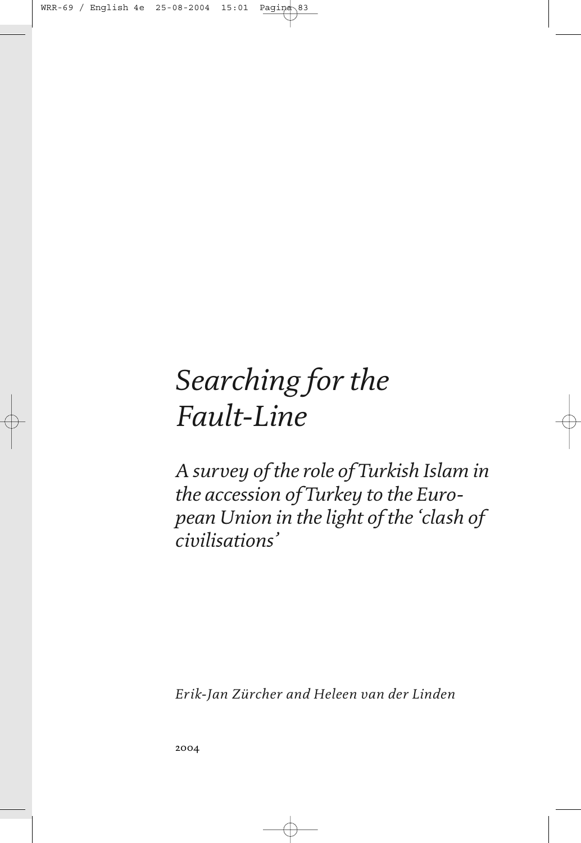# *Searching for the Fault-Line*

*A survey of the role of Turkish Islam in the accession of Turkey to the European Union in the light of the 'clash of civilisations'*

*Erik-Jan Zürcher and Heleen van der Linden*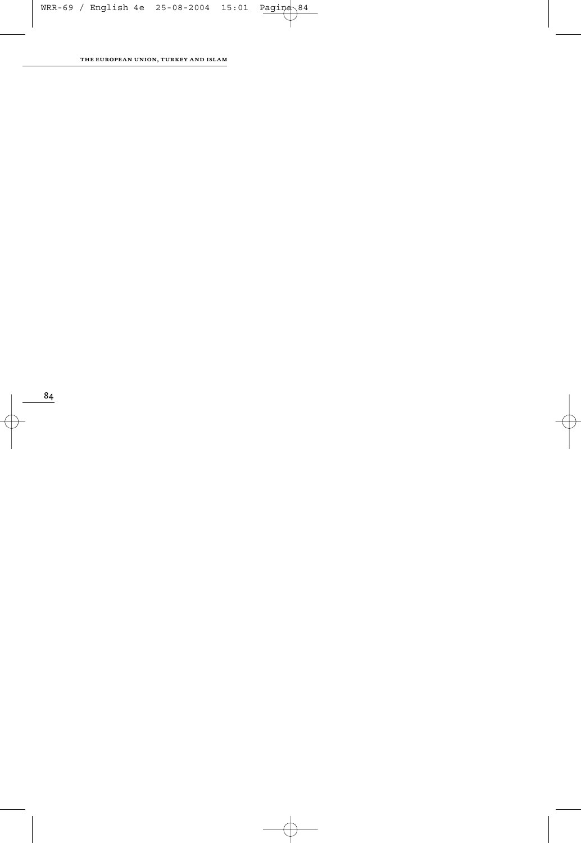€

**the european union, turkey and islam**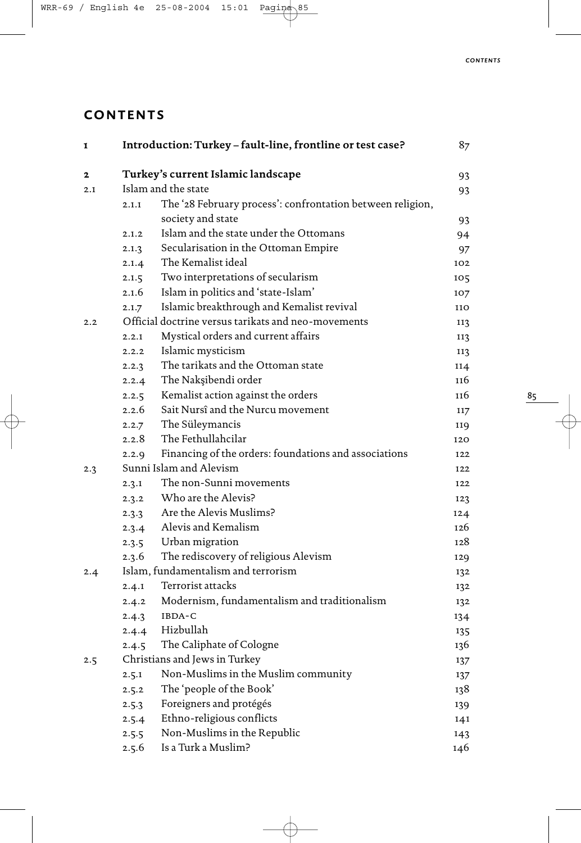| <b>CONTENTS</b> |  |  |  |
|-----------------|--|--|--|
|                 |  |  |  |

# **CONTENTS**

WRR-69 / English 4e 25-08-2004 15:01 Pagina 85

| 1            |                               | Introduction: Turkey – fault-line, frontline or test case? | 87              |  |  |  |
|--------------|-------------------------------|------------------------------------------------------------|-----------------|--|--|--|
| $\mathbf{2}$ |                               | Turkey's current Islamic landscape                         | 93              |  |  |  |
| 2.1          |                               | Islam and the state                                        |                 |  |  |  |
|              | 2.1.1                         | The '28 February process': confrontation between religion, |                 |  |  |  |
|              |                               | society and state                                          | 93              |  |  |  |
|              | 2.1.2                         | Islam and the state under the Ottomans                     | 94              |  |  |  |
|              | 2.1.3                         | Secularisation in the Ottoman Empire                       | 97              |  |  |  |
|              | 2.1.4                         | The Kemalist ideal                                         | 102             |  |  |  |
|              | 2.1.5                         | Two interpretations of secularism                          | 10 <sub>5</sub> |  |  |  |
|              | 2.1.6                         | Islam in politics and 'state-Islam'                        | 107             |  |  |  |
|              | 2.1.7                         | Islamic breakthrough and Kemalist revival                  | 110             |  |  |  |
| 2.2          |                               | Official doctrine versus tarikats and neo-movements        | 113             |  |  |  |
|              | 2.2.1                         | Mystical orders and current affairs                        | 113             |  |  |  |
|              | 2.2.2                         | Islamic mysticism                                          | 113             |  |  |  |
|              | 2.2.3                         | The tarikats and the Ottoman state                         | 114             |  |  |  |
|              | 2.2.4                         | The Nakşibendi order                                       | 116             |  |  |  |
|              | 2.2.5                         | Kemalist action against the orders                         | 116             |  |  |  |
|              | 2.2.6                         | Sait Nursî and the Nurcu movement                          | 117             |  |  |  |
|              |                               | 2.2.7 The Süleymancis                                      | 119             |  |  |  |
|              |                               | 2.2.8 The Fethullahcilar                                   | 120             |  |  |  |
|              | 2.2.9                         | Financing of the orders: foundations and associations      | 122             |  |  |  |
| 2.3          |                               | Sunni Islam and Alevism                                    | 122             |  |  |  |
|              | 2.3.1                         | The non-Sunni movements                                    | 122             |  |  |  |
|              |                               | 2.3.2 Who are the Alevis?                                  | 123             |  |  |  |
|              |                               | 2.3.3 Are the Alevis Muslims?                              | 124             |  |  |  |
|              |                               | 2.3.4 Alevis and Kemalism                                  | 126             |  |  |  |
|              | 2.3.5                         | Urban migration                                            | 128             |  |  |  |
|              | 2.3.6                         | The rediscovery of religious Alevism                       | 129             |  |  |  |
| 2.4          |                               | Islam, fundamentalism and terrorism                        | 132             |  |  |  |
|              | 2.4.1                         | Terrorist attacks                                          | 132             |  |  |  |
|              | 2.4.2                         | Modernism, fundamentalism and traditionalism               | 132             |  |  |  |
|              |                               | 2.4.3 IBDA-C                                               | 134             |  |  |  |
|              |                               | 2.4.4 Hizbullah                                            | 135             |  |  |  |
|              | 2.4.5                         | The Caliphate of Cologne                                   | 136             |  |  |  |
| 2.5          | Christians and Jews in Turkey |                                                            |                 |  |  |  |
|              | 2.5.1                         | Non-Muslims in the Muslim community                        | 137             |  |  |  |
|              | 2.5.2                         | The 'people of the Book'                                   | 138             |  |  |  |
|              | 2.5.3                         | Foreigners and protégés                                    | 139             |  |  |  |
|              | 2.5.4                         | Ethno-religious conflicts                                  | 141             |  |  |  |
|              | 2.5.5                         | Non-Muslims in the Republic                                | 143             |  |  |  |
|              | 2.5.6                         | Is a Turk a Muslim?                                        | 146             |  |  |  |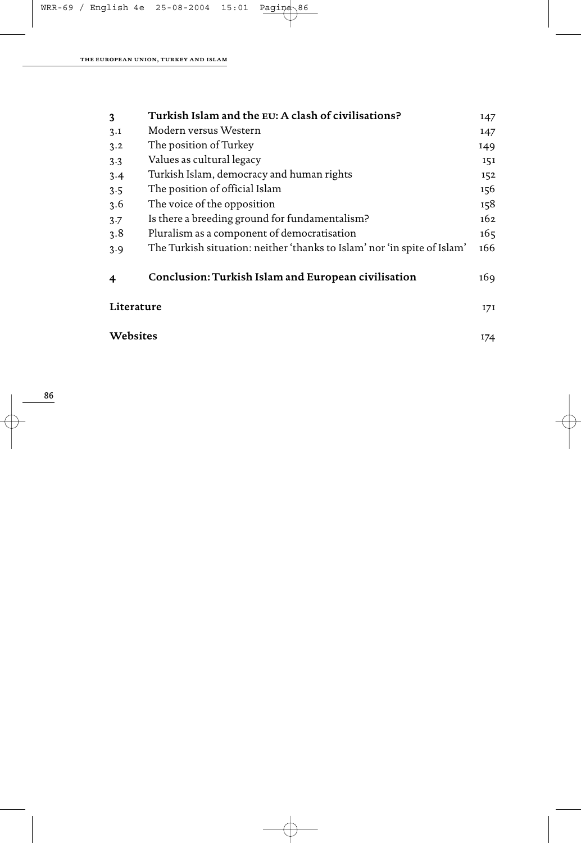|  | WRR-69 / English 4e 25-08-2004 15:01 Pagine 86 |  |  |
|--|------------------------------------------------|--|--|
|  |                                                |  |  |

86

| 3          | Turkish Islam and the EU: A clash of civilisations?                      | 147 |  |
|------------|--------------------------------------------------------------------------|-----|--|
| 3.1        | Modern versus Western                                                    | 147 |  |
| 3.2        | The position of Turkey                                                   | 149 |  |
| 3.3        | Values as cultural legacy                                                | 151 |  |
| 3.4        | Turkish Islam, democracy and human rights                                | 152 |  |
| 3.5        | The position of official Islam                                           | 156 |  |
| 3.6        | The voice of the opposition                                              | 158 |  |
| 3.7        | Is there a breeding ground for fundamentalism?                           | 162 |  |
| 3.8        | Pluralism as a component of democratisation                              | 165 |  |
| 3.9        | The Turkish situation: neither 'thanks to Islam' nor 'in spite of Islam' | 166 |  |
| 4          | Conclusion: Turkish Islam and European civilisation                      | 169 |  |
| Literature |                                                                          |     |  |
| Websites   |                                                                          |     |  |

 $\oplus$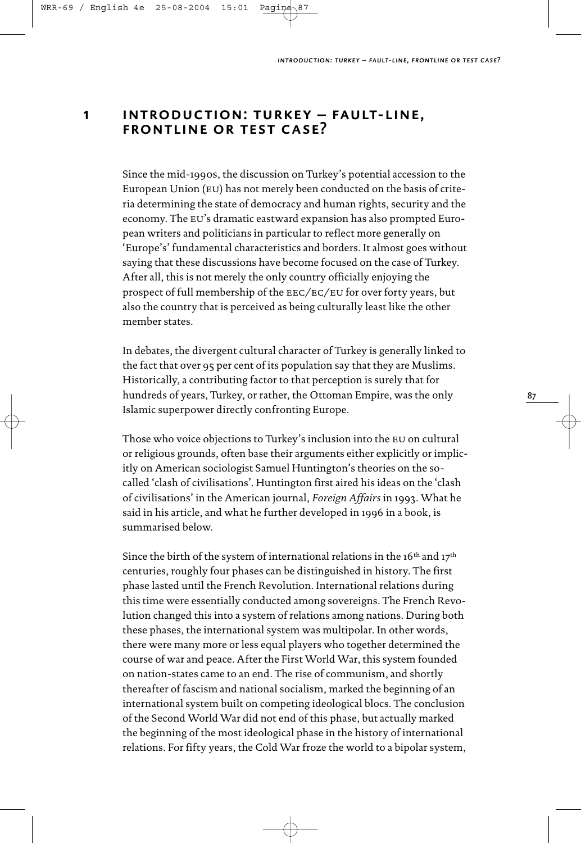## 1 introduction: turkey – fault-line, frontline or test case?

Since the mid-1990s, the discussion on Turkey's potential accession to the European Union (eu) has not merely been conducted on the basis of criteria determining the state of democracy and human rights, security and the economy. The EU's dramatic eastward expansion has also prompted European writers and politicians in particular to reflect more generally on 'Europe's' fundamental characteristics and borders. It almost goes without saying that these discussions have become focused on the case of Turkey. After all, this is not merely the only country officially enjoying the prospect of full membership of the eec/ec/eu for over forty years, but also the country that is perceived as being culturally least like the other member states.

In debates, the divergent cultural character of Turkey is generally linked to the fact that over 95 per cent of its population say that they are Muslims. Historically, a contributing factor to that perception is surely that for hundreds of years, Turkey, or rather, the Ottoman Empire, was the only Islamic superpower directly confronting Europe.

Those who voice objections to Turkey's inclusion into the EU on cultural or religious grounds, often base their arguments either explicitly or implicitly on American sociologist Samuel Huntington's theories on the socalled 'clash of civilisations'. Huntington first aired his ideas on the 'clash of civilisations' in the American journal, *Foreign Affairs* in 1993. What he said in his article, and what he further developed in 1996 in a book, is summarised below.

Since the birth of the system of international relations in the 16<sup>th</sup> and 17<sup>th</sup> centuries, roughly four phases can be distinguished in history. The first phase lasted until the French Revolution. International relations during this time were essentially conducted among sovereigns. The French Revolution changed this into a system of relations among nations. During both these phases, the international system was multipolar. In other words, there were many more or less equal players who together determined the course of war and peace. After the First World War, this system founded on nation-states came to an end. The rise of communism, and shortly thereafter of fascism and national socialism, marked the beginning of an international system built on competing ideological blocs. The conclusion of the Second World War did not end of this phase, but actually marked the beginning of the most ideological phase in the history of international relations. For fifty years, the Cold War froze the world to a bipolar system,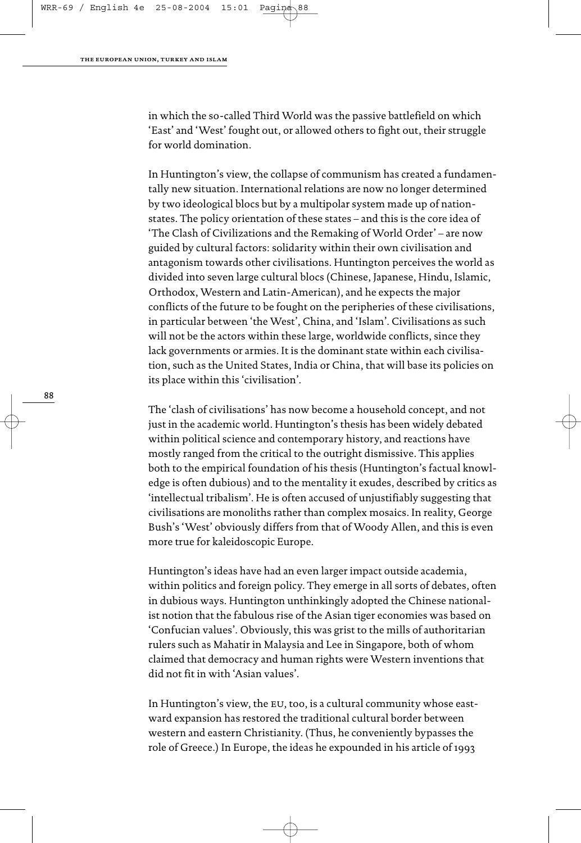88

in which the so-called Third World was the passive battlefield on which 'East' and 'West' fought out, or allowed others to fight out, their struggle for world domination.

In Huntington's view, the collapse of communism has created a fundamentally new situation. International relations are now no longer determined by two ideological blocs but by a multipolar system made up of nationstates. The policy orientation of these states – and this is the core idea of 'The Clash of Civilizations and the Remaking of World Order' – are now guided by cultural factors: solidarity within their own civilisation and antagonism towards other civilisations. Huntington perceives the world as divided into seven large cultural blocs (Chinese, Japanese, Hindu, Islamic, Orthodox, Western and Latin-American), and he expects the major conflicts of the future to be fought on the peripheries of these civilisations, in particular between 'the West', China, and 'Islam'. Civilisations as such will not be the actors within these large, worldwide conflicts, since they lack governments or armies. It is the dominant state within each civilisation, such as the United States, India or China, that will base its policies on its place within this 'civilisation'.

The 'clash of civilisations' has now become a household concept, and not just in the academic world. Huntington's thesis has been widely debated within political science and contemporary history, and reactions have mostly ranged from the critical to the outright dismissive. This applies both to the empirical foundation of his thesis (Huntington's factual knowledge is often dubious) and to the mentality it exudes, described by critics as 'intellectual tribalism'. He is often accused of unjustifiably suggesting that civilisations are monoliths rather than complex mosaics. In reality, George Bush's 'West' obviously differs from that of Woody Allen, and this is even more true for kaleidoscopic Europe.

Huntington's ideas have had an even larger impact outside academia, within politics and foreign policy. They emerge in all sorts of debates, often in dubious ways. Huntington unthinkingly adopted the Chinese nationalist notion that the fabulous rise of the Asian tiger economies was based on 'Confucian values'. Obviously, this was grist to the mills of authoritarian rulers such as Mahatir in Malaysia and Lee in Singapore, both of whom claimed that democracy and human rights were Western inventions that did not fit in with 'Asian values'.

In Huntington's view, the EU, too, is a cultural community whose eastward expansion has restored the traditional cultural border between western and eastern Christianity. (Thus, he conveniently bypasses the role of Greece.) In Europe, the ideas he expounded in his article of 1993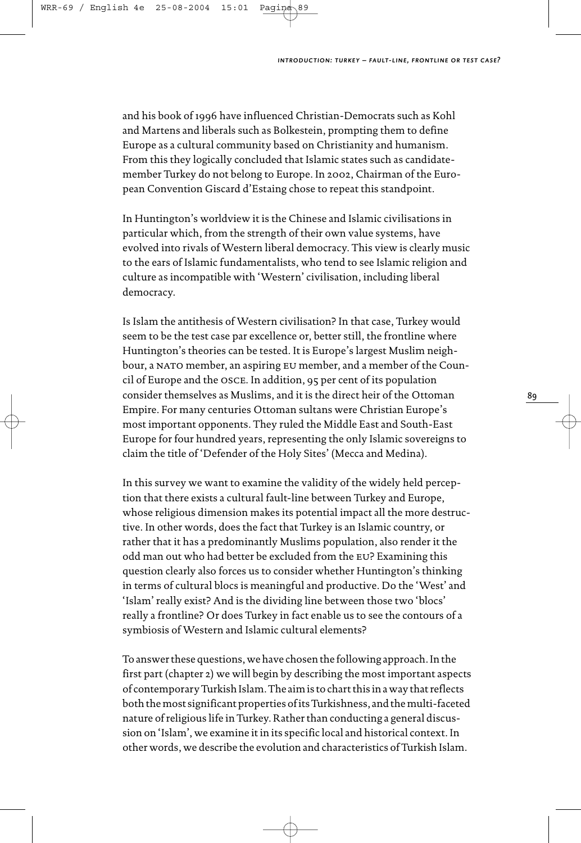*introduction: turkey – fault-line, frontline or test case?*

and his book of 1996 have influenced Christian-Democrats such as Kohl and Martens and liberals such as Bolkestein, prompting them to define Europe as a cultural community based on Christianity and humanism. From this they logically concluded that Islamic states such as candidatemember Turkey do not belong to Europe. In 2002, Chairman of the European Convention Giscard d'Estaing chose to repeat this standpoint.

In Huntington's worldview it is the Chinese and Islamic civilisations in particular which, from the strength of their own value systems, have evolved into rivals of Western liberal democracy. This view is clearly music to the ears of Islamic fundamentalists, who tend to see Islamic religion and culture as incompatible with 'Western' civilisation, including liberal democracy.

Is Islam the antithesis of Western civilisation? In that case, Turkey would seem to be the test case par excellence or, better still, the frontline where Huntington's theories can be tested. It is Europe's largest Muslim neighbour, a NATO member, an aspiring EU member, and a member of the Council of Europe and the osce. In addition, 95 per cent of its population consider themselves as Muslims, and it is the direct heir of the Ottoman Empire. For many centuries Ottoman sultans were Christian Europe's most important opponents. They ruled the Middle East and South-East Europe for four hundred years, representing the only Islamic sovereigns to claim the title of 'Defender of the Holy Sites' (Mecca and Medina).

In this survey we want to examine the validity of the widely held perception that there exists a cultural fault-line between Turkey and Europe, whose religious dimension makes its potential impact all the more destructive. In other words, does the fact that Turkey is an Islamic country, or rather that it has a predominantly Muslims population, also render it the odd man out who had better be excluded from the eu? Examining this question clearly also forces us to consider whether Huntington's thinking in terms of cultural blocs is meaningful and productive. Do the 'West' and 'Islam' really exist? And is the dividing line between those two 'blocs' really a frontline? Or does Turkey in fact enable us to see the contours of a symbiosis of Western and Islamic cultural elements?

To answer these questions, we have chosen the following approach. In the first part (chapter 2) we will begin by describing the most important aspects of contemporary Turkish Islam. The aim is to chart this in a way that reflects both the most significant properties of its Turkishness, and the multi-faceted nature of religious life in Turkey. Rather than conducting a general discussion on 'Islam', we examine it in its specific local and historical context. In other words, we describe the evolution and characteristics of Turkish Islam.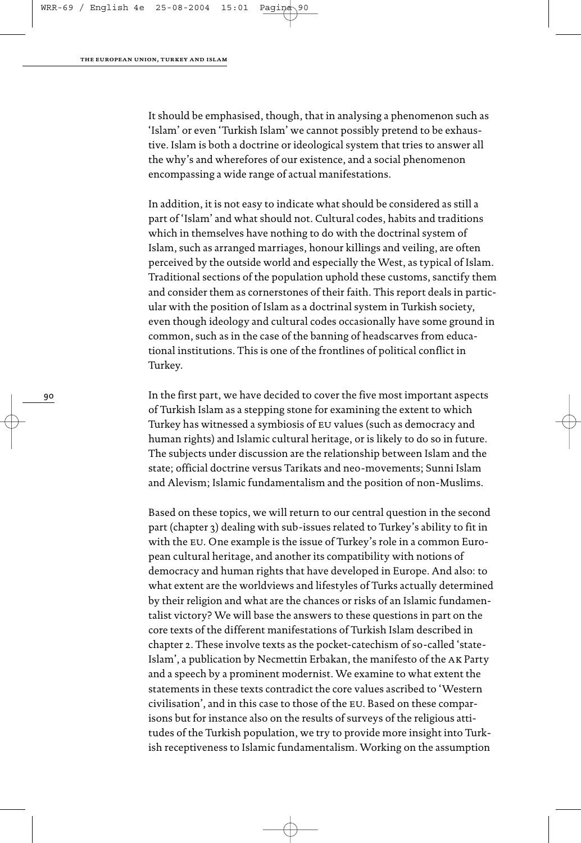90

It should be emphasised, though, that in analysing a phenomenon such as 'Islam' or even 'Turkish Islam' we cannot possibly pretend to be exhaustive. Islam is both a doctrine or ideological system that tries to answer all the why's and wherefores of our existence, and a social phenomenon encompassing a wide range of actual manifestations.

In addition, it is not easy to indicate what should be considered as still a part of 'Islam' and what should not. Cultural codes, habits and traditions which in themselves have nothing to do with the doctrinal system of Islam, such as arranged marriages, honour killings and veiling, are often perceived by the outside world and especially the West, as typical of Islam. Traditional sections of the population uphold these customs, sanctify them and consider them as cornerstones of their faith. This report deals in particular with the position of Islam as a doctrinal system in Turkish society, even though ideology and cultural codes occasionally have some ground in common, such as in the case of the banning of headscarves from educational institutions. This is one of the frontlines of political conflict in Turkey.

In the first part, we have decided to cover the five most important aspects of Turkish Islam as a stepping stone for examining the extent to which Turkey has witnessed a symbiosis of EU values (such as democracy and human rights) and Islamic cultural heritage, or is likely to do so in future. The subjects under discussion are the relationship between Islam and the state; official doctrine versus Tarikats and neo-movements; Sunni Islam and Alevism; Islamic fundamentalism and the position of non-Muslims.

Based on these topics, we will return to our central question in the second part (chapter 3) dealing with sub-issues related to Turkey's ability to fit in with the eu. One example is the issue of Turkey's role in a common European cultural heritage, and another its compatibility with notions of democracy and human rights that have developed in Europe. And also: to what extent are the worldviews and lifestyles of Turks actually determined by their religion and what are the chances or risks of an Islamic fundamentalist victory? We will base the answers to these questions in part on the core texts of the different manifestations of Turkish Islam described in chapter 2. These involve texts as the pocket-catechism of so-called 'state-Islam', a publication by Necmettin Erbakan, the manifesto of the ak Party and a speech by a prominent modernist. We examine to what extent the statements in these texts contradict the core values ascribed to 'Western civilisation', and in this case to those of the eu. Based on these comparisons but for instance also on the results of surveys of the religious attitudes of the Turkish population, we try to provide more insight into Turkish receptiveness to Islamic fundamentalism. Working on the assumption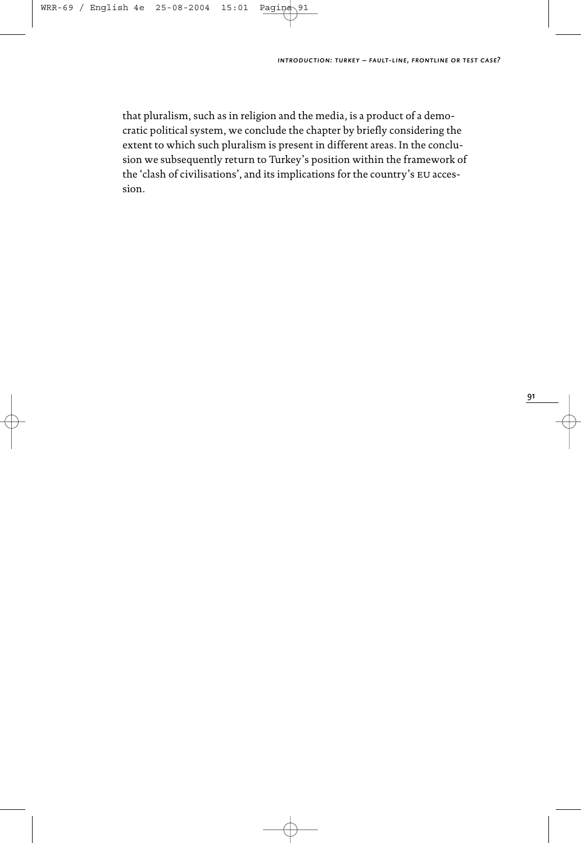that pluralism, such as in religion and the media, is a product of a democratic political system, we conclude the chapter by briefly considering the extent to which such pluralism is present in different areas. In the conclusion we subsequently return to Turkey's position within the framework of the 'clash of civilisations', and its implications for the country's EU accession.

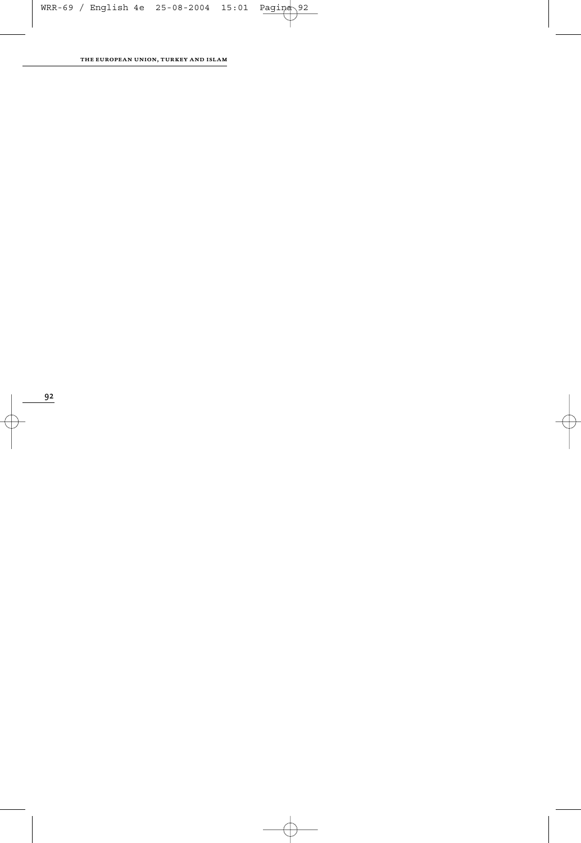€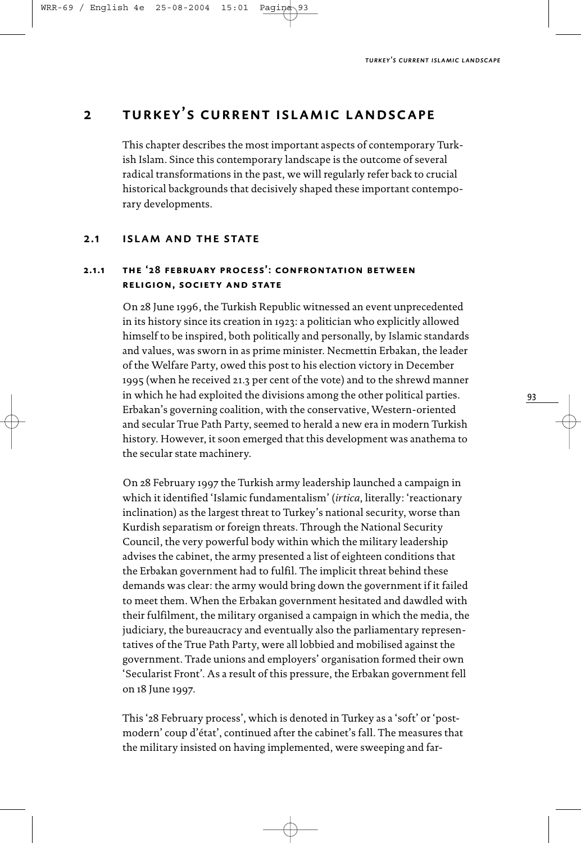### 2 turkey's current islamic landscape

This chapter describes the most important aspects of contemporary Turkish Islam. Since this contemporary landscape is the outcome of several radical transformations in the past, we will regularly refer back to crucial historical backgrounds that decisively shaped these important contemporary developments.

#### 2.1 **ISLAM AND THE STATE**

WRR-69 / English 4e 25-08-2004 15:01 Pagina 93

#### **2.1.1 the '28 february process': confrontation betweenreligion, society and state**

On 28 June 1996, the Turkish Republic witnessed an event unprecedented in its history since its creation in 1923: a politician who explicitly allowed himself to be inspired, both politically and personally, by Islamic standards and values, was sworn in as prime minister. Necmettin Erbakan, the leader of the Welfare Party, owed this post to his election victory in December 1995 (when he received 21.3 per cent of the vote) and to the shrewd manner in which he had exploited the divisions among the other political parties. Erbakan's governing coalition, with the conservative, Western-oriented and secular True Path Party, seemed to herald a new era in modern Turkish history. However, it soon emerged that this development was anathema to the secular state machinery.

On 28 February 1997 the Turkish army leadership launched a campaign in which it identified 'Islamic fundamentalism' (*irtica*, literally: 'reactionary inclination) as the largest threat to Turkey's national security, worse than Kurdish separatism or foreign threats. Through the National Security Council, the very powerful body within which the military leadership advises the cabinet, the army presented a list of eighteen conditions that the Erbakan government had to fulfil. The implicit threat behind these demands was clear: the army would bring down the government if it failed to meet them. When the Erbakan government hesitated and dawdled with their fulfilment, the military organised a campaign in which the media, the judiciary, the bureaucracy and eventually also the parliamentary representatives of the True Path Party, were all lobbied and mobilised against the government. Trade unions and employers' organisation formed their own 'Secularist Front'. As a result of this pressure, the Erbakan government fell on 18 June 1997.

This '28 February process', which is denoted in Turkey as a 'soft' or 'postmodern' coup d'état', continued after the cabinet's fall. The measures that the military insisted on having implemented, were sweeping and far-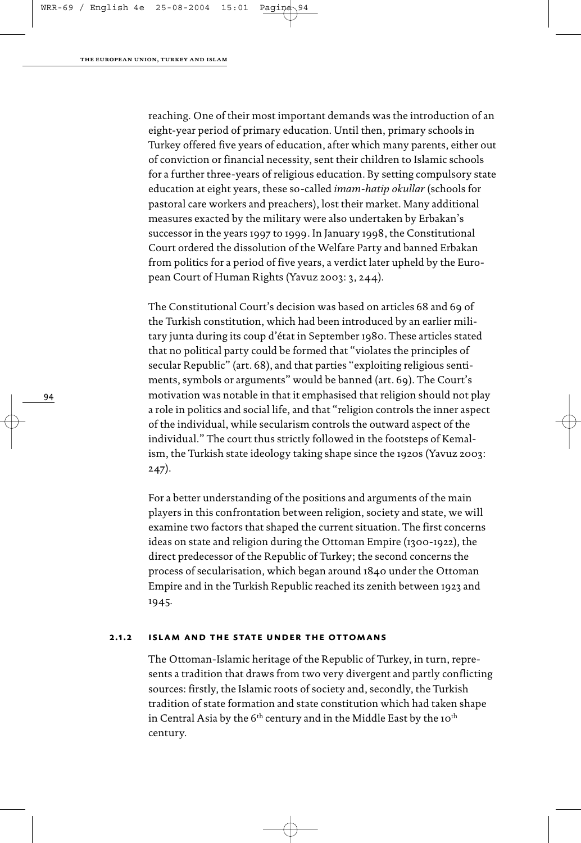reaching. One of their most important demands was the introduction of an eight-year period of primary education. Until then, primary schools in Turkey offered five years of education, after which many parents, either out of conviction or financial necessity, sent their children to Islamic schools for a further three-years of religious education. By setting compulsory state education at eight years, these so-called *imam-hatip okullar* (schools for pastoral care workers and preachers), lost their market. Many additional measures exacted by the military were also undertaken by Erbakan's successor in the years 1997 to 1999. In January 1998, the Constitutional Court ordered the dissolution of the Welfare Party and banned Erbakan from politics for a period of five years, a verdict later upheld by the European Court of Human Rights (Yavuz 2003: 3, 244).

The Constitutional Court's decision was based on articles 68 and 69 of the Turkish constitution, which had been introduced by an earlier military junta during its coup d'état in September 1980. These articles stated that no political party could be formed that "violates the principles of secular Republic" (art. 68), and that parties "exploiting religious sentiments, symbols or arguments" would be banned (art. 69). The Court's motivation was notable in that it emphasised that religion should not play a role in politics and social life, and that "religion controls the inner aspect of the individual, while secularism controls the outward aspect of the individual." The court thus strictly followed in the footsteps of Kemalism, the Turkish state ideology taking shape since the 1920s (Yavuz 2003: 247).

For a better understanding of the positions and arguments of the main players in this confrontation between religion, society and state, we will examine two factors that shaped the current situation. The first concerns ideas on state and religion during the Ottoman Empire (1300-1922), the direct predecessor of the Republic of Turkey; the second concerns the process of secularisation, which began around 1840 under the Ottoman Empire and in the Turkish Republic reached its zenith between 1923 and 1945.

#### **2.1.2 islam and the state under the ottomans**

The Ottoman-Islamic heritage of the Republic of Turkey, in turn, represents a tradition that draws from two very divergent and partly conflicting sources: firstly, the Islamic roots of society and, secondly, the Turkish tradition of state formation and state constitution which had taken shape in Central Asia by the  $6<sup>th</sup>$  century and in the Middle East by the 10<sup>th</sup> century.

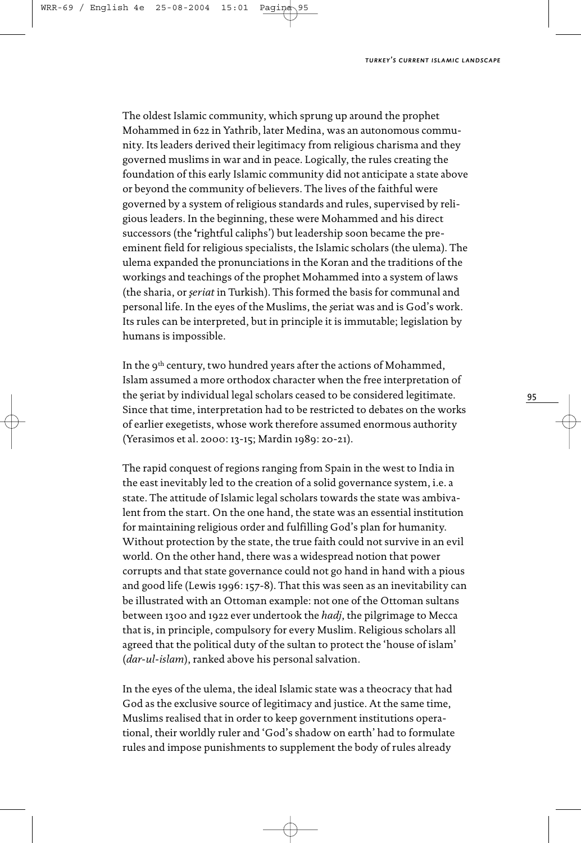WRR-69 / English 4e 25-08-2004 15:01 Pagina 95

The oldest Islamic community, which sprung up around the prophet Mohammed in 622 in Yathrib, later Medina, was an autonomous community. Its leaders derived their legitimacy from religious charisma and they governed muslims in war and in peace. Logically, the rules creating the foundation of this early Islamic community did not anticipate a state above or beyond the community of believers. The lives of the faithful were governed by a system of religious standards and rules, supervised by religious leaders. In the beginning, these were Mohammed and his direct successors (the **'**rightful caliphs') but leadership soon became the preeminent field for religious specialists, the Islamic scholars (the ulema). The ulema expanded the pronunciations in the Koran and the traditions of the workings and teachings of the prophet Mohammed into a system of laws (the sharia, or *seriat* in Turkish). This formed the basis for communal and personal life. In the eyes of the Muslims, the *¸s*eriat was and is God's work. Its rules can be interpreted, but in principle it is immutable; legislation by humans is impossible.

In the 9th century, two hundred years after the actions of Mohammed, Islam assumed a more orthodox character when the free interpretation of the seriat by individual legal scholars ceased to be considered legitimate. Since that time, interpretation had to be restricted to debates on the works of earlier exegetists, whose work therefore assumed enormous authority (Yerasimos et al. 2000: 13-15; Mardin 1989: 20-21).

The rapid conquest of regions ranging from Spain in the west to India in the east inevitably led to the creation of a solid governance system, i.e. a state. The attitude of Islamic legal scholars towards the state was ambivalent from the start. On the one hand, the state was an essential institution for maintaining religious order and fulfilling God's plan for humanity. Without protection by the state, the true faith could not survive in an evil world. On the other hand, there was a widespread notion that power corrupts and that state governance could not go hand in hand with a pious and good life (Lewis 1996: 157-8). That this was seen as an inevitability can be illustrated with an Ottoman example: not one of the Ottoman sultans between 1300 and 1922 ever undertook the *hadj*, the pilgrimage to Mecca that is, in principle, compulsory for every Muslim. Religious scholars all agreed that the political duty of the sultan to protect the 'house of islam' (*dar-ul-islam*), ranked above his personal salvation.

In the eyes of the ulema, the ideal Islamic state was a theocracy that had God as the exclusive source of legitimacy and justice. At the same time, Muslims realised that in order to keep government institutions operational, their worldly ruler and 'God's shadow on earth' had to formulate rules and impose punishments to supplement the body of rules already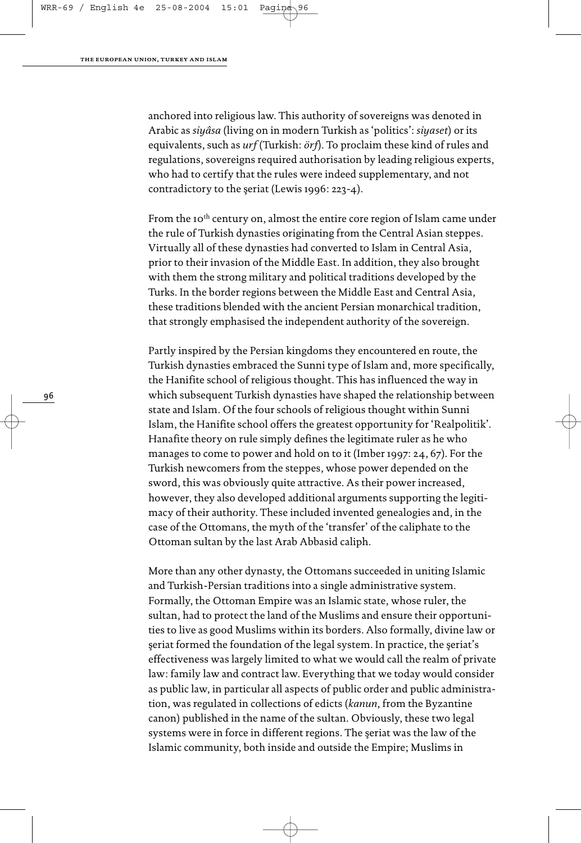96

anchored into religious law. This authority of sovereigns was denoted in Arabic as *siyâsa* (living on in modern Turkish as 'politics': *siyaset*) or its equivalents, such as *urf* (Turkish: *örf*). To proclaim these kind of rules and regulations, sovereigns required authorisation by leading religious experts, who had to certify that the rules were indeed supplementary, and not contradictory to the seriat (Lewis 1996: 223-4).

From the 10<sup>th</sup> century on, almost the entire core region of Islam came under the rule of Turkish dynasties originating from the Central Asian steppes. Virtually all of these dynasties had converted to Islam in Central Asia, prior to their invasion of the Middle East. In addition, they also brought with them the strong military and political traditions developed by the Turks. In the border regions between the Middle East and Central Asia, these traditions blended with the ancient Persian monarchical tradition, that strongly emphasised the independent authority of the sovereign.

Partly inspired by the Persian kingdoms they encountered en route, the Turkish dynasties embraced the Sunni type of Islam and, more specifically, the Hanifite school of religious thought. This has influenced the way in which subsequent Turkish dynasties have shaped the relationship between state and Islam. Of the four schools of religious thought within Sunni Islam, the Hanifite school offers the greatest opportunity for 'Realpolitik'. Hanafite theory on rule simply defines the legitimate ruler as he who manages to come to power and hold on to it (Imber 1997: 24, 67). For the Turkish newcomers from the steppes, whose power depended on the sword, this was obviously quite attractive. As their power increased, however, they also developed additional arguments supporting the legitimacy of their authority. These included invented genealogies and, in the case of the Ottomans, the myth of the 'transfer' of the caliphate to the Ottoman sultan by the last Arab Abbasid caliph.

More than any other dynasty, the Ottomans succeeded in uniting Islamic and Turkish-Persian traditions into a single administrative system. Formally, the Ottoman Empire was an Islamic state, whose ruler, the sultan, had to protect the land of the Muslims and ensure their opportunities to live as good Muslims within its borders. Also formally, divine law or seriat formed the foundation of the legal system. In practice, the seriat's effectiveness was largely limited to what we would call the realm of private law: family law and contract law. Everything that we today would consider as public law, in particular all aspects of public order and public administration, was regulated in collections of edicts (*kanun*, from the Byzantine canon) published in the name of the sultan. Obviously, these two legal systems were in force in different regions. The seriat was the law of the Islamic community, both inside and outside the Empire; Muslims in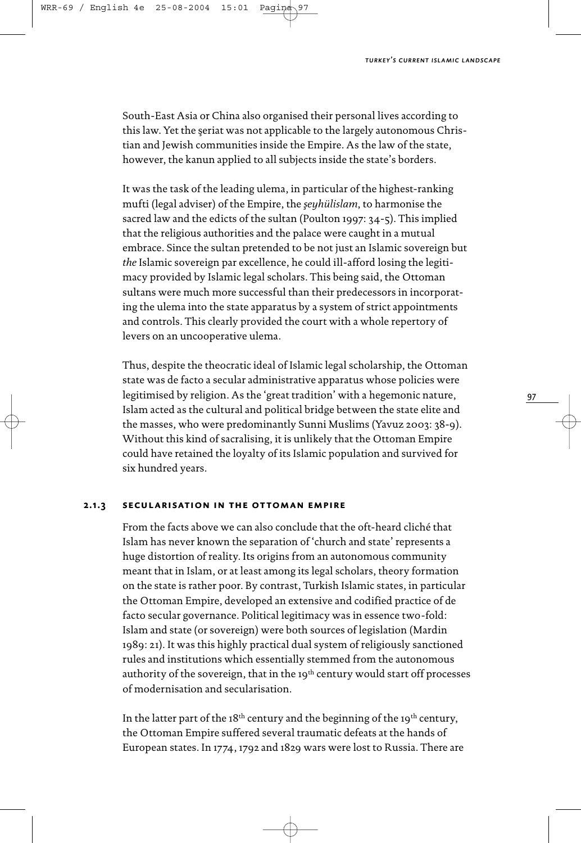South-East Asia or China also organised their personal lives according to this law. Yet the seriat was not applicable to the largely autonomous Christian and Jewish communities inside the Empire. As the law of the state, however, the kanun applied to all subjects inside the state's borders.

It was the task of the leading ulema, in particular of the highest-ranking mufti (legal adviser) of the Empire, the *şeyhülislam*, to harmonise the sacred law and the edicts of the sultan (Poulton 1997: 34-5). This implied that the religious authorities and the palace were caught in a mutual embrace. Since the sultan pretended to be not just an Islamic sovereign but *the* Islamic sovereign par excellence, he could ill-afford losing the legitimacy provided by Islamic legal scholars. This being said, the Ottoman sultans were much more successful than their predecessors in incorporating the ulema into the state apparatus by a system of strict appointments and controls. This clearly provided the court with a whole repertory of levers on an uncooperative ulema.

Thus, despite the theocratic ideal of Islamic legal scholarship, the Ottoman state was de facto a secular administrative apparatus whose policies were legitimised by religion. As the 'great tradition' with a hegemonic nature, Islam acted as the cultural and political bridge between the state elite and the masses, who were predominantly Sunni Muslims (Yavuz 2003: 38-9). Without this kind of sacralising, it is unlikely that the Ottoman Empire could have retained the loyalty of its Islamic population and survived for six hundred years.

#### **2.1.3 secularisation in the ottoman empire**

From the facts above we can also conclude that the oft-heard cliché that Islam has never known the separation of 'church and state' represents a huge distortion of reality. Its origins from an autonomous community meant that in Islam, or at least among its legal scholars, theory formation on the state is rather poor. By contrast, Turkish Islamic states, in particular the Ottoman Empire, developed an extensive and codified practice of de facto secular governance. Political legitimacy was in essence two-fold: Islam and state (or sovereign) were both sources of legislation (Mardin 1989: 21). It was this highly practical dual system of religiously sanctioned rules and institutions which essentially stemmed from the autonomous authority of the sovereign, that in the  $19<sup>th</sup>$  century would start off processes of modernisation and secularisation.

In the latter part of the  $18<sup>th</sup>$  century and the beginning of the  $19<sup>th</sup>$  century, the Ottoman Empire suffered several traumatic defeats at the hands of European states. In 1774, 1792 and 1829 wars were lost to Russia. There are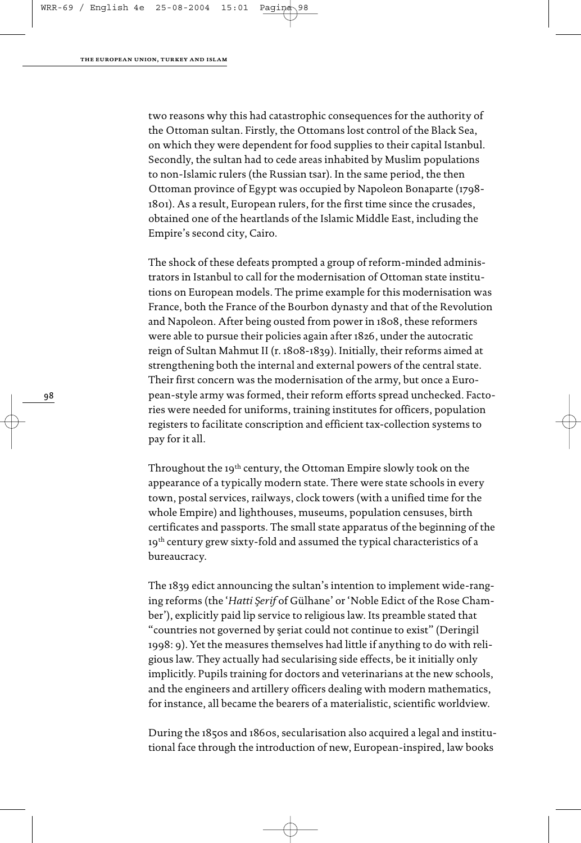98

two reasons why this had catastrophic consequences for the authority of the Ottoman sultan. Firstly, the Ottomans lost control of the Black Sea, on which they were dependent for food supplies to their capital Istanbul. Secondly, the sultan had to cede areas inhabited by Muslim populations to non-Islamic rulers (the Russian tsar). In the same period, the then Ottoman province of Egypt was occupied by Napoleon Bonaparte (1798- 1801). As a result, European rulers, for the first time since the crusades, obtained one of the heartlands of the Islamic Middle East, including the Empire's second city, Cairo.

The shock of these defeats prompted a group of reform-minded administrators in Istanbul to call for the modernisation of Ottoman state institutions on European models. The prime example for this modernisation was France, both the France of the Bourbon dynasty and that of the Revolution and Napoleon. After being ousted from power in 1808, these reformers were able to pursue their policies again after 1826, under the autocratic reign of Sultan Mahmut II (r. 1808-1839). Initially, their reforms aimed at strengthening both the internal and external powers of the central state. Their first concern was the modernisation of the army, but once a European-style army was formed, their reform efforts spread unchecked. Factories were needed for uniforms, training institutes for officers, population registers to facilitate conscription and efficient tax-collection systems to pay for it all.

Throughout the 19<sup>th</sup> century, the Ottoman Empire slowly took on the appearance of a typically modern state. There were state schools in every town, postal services, railways, clock towers (with a unified time for the whole Empire) and lighthouses, museums, population censuses, birth certificates and passports. The small state apparatus of the beginning of the 19<sup>th</sup> century grew sixty-fold and assumed the typical characteristics of a bureaucracy.

The 1839 edict announcing the sultan's intention to implement wide-ranging reforms (the '*Hatti Serif* of Gülhane' or 'Noble Edict of the Rose Chamber'), explicitly paid lip service to religious law. Its preamble stated that "countries not governed by seriat could not continue to exist" (Deringil 1998: 9). Yet the measures themselves had little if anything to do with religious law. They actually had secularising side effects, be it initially only implicitly. Pupils training for doctors and veterinarians at the new schools, and the engineers and artillery officers dealing with modern mathematics, for instance, all became the bearers of a materialistic, scientific worldview.

During the 1850s and 1860s, secularisation also acquired a legal and institutional face through the introduction of new, European-inspired, law books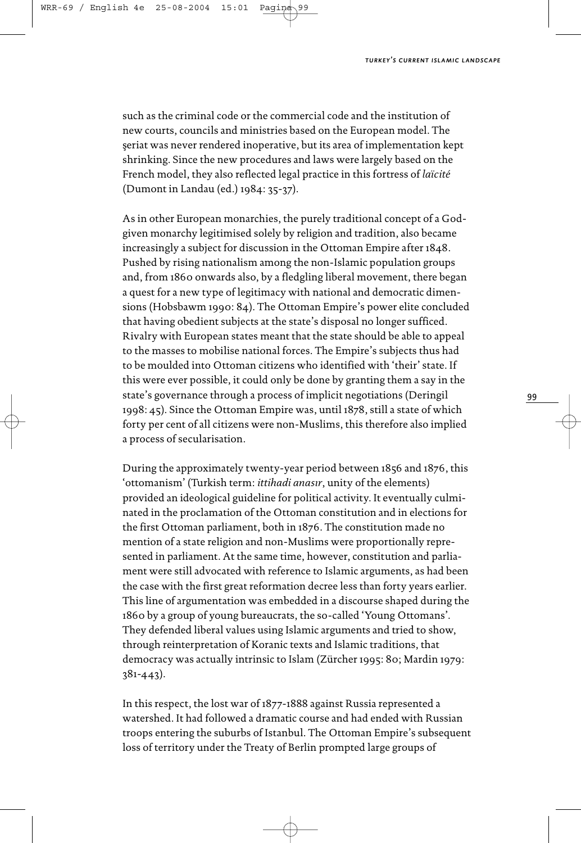such as the criminal code or the commercial code and the institution of new courts, councils and ministries based on the European model. The ¸eriat was never rendered inoperative, but its area of implementation kept s shrinking. Since the new procedures and laws were largely based on the French model, they also reflected legal practice in this fortress of *laïcité* (Dumont in Landau (ed.) 1984: 35-37).

As in other European monarchies, the purely traditional concept of a Godgiven monarchy legitimised solely by religion and tradition, also became increasingly a subject for discussion in the Ottoman Empire after 1848. Pushed by rising nationalism among the non-Islamic population groups and, from 1860 onwards also, by a fledgling liberal movement, there began a quest for a new type of legitimacy with national and democratic dimensions (Hobsbawm 1990: 84). The Ottoman Empire's power elite concluded that having obedient subjects at the state's disposal no longer sufficed. Rivalry with European states meant that the state should be able to appeal to the masses to mobilise national forces. The Empire's subjects thus had to be moulded into Ottoman citizens who identified with 'their' state. If this were ever possible, it could only be done by granting them a say in the state's governance through a process of implicit negotiations (Deringil 1998: 45). Since the Ottoman Empire was, until 1878, still a state of which forty per cent of all citizens were non-Muslims, this therefore also implied a process of secularisation.

During the approximately twenty-year period between 1856 and 1876, this 'ottomanism' (Turkish term: *ittihadi anasır*, unity of the elements) provided an ideological guideline for political activity. It eventually culminated in the proclamation of the Ottoman constitution and in elections for the first Ottoman parliament, both in 1876. The constitution made no mention of a state religion and non-Muslims were proportionally represented in parliament. At the same time, however, constitution and parliament were still advocated with reference to Islamic arguments, as had been the case with the first great reformation decree less than forty years earlier. This line of argumentation was embedded in a discourse shaped during the 1860 by a group of young bureaucrats, the so-called 'Young Ottomans'. They defended liberal values using Islamic arguments and tried to show, through reinterpretation of Koranic texts and Islamic traditions, that democracy was actually intrinsic to Islam (Zürcher 1995: 80; Mardin 1979: 381-443).

In this respect, the lost war of 1877-1888 against Russia represented a watershed. It had followed a dramatic course and had ended with Russian troops entering the suburbs of Istanbul. The Ottoman Empire's subsequent loss of territory under the Treaty of Berlin prompted large groups of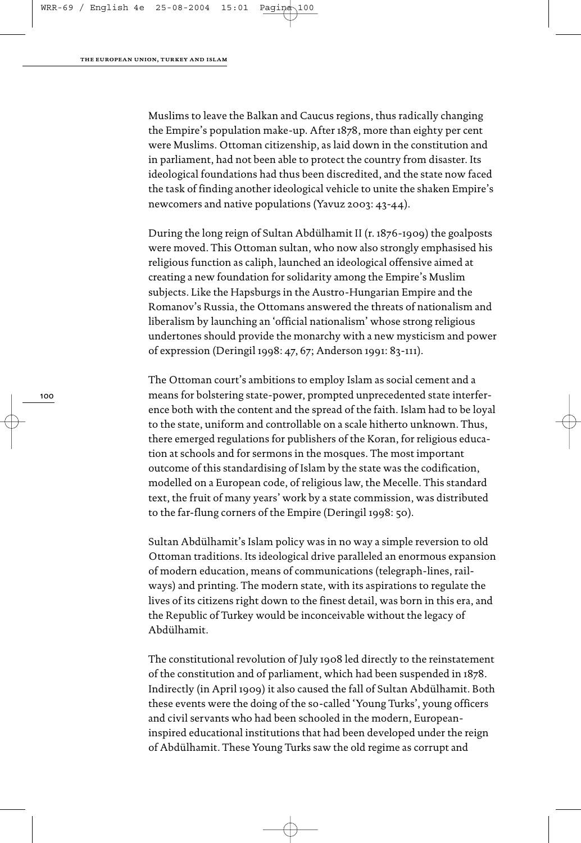Muslims to leave the Balkan and Caucus regions, thus radically changing the Empire's population make-up. After 1878, more than eighty per cent were Muslims. Ottoman citizenship, as laid down in the constitution and in parliament, had not been able to protect the country from disaster. Its ideological foundations had thus been discredited, and the state now faced the task of finding another ideological vehicle to unite the shaken Empire's newcomers and native populations (Yavuz 2003: 43-44).

During the long reign of Sultan Abdülhamit II (r. 1876-1909) the goalposts were moved. This Ottoman sultan, who now also strongly emphasised his religious function as caliph, launched an ideological offensive aimed at creating a new foundation for solidarity among the Empire's Muslim subjects. Like the Hapsburgs in the Austro-Hungarian Empire and the Romanov's Russia, the Ottomans answered the threats of nationalism and liberalism by launching an 'official nationalism' whose strong religious undertones should provide the monarchy with a new mysticism and power of expression (Deringil 1998: 47, 67; Anderson 1991: 83-111).

The Ottoman court's ambitions to employ Islam as social cement and a means for bolstering state-power, prompted unprecedented state interference both with the content and the spread of the faith. Islam had to be loyal to the state, uniform and controllable on a scale hitherto unknown. Thus, there emerged regulations for publishers of the Koran, for religious education at schools and for sermons in the mosques. The most important outcome of this standardising of Islam by the state was the codification, modelled on a European code, of religious law, the Mecelle. This standard text, the fruit of many years' work by a state commission, was distributed to the far-flung corners of the Empire (Deringil 1998: 50).

Sultan Abdülhamit's Islam policy was in no way a simple reversion to old Ottoman traditions. Its ideological drive paralleled an enormous expansion of modern education, means of communications (telegraph-lines, railways) and printing. The modern state, with its aspirations to regulate the lives of its citizens right down to the finest detail, was born in this era, and the Republic of Turkey would be inconceivable without the legacy of Abdülhamit.

The constitutional revolution of July 1908 led directly to the reinstatement of the constitution and of parliament, which had been suspended in 1878. Indirectly (in April 1909) it also caused the fall of Sultan Abdülhamit. Both these events were the doing of the so-called 'Young Turks', young officers and civil servants who had been schooled in the modern, Europeaninspired educational institutions that had been developed under the reign of Abdülhamit. These Young Turks saw the old regime as corrupt and

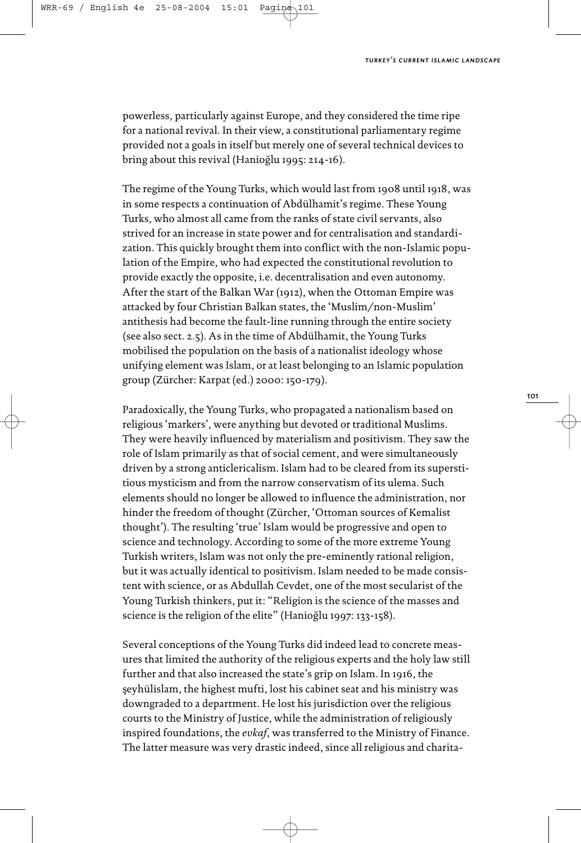powerless, particularly against Europe, and they considered the time ripe for a national revival. In their view, a constitutional parliamentary regime provided not a goals in itself but merely one of several technical devices to bring about this revival (Hanioğlu 1995: 214-16).

The regime of the Young Turks, which would last from 1908 until 1918, was in some respects a continuation of Abdülhamit's regime. These Young Turks, who almost all came from the ranks of state civil servants, also strived for an increase in state power and for centralisation and standardization. This quickly brought them into conflict with the non-Islamic population of the Empire, who had expected the constitutional revolution to provide exactly the opposite, i.e. decentralisation and even autonomy. After the start of the Balkan War (1912), when the Ottoman Empire was attacked by four Christian Balkan states, the 'Muslim/non-Muslim' antithesis had become the fault-line running through the entire society (see also sect. 2.5). As in the time of Abdülhamit, the Young Turks mobilised the population on the basis of a nationalist ideology whose unifying element was Islam, or at least belonging to an Islamic population group (Zürcher: Karpat (ed.) 2000: 150-179).

Paradoxically, the Young Turks, who propagated a nationalism based on religious 'markers', were anything but devoted or traditional Muslims. They were heavily influenced by materialism and positivism. They saw the role of Islam primarily as that of social cement, and were simultaneously driven by a strong anticlericalism. Islam had to be cleared from its superstitious mysticism and from the narrow conservatism of its ulema. Such elements should no longer be allowed to influence the administration, nor hinder the freedom of thought (Zürcher, 'Ottoman sources of Kemalist thought'). The resulting 'true' Islam would be progressive and open to science and technology. According to some of the more extreme Young Turkish writers, Islam was not only the pre-eminently rational religion, but it was actually identical to positivism. Islam needed to be made consistent with science, or as Abdullah Cevdet, one of the most secularist of the Young Turkish thinkers, put it: "Religion is the science of the masses and science is the religion of the elite" (Hanioğlu 1997: 133-158).

Several conceptions of the Young Turks did indeed lead to concrete measures that limited the authority of the religious experts and the holy law still further and that also increased the state's grip on Islam. In 1916, the ¸eyhülislam, the highest mufti, lost his cabinet seat and his ministry was s downgraded to a department. He lost his jurisdiction over the religious courts to the Ministry of Justice, while the administration of religiously inspired foundations, the *evkaf*, was transferred to the Ministry of Finance. The latter measure was very drastic indeed, since all religious and charita-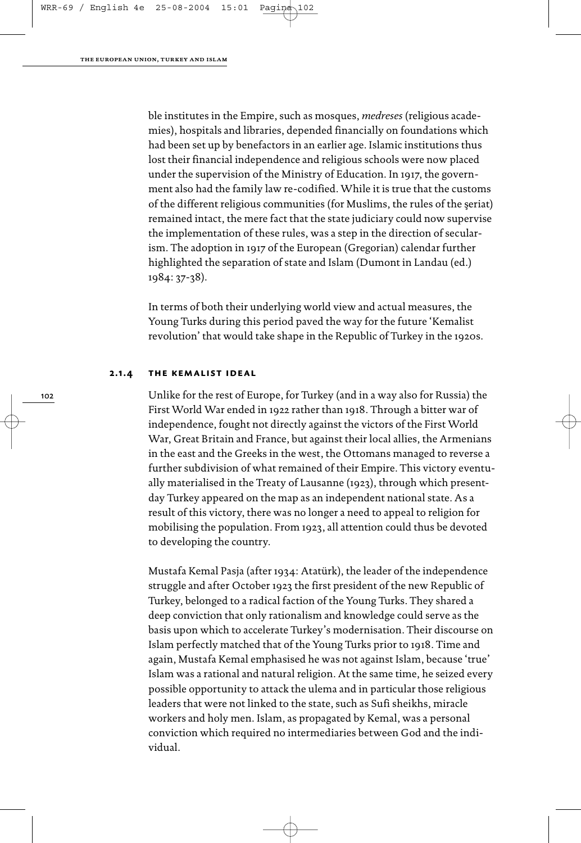ble institutes in the Empire, such as mosques, *medreses* (religious academies), hospitals and libraries, depended financially on foundations which had been set up by benefactors in an earlier age. Islamic institutions thus lost their financial independence and religious schools were now placed under the supervision of the Ministry of Education. In 1917, the government also had the family law re-codified. While it is true that the customs of the different religious communities (for Muslims, the rules of the seriat) remained intact, the mere fact that the state judiciary could now supervise the implementation of these rules, was a step in the direction of secularism. The adoption in 1917 of the European (Gregorian) calendar further highlighted the separation of state and Islam (Dumont in Landau (ed.) 1984: 37-38).

In terms of both their underlying world view and actual measures, the Young Turks during this period paved the way for the future 'Kemalist revolution' that would take shape in the Republic of Turkey in the 1920s.

#### **2.1.4 the kemalist ideal**

102

Unlike for the rest of Europe, for Turkey (and in a way also for Russia) the First World War ended in 1922 rather than 1918. Through a bitter war of independence, fought not directly against the victors of the First World War, Great Britain and France, but against their local allies, the Armenians in the east and the Greeks in the west, the Ottomans managed to reverse a further subdivision of what remained of their Empire. This victory eventually materialised in the Treaty of Lausanne (1923), through which presentday Turkey appeared on the map as an independent national state. As a result of this victory, there was no longer a need to appeal to religion for mobilising the population. From 1923, all attention could thus be devoted to developing the country.

Mustafa Kemal Pasja (after 1934: Atatürk), the leader of the independence struggle and after October 1923 the first president of the new Republic of Turkey, belonged to a radical faction of the Young Turks. They shared a deep conviction that only rationalism and knowledge could serve as the basis upon which to accelerate Turkey's modernisation. Their discourse on Islam perfectly matched that of the Young Turks prior to 1918. Time and again, Mustafa Kemal emphasised he was not against Islam, because 'true' Islam was a rational and natural religion. At the same time, he seized every possible opportunity to attack the ulema and in particular those religious leaders that were not linked to the state, such as Sufi sheikhs, miracle workers and holy men. Islam, as propagated by Kemal, was a personal conviction which required no intermediaries between God and the individual.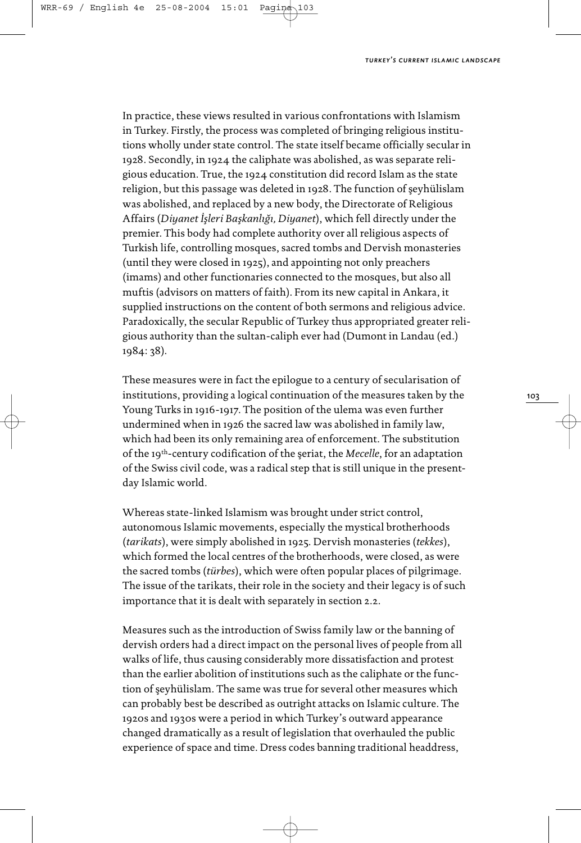In practice, these views resulted in various confrontations with Islamism in Turkey. Firstly, the process was completed of bringing religious institutions wholly under state control. The state itself became officially secular in 1928. Secondly, in 1924 the caliphate was abolished, as was separate religious education. True, the 1924 constitution did record Islam as the state religion, but this passage was deleted in 1928. The function of seyhülislam was abolished, and replaced by a new body, the Directorate of Religious Affairs (*Diyanet I˙¸leri Bas s ¸kanlıgˇı, Diyanet*), which fell directly under the premier. This body had complete authority over all religious aspects of Turkish life, controlling mosques, sacred tombs and Dervish monasteries (until they were closed in 1925), and appointing not only preachers (imams) and other functionaries connected to the mosques, but also all muftis (advisors on matters of faith). From its new capital in Ankara, it supplied instructions on the content of both sermons and religious advice. Paradoxically, the secular Republic of Turkey thus appropriated greater religious authority than the sultan-caliph ever had (Dumont in Landau (ed.) 1984: 38).

These measures were in fact the epilogue to a century of secularisation of institutions, providing a logical continuation of the measures taken by the Young Turks in 1916-1917. The position of the ulema was even further undermined when in 1926 the sacred law was abolished in family law, which had been its only remaining area of enforcement. The substitution of the 19<sup>th</sup>-century codification of the seriat, the *Mecelle*, for an adaptation of the Swiss civil code, was a radical step that is still unique in the presentday Islamic world.

Whereas state-linked Islamism was brought under strict control, autonomous Islamic movements, especially the mystical brotherhoods (*tarikats*), were simply abolished in 1925. Dervish monasteries (*tekkes*), which formed the local centres of the brotherhoods, were closed, as were the sacred tombs (*türbes*), which were often popular places of pilgrimage. The issue of the tarikats, their role in the society and their legacy is of such importance that it is dealt with separately in section 2.2.

Measures such as the introduction of Swiss family law or the banning of dervish orders had a direct impact on the personal lives of people from all walks of life, thus causing considerably more dissatisfaction and protest than the earlier abolition of institutions such as the caliphate or the function of seyhülislam. The same was true for several other measures which can probably best be described as outright attacks on Islamic culture. The 1920s and 1930s were a period in which Turkey's outward appearance changed dramatically as a result of legislation that overhauled the public experience of space and time. Dress codes banning traditional headdress,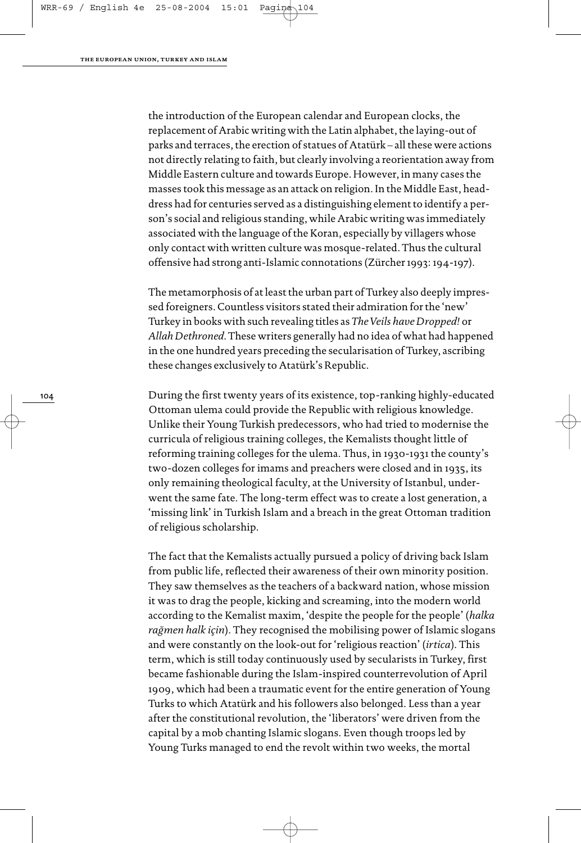104

the introduction of the European calendar and European clocks, the replacement of Arabic writing with the Latin alphabet, the laying-out of parks and terraces, the erection of statues of Atatürk – all these were actions not directly relating to faith, but clearly involving a reorientation away from Middle Eastern culture and towards Europe. However, in many cases the masses took this message as an attack on religion. In the Middle East, headdress had for centuries served as a distinguishing element to identify a person's social and religious standing, while Arabic writing was immediately associated with the language of the Koran, especially by villagers whose only contact with written culture was mosque-related. Thus the cultural offensive had strong anti-Islamic connotations (Zürcher 1993: 194-197).

The metamorphosis of at least the urban part of Turkey also deeply impressed foreigners. Countless visitors stated their admiration for the 'new' Turkey in books with such revealing titles as *The Veils have Dropped!* or *Allah Dethroned*. These writers generally had no idea of what had happened in the one hundred years preceding the secularisation of Turkey, ascribing these changes exclusively to Atatürk's Republic.

During the first twenty years of its existence, top-ranking highly-educated Ottoman ulema could provide the Republic with religious knowledge. Unlike their Young Turkish predecessors, who had tried to modernise the curricula of religious training colleges, the Kemalists thought little of reforming training colleges for the ulema. Thus, in 1930-1931 the county's two-dozen colleges for imams and preachers were closed and in 1935, its only remaining theological faculty, at the University of Istanbul, underwent the same fate. The long-term effect was to create a lost generation, a 'missing link' in Turkish Islam and a breach in the great Ottoman tradition of religious scholarship.

The fact that the Kemalists actually pursued a policy of driving back Islam from public life, reflected their awareness of their own minority position. They saw themselves as the teachers of a backward nation, whose mission it was to drag the people, kicking and screaming, into the modern world according to the Kemalist maxim, 'despite the people for the people' (*halka* ragmen halk için). They recognised the mobilising power of Islamic slogans and were constantly on the look-out for 'religious reaction' (*irtica*). This term, which is still today continuously used by secularists in Turkey, first became fashionable during the Islam-inspired counterrevolution of April 1909, which had been a traumatic event for the entire generation of Young Turks to which Atatürk and his followers also belonged. Less than a year after the constitutional revolution, the 'liberators' were driven from the capital by a mob chanting Islamic slogans. Even though troops led by Young Turks managed to end the revolt within two weeks, the mortal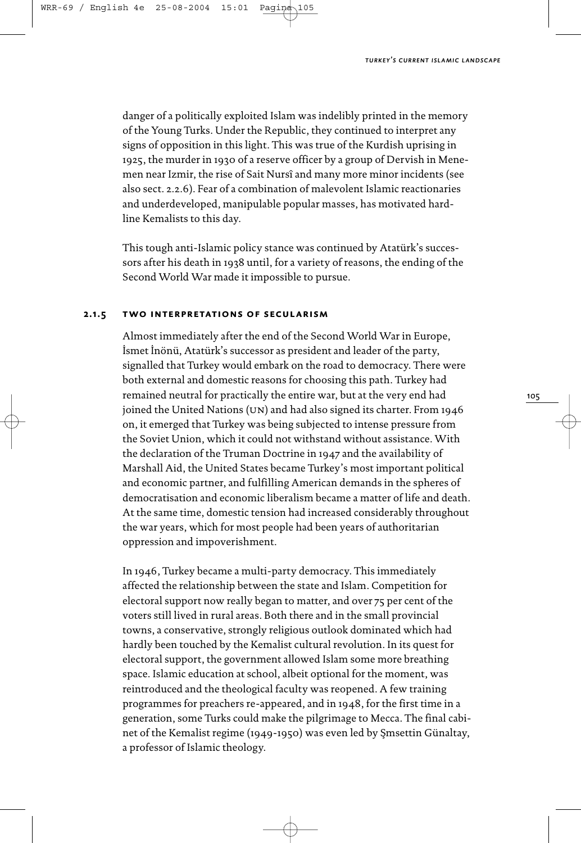danger of a politically exploited Islam was indelibly printed in the memory of the Young Turks. Under the Republic, they continued to interpret any signs of opposition in this light. This was true of the Kurdish uprising in 1925, the murder in 1930 of a reserve officer by a group of Dervish in Menemen near Izmir, the rise of Sait Nursî and many more minor incidents (see also sect. 2.2.6). Fear of a combination of malevolent Islamic reactionaries and underdeveloped, manipulable popular masses, has motivated hardline Kemalists to this day.

This tough anti-Islamic policy stance was continued by Atatürk's successors after his death in 1938 until, for a variety of reasons, the ending of the Second World War made it impossible to pursue.

#### **2.1.5 two interpretations of secularism**

Almost immediately after the end of the Second World War in Europe, İsmet İnönü, Atatürk's successor as president and leader of the party, signalled that Turkey would embark on the road to democracy. There were both external and domestic reasons for choosing this path. Turkey had remained neutral for practically the entire war, but at the very end had joined the United Nations (UN) and had also signed its charter. From 1946 on, it emerged that Turkey was being subjected to intense pressure from the Soviet Union, which it could not withstand without assistance. With the declaration of the Truman Doctrine in 1947 and the availability of Marshall Aid, the United States became Turkey's most important political and economic partner, and fulfilling American demands in the spheres of democratisation and economic liberalism became a matter of life and death. At the same time, domestic tension had increased considerably throughout the war years, which for most people had been years of authoritarian oppression and impoverishment.

In 1946, Turkey became a multi-party democracy. This immediately affected the relationship between the state and Islam. Competition for electoral support now really began to matter, and over 75 per cent of the voters still lived in rural areas. Both there and in the small provincial towns, a conservative, strongly religious outlook dominated which had hardly been touched by the Kemalist cultural revolution. In its quest for electoral support, the government allowed Islam some more breathing space. Islamic education at school, albeit optional for the moment, was reintroduced and the theological faculty was reopened. A few training programmes for preachers re-appeared, and in 1948, for the first time in a generation, some Turks could make the pilgrimage to Mecca. The final cabinet of the Kemalist regime (1949-1950) was even led by Smsettin Günaltay, a professor of Islamic theology.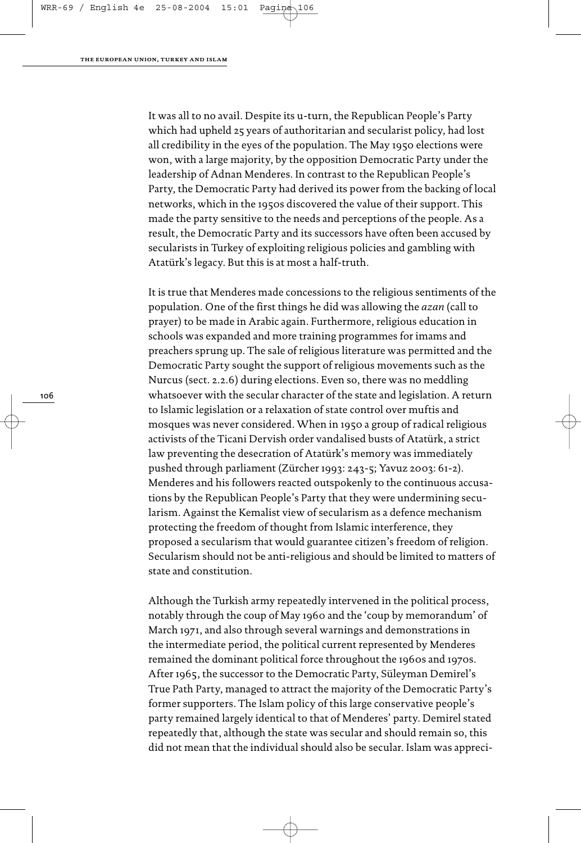106

It was all to no avail. Despite its u-turn, the Republican People's Party which had upheld 25 years of authoritarian and secularist policy, had lost all credibility in the eyes of the population. The May 1950 elections were won, with a large majority, by the opposition Democratic Party under the leadership of Adnan Menderes. In contrast to the Republican People's Party, the Democratic Party had derived its power from the backing of local networks, which in the 1950s discovered the value of their support. This made the party sensitive to the needs and perceptions of the people. As a result, the Democratic Party and its successors have often been accused by secularists in Turkey of exploiting religious policies and gambling with Atatürk's legacy. But this is at most a half-truth.

It is true that Menderes made concessions to the religious sentiments of the population. One of the first things he did was allowing the *azan* (call to prayer) to be made in Arabic again. Furthermore, religious education in schools was expanded and more training programmes for imams and preachers sprung up. The sale of religious literature was permitted and the Democratic Party sought the support of religious movements such as the Nurcus (sect. 2.2.6) during elections. Even so, there was no meddling whatsoever with the secular character of the state and legislation. A return to Islamic legislation or a relaxation of state control over muftis and mosques was never considered. When in 1950 a group of radical religious activists of the Ticani Dervish order vandalised busts of Atatürk, a strict law preventing the desecration of Atatürk's memory was immediately pushed through parliament (Zürcher 1993: 243-5; Yavuz 2003: 61-2). Menderes and his followers reacted outspokenly to the continuous accusations by the Republican People's Party that they were undermining secularism. Against the Kemalist view of secularism as a defence mechanism protecting the freedom of thought from Islamic interference, they proposed a secularism that would guarantee citizen's freedom of religion. Secularism should not be anti-religious and should be limited to matters of state and constitution.

Although the Turkish army repeatedly intervened in the political process, notably through the coup of May 1960 and the 'coup by memorandum' of March 1971, and also through several warnings and demonstrations in the intermediate period, the political current represented by Menderes remained the dominant political force throughout the 1960s and 1970s. After 1965, the successor to the Democratic Party, Süleyman Demirel's True Path Party, managed to attract the majority of the Democratic Party's former supporters. The Islam policy of this large conservative people's party remained largely identical to that of Menderes' party. Demirel stated repeatedly that, although the state was secular and should remain so, this did not mean that the individual should also be secular. Islam was appreci-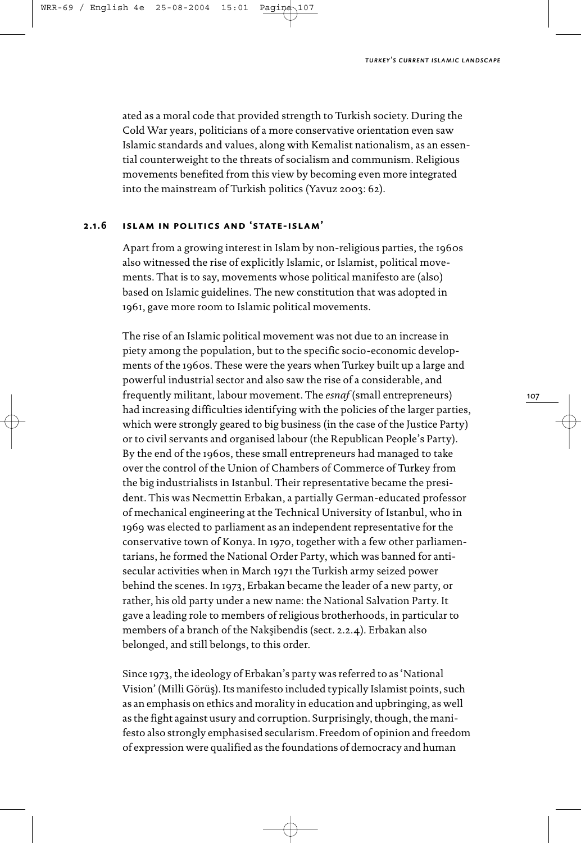ated as a moral code that provided strength to Turkish society. During the Cold War years, politicians of a more conservative orientation even saw Islamic standards and values, along with Kemalist nationalism, as an essential counterweight to the threats of socialism and communism. Religious movements benefited from this view by becoming even more integrated into the mainstream of Turkish politics (Yavuz 2003: 62).

#### **2.1.6 islam in politics and 'state-islam'**

WRR-69 / English 4e 25-08-2004 15:01 Pagina 107

Apart from a growing interest in Islam by non-religious parties, the 1960s also witnessed the rise of explicitly Islamic, or Islamist, political movements. That is to say, movements whose political manifesto are (also) based on Islamic guidelines. The new constitution that was adopted in 1961, gave more room to Islamic political movements.

The rise of an Islamic political movement was not due to an increase in piety among the population, but to the specific socio-economic developments of the 1960s. These were the years when Turkey built up a large and powerful industrial sector and also saw the rise of a considerable, and frequently militant, labour movement. The *esnaf* (small entrepreneurs) had increasing difficulties identifying with the policies of the larger parties, which were strongly geared to big business (in the case of the Justice Party) or to civil servants and organised labour (the Republican People's Party). By the end of the 1960s, these small entrepreneurs had managed to take over the control of the Union of Chambers of Commerce of Turkey from the big industrialists in Istanbul. Their representative became the president. This was Necmettin Erbakan, a partially German-educated professor of mechanical engineering at the Technical University of Istanbul, who in 1969 was elected to parliament as an independent representative for the conservative town of Konya. In 1970, together with a few other parliamentarians, he formed the National Order Party, which was banned for antisecular activities when in March 1971 the Turkish army seized power behind the scenes. In 1973, Erbakan became the leader of a new party, or rather, his old party under a new name: the National Salvation Party. It gave a leading role to members of religious brotherhoods, in particular to members of a branch of the Naksibendis (sect. 2.2.4). Erbakan also belonged, and still belongs, to this order.

Since 1973, the ideology of Erbakan's party was referred to as 'National Vision' (Milli Görüs¸). Its manifesto included typically Islamist points, such as an emphasis on ethics and morality in education and upbringing, as well as the fight against usury and corruption. Surprisingly, though, the manifesto also strongly emphasised secularism. Freedom of opinion and freedom of expression were qualified as the foundations of democracy and human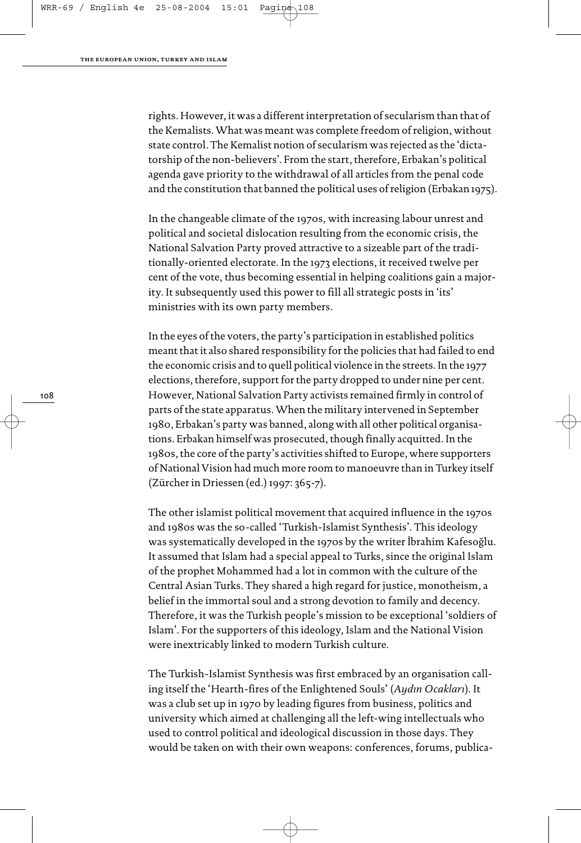rights. However, it was a different interpretation of secularism than that of the Kemalists. What was meant was complete freedom of religion, without state control. The Kemalist notion of secularism was rejected as the 'dictatorship of the non-believers'. From the start, therefore, Erbakan's political agenda gave priority to the withdrawal of all articles from the penal code and the constitution that banned the political uses of religion (Erbakan 1975).

In the changeable climate of the 1970s, with increasing labour unrest and political and societal dislocation resulting from the economic crisis, the National Salvation Party proved attractive to a sizeable part of the traditionally-oriented electorate. In the 1973 elections, it received twelve per cent of the vote, thus becoming essential in helping coalitions gain a majority. It subsequently used this power to fill all strategic posts in 'its' ministries with its own party members.

In the eyes of the voters, the party's participation in established politics meant that it also shared responsibility for the policies that had failed to end the economic crisis and to quell political violence in the streets. In the 1977 elections, therefore, support for the party dropped to under nine per cent. However, National Salvation Party activists remained firmly in control of parts of the state apparatus. When the military intervened in September 1980, Erbakan's party was banned, along with all other political organisations. Erbakan himself was prosecuted, though finally acquitted. In the 1980s, the core of the party's activities shifted to Europe, where supporters of National Vision had much more room to manoeuvre than in Turkey itself (Zürcher in Driessen (ed.) 1997: 365-7).

The other islamist political movement that acquired influence in the 1970s and 1980s was the so-called 'Turkish-Islamist Synthesis'. This ideology was systematically developed in the 1970s by the writer İbrahim Kafesoğlu. It assumed that Islam had a special appeal to Turks, since the original Islam of the prophet Mohammed had a lot in common with the culture of the Central Asian Turks. They shared a high regard for justice, monotheism, a belief in the immortal soul and a strong devotion to family and decency. Therefore, it was the Turkish people's mission to be exceptional 'soldiers of Islam'. For the supporters of this ideology, Islam and the National Vision were inextricably linked to modern Turkish culture.

The Turkish-Islamist Synthesis was first embraced by an organisation calling itself the 'Hearth-fires of the Enlightened Souls' (*Aydın Ocakları*). It was a club set up in 1970 by leading figures from business, politics and university which aimed at challenging all the left-wing intellectuals who used to control political and ideological discussion in those days. They would be taken on with their own weapons: conferences, forums, publica-

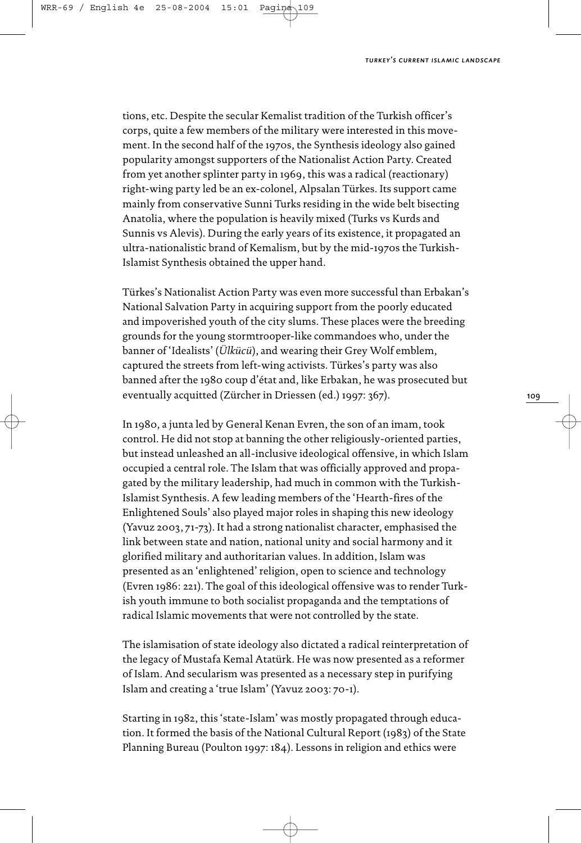WRR-69 / English 4e 25-08-2004 15:01 Pagina 109

tions, etc. Despite the secular Kemalist tradition of the Turkish officer's corps, quite a few members of the military were interested in this movement. In the second half of the 1970s, the Synthesis ideology also gained popularity amongst supporters of the Nationalist Action Party. Created from yet another splinter party in 1969, this was a radical (reactionary) right-wing party led be an ex-colonel, Alpsalan Türkes. Its support came mainly from conservative Sunni Turks residing in the wide belt bisecting Anatolia, where the population is heavily mixed (Turks vs Kurds and Sunnis vs Alevis). During the early years of its existence, it propagated an ultra-nationalistic brand of Kemalism, but by the mid-1970s the Turkish-Islamist Synthesis obtained the upper hand.

Türkes's Nationalist Action Party was even more successful than Erbakan's National Salvation Party in acquiring support from the poorly educated and impoverished youth of the city slums. These places were the breeding grounds for the young stormtrooper-like commandoes who, under the banner of 'Idealists' (*Ülkücü*), and wearing their Grey Wolf emblem, captured the streets from left-wing activists. Türkes's party was also banned after the 1980 coup d'état and, like Erbakan, he was prosecuted but eventually acquitted (Zürcher in Driessen (ed.) 1997: 367).

In 1980, a junta led by General Kenan Evren, the son of an imam, took control. He did not stop at banning the other religiously-oriented parties, but instead unleashed an all-inclusive ideological offensive, in which Islam occupied a central role. The Islam that was officially approved and propagated by the military leadership, had much in common with the Turkish-Islamist Synthesis. A few leading members of the 'Hearth-fires of the Enlightened Souls' also played major roles in shaping this new ideology (Yavuz 2003, 71-73). It had a strong nationalist character, emphasised the link between state and nation, national unity and social harmony and it glorified military and authoritarian values. In addition, Islam was presented as an 'enlightened' religion, open to science and technology (Evren 1986: 221). The goal of this ideological offensive was to render Turkish youth immune to both socialist propaganda and the temptations of radical Islamic movements that were not controlled by the state.

The islamisation of state ideology also dictated a radical reinterpretation of the legacy of Mustafa Kemal Atatürk. He was now presented as a reformer of Islam. And secularism was presented as a necessary step in purifying Islam and creating a 'true Islam' (Yavuz 2003: 70-1).

Starting in 1982, this 'state-Islam' was mostly propagated through education. It formed the basis of the National Cultural Report (1983) of the State Planning Bureau (Poulton 1997: 184). Lessons in religion and ethics were

109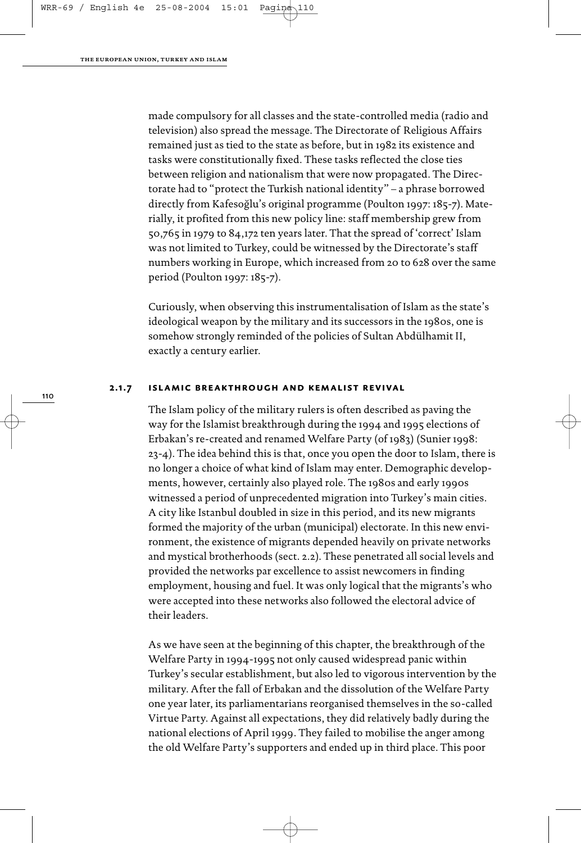made compulsory for all classes and the state-controlled media (radio and television) also spread the message. The Directorate of Religious Affairs remained just as tied to the state as before, but in 1982 its existence and tasks were constitutionally fixed. These tasks reflected the close ties between religion and nationalism that were now propagated. The Directorate had to "protect the Turkish national identity" – a phrase borrowed directly from Kafesoğlu's original programme (Poulton 1997: 185-7). Materially, it profited from this new policy line: staff membership grew from 50,765 in 1979 to 84,172 ten years later. That the spread of 'correct' Islam was not limited to Turkey, could be witnessed by the Directorate's staff numbers working in Europe, which increased from 20 to 628 over the same period (Poulton 1997: 185-7).

Curiously, when observing this instrumentalisation of Islam as the state's ideological weapon by the military and its successors in the 1980s, one is somehow strongly reminded of the policies of Sultan Abdülhamit II, exactly a century earlier.

#### **2.1.7 islamic breakthrough and kemalist revival**

The Islam policy of the military rulers is often described as paving the way for the Islamist breakthrough during the 1994 and 1995 elections of Erbakan's re-created and renamed Welfare Party (of 1983) (Sunier 1998: 23-4). The idea behind this is that, once you open the door to Islam, there is no longer a choice of what kind of Islam may enter. Demographic developments, however, certainly also played role. The 1980s and early 1990s witnessed a period of unprecedented migration into Turkey's main cities. A city like Istanbul doubled in size in this period, and its new migrants formed the majority of the urban (municipal) electorate. In this new environment, the existence of migrants depended heavily on private networks and mystical brotherhoods (sect. 2.2). These penetrated all social levels and provided the networks par excellence to assist newcomers in finding employment, housing and fuel. It was only logical that the migrants's who were accepted into these networks also followed the electoral advice of their leaders.

As we have seen at the beginning of this chapter, the breakthrough of the Welfare Party in 1994-1995 not only caused widespread panic within Turkey's secular establishment, but also led to vigorous intervention by the military. After the fall of Erbakan and the dissolution of the Welfare Party one year later, its parliamentarians reorganised themselves in the so-called Virtue Party. Against all expectations, they did relatively badly during the national elections of April 1999. They failed to mobilise the anger among the old Welfare Party's supporters and ended up in third place. This poor

110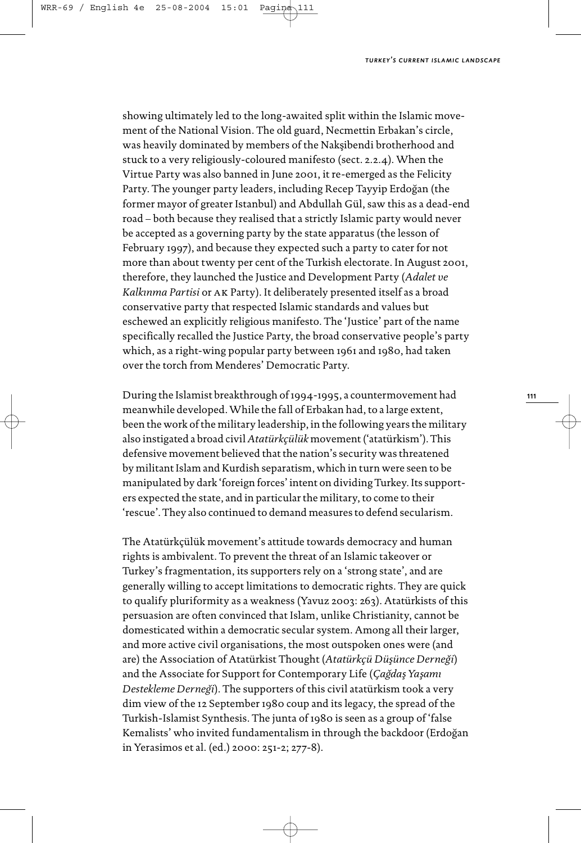showing ultimately led to the long-awaited split within the Islamic movement of the National Vision. The old guard, Necmettin Erbakan's circle, was heavily dominated by members of the Naksibendi brotherhood and stuck to a very religiously-coloured manifesto (sect. 2.2.4). When the Virtue Party was also banned in June 2001, it re-emerged as the Felicity Party. The younger party leaders, including Recep Tayyip Erdoğan (the former mayor of greater Istanbul) and Abdullah Gül, saw this as a dead-end road – both because they realised that a strictly Islamic party would never be accepted as a governing party by the state apparatus (the lesson of February 1997), and because they expected such a party to cater for not more than about twenty per cent of the Turkish electorate. In August 2001, therefore, they launched the Justice and Development Party (*Adalet ve Kalkınma Partisi* or ak Party). It deliberately presented itself as a broad conservative party that respected Islamic standards and values but eschewed an explicitly religious manifesto. The 'Justice' part of the name specifically recalled the Justice Party, the broad conservative people's party which, as a right-wing popular party between 1961 and 1980, had taken over the torch from Menderes' Democratic Party.

During the Islamist breakthrough of 1994-1995, a countermovement had meanwhile developed. While the fall of Erbakan had, to a large extent, been the work of the military leadership, in the following years the military also instigated a broad civil *Atatürkçülük* movement ('atatürkism'). This defensive movement believed that the nation's security was threatened by militant Islam and Kurdish separatism, which in turn were seen to be manipulated by dark 'foreign forces' intent on dividing Turkey. Its supporters expected the state, and in particular the military, to come to their 'rescue'. They also continued to demand measures to defend secularism.

The Atatürkçülük movement's attitude towards democracy and human rights is ambivalent. To prevent the threat of an Islamic takeover or Turkey's fragmentation, its supporters rely on a 'strong state', and are generally willing to accept limitations to democratic rights. They are quick to qualify pluriformity as a weakness (Yavuz 2003: 263). Atatürkists of this persuasion are often convinced that Islam, unlike Christianity, cannot be domesticated within a democratic secular system. Among all their larger, and more active civil organisations, the most outspoken ones were (and are) the Association of Atatürkist Thought (Atatürkçü Düşünce Derneği) and the Associate for Support for Contemporary Life (Çağdaş Yaşamı *Destekleme Dernegˇi*). The supporters of this civil atatürkism took a very dim view of the 12 September 1980 coup and its legacy, the spread of the Turkish-Islamist Synthesis. The junta of 1980 is seen as a group of 'false Kemalists' who invited fundamentalism in through the backdoor (Erdoğan in Yerasimos et al. (ed.) 2000: 251-2; 277-8).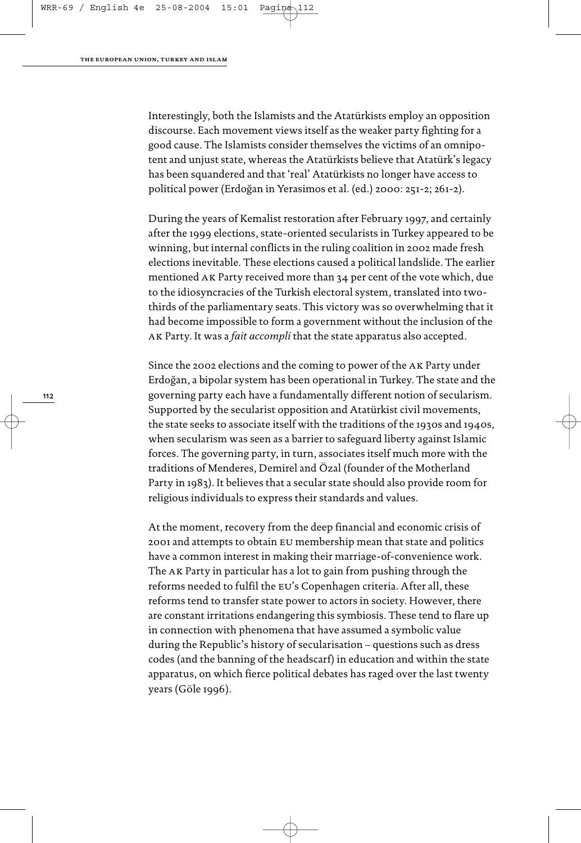112

Interestingly, both the Islamists and the Atatürkists employ an opposition discourse. Each movement views itself as the weaker party fighting for a good cause. The Islamists consider themselves the victims of an omnipotent and unjust state, whereas the Atatürkists believe that Atatürk's legacy has been squandered and that 'real' Atatürkists no longer have access to political power (Erdoğan in Yerasimos et al. (ed.) 2000: 251-2; 261-2).

During the years of Kemalist restoration after February 1997, and certainly after the 1999 elections, state-oriented secularists in Turkey appeared to be winning, but internal conflicts in the ruling coalition in 2002 made fresh elections inevitable. These elections caused a political landslide. The earlier mentioned ak Party received more than 34 per cent of the vote which, due to the idiosyncracies of the Turkish electoral system, translated into twothirds of the parliamentary seats. This victory was so overwhelming that it had become impossible to form a government without the inclusion of the ak Party. It was a *fait accompli* that the state apparatus also accepted.

Since the 2002 elections and the coming to power of the ak Party under Erdoğan, a bipolar system has been operational in Turkey. The state and the governing party each have a fundamentally different notion of secularism. Supported by the secularist opposition and Atatürkist civil movements, the state seeks to associate itself with the traditions of the 1930s and 1940s, when secularism was seen as a barrier to safeguard liberty against Islamic forces. The governing party, in turn, associates itself much more with the traditions of Menderes, Demirel and Özal (founder of the Motherland Party in 1983). It believes that a secular state should also provide room for religious individuals to express their standards and values.

At the moment, recovery from the deep financial and economic crisis of 2001 and attempts to obtain eu membership mean that state and politics have a common interest in making their marriage-of-convenience work. The ak Party in particular has a lot to gain from pushing through the reforms needed to fulfil the eu's Copenhagen criteria. After all, these reforms tend to transfer state power to actors in society. However, there are constant irritations endangering this symbiosis. These tend to flare up in connection with phenomena that have assumed a symbolic value during the Republic's history of secularisation – questions such as dress codes (and the banning of the headscarf) in education and within the state apparatus, on which fierce political debates has raged over the last twenty years (Göle 1996).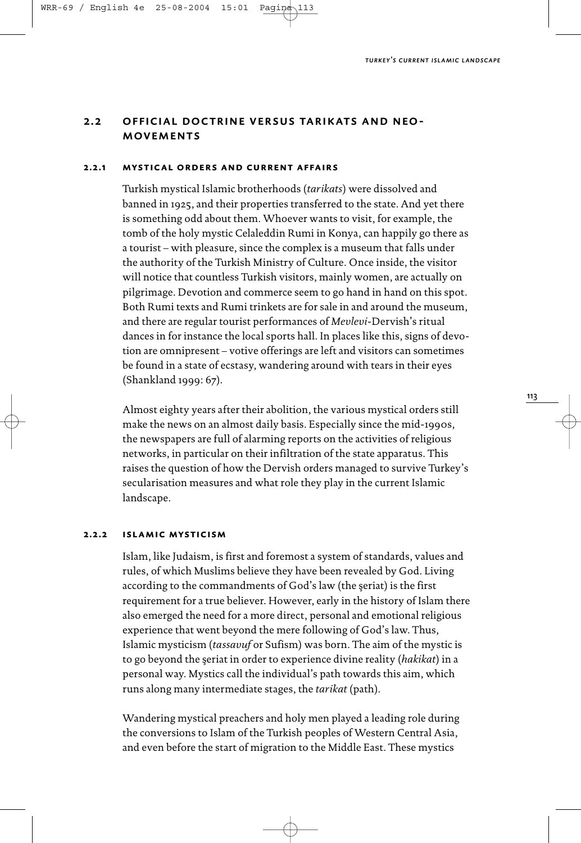### 2.2 official doctrine versus tarikats and neo-**MOVEMENTS**

#### **2.2.1 mystical orders and current affairs**

Turkish mystical Islamic brotherhoods (*tarikats*) were dissolved and banned in 1925, and their properties transferred to the state. And yet there is something odd about them. Whoever wants to visit, for example, the tomb of the holy mystic Celaleddin Rumi in Konya, can happily go there as a tourist – with pleasure, since the complex is a museum that falls under the authority of the Turkish Ministry of Culture. Once inside, the visitor will notice that countless Turkish visitors, mainly women, are actually on pilgrimage. Devotion and commerce seem to go hand in hand on this spot. Both Rumi texts and Rumi trinkets are for sale in and around the museum, and there are regular tourist performances of *Mevlevi-*Dervish's ritual dances in for instance the local sports hall. In places like this, signs of devotion are omnipresent – votive offerings are left and visitors can sometimes be found in a state of ecstasy, wandering around with tears in their eyes (Shankland 1999: 67).

Almost eighty years after their abolition, the various mystical orders still make the news on an almost daily basis. Especially since the mid-1990s, the newspapers are full of alarming reports on the activities of religious networks, in particular on their infiltration of the state apparatus. This raises the question of how the Dervish orders managed to survive Turkey's secularisation measures and what role they play in the current Islamic landscape.

#### **2.2.2 islamic mysticism**

Islam, like Judaism, is first and foremost a system of standards, values and rules, of which Muslims believe they have been revealed by God. Living according to the commandments of God's law (the seriat) is the first requirement for a true believer. However, early in the history of Islam there also emerged the need for a more direct, personal and emotional religious experience that went beyond the mere following of God's law. Thus, Islamic mysticism (*tassavuf* or Sufism) was born. The aim of the mystic is to go beyond the seriat in order to experience divine reality (*hakikat*) in a personal way. Mystics call the individual's path towards this aim, which runs along many intermediate stages, the *tarikat* (path).

Wandering mystical preachers and holy men played a leading role during the conversions to Islam of the Turkish peoples of Western Central Asia, and even before the start of migration to the Middle East. These mystics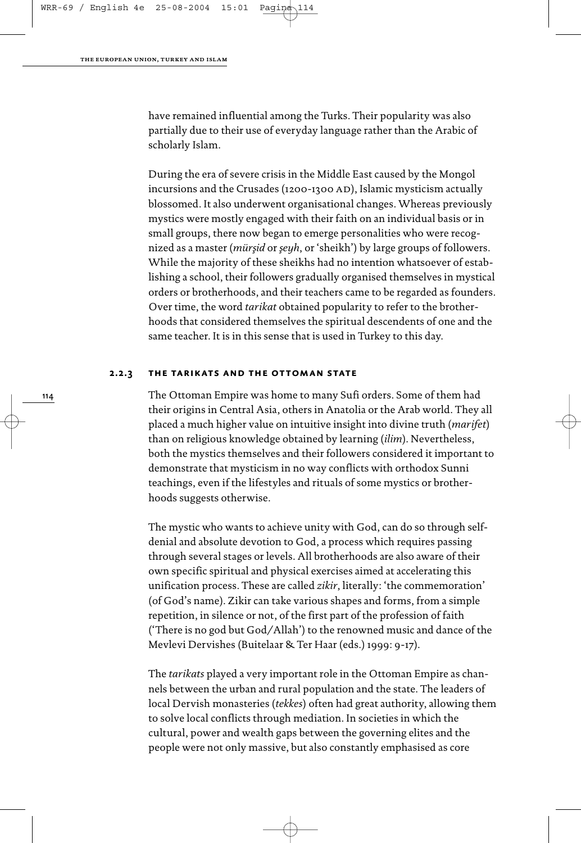114

have remained influential among the Turks. Their popularity was also partially due to their use of everyday language rather than the Arabic of scholarly Islam.

During the era of severe crisis in the Middle East caused by the Mongol incursions and the Crusades (1200-1300 AD), Islamic mysticism actually blossomed. It also underwent organisational changes. Whereas previously mystics were mostly engaged with their faith on an individual basis or in small groups, there now began to emerge personalities who were recognized as a master (*mürşid* or *şeyh*, or 'sheikh') by large groups of followers. While the majority of these sheikhs had no intention whatsoever of establishing a school, their followers gradually organised themselves in mystical orders or brotherhoods, and their teachers came to be regarded as founders. Over time, the word *tarikat* obtained popularity to refer to the brotherhoods that considered themselves the spiritual descendents of one and the same teacher. It is in this sense that is used in Turkey to this day.

#### **2.2.3 the tarikats and the ottoman state**

The Ottoman Empire was home to many Sufi orders. Some of them had their origins in Central Asia, others in Anatolia or the Arab world. They all placed a much higher value on intuitive insight into divine truth (*marifet*) than on religious knowledge obtained by learning (*ilim*). Nevertheless, both the mystics themselves and their followers considered it important to demonstrate that mysticism in no way conflicts with orthodox Sunni teachings, even if the lifestyles and rituals of some mystics or brotherhoods suggests otherwise.

The mystic who wants to achieve unity with God, can do so through selfdenial and absolute devotion to God, a process which requires passing through several stages or levels. All brotherhoods are also aware of their own specific spiritual and physical exercises aimed at accelerating this unification process. These are called *zikir*, literally: 'the commemoration' (of God's name). Zikir can take various shapes and forms, from a simple repetition, in silence or not, of the first part of the profession of faith ('There is no god but God/Allah') to the renowned music and dance of the Mevlevi Dervishes (Buitelaar & Ter Haar (eds.) 1999: 9-17).

The *tarikats* played a very important role in the Ottoman Empire as channels between the urban and rural population and the state. The leaders of local Dervish monasteries (*tekkes*) often had great authority, allowing them to solve local conflicts through mediation. In societies in which the cultural, power and wealth gaps between the governing elites and the people were not only massive, but also constantly emphasised as core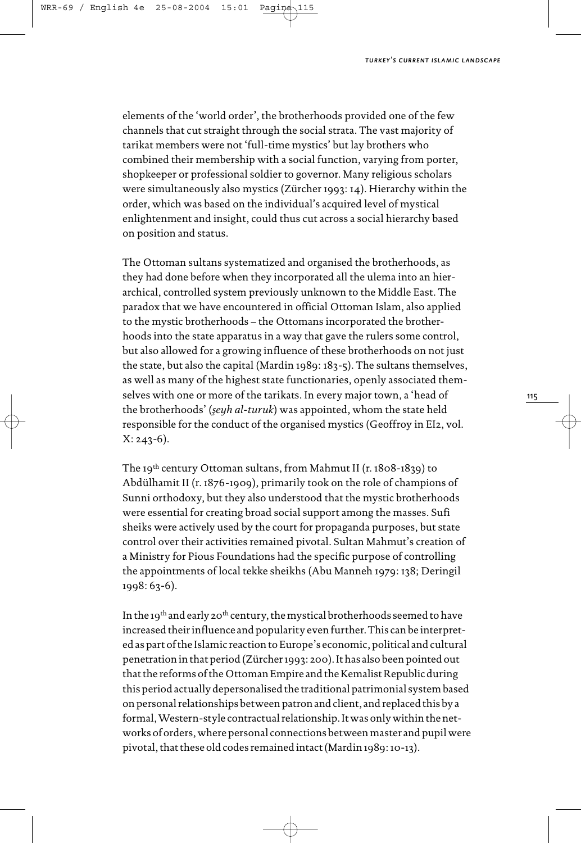WRR-69 / English 4e 25-08-2004 15:01 Pagina 115

elements of the 'world order', the brotherhoods provided one of the few channels that cut straight through the social strata. The vast majority of tarikat members were not 'full-time mystics' but lay brothers who combined their membership with a social function, varying from porter, shopkeeper or professional soldier to governor. Many religious scholars were simultaneously also mystics (Zürcher 1993: 14). Hierarchy within the order, which was based on the individual's acquired level of mystical enlightenment and insight, could thus cut across a social hierarchy based on position and status.

The Ottoman sultans systematized and organised the brotherhoods, as they had done before when they incorporated all the ulema into an hierarchical, controlled system previously unknown to the Middle East. The paradox that we have encountered in official Ottoman Islam, also applied to the mystic brotherhoods – the Ottomans incorporated the brotherhoods into the state apparatus in a way that gave the rulers some control, but also allowed for a growing influence of these brotherhoods on not just the state, but also the capital (Mardin 1989: 183-5). The sultans themselves, as well as many of the highest state functionaries, openly associated themselves with one or more of the tarikats. In every major town, a 'head of the brotherhoods' (*şeyh al-turuk*) was appointed, whom the state held responsible for the conduct of the organised mystics (Geoffroy in EI2, vol.  $X: 243-6$ .

The 19<sup>th</sup> century Ottoman sultans, from Mahmut II (r. 1808-1839) to Abdülhamit II (r. 1876-1909), primarily took on the role of champions of Sunni orthodoxy, but they also understood that the mystic brotherhoods were essential for creating broad social support among the masses. Sufi sheiks were actively used by the court for propaganda purposes, but state control over their activities remained pivotal. Sultan Mahmut's creation of a Ministry for Pious Foundations had the specific purpose of controlling the appointments of local tekke sheikhs (Abu Manneh 1979: 138; Deringil 1998: 63-6).

In the 19<sup>th</sup> and early 20<sup>th</sup> century, the mystical brotherhoods seemed to have increased their influence and popularity even further. This can be interpreted as part of the Islamic reaction to Europe's economic, political and cultural penetration in that period (Zürcher 1993: 200). It has also been pointed out that the reforms of the Ottoman Empire and the Kemalist Republic during this period actually depersonalised the traditional patrimonial system based onpersonal relationships between patron and client, and replaced this by a formal, Western-style contractual relationship. It was only within the networks of orders, where personal connections between master and pupil were pivotal, that these old codes remained intact (Mardin 1989: 10-13).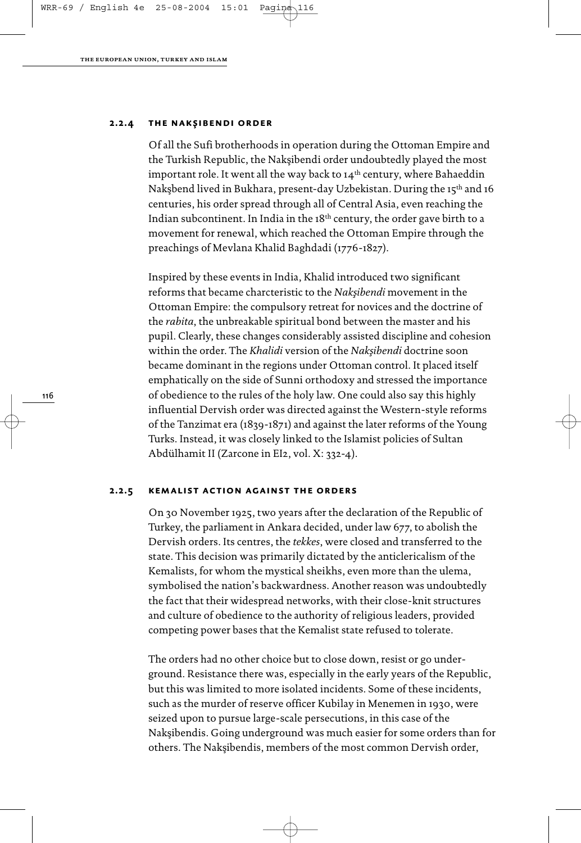WRR-69 / English 4e 25-08-2004 15:01 Pagina 116

**the european union, turkey and islam**

### **2.2.4 the naks¸ibendi order**

Of all the Sufi brotherhoods in operation during the Ottoman Empire and the Turkish Republic, the Naksibendi order undoubtedly played the most important role. It went all the way back to  $14<sup>th</sup>$  century, where Bahaeddin Naksbend lived in Bukhara, present-day Uzbekistan. During the 15<sup>th</sup> and 16 centuries, his order spread through all of Central Asia, even reaching the Indian subcontinent. In India in the  $18<sup>th</sup>$  century, the order gave birth to a movement for renewal, which reached the Ottoman Empire through the preachings of Mevlana Khalid Baghdadi (1776-1827).

Inspired by these events in India, Khalid introduced two significant reforms that became charcteristic to the *Naksibendi* movement in the Ottoman Empire: the compulsory retreat for novices and the doctrine of the *rabita*, the unbreakable spiritual bond between the master and his pupil. Clearly, these changes considerably assisted discipline and cohesion within the order. The *Khalidi* version of the *Nakşibendi* doctrine soon became dominant in the regions under Ottoman control. It placed itself emphatically on the side of Sunni orthodoxy and stressed the importance of obedience to the rules of the holy law. One could also say this highly influential Dervish order was directed against the Western-style reforms of the Tanzimat era (1839-1871) and against the later reforms of the Young Turks. Instead, it was closely linked to the Islamist policies of Sultan Abdülhamit II (Zarcone in EI2, vol. X: 332-4).

# **2.2.5 kemalist action against the orders**

On 30 November 1925, two years after the declaration of the Republic of Turkey, the parliament in Ankara decided, under law 677, to abolish the Dervish orders. Its centres, the *tekkes*, were closed and transferred to the state. This decision was primarily dictated by the anticlericalism of the Kemalists, for whom the mystical sheikhs, even more than the ulema, symbolised the nation's backwardness. Another reason was undoubtedly the fact that their widespread networks, with their close-knit structures and culture of obedience to the authority of religious leaders, provided competing power bases that the Kemalist state refused to tolerate.

The orders had no other choice but to close down, resist or go underground. Resistance there was, especially in the early years of the Republic, but this was limited to more isolated incidents. Some of these incidents, such as the murder of reserve officer Kubilay in Menemen in 1930, were seized upon to pursue large-scale persecutions, in this case of the Naksibendis. Going underground was much easier for some orders than for others. The Naksibendis, members of the most common Dervish order,

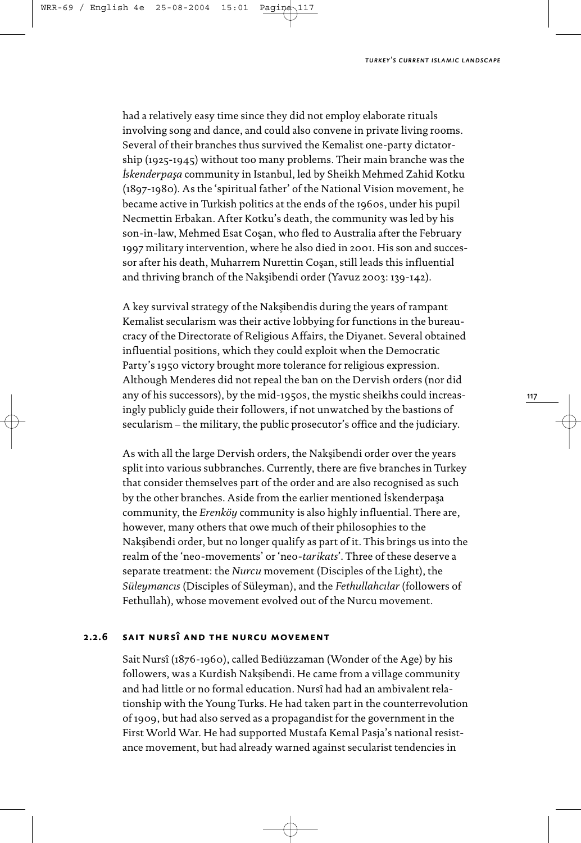WRR-69 / English 4e 25-08-2004 15:01 Pagina 117

had a relatively easy time since they did not employ elaborate rituals involving song and dance, and could also convene in private living rooms. Several of their branches thus survived the Kemalist one-party dictatorship (1925-1945) without too many problems. Their main branche was the *I˙skenderpas¸a* community in Istanbul, led by Sheikh Mehmed Zahid Kotku (1897-1980). As the 'spiritual father' of the National Vision movement, he became active in Turkish politics at the ends of the 1960s, under his pupil Necmettin Erbakan. After Kotku's death, the community was led by his son-in-law, Mehmed Esat Coşan, who fled to Australia after the February 1997 military intervention, where he also died in 2001. His son and successor after his death, Muharrem Nurettin Coşan, still leads this influential and thriving branch of the Naksibendi order (Yavuz 2003: 139-142).

A key survival strategy of the Naksibendis during the years of rampant Kemalist secularism was their active lobbying for functions in the bureaucracy of the Directorate of Religious Affairs, the Diyanet. Several obtained influential positions, which they could exploit when the Democratic Party's 1950 victory brought more tolerance for religious expression. Although Menderes did not repeal the ban on the Dervish orders (nor did any of his successors), by the mid-1950s, the mystic sheikhs could increasingly publicly guide their followers, if not unwatched by the bastions of secularism – the military, the public prosecutor's office and the judiciary.

As with all the large Dervish orders, the Naksibendi order over the years split into various subbranches. Currently, there are five branches in Turkey that consider themselves part of the order and are also recognised as such by the other branches. Aside from the earlier mentioned Iskenderpaşa community, the *Erenköy* community is also highly influential. There are, however, many others that owe much of their philosophies to the Naksibendi order, but no longer qualify as part of it. This brings us into the realm of the 'neo-movements' or 'neo-*tarikats*'. Three of these deserve a separate treatment: the *Nurcu* movement (Disciples of the Light), the *Süleymancıs* (Disciples of Süleyman), and the *Fethullahcılar* (followers of Fethullah), whose movement evolved out of the Nurcu movement.

#### **2.2.6 sait nursî and the nurcu movement**

Sait Nursî (1876-1960), called Bediüzzaman (Wonder of the Age) by his followers, was a Kurdish Nakşibendi. He came from a village community and had little or no formal education. Nursî had had an ambivalent relationship with the Young Turks. He had taken part in the counterrevolution of 1909, but had also served as a propagandist for the government in the First World War. He had supported Mustafa Kemal Pasja's national resistance movement, but had already warned against secularist tendencies in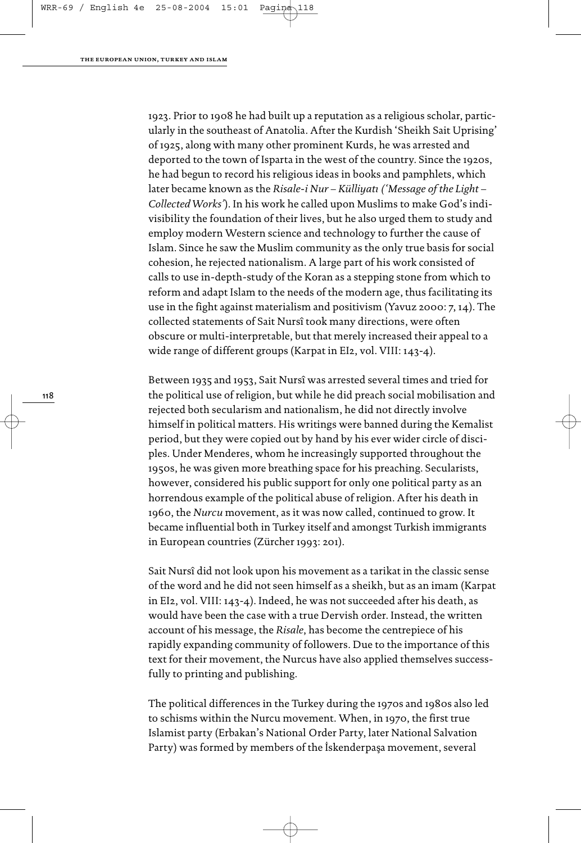118

1923. Prior to 1908 he had built up a reputation as a religious scholar, particularly in the southeast of Anatolia. After the Kurdish 'Sheikh Sait Uprising' of 1925, along with many other prominent Kurds, he was arrested and deported to the town of Isparta in the west of the country. Since the 1920s, he had begun to record his religious ideas in books and pamphlets, which later became known as the *Risale-i Nur – Külliyatı ('Message of the Light – Collected Works'*). In his work he called upon Muslims to make God's indivisibility the foundation of their lives, but he also urged them to study and employ modern Western science and technology to further the cause of Islam. Since he saw the Muslim community as the only true basis for social cohesion, he rejected nationalism. A large part of his work consisted of calls to use in-depth-study of the Koran as a stepping stone from which to reform and adapt Islam to the needs of the modern age, thus facilitating its use in the fight against materialism and positivism (Yavuz 2000: 7, 14). The collected statements of Sait Nursî took many directions, were often obscure or multi-interpretable, but that merely increased their appeal to a wide range of different groups (Karpat in EI2, vol. VIII: 143-4).

Between 1935 and 1953, Sait Nursî was arrested several times and tried for the political use of religion, but while he did preach social mobilisation and rejected both secularism and nationalism, he did not directly involve himself in political matters. His writings were banned during the Kemalist period, but they were copied out by hand by his ever wider circle of disciples. Under Menderes, whom he increasingly supported throughout the 1950s, he was given more breathing space for his preaching. Secularists, however, considered his public support for only one political party as an horrendous example of the political abuse of religion. After his death in 1960, the *Nurcu* movement, as it was now called, continued to grow. It became influential both in Turkey itself and amongst Turkish immigrants in European countries (Zürcher 1993: 201).

Sait Nursî did not look upon his movement as a tarikat in the classic sense of the word and he did not seen himself as a sheikh, but as an imam (Karpat in EI2, vol. VIII: 143-4). Indeed, he was not succeeded after his death, as would have been the case with a true Dervish order. Instead, the written account of his message, the *Risale*, has become the centrepiece of his rapidly expanding community of followers. Due to the importance of this text for their movement, the Nurcus have also applied themselves successfully to printing and publishing.

The political differences in the Turkey during the 1970s and 1980s also led to schisms within the Nurcu movement. When, in 1970, the first true Islamist party (Erbakan's National Order Party, later National Salvation Party) was formed by members of the Iskenderpaşa movement, several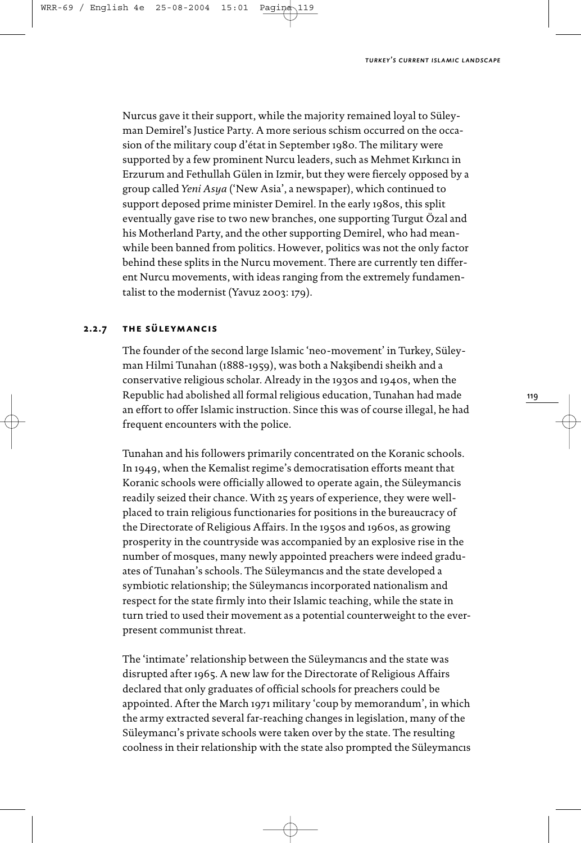Nurcus gave it their support, while the majority remained loyal to Süleyman Demirel's Justice Party. A more serious schism occurred on the occasion of the military coup d'état in September 1980. The military were supported by a few prominent Nurcu leaders, such as Mehmet Kırkıncı in Erzurum and Fethullah Gülen in Izmir, but they were fiercely opposed by a group called *Yeni Asya* ('New Asia', a newspaper), which continued to support deposed prime minister Demirel. In the early 1980s, this split eventually gave rise to two new branches, one supporting Turgut Özal and his Motherland Party, and the other supporting Demirel, who had meanwhile been banned from politics. However, politics was not the only factor behind these splits in the Nurcu movement. There are currently ten different Nurcu movements, with ideas ranging from the extremely fundamentalist to the modernist (Yavuz 2003: 179).

# **2.2.7 the süleymancis**

WRR-69 / English 4e 25-08-2004 15:01 Pagina 119

The founder of the second large Islamic 'neo-movement' in Turkey, Süleyman Hilmi Tunahan (1888-1959), was both a Naksibendi sheikh and a conservative religious scholar. Already in the 1930s and 1940s, when the Republic had abolished all formal religious education, Tunahan had made an effort to offer Islamic instruction. Since this was of course illegal, he had frequent encounters with the police.

Tunahan and his followers primarily concentrated on the Koranic schools. In 1949, when the Kemalist regime's democratisation efforts meant that Koranic schools were officially allowed to operate again, the Süleymancis readily seized their chance. With 25 years of experience, they were wellplaced to train religious functionaries for positions in the bureaucracy of the Directorate of Religious Affairs. In the 1950s and 1960s, as growing prosperity in the countryside was accompanied by an explosive rise in the number of mosques, many newly appointed preachers were indeed graduates of Tunahan's schools. The Süleymancıs and the state developed a symbiotic relationship; the Süleymancıs incorporated nationalism and respect for the state firmly into their Islamic teaching, while the state in turn tried to used their movement as a potential counterweight to the everpresent communist threat.

The 'intimate' relationship between the Süleymancıs and the state was disrupted after 1965. A new law for the Directorate of Religious Affairs declared that only graduates of official schools for preachers could be appointed. After the March 1971 military 'coup by memorandum', in which the army extracted several far-reaching changes in legislation, many of the Süleymancı's private schools were taken over by the state. The resulting coolness in their relationship with the state also prompted the Süleymancıs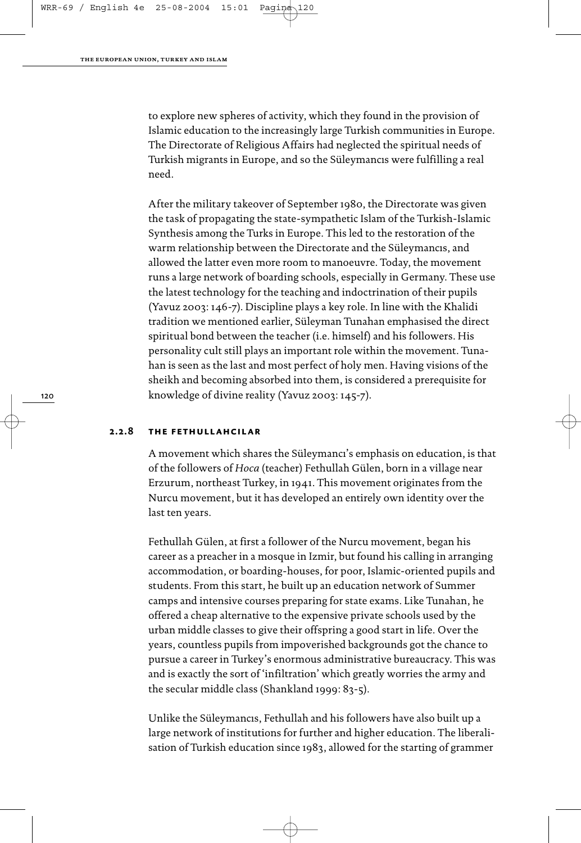to explore new spheres of activity, which they found in the provision of Islamic education to the increasingly large Turkish communities in Europe. The Directorate of Religious Affairs had neglected the spiritual needs of Turkish migrants in Europe, and so the Süleymancıs were fulfilling a real need.

After the military takeover of September 1980, the Directorate was given the task of propagating the state-sympathetic Islam of the Turkish-Islamic Synthesis among the Turks in Europe. This led to the restoration of the warm relationship between the Directorate and the Süleymancıs, and allowed the latter even more room to manoeuvre. Today, the movement runs a large network of boarding schools, especially in Germany. These use the latest technology for the teaching and indoctrination of their pupils (Yavuz 2003: 146-7). Discipline plays a key role. In line with the Khalidi tradition we mentioned earlier, Süleyman Tunahan emphasised the direct spiritual bond between the teacher (i.e. himself) and his followers. His personality cult still plays an important role within the movement. Tunahan is seen as the last and most perfect of holy men. Having visions of the sheikh and becoming absorbed into them, is considered a prerequisite for knowledge of divine reality (Yavuz 2003: 145-7).

### **2.2.8 the fethullahcilar**

120

A movement which shares the Süleymancı's emphasis on education, is that of the followers of *Hoca* (teacher) Fethullah Gülen, born in a village near Erzurum, northeast Turkey, in 1941. This movement originates from the Nurcu movement, but it has developed an entirely own identity over the last ten years.

Fethullah Gülen, at first a follower of the Nurcu movement, began his career as a preacher in a mosque in Izmir, but found his calling in arranging accommodation, or boarding-houses, for poor, Islamic-oriented pupils and students. From this start, he built up an education network of Summer camps and intensive courses preparing for state exams. Like Tunahan, he offered a cheap alternative to the expensive private schools used by the urban middle classes to give their offspring a good start in life. Over the years, countless pupils from impoverished backgrounds got the chance to pursue a career in Turkey's enormous administrative bureaucracy. This was and is exactly the sort of 'infiltration' which greatly worries the army and the secular middle class (Shankland 1999: 83-5).

Unlike the Süleymancıs, Fethullah and his followers have also built up a large network of institutions for further and higher education. The liberalisation of Turkish education since 1983, allowed for the starting of grammer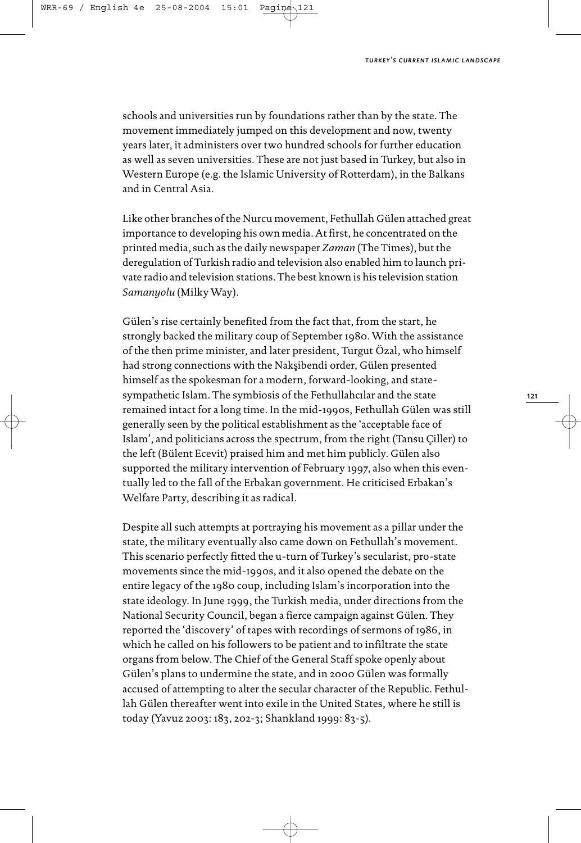schools and universities run by foundations rather than by the state. The movement immediately jumped on this development and now, twenty years later, it administers over two hundred schools for further education as well as seven universities. These are not just based in Turkey, but also in Western Europe (e.g. the Islamic University of Rotterdam), in the Balkans and in Central Asia.

Like other branches of the Nurcu movement, Fethullah Gülen attached great importance to developing his own media. At first, he concentrated on the printed media, such as the daily newspaper *Zaman* (The Times), but the deregulation of Turkish radio and television also enabled him to launch private radio and television stations. The best known is his television station *Samanyolu* (Milky Way).

Gülen's rise certainly benefited from the fact that, from the start, he strongly backed the military coup of September 1980. With the assistance of the then prime minister, and later president, Turgut Özal, who himself had strong connections with the Naksibendi order, Gülen presented himself as the spokesman for a modern, forward-looking, and statesympathetic Islam. The symbiosis of the Fethullahcılar and the state remained intact for a long time. In the mid-1990s, Fethullah Gülen was still generally seen by the political establishment as the 'acceptable face of Islam', and politicians across the spectrum, from the right (Tansu Çiller) to the left (Bülent Ecevit) praised him and met him publicly. Gülen also supported the military intervention of February 1997, also when this eventually led to the fall of the Erbakan government. He criticised Erbakan's Welfare Party, describing it as radical.

Despite all such attempts at portraying his movement as a pillar under the state, the military eventually also came down on Fethullah's movement. This scenario perfectly fitted the u-turn of Turkey's secularist, pro-state movements since the mid-1990s, and it also opened the debate on the entire legacy of the 1980 coup, including Islam's incorporation into the state ideology. In June 1999, the Turkish media, under directions from the National Security Council, began a fierce campaign against Gülen. They reported the 'discovery' of tapes with recordings of sermons of 1986, in which he called on his followers to be patient and to infiltrate the state organs from below. The Chief of the General Staff spoke openly about Gülen's plans to undermine the state, and in 2000 Gülen was formally accused of attempting to alter the secular character of the Republic. Fethullah Gülen thereafter went into exile in the United States, where he still is today (Yavuz 2003: 183, 202-3; Shankland 1999: 83-5).

121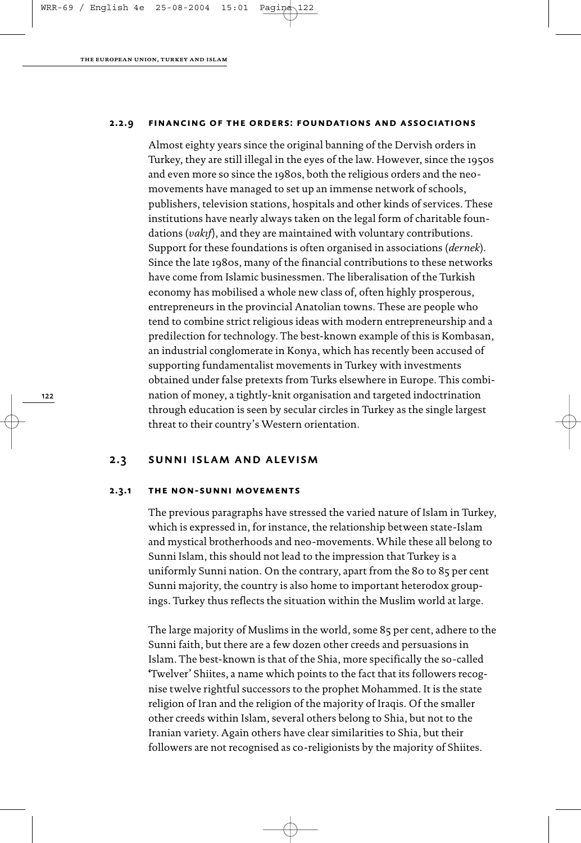WRR-69 / English 4e 25-08-2004 15:01 Pagina 122

**the european union, turkey and islam**

122

#### **2.2.9 financing of the orders: foundations and associations**

Almost eighty years since the original banning of the Dervish orders in Turkey, they are still illegal in the eyes of the law. However, since the 1950s and even more so since the 1980s, both the religious orders and the neomovements have managed to set up an immense network of schools, publishers, television stations, hospitals and other kinds of services. These institutions have nearly always taken on the legal form of charitable foundations (*vakıf*), and they are maintained with voluntary contributions. Support for these foundations is often organised in associations (*dernek*). Since the late 1980s, many of the financial contributions to these networks have come from Islamic businessmen. The liberalisation of the Turkish economy has mobilised a whole new class of, often highly prosperous, entrepreneurs in the provincial Anatolian towns. These are people who tend to combine strict religious ideas with modern entrepreneurship and a predilection for technology. The best-known example of this is Kombasan, an industrial conglomerate in Konya, which has recently been accused of supporting fundamentalist movements in Turkey with investments obtained under false pretexts from Turks elsewhere in Europe. This combination of money, a tightly-knit organisation and targeted indoctrination through education is seen by secular circles in Turkey as the single largest threat to their country's Western orientation.

#### 2.3 sunni islam and alevism

# **2.3.1 the non-sunni movements**

The previous paragraphs have stressed the varied nature of Islam in Turkey, which is expressed in, for instance, the relationship between state-Islam and mystical brotherhoods and neo-movements. While these all belong to Sunni Islam, this should not lead to the impression that Turkey is a uniformly Sunni nation. On the contrary, apart from the 80 to 85 per cent Sunni majority, the country is also home to important heterodox groupings. Turkey thus reflects the situation within the Muslim world at large.

The large majority of Muslims in the world, some 85 per cent, adhere to the Sunni faith, but there are a few dozen other creeds and persuasions in Islam. The best-known is that of the Shia, more specifically the so-called **'**Twelver' Shiites, a name which points to the fact that its followers recognise twelve rightful successors to the prophet Mohammed. It is the state religion of Iran and the religion of the majority of Iraqis. Of the smaller other creeds within Islam, several others belong to Shia, but not to the Iranian variety. Again others have clear similarities to Shia, but their followers are not recognised as co-religionists by the majority of Shiites.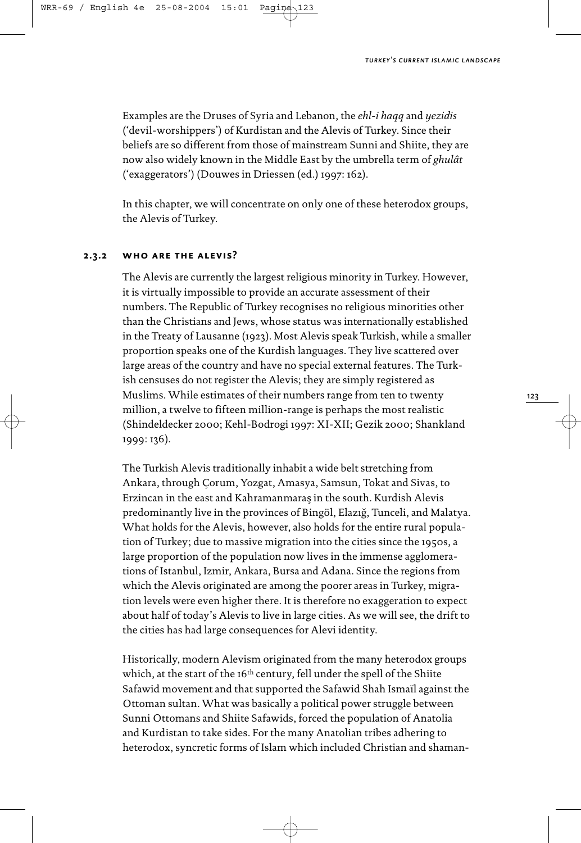Examples are the Druses of Syria and Lebanon, the *ehl-i haqq* and *yezidis* ('devil-worshippers') of Kurdistan and the Alevis of Turkey. Since their beliefs are so different from those of mainstream Sunni and Shiite, they are now also widely known in the Middle East by the umbrella term of *ghulât* ('exaggerators') (Douwes in Driessen (ed.) 1997: 162).

In this chapter, we will concentrate on only one of these heterodox groups, the Alevis of Turkey.

# **2.3.2 who are the alevis?**

The Alevis are currently the largest religious minority in Turkey. However, it is virtually impossible to provide an accurate assessment of their numbers. The Republic of Turkey recognises no religious minorities other than the Christians and Jews, whose status was internationally established in the Treaty of Lausanne (1923). Most Alevis speak Turkish, while a smaller proportion speaks one of the Kurdish languages. They live scattered over large areas of the country and have no special external features. The Turkish censuses do not register the Alevis; they are simply registered as Muslims. While estimates of their numbers range from ten to twenty million, a twelve to fifteen million-range is perhaps the most realistic (Shindeldecker 2000; Kehl-Bodrogi 1997: XI-XII; Gezik 2000; Shankland 1999: 136).

The Turkish Alevis traditionally inhabit a wide belt stretching from Ankara, through Çorum, Yozgat, Amasya, Samsun, Tokat and Sivas, to Erzincan in the east and Kahramanmaras¸ in the south. Kurdish Alevis predominantly live in the provinces of Bingöl, Elazığ, Tunceli, and Malatya. What holds for the Alevis, however, also holds for the entire rural population of Turkey; due to massive migration into the cities since the 1950s, a large proportion of the population now lives in the immense agglomerations of Istanbul, Izmir, Ankara, Bursa and Adana. Since the regions from which the Alevis originated are among the poorer areas in Turkey, migration levels were even higher there. It is therefore no exaggeration to expect about half of today's Alevis to live in large cities. As we will see, the drift to the cities has had large consequences for Alevi identity.

Historically, modern Alevism originated from the many heterodox groups which, at the start of the 16<sup>th</sup> century, fell under the spell of the Shiite Safawid movement and that supported the Safawid Shah Ismaïl against the Ottoman sultan. What was basically a political power struggle between Sunni Ottomans and Shiite Safawids, forced the population of Anatolia and Kurdistan to take sides. For the many Anatolian tribes adhering to heterodox, syncretic forms of Islam which included Christian and shaman-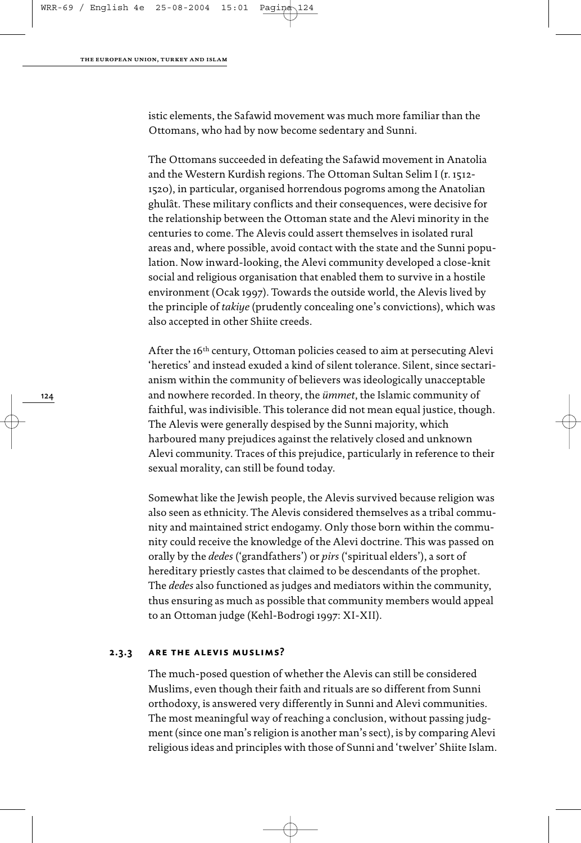istic elements, the Safawid movement was much more familiar than the Ottomans, who had by now become sedentary and Sunni.

The Ottomans succeeded in defeating the Safawid movement in Anatolia and the Western Kurdish regions. The Ottoman Sultan Selim I (r. 1512- 1520), in particular, organised horrendous pogroms among the Anatolian ghulât. These military conflicts and their consequences, were decisive for the relationship between the Ottoman state and the Alevi minority in the centuries to come. The Alevis could assert themselves in isolated rural areas and, where possible, avoid contact with the state and the Sunni population. Now inward-looking, the Alevi community developed a close-knit social and religious organisation that enabled them to survive in a hostile environment (Ocak 1997). Towards the outside world, the Alevis lived by the principle of *takiye* (prudently concealing one's convictions), which was also accepted in other Shiite creeds.

After the 16th century, Ottoman policies ceased to aim at persecuting Alevi 'heretics' and instead exuded a kind of silent tolerance. Silent, since sectarianism within the community of believers was ideologically unacceptable and nowhere recorded. In theory, the *ümmet*, the Islamic community of faithful, was indivisible. This tolerance did not mean equal justice, though. The Alevis were generally despised by the Sunni majority, which harboured many prejudices against the relatively closed and unknown Alevi community. Traces of this prejudice, particularly in reference to their sexual morality, can still be found today.

Somewhat like the Jewish people, the Alevis survived because religion was also seen as ethnicity. The Alevis considered themselves as a tribal community and maintained strict endogamy. Only those born within the community could receive the knowledge of the Alevi doctrine. This was passed on orally by the *dedes* ('grandfathers') or *pirs* ('spiritual elders'), a sort of hereditary priestly castes that claimed to be descendants of the prophet. The *dedes* also functioned as judges and mediators within the community, thus ensuring as much as possible that community members would appeal to an Ottoman judge (Kehl-Bodrogi 1997: XI-XII).

#### **2.3.3 are the alevis muslims?**

The much-posed question of whether the Alevis can still be considered Muslims, even though their faith and rituals are so different from Sunni orthodoxy, is answered very differently in Sunni and Alevi communities. The most meaningful way of reaching a conclusion, without passing judgment (since one man's religion is another man's sect), is by comparing Alevi religious ideas and principles with those of Sunni and 'twelver' Shiite Islam.

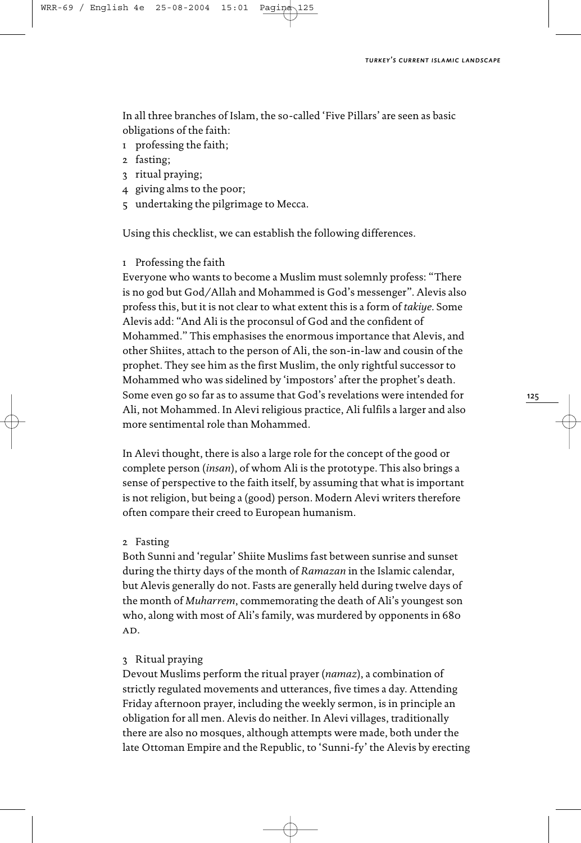In all three branches of Islam, the so-called 'Five Pillars' are seen as basic obligations of the faith:

- 1 professing the faith;
- 2 fasting;

WRR-69 / English 4e 25-08-2004

- 3 ritual praying;
- 4 giving alms to the poor;
- 5 undertaking the pilgrimage to Mecca.

Using this checklist, we can establish the following differences.

1 Professing the faith

Everyone who wants to become a Muslim must solemnly profess: "There is no god but God/Allah and Mohammed is God's messenger". Alevis also profess this, but it is not clear to what extent this is a form of *takiye*. Some Alevis add: "And Ali is the proconsul of God and the confident of Mohammed." This emphasises the enormous importance that Alevis, and other Shiites, attach to the person of Ali, the son-in-law and cousin of the prophet. They see him as the first Muslim, the only rightful successor to Mohammed who was sidelined by 'impostors' after the prophet's death. Some even go so far as to assume that God's revelations were intended for Ali, not Mohammed. In Alevi religious practice, Ali fulfils a larger and also more sentimental role than Mohammed.

In Alevi thought, there is also a large role for the concept of the good or complete person (*insan*), of whom Ali is the prototype. This also brings a sense of perspective to the faith itself, by assuming that what is important is not religion, but being a (good) person. Modern Alevi writers therefore often compare their creed to European humanism.

#### 2 Fasting

Both Sunni and 'regular' Shiite Muslims fast between sunrise and sunset during the thirty days of the month of *Ramazan* in the Islamic calendar, but Alevis generally do not. Fasts are generally held during twelve days of the month of *Muharrem*, commemorating the death of Ali's youngest son who, along with most of Ali's family, was murdered by opponents in 680 AD.

#### 3 Ritual praying

Devout Muslims perform the ritual prayer (*namaz*), a combination of strictly regulated movements and utterances, five times a day. Attending Friday afternoon prayer, including the weekly sermon, is in principle an obligation for all men. Alevis do neither. In Alevi villages, traditionally there are also no mosques, although attempts were made, both under the late Ottoman Empire and the Republic, to 'Sunni-fy' the Alevis by erecting 125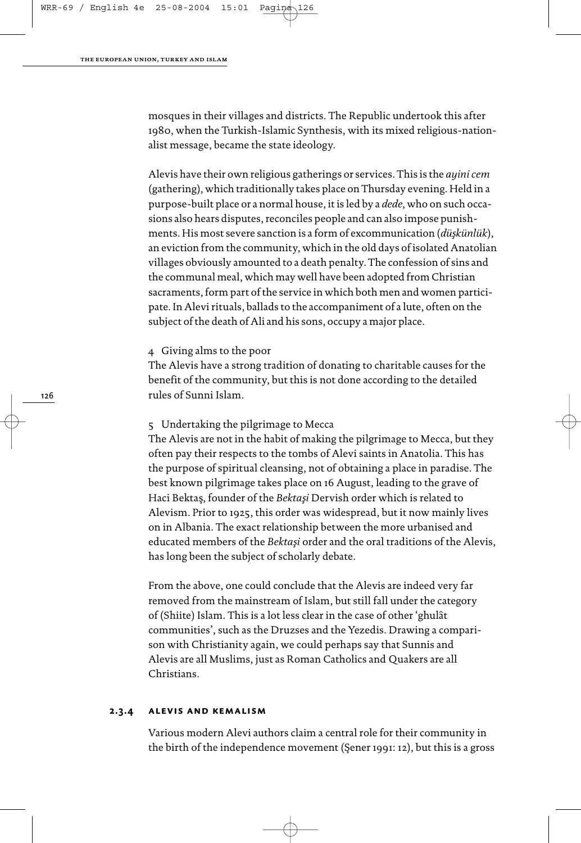mosques in their villages and districts. The Republic undertook this after 1980, when the Turkish-Islamic Synthesis, with its mixed religious-nationalist message, became the state ideology.

Alevis have their own religious gatherings or services. This is the *ayini cem* (gathering), which traditionally takes place on Thursday evening. Held in a purpose-built place or a normal house, it is led by a *dede*, who on such occasions also hears disputes, reconciles people and can also impose punishments. His most severe sanction is a form of excommunication (*düskünlük*), an eviction from the community, which in the old days of isolated Anatolian villages obviously amounted to a death penalty. The confession of sins and the communal meal, which may well have been adopted from Christian sacraments, form part of the service in which both men and women participate. In Alevi rituals, ballads to the accompaniment of a lute, often on the subject of the death of Ali and his sons, occupy a major place.

#### 4 Giving alms to the poor

126

The Alevis have a strong tradition of donating to charitable causes for the benefit of the community, but this is not done according to the detailed rules of Sunni Islam.

#### 5 Undertaking the pilgrimage to Mecca

The Alevis are not in the habit of making the pilgrimage to Mecca, but they often pay their respects to the tombs of Alevi saints in Anatolia. This has the purpose of spiritual cleansing, not of obtaining a place in paradise. The best known pilgrimage takes place on 16 August, leading to the grave of Haci Bektaş, founder of the *Bektaşi* Dervish order which is related to Alevism. Prior to 1925, this order was widespread, but it now mainly lives on in Albania. The exact relationship between the more urbanised and educated members of the *Bektasi* order and the oral traditions of the Alevis, has long been the subject of scholarly debate.

From the above, one could conclude that the Alevis are indeed very far removed from the mainstream of Islam, but still fall under the category of (Shiite) Islam. This is a lot less clear in the case of other 'ghulât communities', such as the Druzses and the Yezedis. Drawing a comparison with Christianity again, we could perhaps say that Sunnis and Alevis are all Muslims, just as Roman Catholics and Quakers are all Christians.

# **2.3.4 alevis and kemalism**

Various modern Alevi authors claim a central role for their community in the birth of the independence movement (Şener 1991: 12), but this is a gross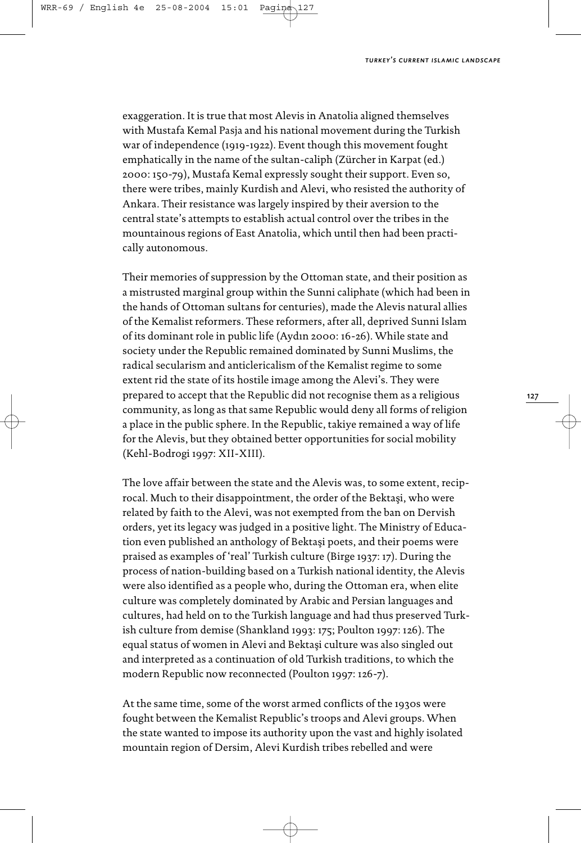exaggeration. It is true that most Alevis in Anatolia aligned themselves with Mustafa Kemal Pasja and his national movement during the Turkish war of independence (1919-1922). Event though this movement fought emphatically in the name of the sultan-caliph (Zürcher in Karpat (ed.) 2000: 150-79), Mustafa Kemal expressly sought their support. Even so, there were tribes, mainly Kurdish and Alevi, who resisted the authority of Ankara. Their resistance was largely inspired by their aversion to the central state's attempts to establish actual control over the tribes in the mountainous regions of East Anatolia, which until then had been practically autonomous.

Their memories of suppression by the Ottoman state, and their position as a mistrusted marginal group within the Sunni caliphate (which had been in the hands of Ottoman sultans for centuries), made the Alevis natural allies of the Kemalist reformers. These reformers, after all, deprived Sunni Islam of its dominant role in public life (Aydın 2000: 16-26). While state and society under the Republic remained dominated by Sunni Muslims, the radical secularism and anticlericalism of the Kemalist regime to some extent rid the state of its hostile image among the Alevi's. They were prepared to accept that the Republic did not recognise them as a religious community, as long as that same Republic would deny all forms of religion a place in the public sphere. In the Republic, takiye remained a way of life for the Alevis, but they obtained better opportunities for social mobility (Kehl-Bodrogi 1997: XII-XIII).

The love affair between the state and the Alevis was, to some extent, reciprocal. Much to their disappointment, the order of the Bektasi, who were related by faith to the Alevi, was not exempted from the ban on Dervish orders, yet its legacy was judged in a positive light. The Ministry of Education even published an anthology of Bektasi poets, and their poems were praised as examples of 'real' Turkish culture (Birge 1937: 17). During the process of nation-building based on a Turkish national identity, the Alevis were also identified as a people who, during the Ottoman era, when elite culture was completely dominated by Arabic and Persian languages and cultures, had held on to the Turkish language and had thus preserved Turkish culture from demise (Shankland 1993: 175; Poulton 1997: 126). The equal status of women in Alevi and Bektaşi culture was also singled out and interpreted as a continuation of old Turkish traditions, to which the modern Republic now reconnected (Poulton 1997: 126-7).

At the same time, some of the worst armed conflicts of the 1930s were fought between the Kemalist Republic's troops and Alevi groups. When the state wanted to impose its authority upon the vast and highly isolated mountain region of Dersim, Alevi Kurdish tribes rebelled and were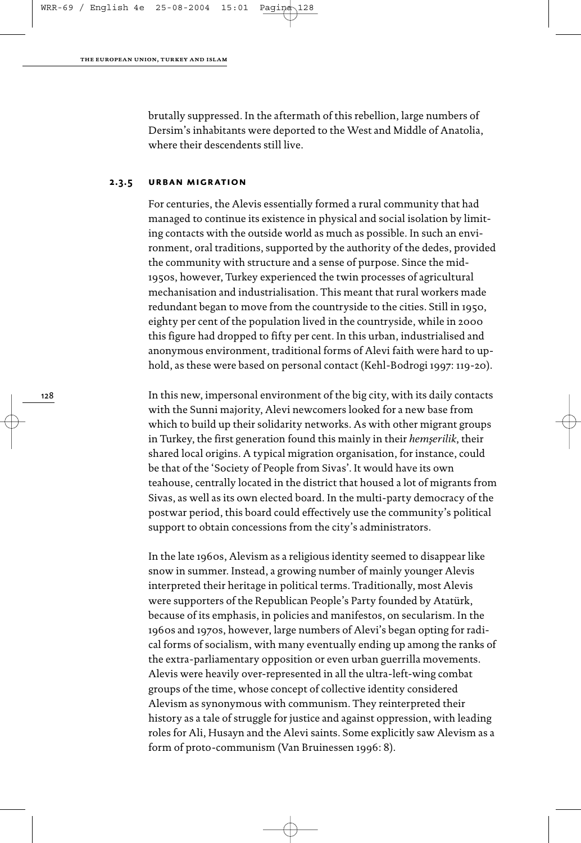brutally suppressed. In the aftermath of this rebellion, large numbers of Dersim's inhabitants were deported to the West and Middle of Anatolia, where their descendents still live.

# **2.3.5 urban migration**

128

For centuries, the Alevis essentially formed a rural community that had managed to continue its existence in physical and social isolation by limiting contacts with the outside world as much as possible. In such an environment, oral traditions, supported by the authority of the dedes, provided the community with structure and a sense of purpose. Since the mid-1950s, however, Turkey experienced the twin processes of agricultural mechanisation and industrialisation. This meant that rural workers made redundant began to move from the countryside to the cities. Still in 1950, eighty per cent of the population lived in the countryside, while in 2000 this figure had dropped to fifty per cent. In this urban, industrialised and anonymous environment, traditional forms of Alevi faith were hard to uphold, as these were based on personal contact (Kehl-Bodrogi 1997: 119-20).

In this new, impersonal environment of the big city, with its daily contacts with the Sunni majority, Alevi newcomers looked for a new base from which to build up their solidarity networks. As with other migrant groups in Turkey, the first generation found this mainly in their *hemserilik*, their shared local origins. A typical migration organisation, for instance, could be that of the 'Society of People from Sivas'. It would have its own teahouse, centrally located in the district that housed a lot of migrants from Sivas, as well as its own elected board. In the multi-party democracy of the postwar period, this board could effectively use the community's political support to obtain concessions from the city's administrators.

In the late 1960s, Alevism as a religious identity seemed to disappear like snow in summer. Instead, a growing number of mainly younger Alevis interpreted their heritage in political terms. Traditionally, most Alevis were supporters of the Republican People's Party founded by Atatürk, because of its emphasis, in policies and manifestos, on secularism. In the 1960s and 1970s, however, large numbers of Alevi's began opting for radical forms of socialism, with many eventually ending up among the ranks of the extra-parliamentary opposition or even urban guerrilla movements. Alevis were heavily over-represented in all the ultra-left-wing combat groups of the time, whose concept of collective identity considered Alevism as synonymous with communism. They reinterpreted their history as a tale of struggle for justice and against oppression, with leading roles for Ali, Husayn and the Alevi saints. Some explicitly saw Alevism as a form of proto-communism (Van Bruinessen 1996: 8).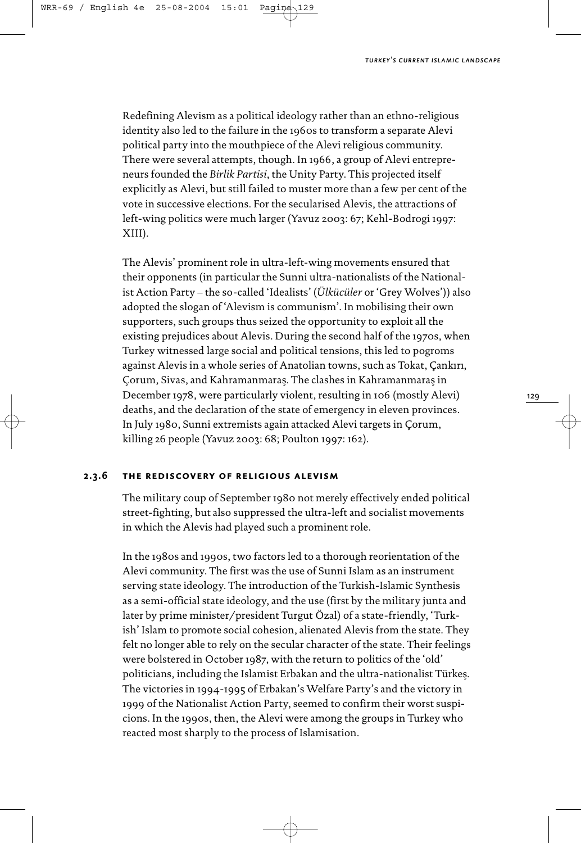Redefining Alevism as a political ideology rather than an ethno-religious identity also led to the failure in the 1960s to transform a separate Alevi political party into the mouthpiece of the Alevi religious community. There were several attempts, though. In 1966, a group of Alevi entrepreneurs founded the *Birlik Partisi*, the Unity Party. This projected itself explicitly as Alevi, but still failed to muster more than a few per cent of the vote in successive elections. For the secularised Alevis, the attractions of left-wing politics were much larger (Yavuz 2003: 67; Kehl-Bodrogi 1997: XIII).

The Alevis' prominent role in ultra-left-wing movements ensured that their opponents (in particular the Sunni ultra-nationalists of the Nationalist Action Party – the so-called 'Idealists' (*Ülkücüler* or 'Grey Wolves')) also adopted the slogan of 'Alevism is communism'. In mobilising their own supporters, such groups thus seized the opportunity to exploit all the existing prejudices about Alevis. During the second half of the 1970s, when Turkey witnessed large social and political tensions, this led to pogroms against Alevis in a whole series of Anatolian towns, such as Tokat, Çankırı, Çorum, Sivas, and Kahramanmaras¸. The clashes in Kahramanmaras¸ in December 1978, were particularly violent, resulting in 106 (mostly Alevi) deaths, and the declaration of the state of emergency in eleven provinces. In July 1980, Sunni extremists again attacked Alevi targets in Çorum, killing 26 people (Yavuz 2003: 68; Poulton 1997: 162).

## **2.3.6 the rediscovery of religious alevism**

The military coup of September 1980 not merely effectively ended political street-fighting, but also suppressed the ultra-left and socialist movements in which the Alevis had played such a prominent role.

In the 1980s and 1990s, two factors led to a thorough reorientation of the Alevi community. The first was the use of Sunni Islam as an instrument serving state ideology. The introduction of the Turkish-Islamic Synthesis as a semi-official state ideology, and the use (first by the military junta and later by prime minister/president Turgut Özal) of a state-friendly, 'Turkish' Islam to promote social cohesion, alienated Alevis from the state. They felt no longer able to rely on the secular character of the state. Their feelings were bolstered in October 1987, with the return to politics of the 'old' politicians, including the Islamist Erbakan and the ultra-nationalist Türkes¸. The victories in 1994-1995 of Erbakan's Welfare Party's and the victory in 1999 of the Nationalist Action Party, seemed to confirm their worst suspicions. In the 1990s, then, the Alevi were among the groups in Turkey who reacted most sharply to the process of Islamisation.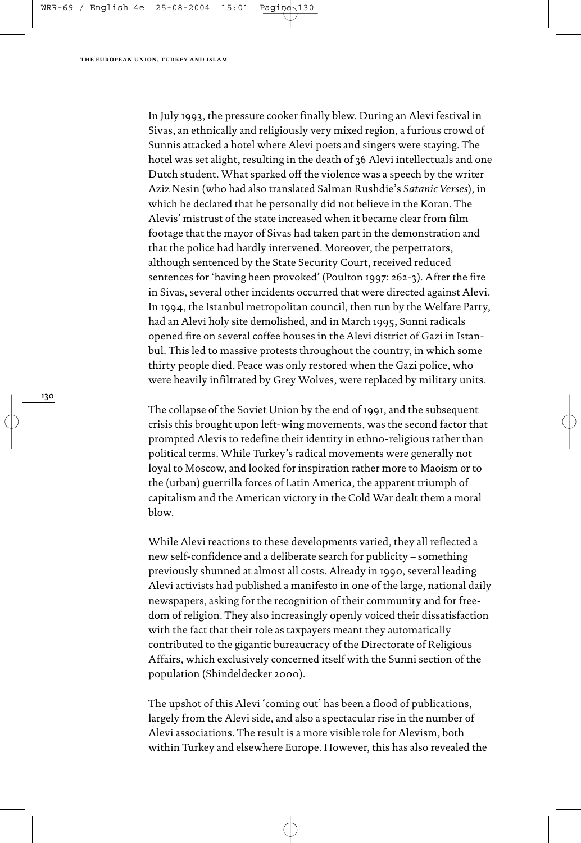130

In July 1993, the pressure cooker finally blew. During an Alevi festival in Sivas, an ethnically and religiously very mixed region, a furious crowd of Sunnis attacked a hotel where Alevi poets and singers were staying. The hotel was set alight, resulting in the death of 36 Alevi intellectuals and one Dutch student. What sparked off the violence was a speech by the writer Aziz Nesin (who had also translated Salman Rushdie's *Satanic Verses*), in which he declared that he personally did not believe in the Koran. The Alevis' mistrust of the state increased when it became clear from film footage that the mayor of Sivas had taken part in the demonstration and that the police had hardly intervened. Moreover, the perpetrators, although sentenced by the State Security Court, received reduced sentences for 'having been provoked' (Poulton 1997: 262-3). After the fire in Sivas, several other incidents occurred that were directed against Alevi. In 1994, the Istanbul metropolitan council, then run by the Welfare Party, had an Alevi holy site demolished, and in March 1995, Sunni radicals opened fire on several coffee houses in the Alevi district of Gazi in Istanbul. This led to massive protests throughout the country, in which some thirty people died. Peace was only restored when the Gazi police, who were heavily infiltrated by Grey Wolves, were replaced by military units.

The collapse of the Soviet Union by the end of 1991, and the subsequent crisis this brought upon left-wing movements, was the second factor that prompted Alevis to redefine their identity in ethno-religious rather than political terms. While Turkey's radical movements were generally not loyal to Moscow, and looked for inspiration rather more to Maoism or to the (urban) guerrilla forces of Latin America, the apparent triumph of capitalism and the American victory in the Cold War dealt them a moral blow.

While Alevi reactions to these developments varied, they all reflected a new self-confidence and a deliberate search for publicity – something previously shunned at almost all costs. Already in 1990, several leading Alevi activists had published a manifesto in one of the large, national daily newspapers, asking for the recognition of their community and for freedom of religion. They also increasingly openly voiced their dissatisfaction with the fact that their role as taxpayers meant they automatically contributed to the gigantic bureaucracy of the Directorate of Religious Affairs, which exclusively concerned itself with the Sunni section of the population (Shindeldecker 2000).

The upshot of this Alevi 'coming out' has been a flood of publications, largely from the Alevi side, and also a spectacular rise in the number of Alevi associations. The result is a more visible role for Alevism, both within Turkey and elsewhere Europe. However, this has also revealed the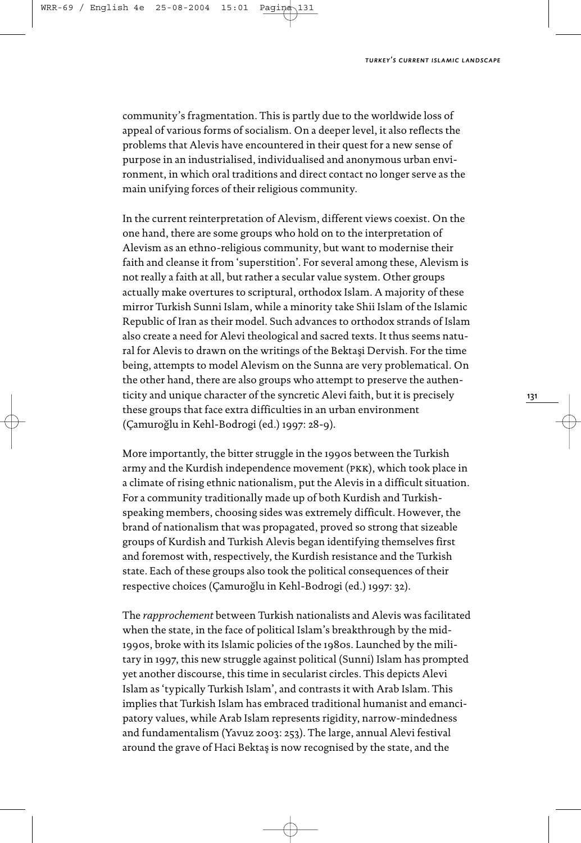community's fragmentation. This is partly due to the worldwide loss of appeal of various forms of socialism. On a deeper level, it also reflects the problems that Alevis have encountered in their quest for a new sense of purpose in an industrialised, individualised and anonymous urban environment, in which oral traditions and direct contact no longer serve as the main unifying forces of their religious community.

WRR-69 / English 4e 25-08-2004 15:01 Pagina 131

In the current reinterpretation of Alevism, different views coexist. On the one hand, there are some groups who hold on to the interpretation of Alevism as an ethno-religious community, but want to modernise their faith and cleanse it from 'superstition'. For several among these, Alevism is not really a faith at all, but rather a secular value system. Other groups actually make overtures to scriptural, orthodox Islam. A majority of these mirror Turkish Sunni Islam, while a minority take Shii Islam of the Islamic Republic of Iran as their model. Such advances to orthodox strands of Islam also create a need for Alevi theological and sacred texts. It thus seems natural for Alevis to drawn on the writings of the Bektaşi Dervish. For the time being, attempts to model Alevism on the Sunna are very problematical. On the other hand, there are also groups who attempt to preserve the authenticity and unique character of the syncretic Alevi faith, but it is precisely these groups that face extra difficulties in an urban environment (Çamuroğlu in Kehl-Bodrogi (ed.) 1997: 28-9).

More importantly, the bitter struggle in the 1990s between the Turkish army and the Kurdish independence movement (pkk), which took place in a climate of rising ethnic nationalism, put the Alevis in a difficult situation. For a community traditionally made up of both Kurdish and Turkishspeaking members, choosing sides was extremely difficult. However, the brand of nationalism that was propagated, proved so strong that sizeable groups of Kurdish and Turkish Alevis began identifying themselves first and foremost with, respectively, the Kurdish resistance and the Turkish state. Each of these groups also took the political consequences of their respective choices (Çamuroğlu in Kehl-Bodrogi (ed.) 1997: 32).

The *rapprochement* between Turkish nationalists and Alevis was facilitated when the state, in the face of political Islam's breakthrough by the mid-1990s, broke with its Islamic policies of the 1980s. Launched by the military in 1997, this new struggle against political (Sunni) Islam has prompted yet another discourse, this time in secularist circles. This depicts Alevi Islam as 'typically Turkish Islam', and contrasts it with Arab Islam. This implies that Turkish Islam has embraced traditional humanist and emancipatory values, while Arab Islam represents rigidity, narrow-mindedness and fundamentalism (Yavuz 2003: 253). The large, annual Alevi festival around the grave of Haci Bektas¸ is now recognised by the state, and the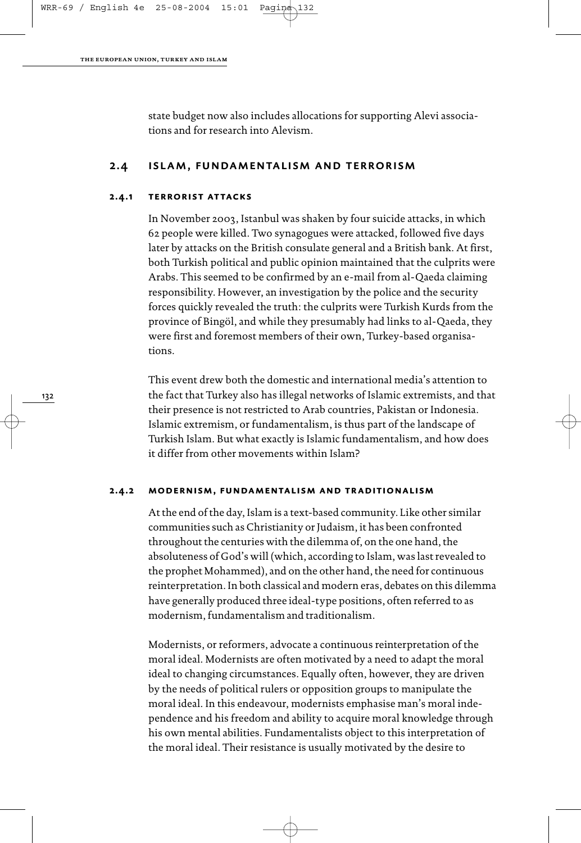state budget now also includes allocations for supporting Alevi associations and for research into Alevism.

# 2.4 islam, fundamentalism and terrorism

## **2.4.1 terrorist attacks**

132

In November 2003, Istanbul was shaken by four suicide attacks, in which 62 people were killed. Two synagogues were attacked, followed five days later by attacks on the British consulate general and a British bank. At first, both Turkish political and public opinion maintained that the culprits were Arabs. This seemed to be confirmed by an e-mail from al-Qaeda claiming responsibility. However, an investigation by the police and the security forces quickly revealed the truth: the culprits were Turkish Kurds from the province of Bingöl, and while they presumably had links to al-Qaeda, they were first and foremost members of their own, Turkey-based organisations.

This event drew both the domestic and international media's attention to the fact that Turkey also has illegal networks of Islamic extremists, and that their presence is not restricted to Arab countries, Pakistan or Indonesia. Islamic extremism, or fundamentalism, is thus part of the landscape of Turkish Islam. But what exactly is Islamic fundamentalism, and how does it differ from other movements within Islam?

# **2.4.2 modernism, fundamentalism and traditionalism**

At the end of the day, Islam is a text-based community. Like other similar communities such as Christianity or Judaism, it has been confronted throughout the centuries with the dilemma of, on the one hand, the absoluteness of God's will (which, according to Islam, was last revealed to the prophet Mohammed), and on the other hand, the need for continuous reinterpretation. In both classical and modern eras, debates on this dilemma have generally produced three ideal-type positions, often referred to as modernism, fundamentalism and traditionalism.

Modernists, or reformers, advocate a continuous reinterpretation of the moral ideal. Modernists are often motivated by a need to adapt the moral ideal to changing circumstances. Equally often, however, they are driven by the needs of political rulers or opposition groups to manipulate the moral ideal. In this endeavour, modernists emphasise man's moral independence and his freedom and ability to acquire moral knowledge through his own mental abilities. Fundamentalists object to this interpretation of the moral ideal. Their resistance is usually motivated by the desire to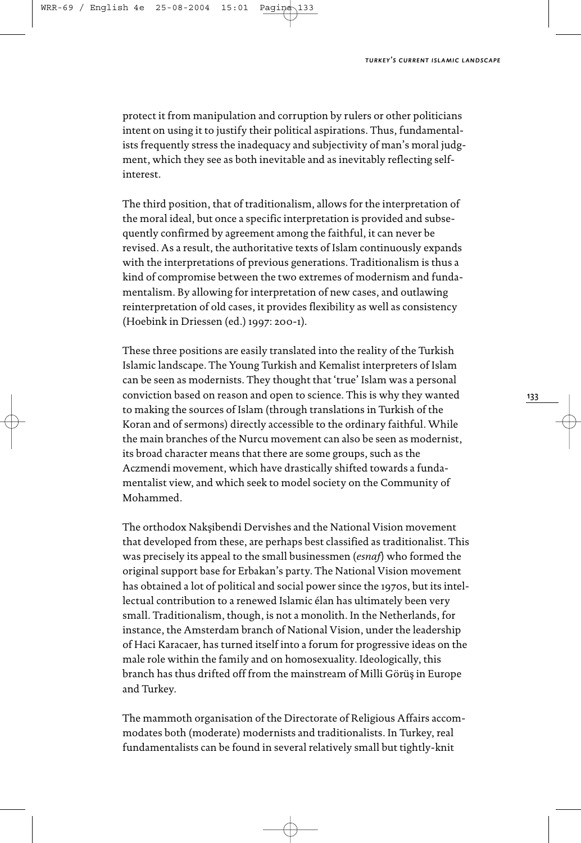protect it from manipulation and corruption by rulers or other politicians intent on using it to justify their political aspirations. Thus, fundamentalists frequently stress the inadequacy and subjectivity of man's moral judgment, which they see as both inevitable and as inevitably reflecting selfinterest.

The third position, that of traditionalism, allows for the interpretation of the moral ideal, but once a specific interpretation is provided and subsequently confirmed by agreement among the faithful, it can never be revised. As a result, the authoritative texts of Islam continuously expands with the interpretations of previous generations. Traditionalism is thus a kind of compromise between the two extremes of modernism and fundamentalism. By allowing for interpretation of new cases, and outlawing reinterpretation of old cases, it provides flexibility as well as consistency (Hoebink in Driessen (ed.) 1997: 200-1).

These three positions are easily translated into the reality of the Turkish Islamic landscape. The Young Turkish and Kemalist interpreters of Islam can be seen as modernists. They thought that 'true' Islam was a personal conviction based on reason and open to science. This is why they wanted to making the sources of Islam (through translations in Turkish of the Koran and of sermons) directly accessible to the ordinary faithful. While the main branches of the Nurcu movement can also be seen as modernist, its broad character means that there are some groups, such as the Aczmendi movement, which have drastically shifted towards a fundamentalist view, and which seek to model society on the Community of Mohammed.

The orthodox Naksibendi Dervishes and the National Vision movement that developed from these, are perhaps best classified as traditionalist. This was precisely its appeal to the small businessmen (*esnaf*) who formed the original support base for Erbakan's party. The National Vision movement has obtained a lot of political and social power since the 1970s, but its intellectual contribution to a renewed Islamic élan has ultimately been very small. Traditionalism, though, is not a monolith. In the Netherlands, for instance, the Amsterdam branch of National Vision, under the leadership of Haci Karacaer, has turned itself into a forum for progressive ideas on the male role within the family and on homosexuality. Ideologically, this branch has thus drifted off from the mainstream of Milli Görüs¸ in Europe and Turkey.

The mammoth organisation of the Directorate of Religious Affairs accommodates both (moderate) modernists and traditionalists. In Turkey, real fundamentalists can be found in several relatively small but tightly-knit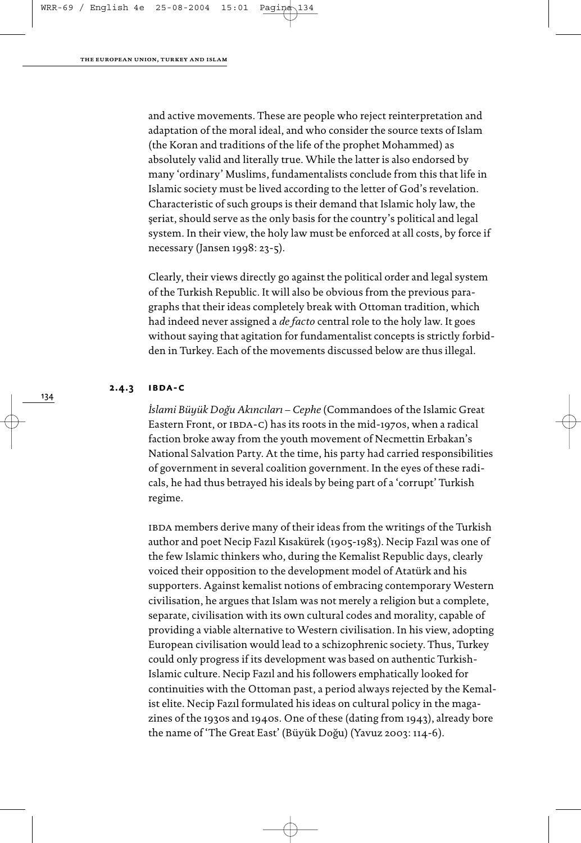and active movements. These are people who reject reinterpretation and adaptation of the moral ideal, and who consider the source texts of Islam (the Koran and traditions of the life of the prophet Mohammed) as absolutely valid and literally true. While the latter is also endorsed by many 'ordinary' Muslims, fundamentalists conclude from this that life in Islamic society must be lived according to the letter of God's revelation. Characteristic of such groups is their demand that Islamic holy law, the ¸eriat, should serve as the only basis for the country's political and legal s system. In their view, the holy law must be enforced at all costs, by force if necessary (Jansen 1998: 23-5).

Clearly, their views directly go against the political order and legal system of the Turkish Republic. It will also be obvious from the previous paragraphs that their ideas completely break with Ottoman tradition, which had indeed never assigned a *de facto* central role to the holy law. It goes without saying that agitation for fundamentalist concepts is strictly forbidden in Turkey. Each of the movements discussed below are thus illegal.

# **2.4.3 ibda-c**

134

*I˙slami Büyük Dogˇu Akıncıları – Cephe* (Commandoes of the Islamic Great Eastern Front, or IBDA-C) has its roots in the mid-1970s, when a radical faction broke away from the youth movement of Necmettin Erbakan's National Salvation Party. At the time, his party had carried responsibilities of government in several coalition government. In the eyes of these radicals, he had thus betrayed his ideals by being part of a 'corrupt' Turkish regime.

ibda members derive many of their ideas from the writings of the Turkish author and poet Necip Fazıl Kısakürek (1905-1983). Necip Fazıl was one of the few Islamic thinkers who, during the Kemalist Republic days, clearly voiced their opposition to the development model of Atatürk and his supporters. Against kemalist notions of embracing contemporary Western civilisation, he argues that Islam was not merely a religion but a complete, separate, civilisation with its own cultural codes and morality, capable of providing a viable alternative to Western civilisation. In his view, adopting European civilisation would lead to a schizophrenic society. Thus, Turkey could only progress if its development was based on authentic Turkish-Islamic culture. Necip Fazıl and his followers emphatically looked for continuities with the Ottoman past, a period always rejected by the Kemalist elite. Necip Fazıl formulated his ideas on cultural policy in the magazines of the 1930s and 1940s. One of these (dating from 1943), already bore the name of 'The Great East' (Büyük Doğu) (Yavuz 2003: 114-6).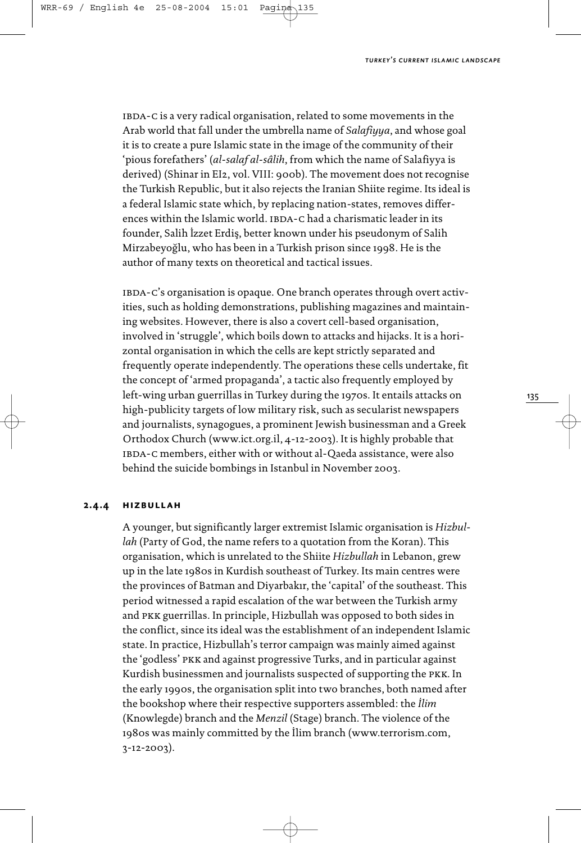ibda-c is a very radical organisation, related to some movements in the Arab world that fall under the umbrella name of *Salafiyya*, and whose goal it is to create a pure Islamic state in the image of the community of their 'pious forefathers' (*al-salaf al-sâlih*, from which the name of Salafiyya is derived) (Shinar in EI2, vol. VIII: 900b). The movement does not recognise the Turkish Republic, but it also rejects the Iranian Shiite regime. Its ideal is a federal Islamic state which, by replacing nation-states, removes differences within the Islamic world. IBDA-C had a charismatic leader in its founder, Salih İzzet Erdiş, better known under his pseudonym of Salih Mirzabeyoğlu, who has been in a Turkish prison since 1998. He is the author of many texts on theoretical and tactical issues.

ibda-c's organisation is opaque. One branch operates through overt activities, such as holding demonstrations, publishing magazines and maintaining websites. However, there is also a covert cell-based organisation, involved in 'struggle', which boils down to attacks and hijacks. It is a horizontal organisation in which the cells are kept strictly separated and frequently operate independently. The operations these cells undertake, fit the concept of 'armed propaganda', a tactic also frequently employed by left-wing urban guerrillas in Turkey during the 1970s. It entails attacks on high-publicity targets of low military risk, such as secularist newspapers and journalists, synagogues, a prominent Jewish businessman and a Greek Orthodox Church (www.ict.org.il, 4-12-2003). It is highly probable that ibda-c members, either with or without al-Qaeda assistance, were also behind the suicide bombings in Istanbul in November 2003.

### **2.4.4 hizbullah**

A younger, but significantly larger extremist Islamic organisation is *Hizbullah* (Party of God, the name refers to a quotation from the Koran). This organisation, which is unrelated to the Shiite *Hizbullah* in Lebanon, grew up in the late 1980s in Kurdish southeast of Turkey. Its main centres were the provinces of Batman and Diyarbakır, the 'capital' of the southeast. This period witnessed a rapid escalation of the war between the Turkish army and pkk guerrillas. In principle, Hizbullah was opposed to both sides in the conflict, since its ideal was the establishment of an independent Islamic state. In practice, Hizbullah's terror campaign was mainly aimed against the 'godless' pkk and against progressive Turks, and in particular against Kurdish businessmen and journalists suspected of supporting the pkk. In the early 1990s, the organisation split into two branches, both named after the bookshop where their respective supporters assembled: the *I˙lim* (Knowlegde) branch and the *Menzil* (Stage) branch. The violence of the 1980s was mainly committed by the İlim branch (www.terrorism.com, 3-12-2003).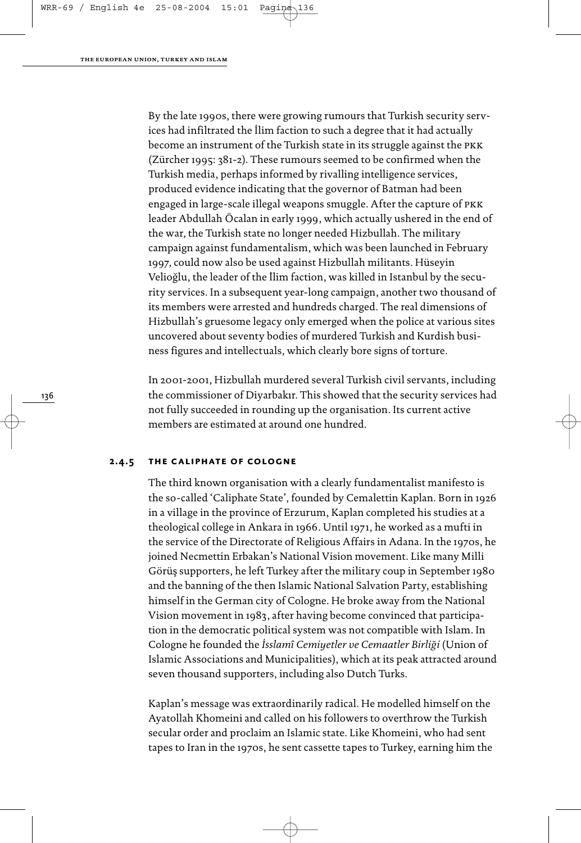By the late 1990s, there were growing rumours that Turkish security services had infiltrated the Ilim faction to such a degree that it had actually become an instrument of the Turkish state in its struggle against the pkk (Zürcher 1995: 381-2). These rumours seemed to be confirmed when the Turkish media, perhaps informed by rivalling intelligence services, produced evidence indicating that the governor of Batman had been engaged in large-scale illegal weapons smuggle. After the capture of PKK leader Abdullah Öcalan in early 1999, which actually ushered in the end of the war, the Turkish state no longer needed Hizbullah. The military campaign against fundamentalism, which was been launched in February 1997, could now also be used against Hizbullah militants. Hüseyin Velioğlu, the leader of the İlim faction, was killed in Istanbul by the security services. In a subsequent year-long campaign, another two thousand of its members were arrested and hundreds charged. The real dimensions of Hizbullah's gruesome legacy only emerged when the police at various sites uncovered about seventy bodies of murdered Turkish and Kurdish business figures and intellectuals, which clearly bore signs of torture.

In 2001-2001, Hizbullah murdered several Turkish civil servants, including the commissioner of Diyarbakır. This showed that the security services had not fully succeeded in rounding up the organisation. Its current active members are estimated at around one hundred.

# **2.4.5 the caliphate of cologne**

136

The third known organisation with a clearly fundamentalist manifesto is the so-called 'Caliphate State', founded by Cemalettin Kaplan. Born in 1926 in a village in the province of Erzurum, Kaplan completed his studies at a theological college in Ankara in 1966. Until 1971, he worked as a mufti in the service of the Directorate of Religious Affairs in Adana. In the 1970s, he joined Necmettin Erbakan's National Vision movement. Like many Milli Görüs¸ supporters, he left Turkey after the military coup in September 1980 and the banning of the then Islamic National Salvation Party, establishing himself in the German city of Cologne. He broke away from the National Vision movement in 1983, after having become convinced that participation in the democratic political system was not compatible with Islam. In Cologne he founded the *İsslamî Cemiyetler ve Cemaatler Birliği* (Union of Islamic Associations and Municipalities), which at its peak attracted around seven thousand supporters, including also Dutch Turks.

Kaplan's message was extraordinarily radical. He modelled himself on the Ayatollah Khomeini and called on his followers to overthrow the Turkish secular order and proclaim an Islamic state. Like Khomeini, who had sent tapes to Iran in the 1970s, he sent cassette tapes to Turkey, earning him the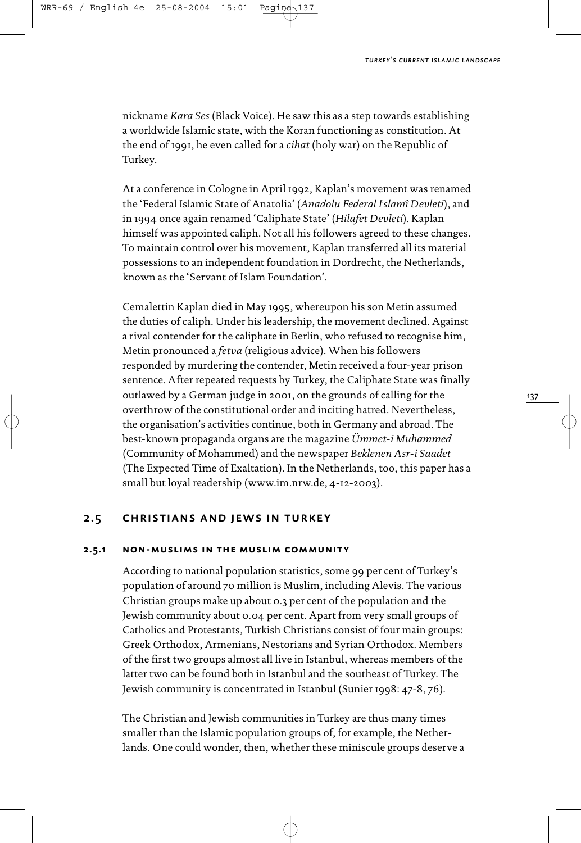nickname *Kara Ses* (Black Voice). He saw this as a step towards establishing a worldwide Islamic state, with the Koran functioning as constitution. At the end of 1991, he even called for a *cihat* (holy war) on the Republic of Turkey.

At a conference in Cologne in April 1992, Kaplan's movement was renamed the 'Federal Islamic State of Anatolia' (*Anadolu Federal I· slamî Devleti*), and in 1994 once again renamed 'Caliphate State' (*Hilafet Devleti*). Kaplan himself was appointed caliph. Not all his followers agreed to these changes. To maintain control over his movement, Kaplan transferred all its material possessions to an independent foundation in Dordrecht, the Netherlands, known as the 'Servant of Islam Foundation'.

Cemalettin Kaplan died in May 1995, whereupon his son Metin assumed the duties of caliph. Under his leadership, the movement declined. Against a rival contender for the caliphate in Berlin, who refused to recognise him, Metin pronounced a *fetva* (religious advice). When his followers responded by murdering the contender, Metin received a four-year prison sentence. After repeated requests by Turkey, the Caliphate State was finally outlawed by a German judge in 2001, on the grounds of calling for the overthrow of the constitutional order and inciting hatred. Nevertheless, the organisation's activities continue, both in Germany and abroad. The best-known propaganda organs are the magazine *Ümmet-i Muhammed* (Community of Mohammed) and the newspaper *Beklenen Asr-i Saadet* (The Expected Time of Exaltation). In the Netherlands, too, this paper has a small but loyal readership (www.im.nrw.de, 4-12-2003).

# 2.5 christians and jews in turkey

### **2.5.1 non-muslims in the muslim community**

According to national population statistics, some 99 per cent of Turkey's population of around 70 million is Muslim, including Alevis. The various Christian groups make up about 0.3 per cent of the population and the Jewish community about 0.04 per cent. Apart from very small groups of Catholics and Protestants, Turkish Christians consist of four main groups: Greek Orthodox, Armenians, Nestorians and Syrian Orthodox. Members of the first two groups almost all live in Istanbul, whereas members of the latter two can be found both in Istanbul and the southeast of Turkey. The Jewish community is concentrated in Istanbul (Sunier 1998: 47-8, 76).

The Christian and Jewish communities in Turkey are thus many times smaller than the Islamic population groups of, for example, the Netherlands. One could wonder, then, whether these miniscule groups deserve a 137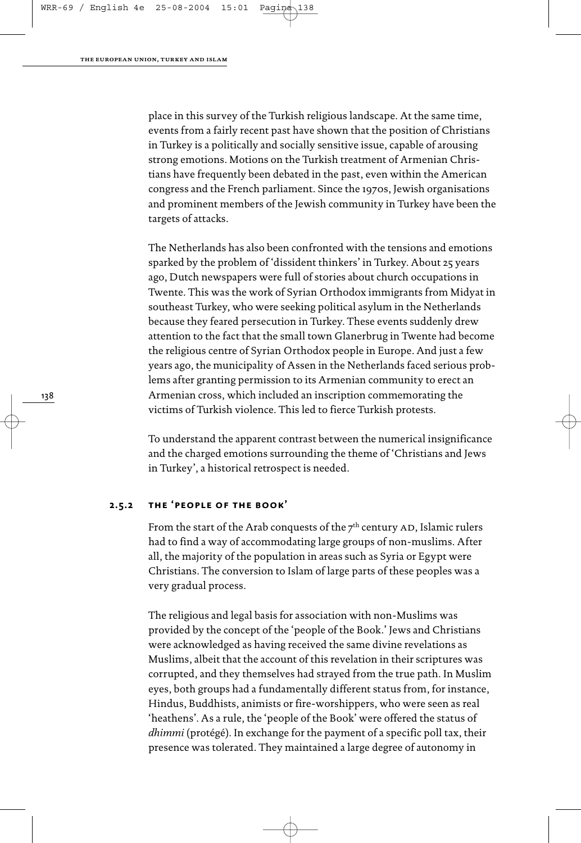138

place in this survey of the Turkish religious landscape. At the same time, events from a fairly recent past have shown that the position of Christians in Turkey is a politically and socially sensitive issue, capable of arousing strong emotions. Motions on the Turkish treatment of Armenian Christians have frequently been debated in the past, even within the American congress and the French parliament. Since the 1970s, Jewish organisations and prominent members of the Jewish community in Turkey have been the targets of attacks.

The Netherlands has also been confronted with the tensions and emotions sparked by the problem of 'dissident thinkers' in Turkey. About 25 years ago, Dutch newspapers were full of stories about church occupations in Twente. This was the work of Syrian Orthodox immigrants from Midyat in southeast Turkey, who were seeking political asylum in the Netherlands because they feared persecution in Turkey. These events suddenly drew attention to the fact that the small town Glanerbrug in Twente had become the religious centre of Syrian Orthodox people in Europe. And just a few years ago, the municipality of Assen in the Netherlands faced serious problems after granting permission to its Armenian community to erect an Armenian cross, which included an inscription commemorating the victims of Turkish violence. This led to fierce Turkish protests.

To understand the apparent contrast between the numerical insignificance and the charged emotions surrounding the theme of 'Christians and Jews in Turkey', a historical retrospect is needed.

### **2.5.2 the 'people of the book'**

From the start of the Arab conquests of the  $7<sup>th</sup>$  century AD, Islamic rulers had to find a way of accommodating large groups of non-muslims. After all, the majority of the population in areas such as Syria or Egypt were Christians. The conversion to Islam of large parts of these peoples was a very gradual process.

The religious and legal basis for association with non-Muslims was provided by the concept of the 'people of the Book.' Jews and Christians were acknowledged as having received the same divine revelations as Muslims, albeit that the account of this revelation in their scriptures was corrupted, and they themselves had strayed from the true path. In Muslim eyes, both groups had a fundamentally different status from, for instance, Hindus, Buddhists, animists or fire-worshippers, who were seen as real 'heathens'. As a rule, the 'people of the Book' were offered the status of *dhimmi* (protégé). In exchange for the payment of a specific poll tax, their presence was tolerated. They maintained a large degree of autonomy in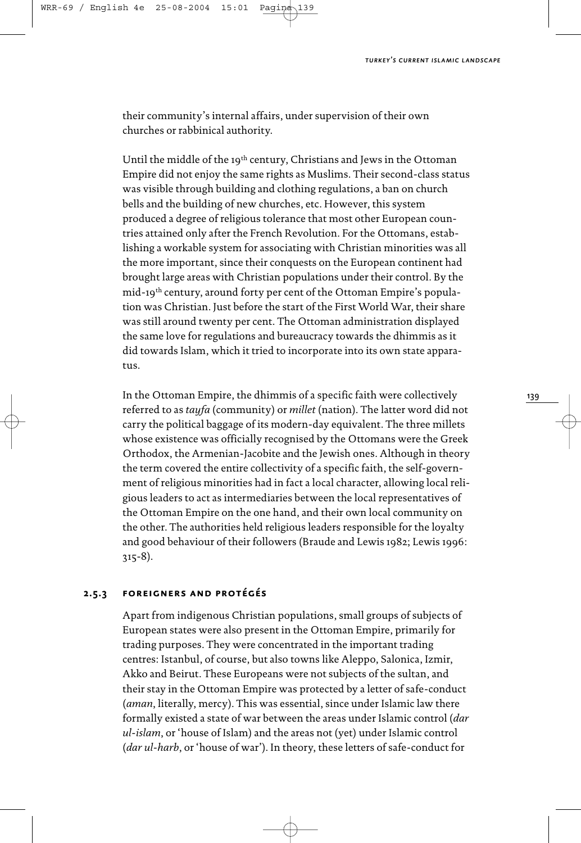their community's internal affairs, under supervision of their own churches or rabbinical authority.

Until the middle of the 19<sup>th</sup> century, Christians and Jews in the Ottoman Empire did not enjoy the same rights as Muslims. Their second-class status was visible through building and clothing regulations, a ban on church bells and the building of new churches, etc. However, this system produced a degree of religious tolerance that most other European countries attained only after the French Revolution. For the Ottomans, establishing a workable system for associating with Christian minorities was all the more important, since their conquests on the European continent had brought large areas with Christian populations under their control. By the mid-19th century, around forty per cent of the Ottoman Empire's population was Christian. Just before the start of the First World War, their share was still around twenty per cent. The Ottoman administration displayed the same love for regulations and bureaucracy towards the dhimmis as it did towards Islam, which it tried to incorporate into its own state apparatus.

In the Ottoman Empire, the dhimmis of a specific faith were collectively referred to as *tayfa* (community) or *millet* (nation). The latter word did not carry the political baggage of its modern-day equivalent. The three millets whose existence was officially recognised by the Ottomans were the Greek Orthodox, the Armenian-Jacobite and the Jewish ones. Although in theory the term covered the entire collectivity of a specific faith, the self-government of religious minorities had in fact a local character, allowing local religious leaders to act as intermediaries between the local representatives of the Ottoman Empire on the one hand, and their own local community on the other. The authorities held religious leaders responsible for the loyalty and good behaviour of their followers (Braude and Lewis 1982; Lewis 1996: 315-8).

### **2.5.3 foreigners and protégés**

Apart from indigenous Christian populations, small groups of subjects of European states were also present in the Ottoman Empire, primarily for trading purposes. They were concentrated in the important trading centres: Istanbul, of course, but also towns like Aleppo, Salonica, Izmir, Akko and Beirut. These Europeans were not subjects of the sultan, and their stay in the Ottoman Empire was protected by a letter of safe-conduct (*aman*, literally, mercy). This was essential, since under Islamic law there formally existed a state of war between the areas under Islamic control (*dar ul-islam*, or 'house of Islam) and the areas not (yet) under Islamic control (*dar ul-harb*, or 'house of war'). In theory, these letters of safe-conduct for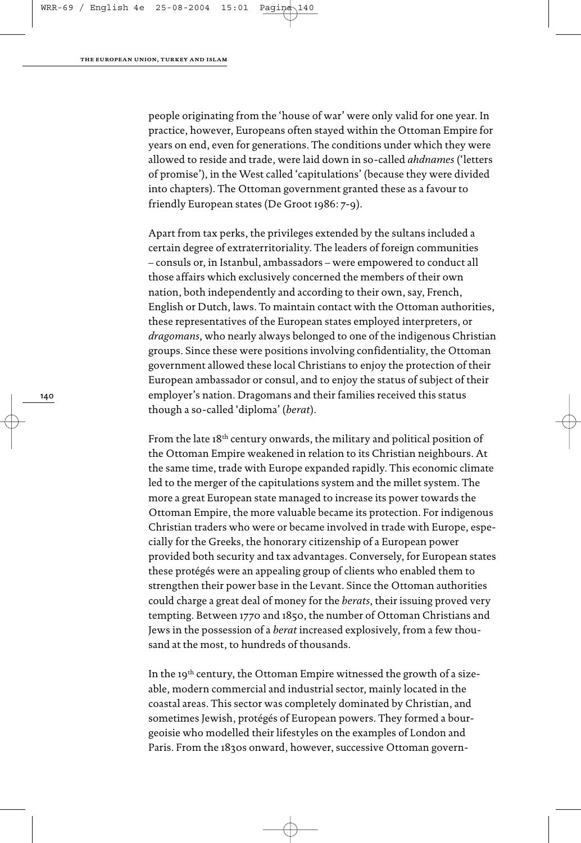people originating from the 'house of war' were only valid for one year. In practice, however, Europeans often stayed within the Ottoman Empire for years on end, even for generations. The conditions under which they were allowed to reside and trade, were laid down in so-called *ahdnames* ('letters of promise'), in the West called 'capitulations' (because they were divided into chapters). The Ottoman government granted these as a favour to friendly European states (De Groot 1986: 7-9).

Apart from tax perks, the privileges extended by the sultans included a certain degree of extraterritoriality. The leaders of foreign communities – consuls or, in Istanbul, ambassadors – were empowered to conduct all those affairs which exclusively concerned the members of their own nation, both independently and according to their own, say, French, English or Dutch, laws. To maintain contact with the Ottoman authorities, these representatives of the European states employed interpreters, or *dragomans*, who nearly always belonged to one of the indigenous Christian groups. Since these were positions involving confidentiality, the Ottoman government allowed these local Christians to enjoy the protection of their European ambassador or consul, and to enjoy the status of subject of their employer's nation. Dragomans and their families received this status though a so-called 'diploma' (*berat*).

From the late 18th century onwards, the military and political position of the Ottoman Empire weakened in relation to its Christian neighbours. At the same time, trade with Europe expanded rapidly. This economic climate led to the merger of the capitulations system and the millet system. The more a great European state managed to increase its power towards the Ottoman Empire, the more valuable became its protection. For indigenous Christian traders who were or became involved in trade with Europe, especially for the Greeks, the honorary citizenship of a European power provided both security and tax advantages. Conversely, for European states these protégés were an appealing group of clients who enabled them to strengthen their power base in the Levant. Since the Ottoman authorities could charge a great deal of money for the *berats*, their issuing proved very tempting. Between 1770 and 1850, the number of Ottoman Christians and Jews in the possession of a *berat* increased explosively, from a few thousand at the most, to hundreds of thousands.

In the 19th century, the Ottoman Empire witnessed the growth of a sizeable, modern commercial and industrial sector, mainly located in the coastal areas. This sector was completely dominated by Christian, and sometimes Jewish, protégés of European powers. They formed a bourgeoisie who modelled their lifestyles on the examples of London and Paris. From the 1830s onward, however, successive Ottoman govern-

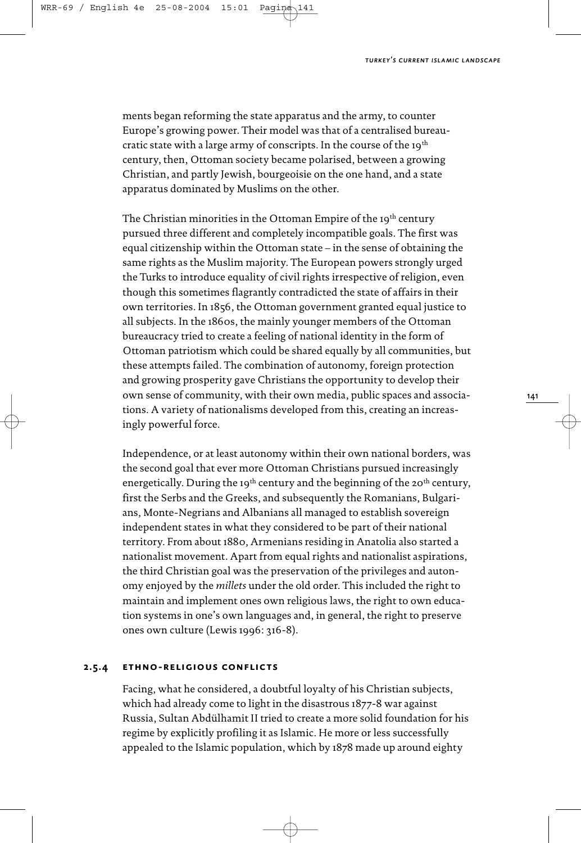ments began reforming the state apparatus and the army, to counter Europe's growing power. Their model was that of a centralised bureaucratic state with a large army of conscripts. In the course of the 19<sup>th</sup> century, then, Ottoman society became polarised, between a growing Christian, and partly Jewish, bourgeoisie on the one hand, and a state apparatus dominated by Muslims on the other.

The Christian minorities in the Ottoman Empire of the 19<sup>th</sup> century pursued three different and completely incompatible goals. The first was equal citizenship within the Ottoman state – in the sense of obtaining the same rights as the Muslim majority. The European powers strongly urged the Turks to introduce equality of civil rights irrespective of religion, even though this sometimes flagrantly contradicted the state of affairs in their own territories. In 1856, the Ottoman government granted equal justice to all subjects. In the 1860s, the mainly younger members of the Ottoman bureaucracy tried to create a feeling of national identity in the form of Ottoman patriotism which could be shared equally by all communities, but these attempts failed. The combination of autonomy, foreign protection and growing prosperity gave Christians the opportunity to develop their own sense of community, with their own media, public spaces and associations. A variety of nationalisms developed from this, creating an increasingly powerful force.

Independence, or at least autonomy within their own national borders, was the second goal that ever more Ottoman Christians pursued increasingly energetically. During the 19<sup>th</sup> century and the beginning of the 20<sup>th</sup> century, first the Serbs and the Greeks, and subsequently the Romanians, Bulgarians, Monte-Negrians and Albanians all managed to establish sovereign independent states in what they considered to be part of their national territory. From about 1880, Armenians residing in Anatolia also started a nationalist movement. Apart from equal rights and nationalist aspirations, the third Christian goal was the preservation of the privileges and autonomy enjoyed by the *millets* under the old order. This included the right to maintain and implement ones own religious laws, the right to own education systems in one's own languages and, in general, the right to preserve ones own culture (Lewis 1996: 316-8).

# **2.5.4 ethno-religious conflicts**

Facing, what he considered, a doubtful loyalty of his Christian subjects, which had already come to light in the disastrous 1877-8 war against Russia, Sultan Abdülhamit II tried to create a more solid foundation for his regime by explicitly profiling it as Islamic. He more or less successfully appealed to the Islamic population, which by 1878 made up around eighty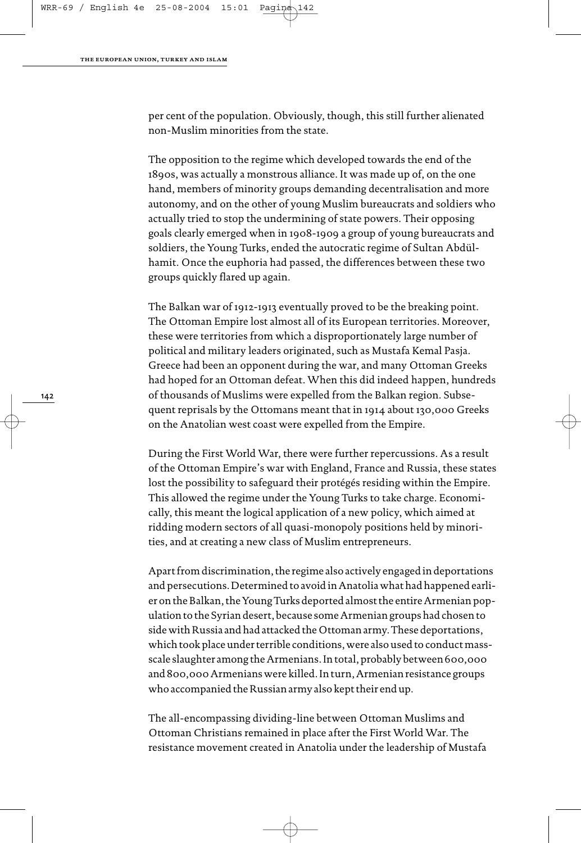142

per cent of the population. Obviously, though, this still further alienated non-Muslim minorities from the state.

The opposition to the regime which developed towards the end of the 1890s, was actually a monstrous alliance. It was made up of, on the one hand, members of minority groups demanding decentralisation and more autonomy, and on the other of young Muslim bureaucrats and soldiers who actually tried to stop the undermining of state powers. Their opposing goals clearly emerged when in 1908-1909 a group of young bureaucrats and soldiers, the Young Turks, ended the autocratic regime of Sultan Abdülhamit. Once the euphoria had passed, the differences between these two groups quickly flared up again.

The Balkan war of 1912-1913 eventually proved to be the breaking point. The Ottoman Empire lost almost all of its European territories. Moreover, these were territories from which a disproportionately large number of political and military leaders originated, such as Mustafa Kemal Pasja. Greece had been an opponent during the war, and many Ottoman Greeks had hoped for an Ottoman defeat. When this did indeed happen, hundreds of thousands of Muslims were expelled from the Balkan region. Subsequent reprisals by the Ottomans meant that in 1914 about 130,000 Greeks on the Anatolian west coast were expelled from the Empire.

During the First World War, there were further repercussions. As a result of the Ottoman Empire's war with England, France and Russia, these states lost the possibility to safeguard their protégés residing within the Empire. This allowed the regime under the Young Turks to take charge. Economically, this meant the logical application of a new policy, which aimed at ridding modern sectors of all quasi-monopoly positions held by minorities, and at creating a new class of Muslim entrepreneurs.

Apart from discrimination, the regime also actively engaged in deportations and persecutions. Determined to avoid in Anatolia what had happened earlier on the Balkan, the Young Turks deported almost the entire Armenian population to the Syrian desert, because some Armenian groups had chosen to side with Russia and had attacked the Ottoman army. These deportations, which took place under terrible conditions, were also used to conduct massscale slaughter among the Armenians. In total, probably between 600,000 and 800,000 Armenians were killed. In turn, Armenian resistance groups who accompanied the Russian army also kept their end up.

The all-encompassing dividing-line between Ottoman Muslims and Ottoman Christians remained in place after the First World War. The resistance movement created in Anatolia under the leadership of Mustafa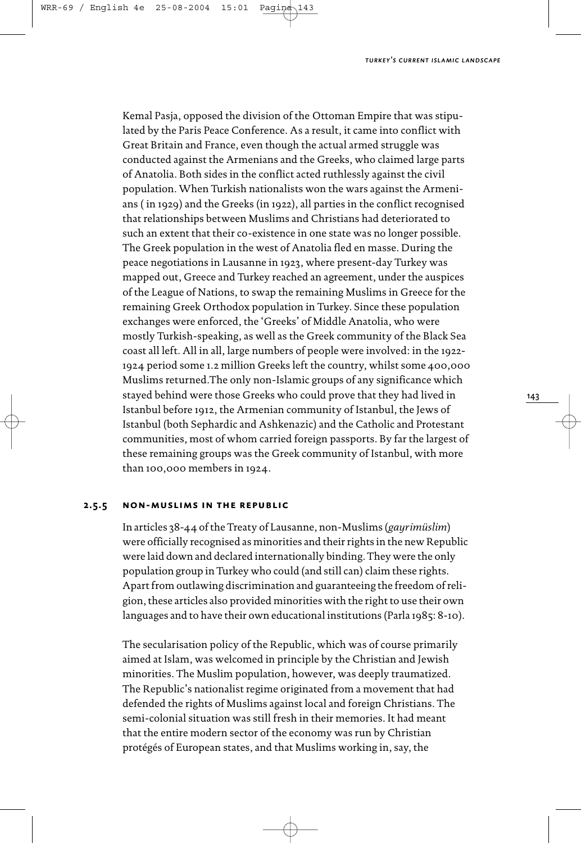WRR-69 / English 4e 25-08-2004 15:01 Pagina 143

Kemal Pasja, opposed the division of the Ottoman Empire that was stipulated by the Paris Peace Conference. As a result, it came into conflict with Great Britain and France, even though the actual armed struggle was conducted against the Armenians and the Greeks, who claimed large parts of Anatolia. Both sides in the conflict acted ruthlessly against the civil population. When Turkish nationalists won the wars against the Armenians ( in 1929) and the Greeks (in 1922), all parties in the conflict recognised that relationships between Muslims and Christians had deteriorated to such an extent that their co-existence in one state was no longer possible. The Greek population in the west of Anatolia fled en masse. During the peace negotiations in Lausanne in 1923, where present-day Turkey was mapped out, Greece and Turkey reached an agreement, under the auspices of the League of Nations, to swap the remaining Muslims in Greece for the remaining Greek Orthodox population in Turkey. Since these population exchanges were enforced, the 'Greeks' of Middle Anatolia, who were mostly Turkish-speaking, as well as the Greek community of the Black Sea coast all left. All in all, large numbers of people were involved: in the 1922- 1924 period some 1.2 million Greeks left the country, whilst some 400,000 Muslims returned.The only non-Islamic groups of any significance which stayed behind were those Greeks who could prove that they had lived in Istanbul before 1912, the Armenian community of Istanbul, the Jews of Istanbul (both Sephardic and Ashkenazic) and the Catholic and Protestant communities, most of whom carried foreign passports. By far the largest of these remaining groups was the Greek community of Istanbul, with more than 100,000 members in 1924.

### **2.5.5 non-muslims in the republic**

In articles 38-44 of the Treaty of Lausanne, non-Muslims (*gayrimüslim*) were officially recognised as minorities and their rights in the new Republic were laid down and declared internationally binding. They were the only population group in Turkey who could (and still can) claim these rights. Apart from outlawing discrimination and guaranteeing the freedom of religion, these articles also provided minorities with the right to use their own languages and to have their own educational institutions (Parla 1985: 8-10).

The secularisation policy of the Republic, which was of course primarily aimed at Islam, was welcomed in principle by the Christian and Jewish minorities. The Muslim population, however, was deeply traumatized. The Republic's nationalist regime originated from a movement that had defended the rights of Muslims against local and foreign Christians. The semi-colonial situation was still fresh in their memories. It had meant that the entire modern sector of the economy was run by Christian protégés of European states, and that Muslims working in, say, the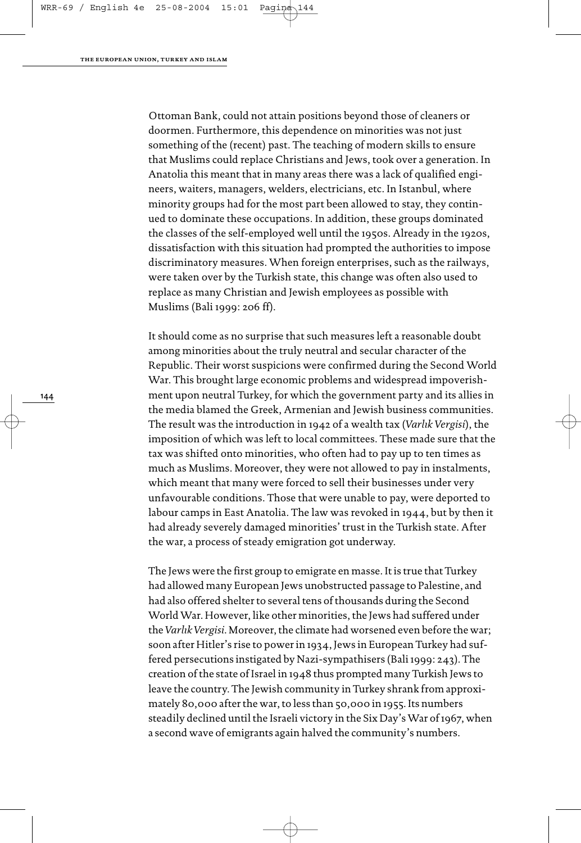144

Ottoman Bank, could not attain positions beyond those of cleaners or doormen. Furthermore, this dependence on minorities was not just something of the (recent) past. The teaching of modern skills to ensure that Muslims could replace Christians and Jews, took over a generation. In Anatolia this meant that in many areas there was a lack of qualified engineers, waiters, managers, welders, electricians, etc. In Istanbul, where minority groups had for the most part been allowed to stay, they continued to dominate these occupations. In addition, these groups dominated the classes of the self-employed well until the 1950s. Already in the 1920s, dissatisfaction with this situation had prompted the authorities to impose discriminatory measures. When foreign enterprises, such as the railways, were taken over by the Turkish state, this change was often also used to replace as many Christian and Jewish employees as possible with Muslims (Bali 1999: 206 ff).

It should come as no surprise that such measures left a reasonable doubt among minorities about the truly neutral and secular character of the Republic. Their worst suspicions were confirmed during the Second World War. This brought large economic problems and widespread impoverishment upon neutral Turkey, for which the government party and its allies in the media blamed the Greek, Armenian and Jewish business communities. The result was the introduction in 1942 of a wealth tax (*Varlık Vergisi*), the imposition of which was left to local committees. These made sure that the tax was shifted onto minorities, who often had to pay up to ten times as much as Muslims. Moreover, they were not allowed to pay in instalments, which meant that many were forced to sell their businesses under very unfavourable conditions. Those that were unable to pay, were deported to labour camps in East Anatolia. The law was revoked in 1944, but by then it had already severely damaged minorities' trust in the Turkish state. After the war, a process of steady emigration got underway.

The Jews were the first group to emigrate en masse. It is true that Turkey had allowed many European Jews unobstructed passage to Palestine, and had also offered shelter to several tens of thousands during the Second World War. However, like other minorities, the Jews had suffered under the *Varlık Vergisi*. Moreover, the climate had worsened even before the war; soon after Hitler's rise to power in 1934, Jews in European Turkey had suffered persecutions instigated by Nazi-sympathisers (Bali 1999: 243). The creation of the state of Israel in 1948 thus prompted many Turkish Jews to leave the country. The Jewish community in Turkey shrank from approximately 80,000 after the war, to less than 50,000 in 1955. Its numbers steadily declined until the Israeli victory in the Six Day's War of 1967, when a second wave of emigrants again halved the community's numbers.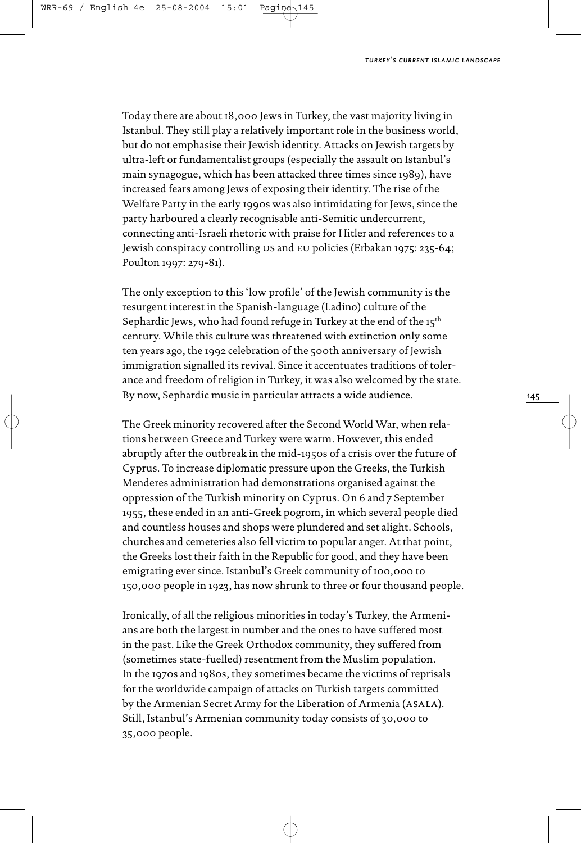Today there are about 18,000 Jews in Turkey, the vast majority living in Istanbul. They still play a relatively important role in the business world, but do not emphasise their Jewish identity. Attacks on Jewish targets by ultra-left or fundamentalist groups (especially the assault on Istanbul's main synagogue, which has been attacked three times since 1989), have increased fears among Jews of exposing their identity. The rise of the Welfare Party in the early 1990s was also intimidating for Jews, since the party harboured a clearly recognisable anti-Semitic undercurrent, connecting anti-Israeli rhetoric with praise for Hitler and references to a Jewish conspiracy controlling us and eu policies (Erbakan 1975: 235-64; Poulton 1997: 279-81).

The only exception to this 'low profile' of the Jewish community is the resurgent interest in the Spanish-language (Ladino) culture of the Sephardic Jews, who had found refuge in Turkey at the end of the 15<sup>th</sup> century. While this culture was threatened with extinction only some ten years ago, the 1992 celebration of the 500th anniversary of Jewish immigration signalled its revival. Since it accentuates traditions of tolerance and freedom of religion in Turkey, it was also welcomed by the state. By now, Sephardic music in particular attracts a wide audience.

The Greek minority recovered after the Second World War, when relations between Greece and Turkey were warm. However, this ended abruptly after the outbreak in the mid-1950s of a crisis over the future of Cyprus. To increase diplomatic pressure upon the Greeks, the Turkish Menderes administration had demonstrations organised against the oppression of the Turkish minority on Cyprus. On 6 and 7 September 1955, these ended in an anti-Greek pogrom, in which several people died and countless houses and shops were plundered and set alight. Schools, churches and cemeteries also fell victim to popular anger. At that point, the Greeks lost their faith in the Republic for good, and they have been emigrating ever since. Istanbul's Greek community of 100,000 to 150,000 people in 1923, has now shrunk to three or four thousand people.

Ironically, of all the religious minorities in today's Turkey, the Armenians are both the largest in number and the ones to have suffered most in the past. Like the Greek Orthodox community, they suffered from (sometimes state-fuelled) resentment from the Muslim population. In the 1970s and 1980s, they sometimes became the victims of reprisals for the worldwide campaign of attacks on Turkish targets committed by the Armenian Secret Army for the Liberation of Armenia (ASALA). Still, Istanbul's Armenian community today consists of 30,000 to 35,000 people.

145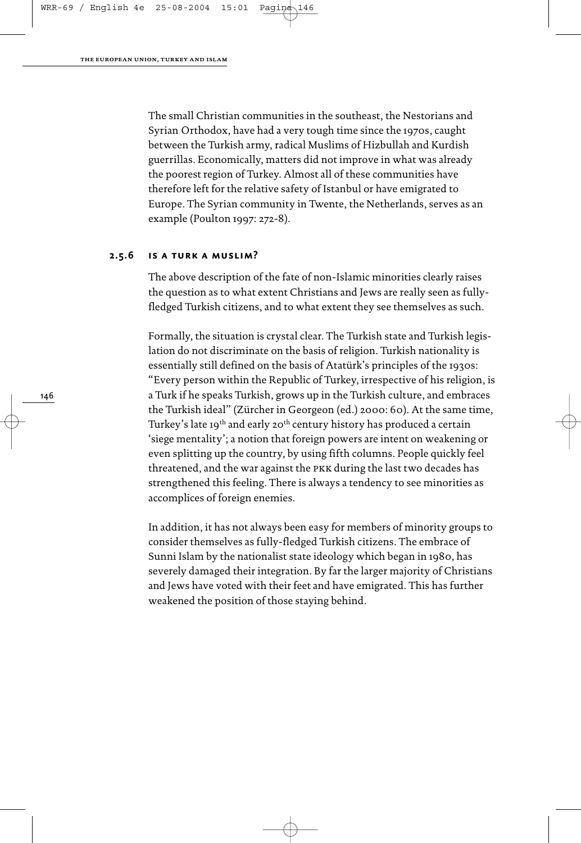The small Christian communities in the southeast, the Nestorians and Syrian Orthodox, have had a very tough time since the 1970s, caught between the Turkish army, radical Muslims of Hizbullah and Kurdish guerrillas. Economically, matters did not improve in what was already the poorest region of Turkey. Almost all of these communities have therefore left for the relative safety of Istanbul or have emigrated to Europe. The Syrian community in Twente, the Netherlands, serves as an example (Poulton 1997: 272-8).

#### **2.5.6 is a turk a muslim?**

146

The above description of the fate of non-Islamic minorities clearly raises the question as to what extent Christians and Jews are really seen as fullyfledged Turkish citizens, and to what extent they see themselves as such.

Formally, the situation is crystal clear. The Turkish state and Turkish legislation do not discriminate on the basis of religion. Turkish nationality is essentially still defined on the basis of Atatürk's principles of the 1930s: "Every person within the Republic of Turkey, irrespective of his religion, is a Turk if he speaks Turkish, grows up in the Turkish culture, and embraces the Turkish ideal" (Zürcher in Georgeon (ed.) 2000: 60). At the same time, Turkey's late 19<sup>th</sup> and early 20<sup>th</sup> century history has produced a certain 'siege mentality'; a notion that foreign powers are intent on weakening or even splitting up the country, by using fifth columns. People quickly feel threatened, and the war against the pkk during the last two decades has strengthened this feeling. There is always a tendency to see minorities as accomplices of foreign enemies.

In addition, it has not always been easy for members of minority groups to consider themselves as fully-fledged Turkish citizens. The embrace of Sunni Islam by the nationalist state ideology which began in 1980, has severely damaged their integration. By far the larger majority of Christians and Jews have voted with their feet and have emigrated. This has further weakened the position of those staying behind.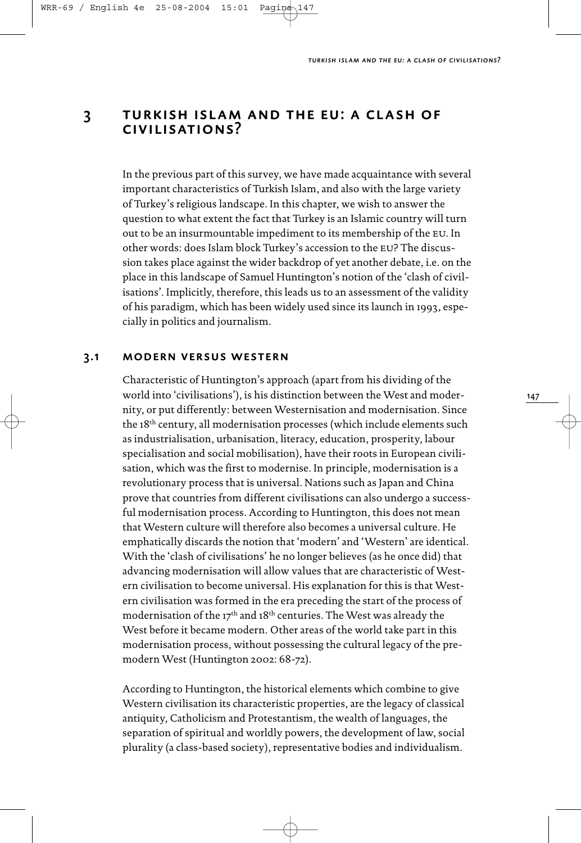## 3 turkish islam and the eu: a clash of civilisations?

In the previous part of this survey, we have made acquaintance with several important characteristics of Turkish Islam, and also with the large variety of Turkey's religious landscape. In this chapter, we wish to answer the question to what extent the fact that Turkey is an Islamic country will turn out to be an insurmountable impediment to its membership of the eu. In other words: does Islam block Turkey's accession to the eu? The discussion takes place against the wider backdrop of yet another debate, i.e. on the place in this landscape of Samuel Huntington's notion of the 'clash of civilisations'. Implicitly, therefore, this leads us to an assessment of the validity of his paradigm, which has been widely used since its launch in 1993, especially in politics and journalism.

#### 3.1 modern versus western

Characteristic of Huntington's approach (apart from his dividing of the world into 'civilisations'), is his distinction between the West and modernity, or put differently: between Westernisation and modernisation. Since the 18th century, all modernisation processes (which include elements such as industrialisation, urbanisation, literacy, education, prosperity, labour specialisation and social mobilisation), have their roots in European civilisation, which was the first to modernise. In principle, modernisation is a revolutionary process that is universal. Nations such as Japan and China prove that countries from different civilisations can also undergo a successful modernisation process. According to Huntington, this does not mean that Western culture will therefore also becomes a universal culture. He emphatically discards the notion that 'modern' and 'Western' are identical. With the 'clash of civilisations' he no longer believes (as he once did) that advancing modernisation will allow values that are characteristic of Western civilisation to become universal. His explanation for this is that Western civilisation was formed in the era preceding the start of the process of modernisation of the 17th and 18th centuries. The West was already the West before it became modern. Other areas of the world take part in this modernisation process, without possessing the cultural legacy of the premodern West (Huntington 2002: 68-72).

According to Huntington, the historical elements which combine to give Western civilisation its characteristic properties, are the legacy of classical antiquity, Catholicism and Protestantism, the wealth of languages, the separation of spiritual and worldly powers, the development of law, social plurality (a class-based society), representative bodies and individualism.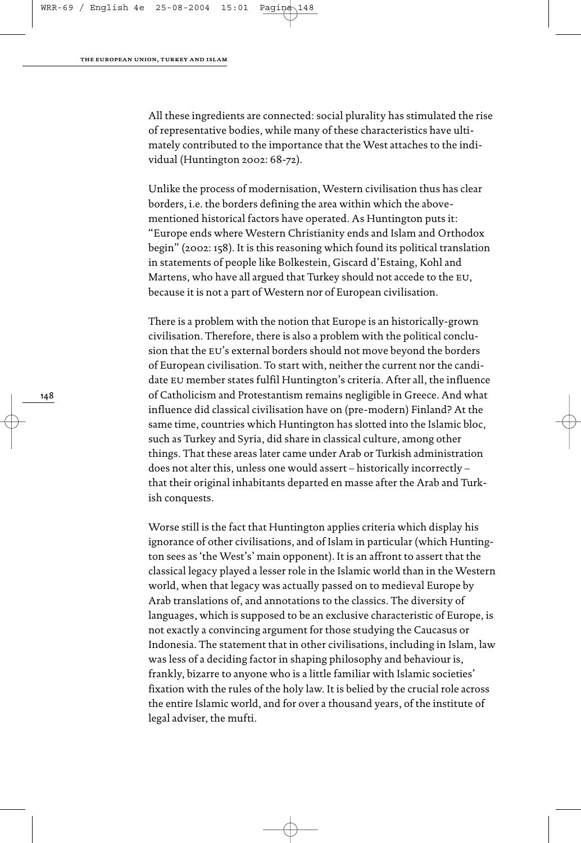148

All these ingredients are connected: social plurality has stimulated the rise of representative bodies, while many of these characteristics have ultimately contributed to the importance that the West attaches to the individual (Huntington 2002: 68-72).

Unlike the process of modernisation, Western civilisation thus has clear borders, i.e. the borders defining the area within which the abovementioned historical factors have operated. As Huntington puts it: "Europe ends where Western Christianity ends and Islam and Orthodox begin" (2002: 158). It is this reasoning which found its political translation in statements of people like Bolkestein, Giscard d'Estaing, Kohl and Martens, who have all argued that Turkey should not accede to the eu, because it is not a part of Western nor of European civilisation.

There is a problem with the notion that Europe is an historically-grown civilisation. Therefore, there is also a problem with the political conclusion that the EU's external borders should not move beyond the borders of European civilisation. To start with, neither the current nor the candidate eu member states fulfil Huntington's criteria. After all, the influence of Catholicism and Protestantism remains negligible in Greece. And what influence did classical civilisation have on (pre-modern) Finland? At the same time, countries which Huntington has slotted into the Islamic bloc, such as Turkey and Syria, did share in classical culture, among other things. That these areas later came under Arab or Turkish administration does not alter this, unless one would assert – historically incorrectly – that their original inhabitants departed en masse after the Arab and Turkish conquests.

Worse still is the fact that Huntington applies criteria which display his ignorance of other civilisations, and of Islam in particular (which Huntington sees as 'the West's' main opponent). It is an affront to assert that the classical legacy played a lesser role in the Islamic world than in the Western world, when that legacy was actually passed on to medieval Europe by Arab translations of, and annotations to the classics. The diversity of languages, which is supposed to be an exclusive characteristic of Europe, is not exactly a convincing argument for those studying the Caucasus or Indonesia. The statement that in other civilisations, including in Islam, law was less of a deciding factor in shaping philosophy and behaviour is, frankly, bizarre to anyone who is a little familiar with Islamic societies' fixation with the rules of the holy law. It is belied by the crucial role across the entire Islamic world, and for over a thousand years, of the institute of legal adviser, the mufti.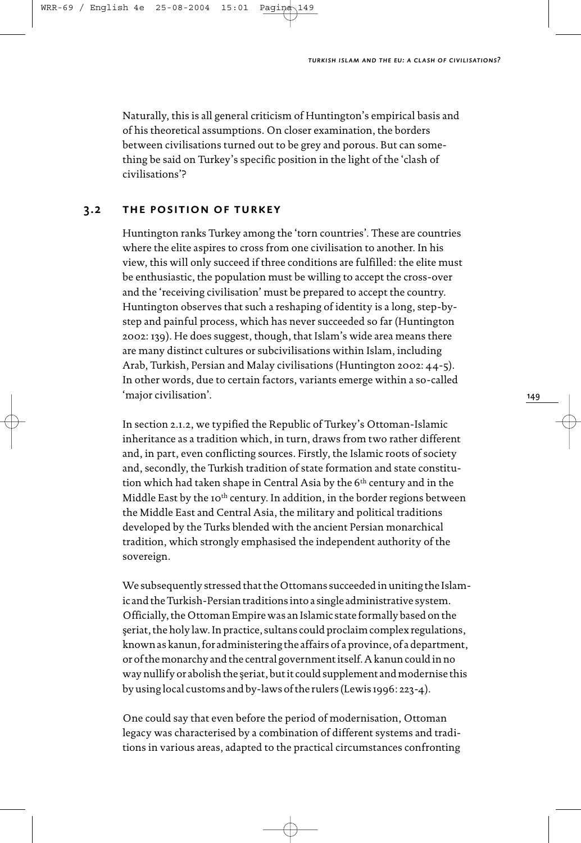Naturally, this is all general criticism of Huntington's empirical basis and of his theoretical assumptions. On closer examination, the borders between civilisations turned out to be grey and porous. But can something be said on Turkey's specific position in the light of the 'clash of civilisations'?

## 3.2 the position of turkey

Huntington ranks Turkey among the 'torn countries'. These are countries where the elite aspires to cross from one civilisation to another. In his view, this will only succeed if three conditions are fulfilled: the elite must be enthusiastic, the population must be willing to accept the cross-over and the 'receiving civilisation' must be prepared to accept the country. Huntington observes that such a reshaping of identity is a long, step-bystep and painful process, which has never succeeded so far (Huntington 2002: 139). He does suggest, though, that Islam's wide area means there are many distinct cultures or subcivilisations within Islam, including Arab, Turkish, Persian and Malay civilisations (Huntington 2002: 44-5). In other words, due to certain factors, variants emerge within a so-called 'major civilisation'.

In section 2.1.2, we typified the Republic of Turkey's Ottoman-Islamic inheritance as a tradition which, in turn, draws from two rather different and, in part, even conflicting sources. Firstly, the Islamic roots of society and, secondly, the Turkish tradition of state formation and state constitution which had taken shape in Central Asia by the 6<sup>th</sup> century and in the Middle East by the 10<sup>th</sup> century. In addition, in the border regions between the Middle East and Central Asia, the military and political traditions developed by the Turks blended with the ancient Persian monarchical tradition, which strongly emphasised the independent authority of the sovereign.

We subsequently stressed that the Ottomans succeeded in uniting the Islamic and the Turkish-Persian traditions into a single administrative system. Officially, the Ottoman Empire was an Islamic state formally based on the ¸eriat, the holy law. In practice, sultans could proclaim complex regulations, s known as kanun, for administering the affairs of a province, of a department, or of the monarchy and the central government itself. A kanun could in no way nullify or abolish the seriat, but it could supplement and modernise this by using local customs and by-laws of the rulers (Lewis 1996: 223-4).

One could say that even before the period of modernisation, Ottoman legacy was characterised by a combination of different systems and traditions in various areas, adapted to the practical circumstances confronting

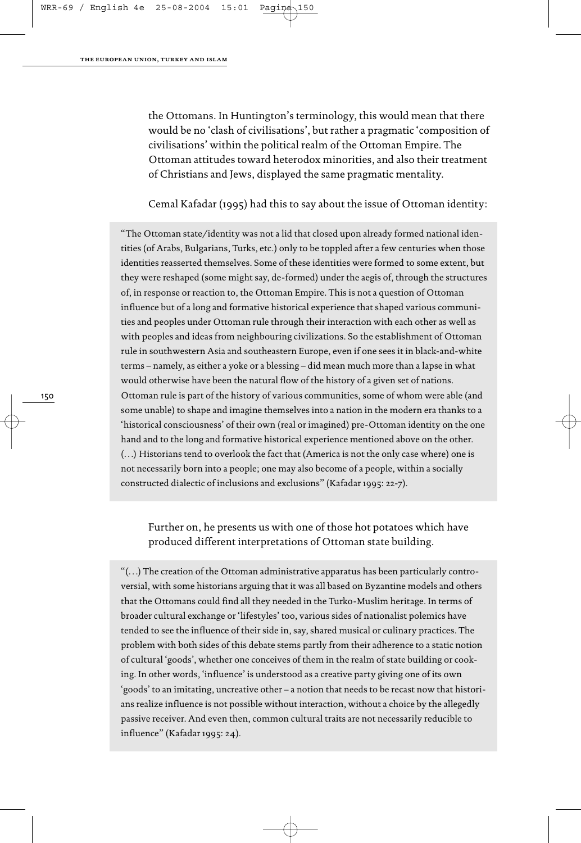150

the Ottomans. In Huntington's terminology, this would mean that there would be no 'clash of civilisations', but rather a pragmatic 'composition of civilisations' within the political realm of the Ottoman Empire. The Ottoman attitudes toward heterodox minorities, and also their treatment of Christians and Jews, displayed the same pragmatic mentality.

Cemal Kafadar (1995) had this to say about the issue of Ottoman identity:

"The Ottoman state/identity was not a lid that closed upon already formed national identities (of Arabs, Bulgarians, Turks, etc.) only to be toppled after a few centuries when those identities reasserted themselves. Some of these identities were formed to some extent, but they were reshaped (some might say, de-formed) under the aegis of, through the structures of, in response or reaction to, the Ottoman Empire. This is not a question of Ottoman influence but of a long and formative historical experience that shaped various communities and peoples under Ottoman rule through their interaction with each other as well as with peoples and ideas from neighbouring civilizations. So the establishment of Ottoman rule in southwestern Asia and southeastern Europe, even if one sees it in black-and-white terms – namely, as either a yoke or a blessing – did mean much more than a lapse in what would otherwise have been the natural flow of the history of a given set of nations. Ottoman rule is part of the history of various communities, some of whom were able (and some unable) to shape and imagine themselves into a nation in the modern era thanks to a 'historical consciousness' of their own (real or imagined) pre-Ottoman identity on the one hand and to the long and formative historical experience mentioned above on the other. (…) Historians tend to overlook the fact that (America is not the only case where) one is not necessarily born into a people; one may also become of a people, within a socially constructed dialectic of inclusions and exclusions" (Kafadar 1995: 22-7).

Further on, he presents us with one of those hot potatoes which have produced different interpretations of Ottoman state building.

"(…) The creation of the Ottoman administrative apparatus has been particularly controversial, with some historians arguing that it was all based on Byzantine models and others that the Ottomans could find all they needed in the Turko-Muslim heritage. In terms of broader cultural exchange or 'lifestyles' too, various sides of nationalist polemics have tended to see the influence of their side in, say, shared musical or culinary practices. The problem with both sides of this debate stems partly from their adherence to a static notion of cultural 'goods', whether one conceives of them in the realm of state building or cooking. In other words, 'influence' is understood as a creative party giving one of its own 'goods' to an imitating, uncreative other – a notion that needs to be recast now that historians realize influence is not possible without interaction, without a choice by the allegedly passive receiver. And even then, common cultural traits are not necessarily reducible to influence" (Kafadar 1995: 24).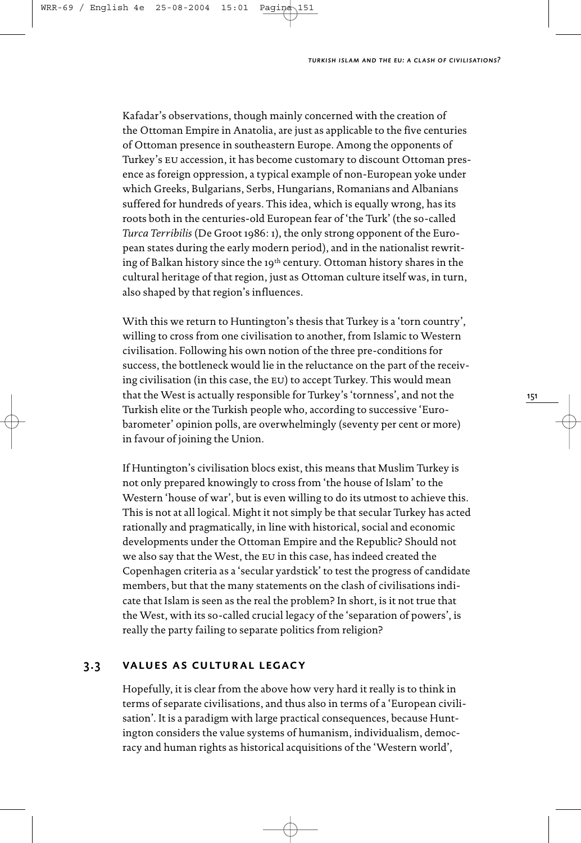*turkish islam and the eu: a clash of civilisations?*

151

Kafadar's observations, though mainly concerned with the creation of the Ottoman Empire in Anatolia, are just as applicable to the five centuries of Ottoman presence in southeastern Europe. Among the opponents of Turkey's eu accession, it has become customary to discount Ottoman presence as foreign oppression, a typical example of non-European yoke under which Greeks, Bulgarians, Serbs, Hungarians, Romanians and Albanians suffered for hundreds of years. This idea, which is equally wrong, has its roots both in the centuries-old European fear of 'the Turk' (the so-called *Turca Terribilis* (De Groot 1986: 1), the only strong opponent of the European states during the early modern period), and in the nationalist rewriting of Balkan history since the 19<sup>th</sup> century. Ottoman history shares in the cultural heritage of that region, just as Ottoman culture itself was, in turn, also shaped by that region's influences.

With this we return to Huntington's thesis that Turkey is a 'torn country', willing to cross from one civilisation to another, from Islamic to Western civilisation. Following his own notion of the three pre-conditions for success, the bottleneck would lie in the reluctance on the part of the receiving civilisation (in this case, the EU) to accept Turkey. This would mean that the West is actually responsible for Turkey's 'tornness', and not the Turkish elite or the Turkish people who, according to successive 'Eurobarometer' opinion polls, are overwhelmingly (seventy per cent or more) in favour of joining the Union.

If Huntington's civilisation blocs exist, this means that Muslim Turkey is not only prepared knowingly to cross from 'the house of Islam' to the Western 'house of war', but is even willing to do its utmost to achieve this. This is not at all logical. Might it not simply be that secular Turkey has acted rationally and pragmatically, in line with historical, social and economic developments under the Ottoman Empire and the Republic? Should not we also say that the West, the eu in this case, has indeed created the Copenhagen criteria as a 'secular yardstick' to test the progress of candidate members, but that the many statements on the clash of civilisations indicate that Islam is seen as the real the problem? In short, is it not true that the West, with its so-called crucial legacy of the 'separation of powers', is really the party failing to separate politics from religion?

#### 3.3 values as cultural legacy

Hopefully, it is clear from the above how very hard it really is to think in terms of separate civilisations, and thus also in terms of a 'European civilisation'. It is a paradigm with large practical consequences, because Huntington considers the value systems of humanism, individualism, democracy and human rights as historical acquisitions of the 'Western world',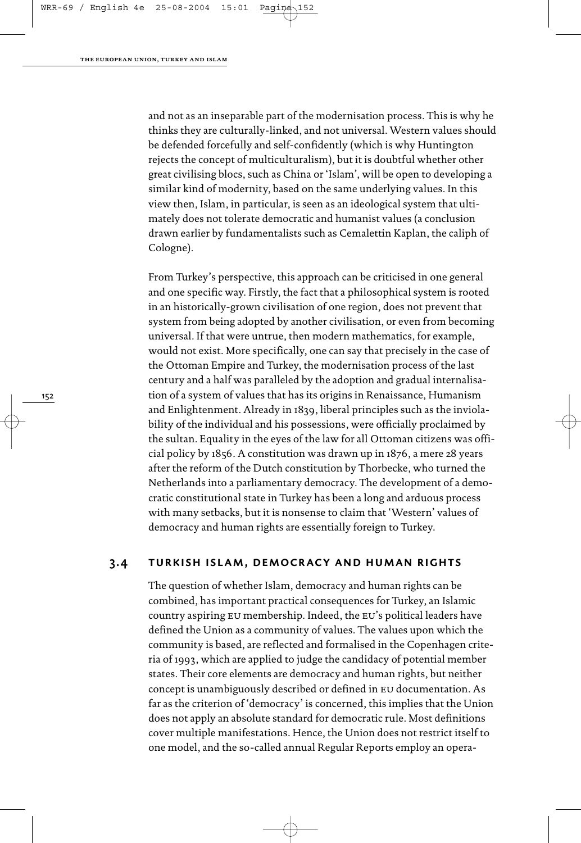152

and not as an inseparable part of the modernisation process. This is why he thinks they are culturally-linked, and not universal. Western values should be defended forcefully and self-confidently (which is why Huntington rejects the concept of multiculturalism), but it is doubtful whether other great civilising blocs, such as China or 'Islam', will be open to developing a similar kind of modernity, based on the same underlying values. In this view then, Islam, in particular, is seen as an ideological system that ultimately does not tolerate democratic and humanist values (a conclusion drawn earlier by fundamentalists such as Cemalettin Kaplan, the caliph of Cologne).

From Turkey's perspective, this approach can be criticised in one general and one specific way. Firstly, the fact that a philosophical system is rooted in an historically-grown civilisation of one region, does not prevent that system from being adopted by another civilisation, or even from becoming universal. If that were untrue, then modern mathematics, for example, would not exist. More specifically, one can say that precisely in the case of the Ottoman Empire and Turkey, the modernisation process of the last century and a half was paralleled by the adoption and gradual internalisation of a system of values that has its origins in Renaissance, Humanism and Enlightenment. Already in 1839, liberal principles such as the inviolability of the individual and his possessions, were officially proclaimed by the sultan. Equality in the eyes of the law for all Ottoman citizens was official policy by 1856. A constitution was drawn up in 1876, a mere 28 years after the reform of the Dutch constitution by Thorbecke, who turned the Netherlands into a parliamentary democracy. The development of a democratic constitutional state in Turkey has been a long and arduous process with many setbacks, but it is nonsense to claim that 'Western' values of democracy and human rights are essentially foreign to Turkey.

## 3.4 turkish islam, democracy and human rights

The question of whether Islam, democracy and human rights can be combined, has important practical consequences for Turkey, an Islamic country aspiring EU membership. Indeed, the EU's political leaders have defined the Union as a community of values. The values upon which the community is based, are reflected and formalised in the Copenhagen criteria of 1993, which are applied to judge the candidacy of potential member states. Their core elements are democracy and human rights, but neither concept is unambiguously described or defined in eu documentation. As far as the criterion of 'democracy' is concerned, this implies that the Union does not apply an absolute standard for democratic rule. Most definitions cover multiple manifestations. Hence, the Union does not restrict itself to one model, and the so-called annual Regular Reports employ an opera-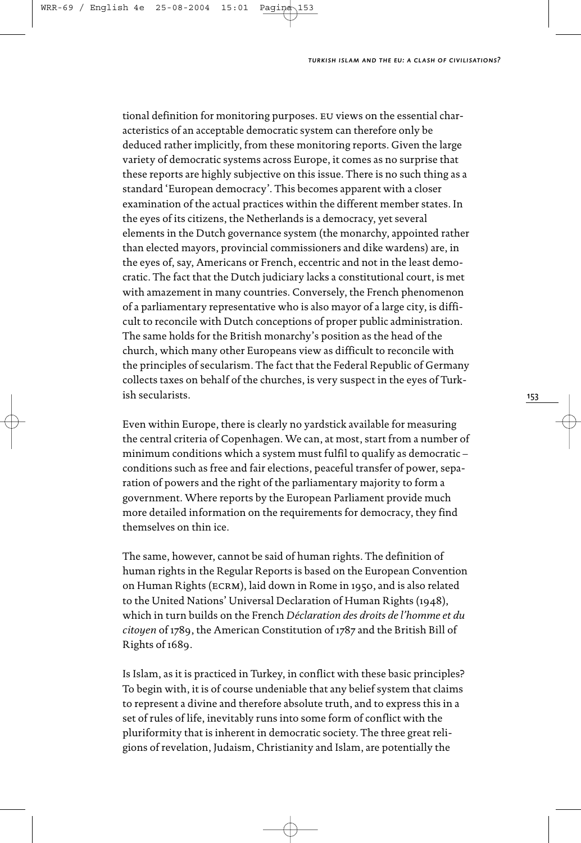tional definition for monitoring purposes. EU views on the essential characteristics of an acceptable democratic system can therefore only be deduced rather implicitly, from these monitoring reports. Given the large variety of democratic systems across Europe, it comes as no surprise that these reports are highly subjective on this issue. There is no such thing as a standard 'European democracy'. This becomes apparent with a closer examination of the actual practices within the different member states. In the eyes of its citizens, the Netherlands is a democracy, yet several elements in the Dutch governance system (the monarchy, appointed rather than elected mayors, provincial commissioners and dike wardens) are, in the eyes of, say, Americans or French, eccentric and not in the least democratic. The fact that the Dutch judiciary lacks a constitutional court, is met with amazement in many countries. Conversely, the French phenomenon of a parliamentary representative who is also mayor of a large city, is difficult to reconcile with Dutch conceptions of proper public administration. The same holds for the British monarchy's position as the head of the church, which many other Europeans view as difficult to reconcile with the principles of secularism. The fact that the Federal Republic of Germany collects taxes on behalf of the churches, is very suspect in the eyes of Turkish secularists.

Even within Europe, there is clearly no yardstick available for measuring the central criteria of Copenhagen. We can, at most, start from a number of minimum conditions which a system must fulfil to qualify as democratic – conditions such as free and fair elections, peaceful transfer of power, separation of powers and the right of the parliamentary majority to form a government. Where reports by the European Parliament provide much more detailed information on the requirements for democracy, they find themselves on thin ice.

The same, however, cannot be said of human rights. The definition of human rights in the Regular Reports is based on the European Convention on Human Rights (ecrm), laid down in Rome in 1950, and is also related to the United Nations' Universal Declaration of Human Rights (1948), which in turn builds on the French *Déclaration des droits de l'homme et du citoyen* of 1789, the American Constitution of 1787 and the British Bill of Rights of 1689.

Is Islam, as it is practiced in Turkey, in conflict with these basic principles? To begin with, it is of course undeniable that any belief system that claims to represent a divine and therefore absolute truth, and to express this in a set of rules of life, inevitably runs into some form of conflict with the pluriformity that is inherent in democratic society. The three great religions of revelation, Judaism, Christianity and Islam, are potentially the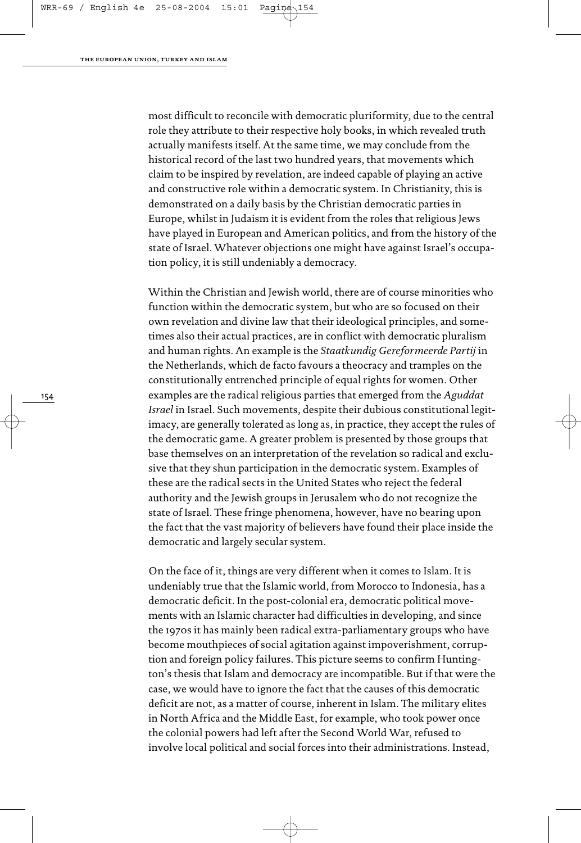154

most difficult to reconcile with democratic pluriformity, due to the central role they attribute to their respective holy books, in which revealed truth actually manifests itself. At the same time, we may conclude from the historical record of the last two hundred years, that movements which claim to be inspired by revelation, are indeed capable of playing an active and constructive role within a democratic system. In Christianity, this is demonstrated on a daily basis by the Christian democratic parties in Europe, whilst in Judaism it is evident from the roles that religious Jews have played in European and American politics, and from the history of the state of Israel. Whatever objections one might have against Israel's occupation policy, it is still undeniably a democracy.

Within the Christian and Jewish world, there are of course minorities who function within the democratic system, but who are so focused on their own revelation and divine law that their ideological principles, and sometimes also their actual practices, are in conflict with democratic pluralism and human rights. An example is the *Staatkundig Gereformeerde Partij* in the Netherlands, which de facto favours a theocracy and tramples on the constitutionally entrenched principle of equal rights for women. Other examples are the radical religious parties that emerged from the *Aguddat Israel* in Israel. Such movements, despite their dubious constitutional legitimacy, are generally tolerated as long as, in practice, they accept the rules of the democratic game. A greater problem is presented by those groups that base themselves on an interpretation of the revelation so radical and exclusive that they shun participation in the democratic system. Examples of these are the radical sects in the United States who reject the federal authority and the Jewish groups in Jerusalem who do not recognize the state of Israel. These fringe phenomena, however, have no bearing upon the fact that the vast majority of believers have found their place inside the democratic and largely secular system.

On the face of it, things are very different when it comes to Islam. It is undeniably true that the Islamic world, from Morocco to Indonesia, has a democratic deficit. In the post-colonial era, democratic political movements with an Islamic character had difficulties in developing, and since the 1970s it has mainly been radical extra-parliamentary groups who have become mouthpieces of social agitation against impoverishment, corruption and foreign policy failures. This picture seems to confirm Huntington's thesis that Islam and democracy are incompatible. But if that were the case, we would have to ignore the fact that the causes of this democratic deficit are not, as a matter of course, inherent in Islam. The military elites in North Africa and the Middle East, for example, who took power once the colonial powers had left after the Second World War, refused to involve local political and social forces into their administrations. Instead,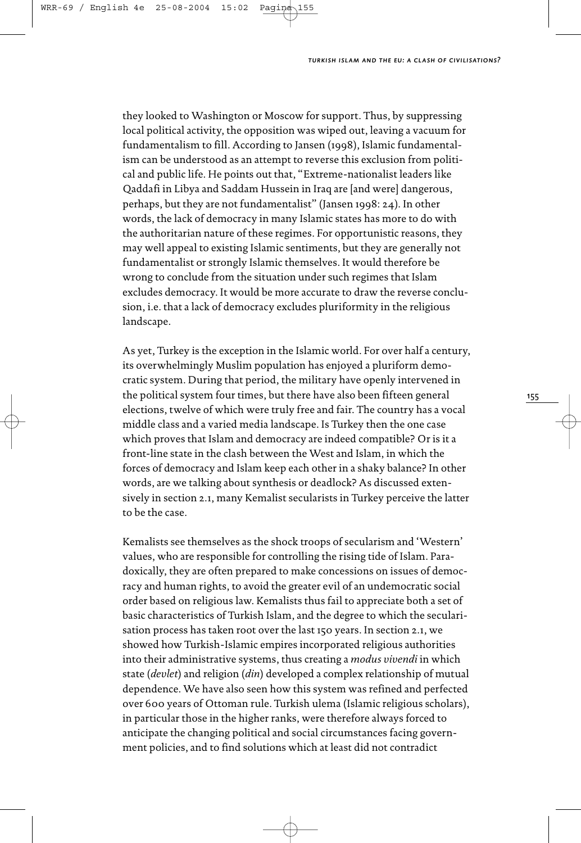they looked to Washington or Moscow for support. Thus, by suppressing local political activity, the opposition was wiped out, leaving a vacuum for fundamentalism to fill. According to Jansen (1998), Islamic fundamentalism can be understood as an attempt to reverse this exclusion from political and public life. He points out that, "Extreme-nationalist leaders like Qaddafi in Libya and Saddam Hussein in Iraq are [and were] dangerous, perhaps, but they are not fundamentalist" (Jansen 1998: 24). In other words, the lack of democracy in many Islamic states has more to do with the authoritarian nature of these regimes. For opportunistic reasons, they may well appeal to existing Islamic sentiments, but they are generally not fundamentalist or strongly Islamic themselves. It would therefore be wrong to conclude from the situation under such regimes that Islam excludes democracy. It would be more accurate to draw the reverse conclusion, i.e. that a lack of democracy excludes pluriformity in the religious landscape.

As yet, Turkey is the exception in the Islamic world. For over half a century, its overwhelmingly Muslim population has enjoyed a pluriform democratic system. During that period, the military have openly intervened in the political system four times, but there have also been fifteen general elections, twelve of which were truly free and fair. The country has a vocal middle class and a varied media landscape. Is Turkey then the one case which proves that Islam and democracy are indeed compatible? Or is it a front-line state in the clash between the West and Islam, in which the forces of democracy and Islam keep each other in a shaky balance? In other words, are we talking about synthesis or deadlock? As discussed extensively in section 2.1, many Kemalist secularists in Turkey perceive the latter to be the case.

Kemalists see themselves as the shock troops of secularism and 'Western' values, who are responsible for controlling the rising tide of Islam. Paradoxically, they are often prepared to make concessions on issues of democracy and human rights, to avoid the greater evil of an undemocratic social order based on religious law. Kemalists thus fail to appreciate both a set of basic characteristics of Turkish Islam, and the degree to which the secularisation process has taken root over the last 150 years. In section 2.1, we showed how Turkish-Islamic empires incorporated religious authorities into their administrative systems, thus creating a *modus vivendi* in which state (*devlet*) and religion (*din*) developed a complex relationship of mutual dependence. We have also seen how this system was refined and perfected over 600 years of Ottoman rule. Turkish ulema (Islamic religious scholars), in particular those in the higher ranks, were therefore always forced to anticipate the changing political and social circumstances facing government policies, and to find solutions which at least did not contradict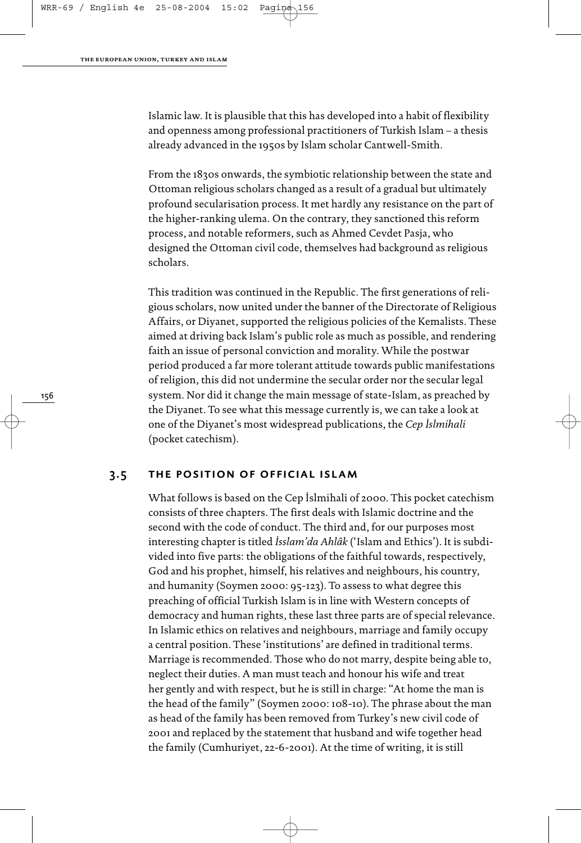156

Islamic law. It is plausible that this has developed into a habit of flexibility and openness among professional practitioners of Turkish Islam – a thesis already advanced in the 1950s by Islam scholar Cantwell-Smith.

From the 1830s onwards, the symbiotic relationship between the state and Ottoman religious scholars changed as a result of a gradual but ultimately profound secularisation process. It met hardly any resistance on the part of the higher-ranking ulema. On the contrary, they sanctioned this reform process, and notable reformers, such as Ahmed Cevdet Pasja, who designed the Ottoman civil code, themselves had background as religious scholars.

This tradition was continued in the Republic. The first generations of religious scholars, now united under the banner of the Directorate of Religious Affairs, or Diyanet, supported the religious policies of the Kemalists. These aimed at driving back Islam's public role as much as possible, and rendering faith an issue of personal conviction and morality. While the postwar period produced a far more tolerant attitude towards public manifestations of religion, this did not undermine the secular order nor the secular legal system. Nor did it change the main message of state-Islam, as preached by the Diyanet. To see what this message currently is, we can take a look at one of the Diyanet's most widespread publications, the *Cep I˙slmihali* (pocket catechism).

## 3.5 the position of official islam

What follows is based on the Cep Islmihali of 2000. This pocket catechism consists of three chapters. The first deals with Islamic doctrine and the second with the code of conduct. The third and, for our purposes most interesting chapter is titled *I˙sslam'da Ahlâk* ('Islam and Ethics'). It is subdivided into five parts: the obligations of the faithful towards, respectively, God and his prophet, himself, his relatives and neighbours, his country, and humanity (Soymen 2000: 95-123). To assess to what degree this preaching of official Turkish Islam is in line with Western concepts of democracy and human rights, these last three parts are of special relevance. In Islamic ethics on relatives and neighbours, marriage and family occupy a central position. These 'institutions' are defined in traditional terms. Marriage is recommended. Those who do not marry, despite being able to, neglect their duties. A man must teach and honour his wife and treat her gently and with respect, but he is still in charge: "At home the man is the head of the family" (Soymen 2000: 108-10). The phrase about the man as head of the family has been removed from Turkey's new civil code of 2001 and replaced by the statement that husband and wife together head the family (Cumhuriyet, 22-6-2001). At the time of writing, it is still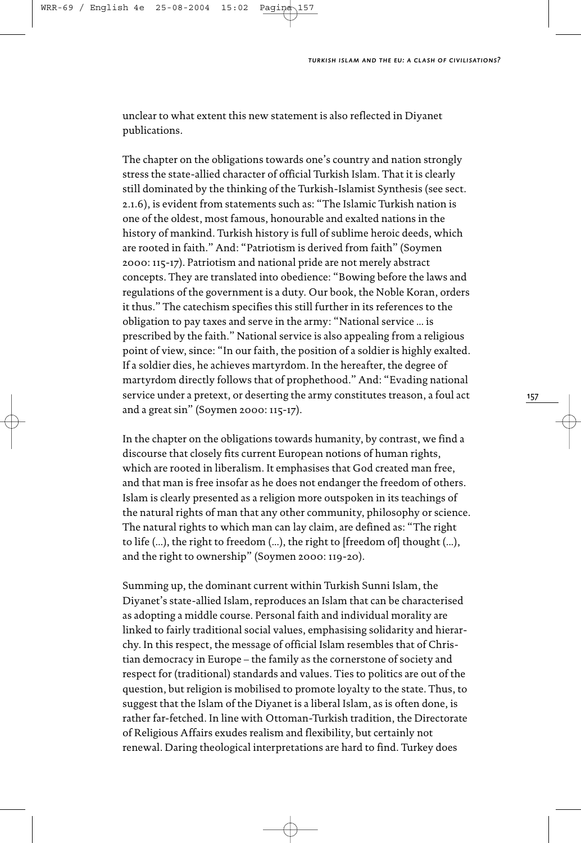unclear to what extent this new statement is also reflected in Diyanet publications.

The chapter on the obligations towards one's country and nation strongly stress the state-allied character of official Turkish Islam. That it is clearly still dominated by the thinking of the Turkish-Islamist Synthesis (see sect. 2.1.6), is evident from statements such as: "The Islamic Turkish nation is one of the oldest, most famous, honourable and exalted nations in the history of mankind. Turkish history is full of sublime heroic deeds, which are rooted in faith." And: "Patriotism is derived from faith" (Soymen 2000: 115-17). Patriotism and national pride are not merely abstract concepts. They are translated into obedience: "Bowing before the laws and regulations of the government is a duty. Our book, the Noble Koran, orders it thus." The catechism specifies this still further in its references to the obligation to pay taxes and serve in the army: "National service ... is prescribed by the faith." National service is also appealing from a religious point of view, since: "In our faith, the position of a soldier is highly exalted. If a soldier dies, he achieves martyrdom. In the hereafter, the degree of martyrdom directly follows that of prophethood." And: "Evading national service under a pretext, or deserting the army constitutes treason, a foul act and a great sin" (Soymen 2000: 115-17).

In the chapter on the obligations towards humanity, by contrast, we find a discourse that closely fits current European notions of human rights, which are rooted in liberalism. It emphasises that God created man free, and that man is free insofar as he does not endanger the freedom of others. Islam is clearly presented as a religion more outspoken in its teachings of the natural rights of man that any other community, philosophy or science. The natural rights to which man can lay claim, are defined as: "The right to life (...), the right to freedom (...), the right to [freedom of] thought (...), and the right to ownership" (Soymen 2000: 119-20).

Summing up, the dominant current within Turkish Sunni Islam, the Diyanet's state-allied Islam, reproduces an Islam that can be characterised as adopting a middle course. Personal faith and individual morality are linked to fairly traditional social values, emphasising solidarity and hierarchy. In this respect, the message of official Islam resembles that of Christian democracy in Europe – the family as the cornerstone of society and respect for (traditional) standards and values. Ties to politics are out of the question, but religion is mobilised to promote loyalty to the state. Thus, to suggest that the Islam of the Diyanet is a liberal Islam, as is often done, is rather far-fetched. In line with Ottoman-Turkish tradition, the Directorate of Religious Affairs exudes realism and flexibility, but certainly not renewal. Daring theological interpretations are hard to find. Turkey does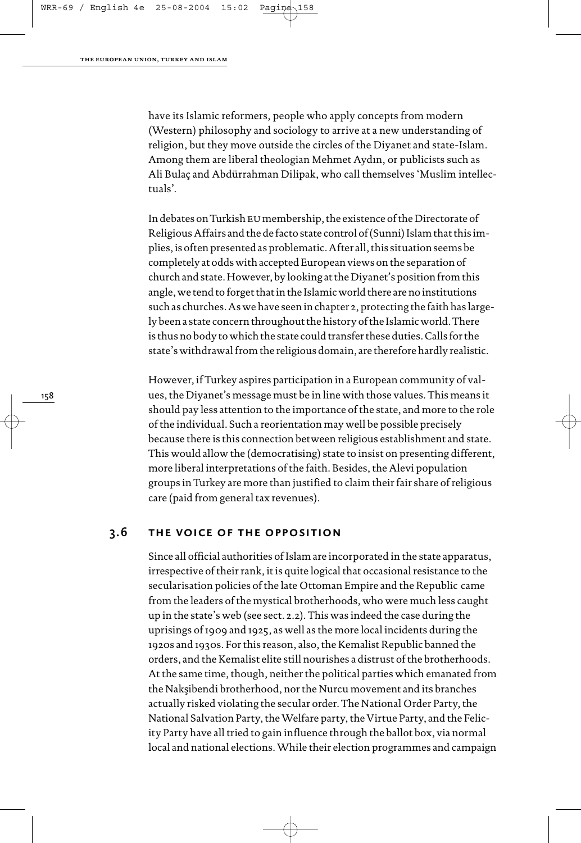158

have its Islamic reformers, people who apply concepts from modern (Western) philosophy and sociology to arrive at a new understanding of religion, but they move outside the circles of the Diyanet and state-Islam. Among them are liberal theologian Mehmet Aydın, or publicists such as Ali Bulaç and Abdürrahman Dilipak, who call themselves 'Muslim intellectuals'.

In debates on Turkish EU membership, the existence of the Directorate of Religious Affairs and the de facto state control of (Sunni) Islam that this implies, is often presented as problematic. After all, this situation seems be completely at odds with accepted European views on the separation of church and state. However, by looking at the Diyanet's position from this angle, we tend to forget that in the Islamic world there are no institutions such as churches. As we have seen in chapter 2, protecting the faith has largely been a state concern throughout the history of the Islamic world. There is thus no body to which the state could transfer these duties. Calls for the state's withdrawal from the religious domain, are therefore hardly realistic.

However, if Turkey aspires participation in a European community of values, the Diyanet's message must be in line with those values. This means it should pay less attention to the importance of the state, and more to the role of the individual. Such a reorientation may well be possible precisely because there is this connection between religious establishment and state. This would allow the (democratising) state to insist on presenting different, more liberal interpretations of the faith. Besides, the Alevi population groups in Turkey are more than justified to claim their fair share of religious care (paid from general tax revenues).

#### 3.6 the voice of the opposition

Since all official authorities of Islam are incorporated in the state apparatus, irrespective of their rank, it is quite logical that occasional resistance to the secularisation policies of the late Ottoman Empire and the Republic came from the leaders of the mystical brotherhoods, who were much less caught up in the state's web (see sect. 2.2). This was indeed the case during the uprisings of 1909 and 1925, as well as the more local incidents during the 1920s and 1930s. For this reason, also, the Kemalist Republic banned the orders, and the Kemalist elite still nourishes a distrust of the brotherhoods. At the same time, though, neither the political parties which emanated from the Naksibendi brotherhood, nor the Nurcu movement and its branches actually risked violating the secular order. The National Order Party, the National Salvation Party, the Welfare party, the Virtue Party, and the Felicity Party have all tried to gain influence through the ballot box, via normal local and national elections. While their election programmes and campaign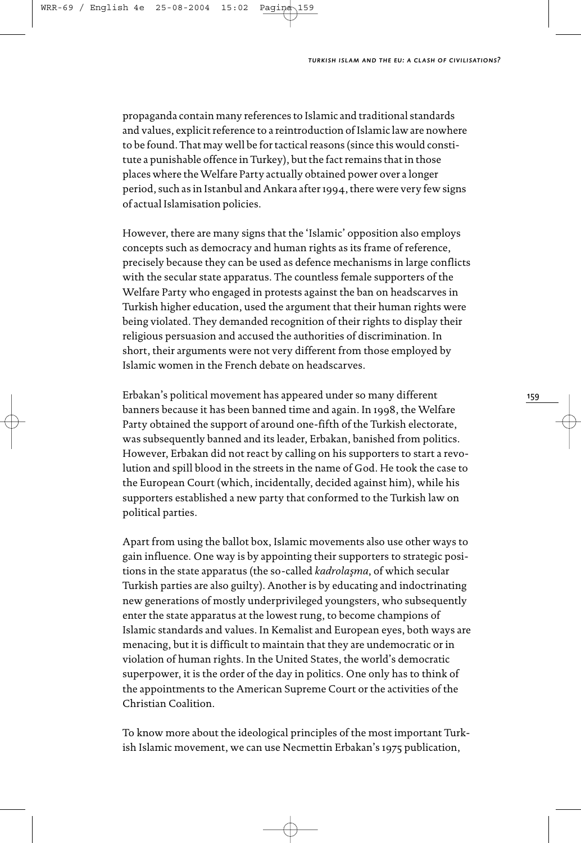propaganda contain many references to Islamic and traditional standards and values, explicit reference to a reintroduction of Islamic law are nowhere to be found. That may well be for tactical reasons (since this would constitute a punishable offence in Turkey), but the fact remains that in those places where the Welfare Party actually obtained power over a longer period, such as in Istanbul and Ankara after 1994, there were very few signs of actual Islamisation policies.

However, there are many signs that the 'Islamic' opposition also employs concepts such as democracy and human rights as its frame of reference, precisely because they can be used as defence mechanisms in large conflicts with the secular state apparatus. The countless female supporters of the Welfare Party who engaged in protests against the ban on headscarves in Turkish higher education, used the argument that their human rights were being violated. They demanded recognition of their rights to display their religious persuasion and accused the authorities of discrimination. In short, their arguments were not very different from those employed by Islamic women in the French debate on headscarves.

Erbakan's political movement has appeared under so many different banners because it has been banned time and again. In 1998, the Welfare Party obtained the support of around one-fifth of the Turkish electorate, was subsequently banned and its leader, Erbakan, banished from politics. However, Erbakan did not react by calling on his supporters to start a revolution and spill blood in the streets in the name of God. He took the case to the European Court (which, incidentally, decided against him), while his supporters established a new party that conformed to the Turkish law on political parties.

Apart from using the ballot box, Islamic movements also use other ways to gain influence. One way is by appointing their supporters to strategic positions in the state apparatus (the so-called *kadrolaşma*, of which secular Turkish parties are also guilty). Another is by educating and indoctrinating new generations of mostly underprivileged youngsters, who subsequently enter the state apparatus at the lowest rung, to become champions of Islamic standards and values. In Kemalist and European eyes, both ways are menacing, but it is difficult to maintain that they are undemocratic or in violation of human rights. In the United States, the world's democratic superpower, it is the order of the day in politics. One only has to think of the appointments to the American Supreme Court or the activities of the Christian Coalition.

To know more about the ideological principles of the most important Turkish Islamic movement, we can use Necmettin Erbakan's 1975 publication,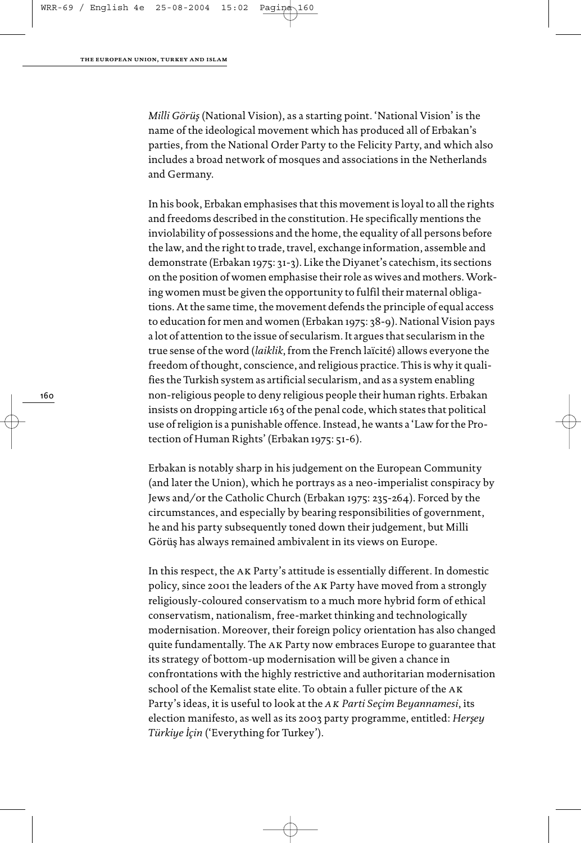160

*Milli Görüs¸* (National Vision), as a starting point. 'National Vision' is the name of the ideological movement which has produced all of Erbakan's parties, from the National Order Party to the Felicity Party, and which also includes a broad network of mosques and associations in the Netherlands and Germany.

In his book, Erbakan emphasises that this movement is loyal to all the rights and freedoms described in the constitution. He specifically mentions the inviolability of possessions and the home, the equality of all persons before the law, and the right to trade, travel, exchange information, assemble and demonstrate (Erbakan 1975: 31-3). Like the Diyanet's catechism, its sections on the position of women emphasise their role as wives and mothers. Working women must be given the opportunity to fulfil their maternal obligations. At the same time, the movement defends the principle of equal access to education for men and women (Erbakan 1975: 38-9). National Vision pays a lot of attention to the issue of secularism. It argues that secularism in the true sense of the word (*laiklik*, from the French laïcité) allows everyone the freedom of thought, conscience, and religious practice. This is why it qualifies the Turkish system as artificial secularism, and as a system enabling non-religious people to deny religious people their human rights. Erbakan insists on dropping article 163 of the penal code, which states that political use of religion is a punishable offence. Instead, he wants a 'Law for the Protection of Human Rights' (Erbakan 1975: 51-6).

Erbakan is notably sharp in his judgement on the European Community (and later the Union), which he portrays as a neo-imperialist conspiracy by Jews and/or the Catholic Church (Erbakan 1975: 235-264). Forced by the circumstances, and especially by bearing responsibilities of government, he and his party subsequently toned down their judgement, but Milli Görüs¸ has always remained ambivalent in its views on Europe.

In this respect, the ak Party's attitude is essentially different. In domestic policy, since 2001 the leaders of the ak Party have moved from a strongly religiously-coloured conservatism to a much more hybrid form of ethical conservatism, nationalism, free-market thinking and technologically modernisation. Moreover, their foreign policy orientation has also changed quite fundamentally. The ak Party now embraces Europe to guarantee that its strategy of bottom-up modernisation will be given a chance in confrontations with the highly restrictive and authoritarian modernisation school of the Kemalist state elite. To obtain a fuller picture of the ak Party's ideas, it is useful to look at the *a k Parti Seçim Beyannamesi*, its election manifesto, as well as its 2003 party programme, entitled: *Herşey Türkiye İçin* ('Everything for Turkey').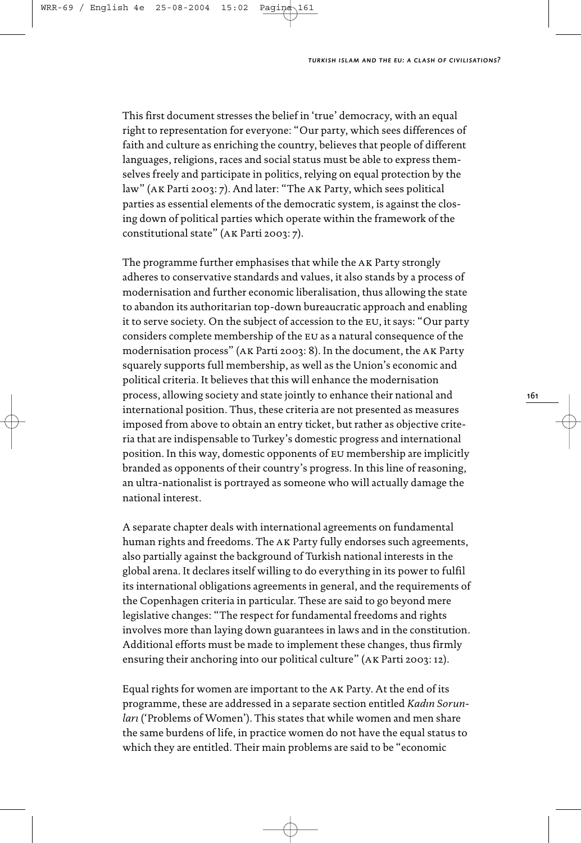This first document stresses the belief in 'true' democracy, with an equal right to representation for everyone: "Our party, which sees differences of faith and culture as enriching the country, believes that people of different languages, religions, races and social status must be able to express themselves freely and participate in politics, relying on equal protection by the law" (ak Parti 2003: 7). And later: "The ak Party, which sees political parties as essential elements of the democratic system, is against the closing down of political parties which operate within the framework of the constitutional state" (ak Parti 2003: 7).

The programme further emphasises that while the AK Party strongly adheres to conservative standards and values, it also stands by a process of modernisation and further economic liberalisation, thus allowing the state to abandon its authoritarian top-down bureaucratic approach and enabling it to serve society. On the subject of accession to the EU, it says: "Our party considers complete membership of the eu as a natural consequence of the modernisation process" (ak Parti 2003: 8). In the document, the ak Party squarely supports full membership, as well as the Union's economic and political criteria. It believes that this will enhance the modernisation process, allowing society and state jointly to enhance their national and international position. Thus, these criteria are not presented as measures imposed from above to obtain an entry ticket, but rather as objective criteria that are indispensable to Turkey's domestic progress and international position. In this way, domestic opponents of eu membership are implicitly branded as opponents of their country's progress. In this line of reasoning, an ultra-nationalist is portrayed as someone who will actually damage the national interest.

A separate chapter deals with international agreements on fundamental human rights and freedoms. The ak Party fully endorses such agreements, also partially against the background of Turkish national interests in the global arena. It declares itself willing to do everything in its power to fulfil its international obligations agreements in general, and the requirements of the Copenhagen criteria in particular. These are said to go beyond mere legislative changes: "The respect for fundamental freedoms and rights involves more than laying down guarantees in laws and in the constitution. Additional efforts must be made to implement these changes, thus firmly ensuring their anchoring into our political culture" (ak Parti 2003: 12).

Equal rights for women are important to the ak Party. At the end of its programme, these are addressed in a separate section entitled *Kadın Sorunları* ('Problems of Women'). This states that while women and men share the same burdens of life, in practice women do not have the equal status to which they are entitled. Their main problems are said to be "economic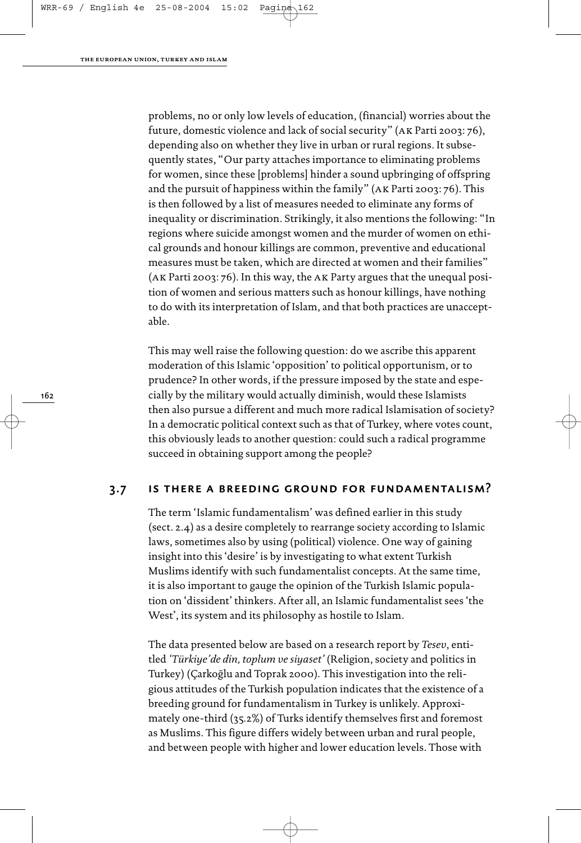problems, no or only low levels of education, (financial) worries about the future, domestic violence and lack of social security" (ak Parti 2003: 76), depending also on whether they live in urban or rural regions. It subsequently states, "Our party attaches importance to eliminating problems for women, since these [problems] hinder a sound upbringing of offspring and the pursuit of happiness within the family" (ak Parti 2003: 76). This is then followed by a list of measures needed to eliminate any forms of inequality or discrimination. Strikingly, it also mentions the following: "In regions where suicide amongst women and the murder of women on ethical grounds and honour killings are common, preventive and educational measures must be taken, which are directed at women and their families" (ak Parti 2003: 76). In this way, the ak Party argues that the unequal position of women and serious matters such as honour killings, have nothing to do with its interpretation of Islam, and that both practices are unacceptable.

This may well raise the following question: do we ascribe this apparent moderation of this Islamic 'opposition' to political opportunism, or to prudence? In other words, if the pressure imposed by the state and especially by the military would actually diminish, would these Islamists then also pursue a different and much more radical Islamisation of society? In a democratic political context such as that of Turkey, where votes count, this obviously leads to another question: could such a radical programme succeed in obtaining support among the people?

### 3.7 is there a breeding ground for fundamentalism?

The term 'Islamic fundamentalism' was defined earlier in this study (sect. 2.4) as a desire completely to rearrange society according to Islamic laws, sometimes also by using (political) violence. One way of gaining insight into this 'desire' is by investigating to what extent Turkish Muslims identify with such fundamentalist concepts. At the same time, it is also important to gauge the opinion of the Turkish Islamic population on 'dissident' thinkers. After all, an Islamic fundamentalist sees 'the West', its system and its philosophy as hostile to Islam.

The data presented below are based on a research report by *Tesev*, entitled *'Türkiye'de din, toplum ve siyaset'* (Religion, society and politics in Turkey) (Çarkoğlu and Toprak 2000). This investigation into the religious attitudes of the Turkish population indicates that the existence of a breeding ground for fundamentalism in Turkey is unlikely. Approximately one-third (35.2%) of Turks identify themselves first and foremost as Muslims. This figure differs widely between urban and rural people, and between people with higher and lower education levels. Those with

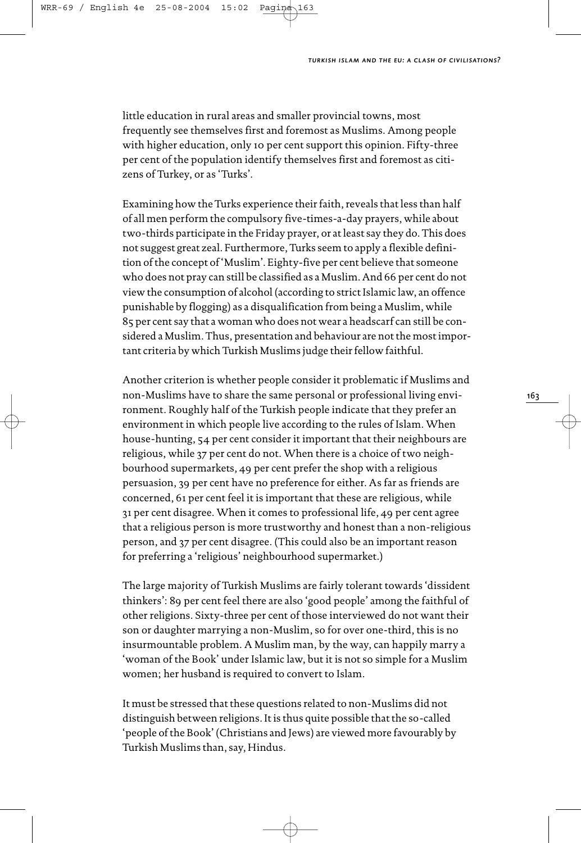little education in rural areas and smaller provincial towns, most frequently see themselves first and foremost as Muslims. Among people with higher education, only 10 per cent support this opinion. Fifty-three per cent of the population identify themselves first and foremost as citizens of Turkey, or as 'Turks'.

Examining how the Turks experience their faith, reveals that less than half of all men perform the compulsory five-times-a-day prayers, while about two-thirds participate in the Friday prayer, or at least say they do. This does not suggest great zeal. Furthermore, Turks seem to apply a flexible definition of the concept of 'Muslim'. Eighty-five per cent believe that someone who does not pray can still be classified as a Muslim. And 66 per cent do not view the consumption of alcohol (according to strict Islamic law, an offence punishable by flogging) as a disqualification from being a Muslim, while 85 per cent say that a woman who does not wear a headscarf can still be considered a Muslim. Thus, presentation and behaviour are not the most important criteria by which Turkish Muslims judge their fellow faithful.

Another criterion is whether people consider it problematic if Muslims and non-Muslims have to share the same personal or professional living environment. Roughly half of the Turkish people indicate that they prefer an environment in which people live according to the rules of Islam. When house-hunting, 54 per cent consider it important that their neighbours are religious, while 37 per cent do not. When there is a choice of two neighbourhood supermarkets, 49 per cent prefer the shop with a religious persuasion, 39 per cent have no preference for either. As far as friends are concerned, 61 per cent feel it is important that these are religious, while 31 per cent disagree. When it comes to professional life, 49 per cent agree that a religious person is more trustworthy and honest than a non-religious person, and 37 per cent disagree. (This could also be an important reason for preferring a 'religious' neighbourhood supermarket.)

The large majority of Turkish Muslims are fairly tolerant towards 'dissident thinkers': 89 per cent feel there are also 'good people' among the faithful of other religions. Sixty-three per cent of those interviewed do not want their son or daughter marrying a non-Muslim, so for over one-third, this is no insurmountable problem. A Muslim man, by the way, can happily marry a 'woman of the Book' under Islamic law, but it is not so simple for a Muslim women; her husband is required to convert to Islam.

It must be stressed that these questions related to non-Muslims did not distinguish between religions. It is thus quite possible that the so-called 'people of the Book' (Christians and Jews) are viewed more favourably by Turkish Muslims than, say, Hindus.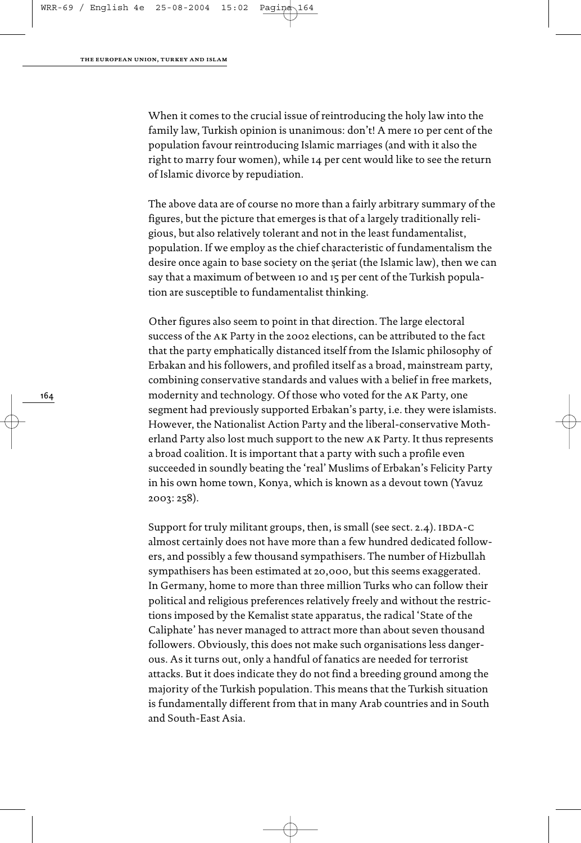164

When it comes to the crucial issue of reintroducing the holy law into the family law, Turkish opinion is unanimous: don't! A mere 10 per cent of the population favour reintroducing Islamic marriages (and with it also the right to marry four women), while 14 per cent would like to see the return of Islamic divorce by repudiation.

The above data are of course no more than a fairly arbitrary summary of the figures, but the picture that emerges is that of a largely traditionally religious, but also relatively tolerant and not in the least fundamentalist, population. If we employ as the chief characteristic of fundamentalism the desire once again to base society on the şeriat (the Islamic law), then we can say that a maximum of between 10 and 15 per cent of the Turkish population are susceptible to fundamentalist thinking.

Other figures also seem to point in that direction. The large electoral success of the ak Party in the 2002 elections, can be attributed to the fact that the party emphatically distanced itself from the Islamic philosophy of Erbakan and his followers, and profiled itself as a broad, mainstream party, combining conservative standards and values with a belief in free markets, modernity and technology. Of those who voted for the ak Party, one segment had previously supported Erbakan's party, i.e. they were islamists. However, the Nationalist Action Party and the liberal-conservative Motherland Party also lost much support to the new ak Party. It thus represents a broad coalition. It is important that a party with such a profile even succeeded in soundly beating the 'real' Muslims of Erbakan's Felicity Party in his own home town, Konya, which is known as a devout town (Yavuz 2003: 258).

Support for truly militant groups, then, is small (see sect. 2.4). IBDA-C almost certainly does not have more than a few hundred dedicated followers, and possibly a few thousand sympathisers. The number of Hizbullah sympathisers has been estimated at 20,000, but this seems exaggerated. In Germany, home to more than three million Turks who can follow their political and religious preferences relatively freely and without the restrictions imposed by the Kemalist state apparatus, the radical 'State of the Caliphate' has never managed to attract more than about seven thousand followers. Obviously, this does not make such organisations less dangerous. As it turns out, only a handful of fanatics are needed for terrorist attacks. But it does indicate they do not find a breeding ground among the majority of the Turkish population. This means that the Turkish situation is fundamentally different from that in many Arab countries and in South and South-East Asia.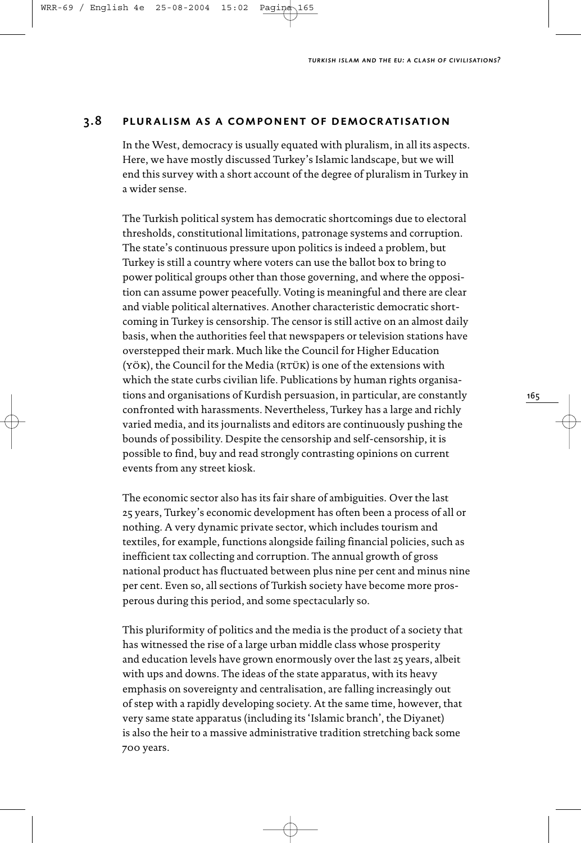### 3.8 pluralism as a component of democratisation

In the West, democracy is usually equated with pluralism, in all its aspects. Here, we have mostly discussed Turkey's Islamic landscape, but we will end this survey with a short account of the degree of pluralism in Turkey in a wider sense.

The Turkish political system has democratic shortcomings due to electoral thresholds, constitutional limitations, patronage systems and corruption. The state's continuous pressure upon politics is indeed a problem, but Turkey is still a country where voters can use the ballot box to bring to power political groups other than those governing, and where the opposition can assume power peacefully. Voting is meaningful and there are clear and viable political alternatives. Another characteristic democratic shortcoming in Turkey is censorship. The censor is still active on an almost daily basis, when the authorities feel that newspapers or television stations have overstepped their mark. Much like the Council for Higher Education (YÖK), the Council for the Media (RTÜK) is one of the extensions with which the state curbs civilian life. Publications by human rights organisations and organisations of Kurdish persuasion, in particular, are constantly confronted with harassments. Nevertheless, Turkey has a large and richly varied media, and its journalists and editors are continuously pushing the bounds of possibility. Despite the censorship and self-censorship, it is possible to find, buy and read strongly contrasting opinions on current events from any street kiosk.

The economic sector also has its fair share of ambiguities. Over the last 25 years, Turkey's economic development has often been a process of all or nothing. A very dynamic private sector, which includes tourism and textiles, for example, functions alongside failing financial policies, such as inefficient tax collecting and corruption. The annual growth of gross national product has fluctuated between plus nine per cent and minus nine per cent. Even so, all sections of Turkish society have become more prosperous during this period, and some spectacularly so.

This pluriformity of politics and the media is the product of a society that has witnessed the rise of a large urban middle class whose prosperity and education levels have grown enormously over the last 25 years, albeit with ups and downs. The ideas of the state apparatus, with its heavy emphasis on sovereignty and centralisation, are falling increasingly out of step with a rapidly developing society. At the same time, however, that very same state apparatus (including its 'Islamic branch', the Diyanet) is also the heir to a massive administrative tradition stretching back some 700 years.

165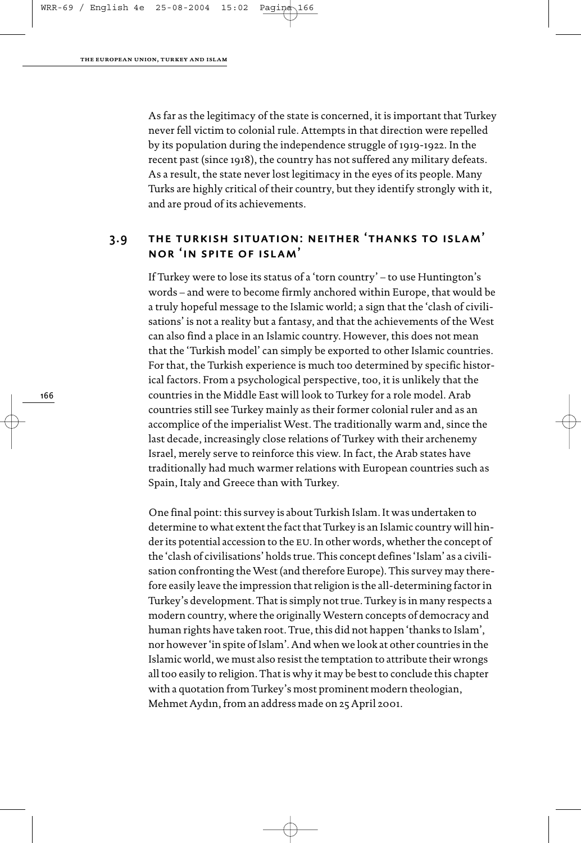166

As far as the legitimacy of the state is concerned, it is important that Turkey never fell victim to colonial rule. Attempts in that direction were repelled by its population during the independence struggle of 1919-1922. In the recent past (since 1918), the country has not suffered any military defeats. As a result, the state never lost legitimacy in the eyes of its people. Many Turks are highly critical of their country, but they identify strongly with it, and are proud of its achievements.

#### 3.9 the turkish situation: neither 'thanks to islam'nor 'in spite of islam'

If Turkey were to lose its status of a 'torn country' – to use Huntington's words – and were to become firmly anchored within Europe, that would be a truly hopeful message to the Islamic world; a sign that the 'clash of civilisations' is not a reality but a fantasy, and that the achievements of the West can also find a place in an Islamic country. However, this does not mean that the 'Turkish model' can simply be exported to other Islamic countries. For that, the Turkish experience is much too determined by specific historical factors. From a psychological perspective, too, it is unlikely that the countries in the Middle East will look to Turkey for a role model. Arab countries still see Turkey mainly as their former colonial ruler and as an accomplice of the imperialist West. The traditionally warm and, since the last decade, increasingly close relations of Turkey with their archenemy Israel, merely serve to reinforce this view. In fact, the Arab states have traditionally had much warmer relations with European countries such as Spain, Italy and Greece than with Turkey.

One final point: this survey is about Turkish Islam. It was undertaken to determine to what extent the fact that Turkey is an Islamic country will hinder its potential accession to the eu. In other words, whether the concept of the 'clash of civilisations' holds true. This concept defines 'Islam' as a civilisation confronting the West (and therefore Europe). This survey may therefore easily leave the impression that religion is the all-determining factor in Turkey's development. That is simply not true. Turkey is in many respects a modern country, where the originally Western concepts of democracy and human rights have taken root. True, this did not happen 'thanks to Islam', nor however 'in spite of Islam'. And when we look at other countries in the Islamic world, we must also resist the temptation to attribute their wrongs all too easily to religion. That is why it may be best to conclude this chapter with a quotation from Turkey's most prominent modern theologian, Mehmet Aydın, from an address made on 25 April 2001.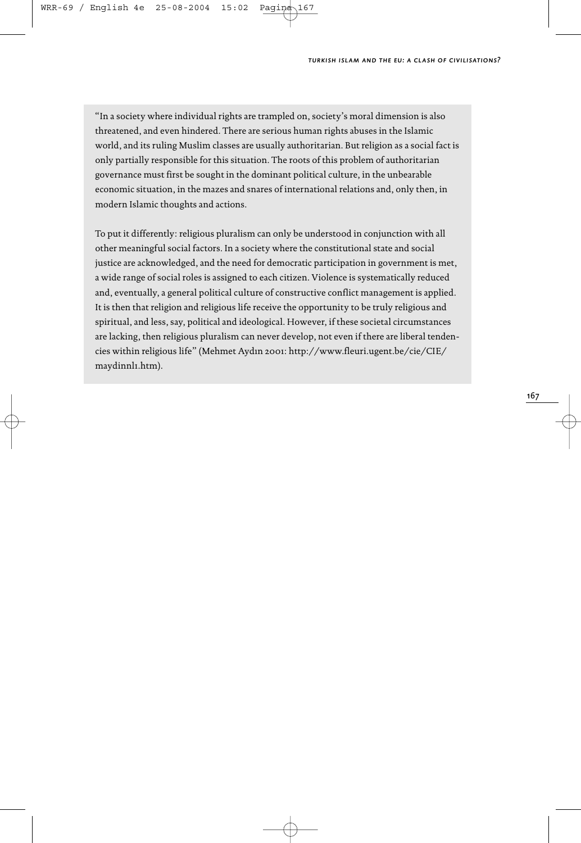"In a society where individual rights are trampled on, society's moral dimension is also threatened, and even hindered. There are serious human rights abuses in the Islamic world, and its ruling Muslim classes are usually authoritarian. But religion as a social fact is only partially responsible for this situation. The roots of this problem of authoritarian governance must first be sought in the dominant political culture, in the unbearable economic situation, in the mazes and snares of international relations and, only then, in modern Islamic thoughts and actions.

To put it differently: religious pluralism can only be understood in conjunction with all other meaningful social factors. In a society where the constitutional state and social justice are acknowledged, and the need for democratic participation in government is met, a wide range of social roles is assigned to each citizen. Violence is systematically reduced and, eventually, a general political culture of constructive conflict management is applied. It is then that religion and religious life receive the opportunity to be truly religious and spiritual, and less, say, political and ideological. However, if these societal circumstances are lacking, then religious pluralism can never develop, not even if there are liberal tendencies within religious life" (Mehmet Aydın 2001: http://www.fleuri.ugent.be/cie/CIE/ maydinnl1.htm).

167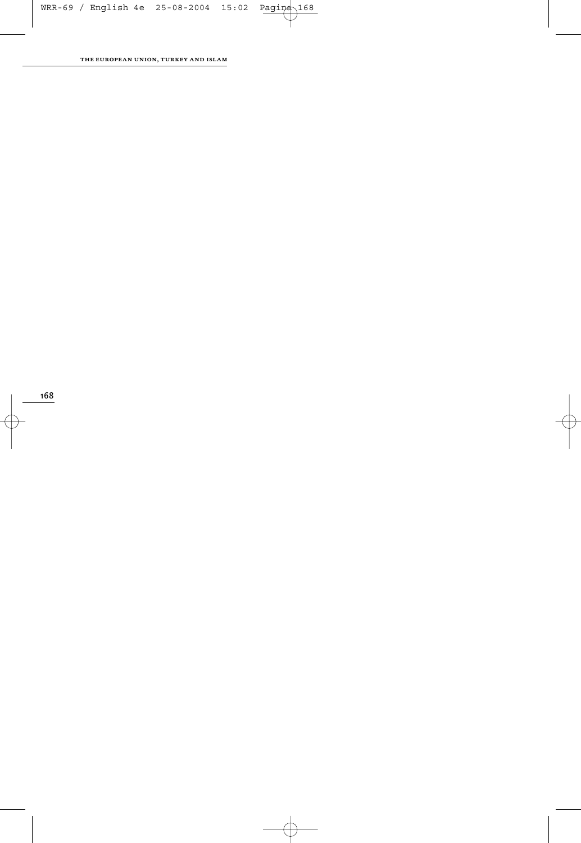Œ

**the european union, turkey and islam**

168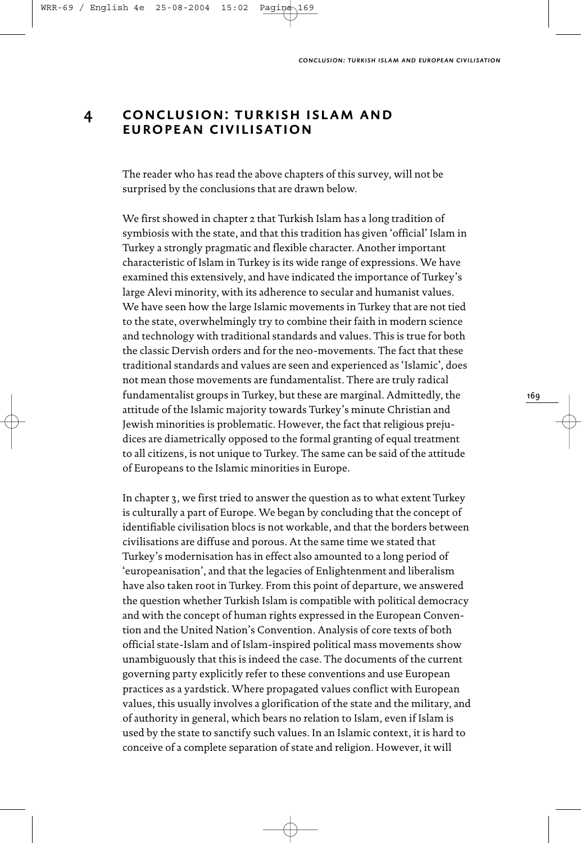#### 4 conclusion: turkish islam and european civilisation

The reader who has read the above chapters of this survey, will not be surprised by the conclusions that are drawn below.

We first showed in chapter 2 that Turkish Islam has a long tradition of symbiosis with the state, and that this tradition has given 'official' Islam in Turkey a strongly pragmatic and flexible character. Another important characteristic of Islam in Turkey is its wide range of expressions. We have examined this extensively, and have indicated the importance of Turkey's large Alevi minority, with its adherence to secular and humanist values. We have seen how the large Islamic movements in Turkey that are not tied to the state, overwhelmingly try to combine their faith in modern science and technology with traditional standards and values. This is true for both the classic Dervish orders and for the neo-movements. The fact that these traditional standards and values are seen and experienced as 'Islamic', does not mean those movements are fundamentalist. There are truly radical fundamentalist groups in Turkey, but these are marginal. Admittedly, the attitude of the Islamic majority towards Turkey's minute Christian and Jewish minorities is problematic. However, the fact that religious prejudices are diametrically opposed to the formal granting of equal treatment to all citizens, is not unique to Turkey. The same can be said of the attitude of Europeans to the Islamic minorities in Europe.

In chapter 3, we first tried to answer the question as to what extent Turkey is culturally a part of Europe. We began by concluding that the concept of identifiable civilisation blocs is not workable, and that the borders between civilisations are diffuse and porous. At the same time we stated that Turkey's modernisation has in effect also amounted to a long period of 'europeanisation', and that the legacies of Enlightenment and liberalism have also taken root in Turkey. From this point of departure, we answered the question whether Turkish Islam is compatible with political democracy and with the concept of human rights expressed in the European Convention and the United Nation's Convention. Analysis of core texts of both official state-Islam and of Islam-inspired political mass movements show unambiguously that this is indeed the case. The documents of the current governing party explicitly refer to these conventions and use European practices as a yardstick. Where propagated values conflict with European values, this usually involves a glorification of the state and the military, and of authority in general, which bears no relation to Islam, even if Islam is used by the state to sanctify such values. In an Islamic context, it is hard to conceive of a complete separation of state and religion. However, it will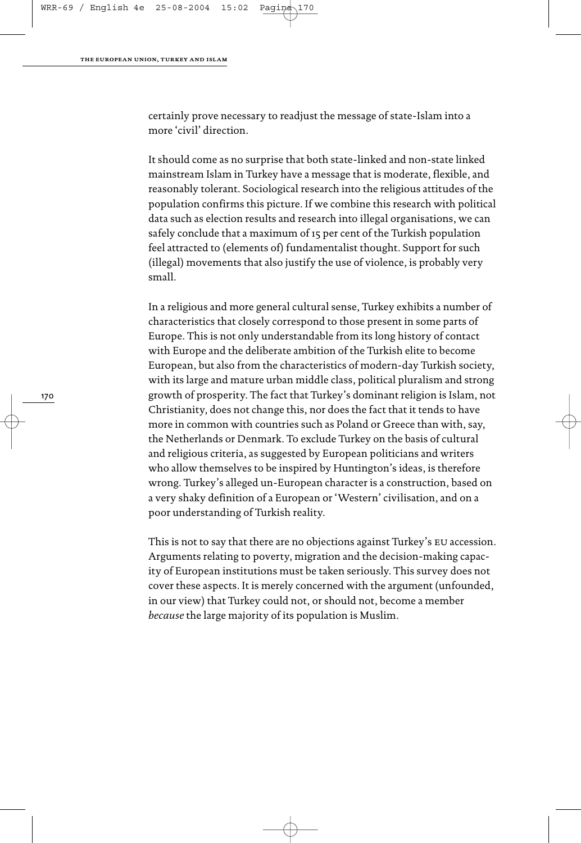170

certainly prove necessary to readjust the message of state-Islam into a more 'civil' direction.

It should come as no surprise that both state-linked and non-state linked mainstream Islam in Turkey have a message that is moderate, flexible, and reasonably tolerant. Sociological research into the religious attitudes of the population confirms this picture. If we combine this research with political data such as election results and research into illegal organisations, we can safely conclude that a maximum of 15 per cent of the Turkish population feel attracted to (elements of) fundamentalist thought. Support for such (illegal) movements that also justify the use of violence, is probably very small.

In a religious and more general cultural sense, Turkey exhibits a number of characteristics that closely correspond to those present in some parts of Europe. This is not only understandable from its long history of contact with Europe and the deliberate ambition of the Turkish elite to become European, but also from the characteristics of modern-day Turkish society, with its large and mature urban middle class, political pluralism and strong growth of prosperity. The fact that Turkey's dominant religion is Islam, not Christianity, does not change this, nor does the fact that it tends to have more in common with countries such as Poland or Greece than with, say, the Netherlands or Denmark. To exclude Turkey on the basis of cultural and religious criteria, as suggested by European politicians and writers who allow themselves to be inspired by Huntington's ideas, is therefore wrong. Turkey's alleged un-European character is a construction, based on a very shaky definition of a European or 'Western' civilisation, and on a poor understanding of Turkish reality.

This is not to say that there are no objections against Turkey's EU accession. Arguments relating to poverty, migration and the decision-making capacity of European institutions must be taken seriously. This survey does not cover these aspects. It is merely concerned with the argument (unfounded, in our view) that Turkey could not, or should not, become a member *because* the large majority of its population is Muslim.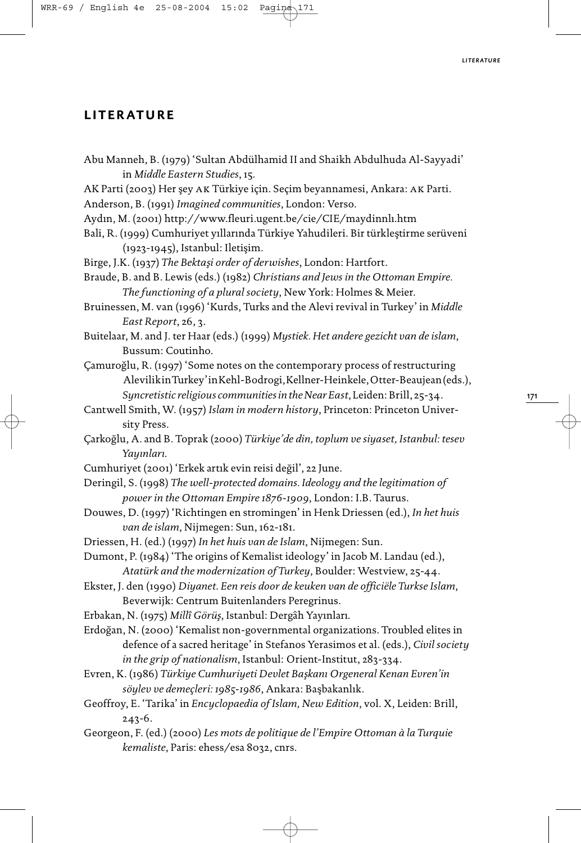|  | <b>LITERATURE</b> |  |
|--|-------------------|--|

## literature

| Abu Manneh, B. (1979) 'Sultan Abdülhamid II and Shaikh Abdulhuda Al-Sayyadi'                                                |
|-----------------------------------------------------------------------------------------------------------------------------|
| in Middle Eastern Studies, 15.                                                                                              |
| AK Parti (2003) Her şey AK Türkiye için. Seçim beyannamesi, Ankara: AK Parti.                                               |
| Anderson, B. (1991) Imagined communities, London: Verso.                                                                    |
| Aydın, M. (2001) http://www.fleuri.ugent.be/cie/CIE/maydinnlı.htm                                                           |
| Bali, R. (1999) Cumhuriyet yıllarında Türkiye Yahudileri. Bir türkleştirme serüveni                                         |
| (1923-1945), Istanbul: Iletişim.                                                                                            |
| Birge, J.K. (1937) The Bektaşi order of derwishes, London: Hartfort.                                                        |
| Braude, B. and B. Lewis (eds.) (1982) Christians and Jews in the Ottoman Empire.                                            |
| The functioning of a plural society, New York: Holmes & Meier.                                                              |
| Bruinessen, M. van (1996) 'Kurds, Turks and the Alevi revival in Turkey' in Middle                                          |
| East Report, 26, 3.                                                                                                         |
| Buitelaar, M. and J. ter Haar (eds.) (1999) Mystiek. Het andere gezicht van de islam,                                       |
| Bussum: Coutinho.                                                                                                           |
| Çamuroğlu, R. (1997) 'Some notes on the contemporary process of restructuring                                               |
| Alevilikin Turkey'in Kehl-Bodrogi, Kellner-Heinkele, Otter-Beaujean (eds.),                                                 |
| Syncretistic religious communities in the Near East, Leiden: Brill, 25-34.                                                  |
| Cantwell Smith, W. (1957) Islam in modern history, Princeton: Princeton Univer-                                             |
| sity Press.                                                                                                                 |
| Çarkoğlu, A. and B. Toprak (2000) Türkiye'de din, toplum ve siyaset, Istanbul: tesev                                        |
| Yayınları.                                                                                                                  |
|                                                                                                                             |
| Cumhuriyet (2001) 'Erkek artık evin reisi değil', 22 June.                                                                  |
| Deringil, S. (1998) The well-protected domains. Ideology and the legitimation of                                            |
| power in the Ottoman Empire 1876-1909, London: I.B. Taurus.                                                                 |
| Douwes, D. (1997) 'Richtingen en stromingen' in Henk Driessen (ed.), In het huis                                            |
| van de islam, Nijmegen: Sun, 162-181.                                                                                       |
| Driessen, H. (ed.) (1997) In het huis van de Islam, Nijmegen: Sun.                                                          |
| Dumont, P. (1984) 'The origins of Kemalist ideology' in Jacob M. Landau (ed.),                                              |
| Atatürk and the modernization of Turkey, Boulder: Westview, 25-44.                                                          |
| Ekster, J. den (1990) Diyanet. Een reis door de keuken van de officiële Turkse Islam,                                       |
| Beverwijk: Centrum Buitenlanders Peregrinus.                                                                                |
| Erbakan, N. (1975) Millî Görüş, Istanbul: Dergâh Yayınları.                                                                 |
| Erdoğan, N. (2000) 'Kemalist non-governmental organizations. Troubled elites in                                             |
| defence of a sacred heritage' in Stefanos Yerasimos et al. (eds.), Civil society                                            |
| in the grip of nationalism, Istanbul: Orient-Institut, 283-334.                                                             |
| Evren, K. (1986) Türkiye Cumhuriyeti Devlet Başkanı Orgeneral Kenan Evren'in                                                |
| söylev ve demeçleri: 1985-1986, Ankara: Başbakanlık.                                                                        |
| Geoffroy, E. 'Tarika' in Encyclopaedia of Islam, New Edition, vol. X, Leiden: Brill,                                        |
| $243 - 6.$                                                                                                                  |
| Georgeon, F. (ed.) (2000) Les mots de politique de l'Empire Ottoman à la Turquie<br>kemaliste, Paris: ehess/esa 8032, cnrs. |

# WRR-69 / English 4e 25-08-2004 15:02 Pagina 171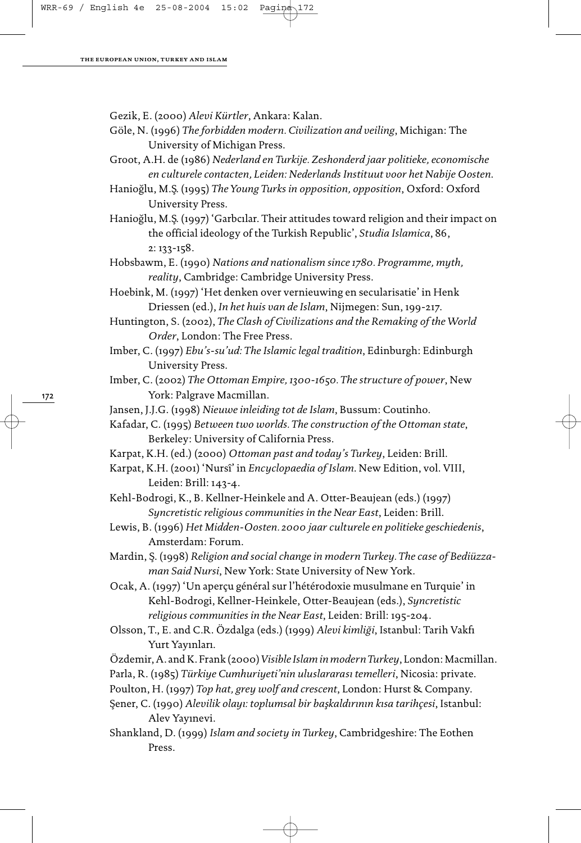172

- Gezik, E. (2000) *Alevi Kürtler*, Ankara: Kalan.
- Göle, N. (1996) *The forbidden modern. Civilization and veiling*, Michigan: The University of Michigan Press.
- Groot, A.H. de (1986) *Nederland en Turkije. Zeshonderd jaar politieke, economische en culturele contacten, Leiden: Nederlands Instituut voor het Nabije Oosten*.
- Hanioğlu, M.S. (1995) *The Young Turks in opposition, opposition*, Oxford: Oxford University Press.
- Hanioğlu, M.Ş. (1997) 'Garbcılar. Their attitudes toward religion and their impact on the official ideology of the Turkish Republic', *Studia Islamica*, 86, 2: 133-158.
- Hobsbawm, E. (1990) *Nations and nationalism since 1780. Programme, myth, reality*, Cambridge: Cambridge University Press.
- Hoebink, M. (1997) 'Het denken over vernieuwing en secularisatie' in Henk Driessen (ed.), *In het huis van de Islam*, Nijmegen: Sun, 199-217.
- Huntington, S. (2002), *The Clash of Civilizations and the Remaking of the World Order*, London: The Free Press.
- Imber, C. (1997) *Ebu's-su'ud: The Islamic legal tradition*, Edinburgh: Edinburgh University Press.
- Imber, C. (2002) *The Ottoman Empire, 1300-1650. The structure of power*, New York: Palgrave Macmillan.
- Jansen, J.J.G. (1998) *Nieuwe inleiding tot de Islam*, Bussum: Coutinho.
- Kafadar, C. (1995) *Between two worlds. The construction of the Ottoman state*, Berkeley: University of California Press.
- Karpat, K.H. (ed.) (2000) *Ottoman past and today's Turkey*, Leiden: Brill.
- Karpat, K.H. (2001) 'Nursî' in *Encyclopaedia of Islam*. New Edition, vol. VIII, Leiden: Brill: 143-4.
- Kehl-Bodrogi, K., B. Kellner-Heinkele and A. Otter-Beaujean (eds.) (1997) *Syncretistic religious communities in the Near East*, Leiden: Brill.
- Lewis, B. (1996) *Het Midden-Oosten. 2000 jaar culturele en politieke geschiedenis*, Amsterdam: Forum.
- Mardin, S¸. (1998) *Religion and social change in modern Turkey. The case of Bediüzzaman Said Nursi*, New York: State University of New York.
- Ocak, A. (1997) 'Un aperçu général sur l'hétérodoxie musulmane en Turquie' in Kehl-Bodrogi, Kellner-Heinkele, Otter-Beaujean (eds.), *Syncretistic religious communities in the Near East*, Leiden: Brill: 195-204.
- Olsson, T., E. and C.R. Özdalga (eds.) (1999) *Alevi kimlig˘i*, Istanbul: Tarih Vakfı Yurt Yayınları.
- Özdemir, A. and K. Frank (2000) *Visible Islam in modern Turkey*, London: Macmillan.
- Parla, R. (1985) *Türkiye Cumhuriyeti'nin uluslararası temelleri*, Nicosia: private.
- Poulton, H. (1997) *Top hat, grey wolf and crescent*, London: Hurst & Company.
- S¸ener, C. (1990) *Alevilik olayı: toplumsal bir bas¸kaldırının kısa tarihçesi*, Istanbul: Alev Yayınevi.
- Shankland, D. (1999) *Islam and society in Turkey*, Cambridgeshire: The Eothen Press.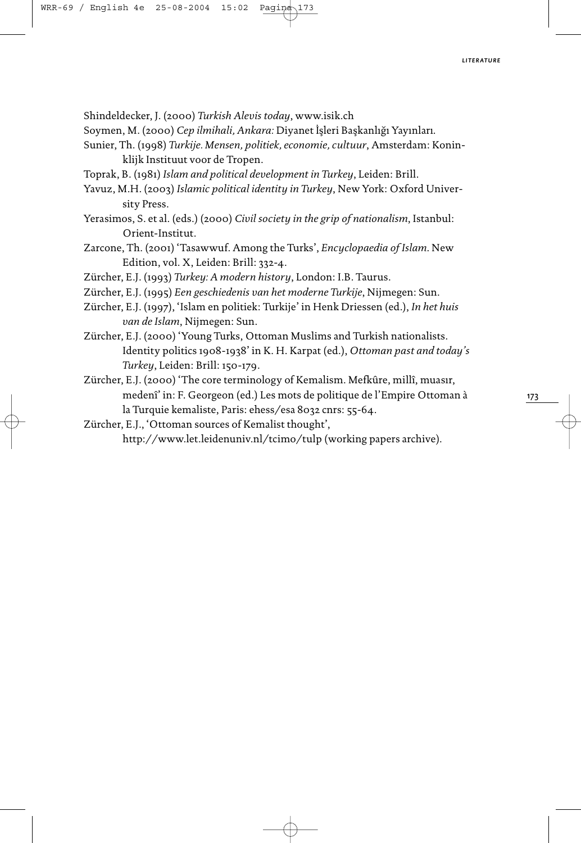*literature*

173

- Shindeldecker, J. (2000) *Turkish Alevis today*, www.isik.ch
- Soymen, M. (2000) *Cep ilmihali, Ankara: Diyanet İşleri Başkanlığı Yayınları*.
- Sunier, Th. (1998) *Turkije. Mensen, politiek, economie, cultuur*, Amsterdam: Koninklijk Instituut voor de Tropen.
- Toprak, B. (1981) *Islam and political development in Turkey*, Leiden: Brill.
- Yavuz, M.H. (2003) *Islamic political identity in Turkey*, New York: Oxford University Press.
- Yerasimos, S. et al. (eds.) (2000) *Civil society in the grip of nationalism*, Istanbul: Orient-Institut.
- Zarcone, Th. (2001) 'Tasawwuf. Among the Turks', *Encyclopaedia of Islam*. New Edition, vol. X, Leiden: Brill: 332-4.
- Zürcher, E.J. (1993) *Turkey: A modern history*, London: I.B. Taurus.
- Zürcher, E.J. (1995) *Een geschiedenis van het moderne Turkije*, Nijmegen: Sun.
- Zürcher, E.J. (1997), 'Islam en politiek: Turkije' in Henk Driessen (ed.), *In het huis van de Islam*, Nijmegen: Sun.
- Zürcher, E.J. (2000) 'Young Turks, Ottoman Muslims and Turkish nationalists. Identity politics 1908-1938' in K. H. Karpat (ed.), *Ottoman past and today's Turkey*, Leiden: Brill: 150-179.
- Zürcher, E.J. (2000) 'The core terminology of Kemalism. Mefkûre, millî, muasır, medenî' in: F. Georgeon (ed.) Les mots de politique de l'Empire Ottoman à la Turquie kemaliste, Paris: ehess/esa 8032 cnrs: 55-64.
- Zürcher, E.J., 'Ottoman sources of Kemalist thought', http://www.let.leidenuniv.nl/tcimo/tulp (working papers archive).